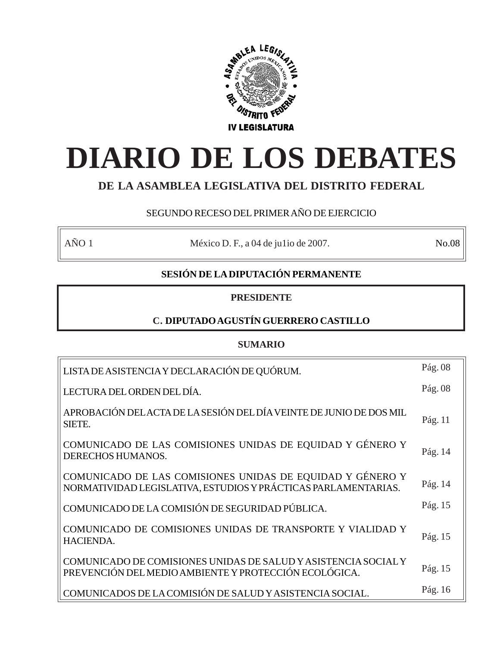

# **DIARIO DE LOS DEBATES**

# **DE LA ASAMBLEA LEGISLATIVA DEL DISTRITO FEDERAL**

# SEGUNDO RECESO DEL PRIMER AÑO DE EJERCICIO

AÑO 1 México D. F., a 04 de julio de 2007. No.08

# **SESIÓN DE LA DIPUTACIÓN PERMANENTE**

# **PRESIDENTE**

# **C. DIPUTADO AGUSTÍN GUERRERO CASTILLO**

# **SUMARIO**

| LISTA DE ASISTENCIA Y DECLARACIÓN DE QUÓRUM.                                                                                | Pág. 08 |
|-----------------------------------------------------------------------------------------------------------------------------|---------|
| LECTURA DEL ORDEN DEL DÍA.                                                                                                  | Pág. 08 |
| APROBACIÓN DEL ACTA DE LA SESIÓN DEL DÍA VEINTE DE JUNIO DE DOS MIL<br>SIETE.                                               | Pág. 11 |
| COMUNICADO DE LAS COMISIONES UNIDAS DE EQUIDAD Y GÉNERO Y<br>DERECHOS HUMANOS.                                              | Pág. 14 |
| COMUNICADO DE LAS COMISIONES UNIDAS DE EQUIDAD Y GÉNERO Y<br>NORMATIVIDAD LEGISLATIVA, ESTUDIOS Y PRÁCTICAS PARLAMENTARIAS. | Pág. 14 |
| COMUNICADO DE LA COMISIÓN DE SEGURIDAD PÚBLICA.                                                                             | Pág. 15 |
| COMUNICADO DE COMISIONES UNIDAS DE TRANSPORTE Y VIALIDAD Y<br><b>HACIENDA.</b>                                              | Pág. 15 |
| COMUNICADO DE COMISIONES UNIDAS DE SALUD Y ASISTENCIA SOCIAL Y<br>PREVENCIÓN DEL MEDIO AMBIENTE Y PROTECCIÓN ECOLÓGICA.     | Pág. 15 |
| COMUNICADOS DE LA COMISIÓN DE SALUD Y ASISTENCIA SOCIAL.                                                                    | Pág. 16 |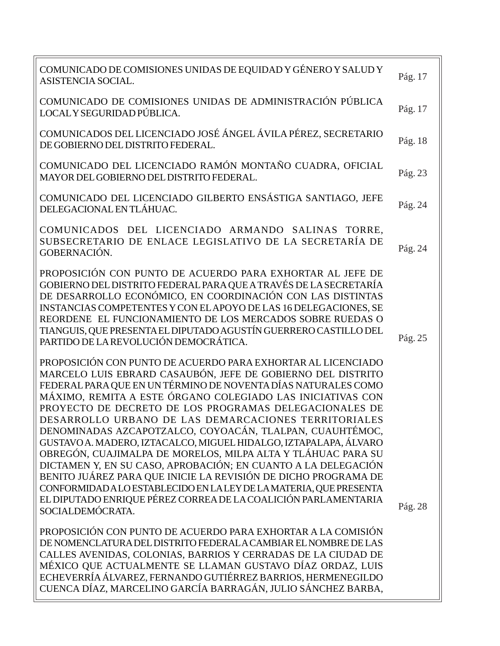| COMUNICADO DE COMISIONES UNIDAS DE EQUIDAD Y GÉNERO Y SALUD Y<br>ASISTENCIA SOCIAL.                                                                                                                                                                                                                                                                                                                                                                                                                                                                                                                                                                                                                                                                                                                                                                                       | Pág. 17 |
|---------------------------------------------------------------------------------------------------------------------------------------------------------------------------------------------------------------------------------------------------------------------------------------------------------------------------------------------------------------------------------------------------------------------------------------------------------------------------------------------------------------------------------------------------------------------------------------------------------------------------------------------------------------------------------------------------------------------------------------------------------------------------------------------------------------------------------------------------------------------------|---------|
| COMUNICADO DE COMISIONES UNIDAS DE ADMINISTRACIÓN PÚBLICA<br>LOCAL Y SEGURIDAD PÚBLICA.                                                                                                                                                                                                                                                                                                                                                                                                                                                                                                                                                                                                                                                                                                                                                                                   | Pág. 17 |
| COMUNICADOS DEL LICENCIADO JOSÉ ÁNGEL ÁVILA PÉREZ, SECRETARIO<br>DE GOBIERNO DEL DISTRITO FEDERAL.                                                                                                                                                                                                                                                                                                                                                                                                                                                                                                                                                                                                                                                                                                                                                                        | Pág. 18 |
| COMUNICADO DEL LICENCIADO RAMÓN MONTAÑO CUADRA, OFICIAL<br>MAYOR DEL GOBIERNO DEL DISTRITO FEDERAL.                                                                                                                                                                                                                                                                                                                                                                                                                                                                                                                                                                                                                                                                                                                                                                       | Pág. 23 |
| COMUNICADO DEL LICENCIADO GILBERTO ENSÁSTIGA SANTIAGO, JEFE<br>DELEGACIONAL EN TLÁHUAC.                                                                                                                                                                                                                                                                                                                                                                                                                                                                                                                                                                                                                                                                                                                                                                                   | Pág. 24 |
| COMUNICADOS DEL LICENCIADO ARMANDO SALINAS TORRE,<br>SUBSECRETARIO DE ENLACE LEGISLATIVO DE LA SECRETARÍA DE<br>GOBERNACIÓN.                                                                                                                                                                                                                                                                                                                                                                                                                                                                                                                                                                                                                                                                                                                                              | Pág. 24 |
| PROPOSICIÓN CON PUNTO DE ACUERDO PARA EXHORTAR AL JEFE DE<br>GOBIERNO DEL DISTRITO FEDERAL PARA QUE A TRAVÉS DE LA SECRETARÍA<br>DE DESARROLLO ECONÓMICO, EN COORDINACIÓN CON LAS DISTINTAS<br>INSTANCIAS COMPETENTES Y CON EL APOYO DE LAS 16 DELEGACIONES, SE<br>REORDENE EL FUNCIONAMIENTO DE LOS MERCADOS SOBRE RUEDAS O<br>TIANGUIS, QUE PRESENTA EL DIPUTADO AGUSTÍN GUERRERO CASTILLO DEL<br>PARTIDO DE LA REVOLUCIÓN DEMOCRÁTICA.                                                                                                                                                                                                                                                                                                                                                                                                                                 | Pág. 25 |
| PROPOSICIÓN CON PUNTO DE ACUERDO PARA EXHORTAR AL LICENCIADO<br>MARCELO LUIS EBRARD CASAUBÓN, JEFE DE GOBIERNO DEL DISTRITO<br>FEDERAL PARA QUE EN UN TÉRMINO DE NOVENTA DÍAS NATURALES COMO<br>MÁXIMO, REMITA A ESTE ÓRGANO COLEGIADO LAS INICIATIVAS CON<br>PROYECTO DE DECRETO DE LOS PROGRAMAS DELEGACIONALES DE<br>DESARROLLO URBANO DE LAS DEMARCACIONES TERRITORIALES<br>DENOMINADAS AZCAPOTZALCO, COYOACÁN, TLALPAN, CUAUHTÉMOC,<br>GUSTAVO A. MADERO, IZTACALCO, MIGUEL HIDALGO, IZTAPALAPA, ÁLVARO<br>OBREGÓN, CUAJIMALPA DE MORELOS, MILPA ALTA Y TLÁHUAC PARA SU<br>DICTAMEN Y, EN SU CASO, APROBACIÓN; EN CUANTO A LA DELEGACIÓN<br>BENITO JUÁREZ PARA QUE INICIE LA REVISIÓN DE DICHO PROGRAMA DE<br>CONFORMIDAD ALO ESTABLECIDO EN LALEY DE LA MATERIA, QUE PRESENTA<br>EL DIPUTADO ENRIQUE PÉREZ CORREA DE LA COALICIÓN PARLAMENTARIA<br>SOCIALDEMÓCRATA. | Pág. 28 |
| PROPOSICIÓN CON PUNTO DE ACUERDO PARA EXHORTAR A LA COMISIÓN<br>DE NOMENCLATURA DEL DISTRITO FEDERALA CAMBIAR EL NOMBRE DE LAS<br>CALLES AVENIDAS, COLONIAS, BARRIOS Y CERRADAS DE LA CIUDAD DE<br>MÉXICO QUE ACTUALMENTE SE LLAMAN GUSTAVO DÍAZ ORDAZ, LUIS<br>ECHEVERRÍA ÁLVAREZ, FERNANDO GUTIÉRREZ BARRIOS, HERMENEGILDO                                                                                                                                                                                                                                                                                                                                                                                                                                                                                                                                              |         |

CUENCA DÍAZ, MARCELINO GARCÍA BARRAGÁN, JULIO SÁNCHEZ BARBA,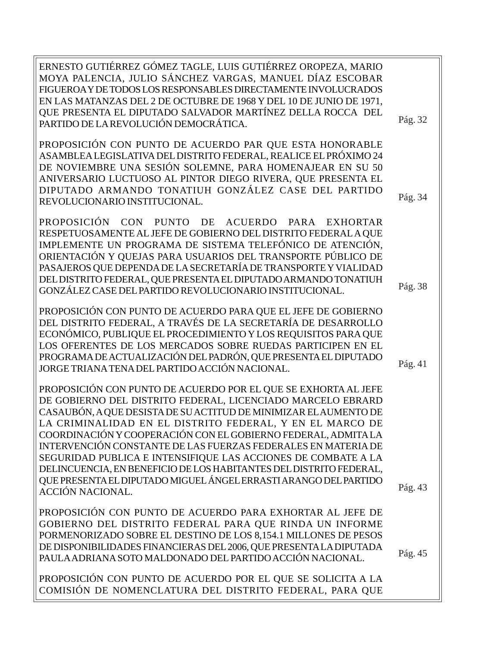ERNESTO GUTIÉRREZ GÓMEZ TAGLE, LUIS GUTIÉRREZ OROPEZA, MARIO MOYA PALENCIA, JULIO SÁNCHEZ VARGAS, MANUEL DÍAZ ESCOBAR FIGUEROA Y DE TODOS LOS RESPONSABLES DIRECTAMENTE INVOLUCRADOS EN LAS MATANZAS DEL 2 DE OCTUBRE DE 1968 Y DEL 10 DE JUNIO DE 1971, QUE PRESENTA EL DIPUTADO SALVADOR MARTÍNEZ DELLA ROCCA DEL PARTIDO DE LA REVOLUCIÓN DEMOCRÁTICA. PROPOSICIÓN CON PUNTO DE ACUERDO PAR QUE ESTA HONORABLE ASAMBLEA LEGISLATIVA DEL DISTRITO FEDERAL, REALICE EL PRÓXIMO 24 DE NOVIEMBRE UNA SESIÓN SOLEMNE, PARA HOMENAJEAR EN SU 50 ANIVERSARIO LUCTUOSO AL PINTOR DIEGO RIVERA, QUE PRESENTA EL DIPUTADO ARMANDO TONATIUH GONZÁLEZ CASE DEL PARTIDO REVOLUCIONARIO INSTITUCIONAL. PROPOSICIÓN CON PUNTO DE ACUERDO PARA EXHORTAR RESPETUOSAMENTE AL JEFE DE GOBIERNO DEL DISTRITO FEDERAL A QUE IMPLEMENTE UN PROGRAMA DE SISTEMA TELEFÓNICO DE ATENCIÓN, ORIENTACIÓN Y QUEJAS PARA USUARIOS DEL TRANSPORTE PÚBLICO DE PASAJEROS QUE DEPENDA DE LA SECRETARÍA DE TRANSPORTE Y VIALIDAD DEL DISTRITO FEDERAL, QUE PRESENTA EL DIPUTADO ARMANDO TONATIUH GONZÁLEZ CASE DEL PARTIDO REVOLUCIONARIO INSTITUCIONAL. PROPOSICIÓN CON PUNTO DE ACUERDO PARA QUE EL JEFE DE GOBIERNO DEL DISTRITO FEDERAL, A TRAVÉS DE LA SECRETARÍA DE DESARROLLO ECONÓMICO, PUBLIQUE EL PROCEDIMIENTO Y LOS REQUISITOS PARA QUE LOS OFERENTES DE LOS MERCADOS SOBRE RUEDAS PARTICIPEN EN EL PROGRAMA DE ACTUALIZACIÓN DEL PADRÓN, QUE PRESENTA EL DIPUTADO JORGE TRIANA TENA DEL PARTIDO ACCIÓN NACIONAL. PROPOSICIÓN CON PUNTO DE ACUERDO POR EL QUE SE EXHORTA AL JEFE DE GOBIERNO DEL DISTRITO FEDERAL, LICENCIADO MARCELO EBRARD CASAUBÓN, A QUE DESISTA DE SU ACTITUD DE MINIMIZAR EL AUMENTO DE LA CRIMINALIDAD EN EL DISTRITO FEDERAL, Y EN EL MARCO DE COORDINACIÓN Y COOPERACIÓN CON EL GOBIERNO FEDERAL, ADMITA LA INTERVENCIÓN CONSTANTE DE LAS FUERZAS FEDERALES EN MATERIA DE SEGURIDAD PUBLICA E INTENSIFIQUE LAS ACCIONES DE COMBATE A LA DELINCUENCIA, EN BENEFICIO DE LOS HABITANTES DEL DISTRITO FEDERAL, QUE PRESENTA EL DIPUTADO MIGUEL ÁNGEL ERRASTI ARANGO DEL PARTIDO ACCIÓN NACIONAL. PROPOSICIÓN CON PUNTO DE ACUERDO PARA EXHORTAR AL JEFE DE GOBIERNO DEL DISTRITO FEDERAL PARA QUE RINDA UN INFORME PORMENORIZADO SOBRE EL DESTINO DE LOS 8,154.1 MILLONES DE PESOS DE DISPONIBILIDADES FINANCIERAS DEL 2006, QUE PRESENTA LA DIPUTADA PAULA ADRIANA SOTO MALDONADO DEL PARTIDO ACCIÓN NACIONAL. PROPOSICIÓN CON PUNTO DE ACUERDO POR EL QUE SE SOLICITA A LA Pág. 32 Pág. 34 Pág. 38 Pág. 43 Pág. 45 Pág. 41

COMISIÓN DE NOMENCLATURA DEL DISTRITO FEDERAL, PARA QUE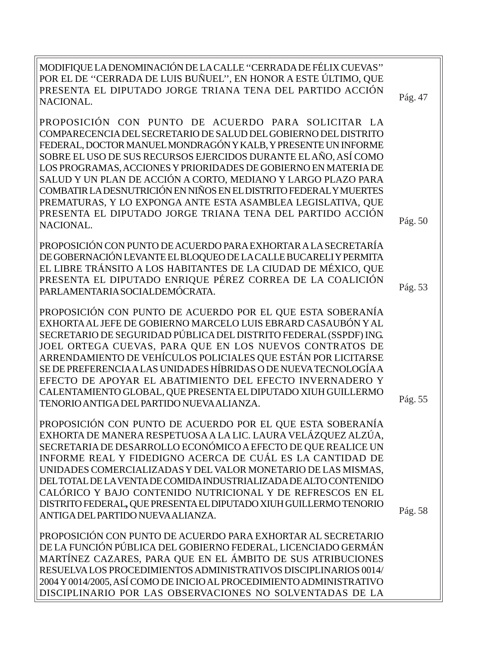MODIFIQUE LA DENOMINACIÓN DE LA CALLE ''CERRADA DE FÉLIX CUEVAS'' POR EL DE ''CERRADA DE LUIS BUÑUEL'', EN HONOR A ESTE ÚLTIMO, QUE PRESENTA EL DIPUTADO JORGE TRIANA TENA DEL PARTIDO ACCIÓN NACIONAL.

PROPOSICIÓN CON PUNTO DE ACUERDO PARA SOLICITAR LA COMPARECENCIA DEL SECRETARIO DE SALUD DEL GOBIERNO DEL DISTRITO FEDERAL, DOCTOR MANUEL MONDRAGÓN Y KALB, Y PRESENTE UN INFORME SOBRE EL USO DE SUS RECURSOS EJERCIDOS DURANTE EL AÑO, ASÍ COMO LOS PROGRAMAS, ACCIONES Y PRIORIDADES DE GOBIERNO EN MATERIA DE SALUD Y UN PLAN DE ACCIÓN A CORTO, MEDIANO Y LARGO PLAZO PARA COMBATIR LA DESNUTRICIÓN EN NIÑOS EN EL DISTRITO FEDERAL Y MUERTES PREMATURAS, Y LO EXPONGA ANTE ESTA ASAMBLEA LEGISLATIVA, QUE PRESENTA EL DIPUTADO JORGE TRIANA TENA DEL PARTIDO ACCIÓN NACIONAL.

PROPOSICIÓN CON PUNTO DE ACUERDO PARA EXHORTAR A LA SECRETARÍA DE GOBERNACIÓN LEVANTE EL BLOQUEO DE LA CALLE BUCARELI Y PERMITA EL LIBRE TRÁNSITO A LOS HABITANTES DE LA CIUDAD DE MÉXICO, QUE PRESENTA EL DIPUTADO ENRIQUE PÉREZ CORREA DE LA COALICIÓN PARLAMENTARIA SOCIALDEMÓCRATA.

PROPOSICIÓN CON PUNTO DE ACUERDO POR EL QUE ESTA SOBERANÍA EXHORTA AL JEFE DE GOBIERNO MARCELO LUIS EBRARD CASAUBÓN Y AL SECRETARIO DE SEGURIDAD PÚBLICA DEL DISTRITO FEDERAL (SSPDF) ING. JOEL ORTEGA CUEVAS, PARA QUE EN LOS NUEVOS CONTRATOS DE ARRENDAMIENTO DE VEHÍCULOS POLICIALES QUE ESTÁN POR LICITARSE SE DE PREFERENCIA A LAS UNIDADES HÍBRIDAS O DE NUEVA TECNOLOGÍA A EFECTO DE APOYAR EL ABATIMIENTO DEL EFECTO INVERNADERO Y CALENTAMIENTO GLOBAL, QUE PRESENTA EL DIPUTADO XIUH GUILLERMO TENORIO ANTIGA DEL PARTIDO NUEVA ALIANZA.

PROPOSICIÓN CON PUNTO DE ACUERDO POR EL QUE ESTA SOBERANÍA EXHORTA DE MANERA RESPETUOSA A LA LIC. LAURA VELÁZQUEZ ALZÚA, SECRETARIA DE DESARROLLO ECONÓMICO A EFECTO DE QUE REALICE UN INFORME REAL Y FIDEDIGNO ACERCA DE CUÁL ES LA CANTIDAD DE UNIDADES COMERCIALIZADAS Y DEL VALOR MONETARIO DE LAS MISMAS, DEL TOTAL DE LA VENTA DE COMIDA INDUSTRIALIZADA DE ALTO CONTENIDO CALÓRICO Y BAJO CONTENIDO NUTRICIONAL Y DE REFRESCOS EN EL DISTRITO FEDERAL*,* QUE PRESENTA EL DIPUTADO XIUH GUILLERMO TENORIO ANTIGA DEL PARTIDO NUEVA ALIANZA.

PROPOSICIÓN CON PUNTO DE ACUERDO PARA EXHORTAR AL SECRETARIO DE LA FUNCIÓN PÚBLICA DEL GOBIERNO FEDERAL, LICENCIADO GERMÁN MARTÍNEZ CAZARES, PARA QUE EN EL ÁMBITO DE SUS ATRIBUCIONES RESUELVA LOS PROCEDIMIENTOS ADMINISTRATIVOS DISCIPLINARIOS 0014/ 2004 Y 0014/2005, ASÍ COMO DE INICIO AL PROCEDIMIENTO ADMINISTRATIVO DISCIPLINARIO POR LAS OBSERVACIONES NO SOLVENTADAS DE LA Pág. 55

Pág. 58

Pág. 50

Pág. 53

Pág. 47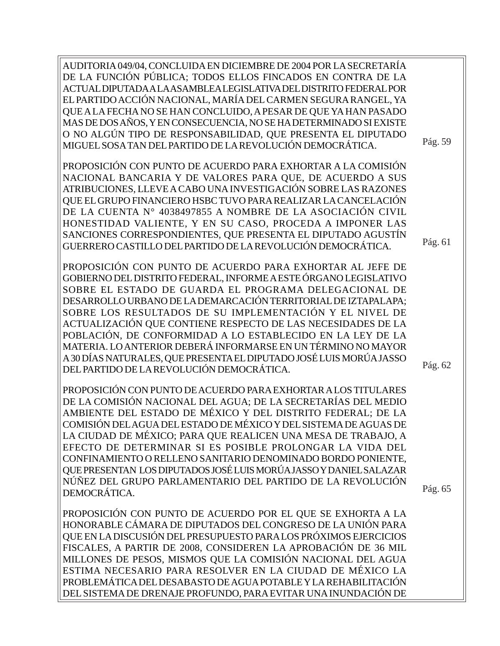AUDITORIA 049/04, CONCLUIDA EN DICIEMBRE DE 2004 POR LA SECRETARÍA DE LA FUNCIÓN PÚBLICA; TODOS ELLOS FINCADOS EN CONTRA DE LA ACTUAL DIPUTADA A LA ASAMBLEA LEGISLATIVA DEL DISTRITO FEDERAL POR EL PARTIDO ACCIÓN NACIONAL, MARÍA DEL CARMEN SEGURA RANGEL, YA QUE A LA FECHA NO SE HAN CONCLUIDO, A PESAR DE QUE YA HAN PASADO MAS DE DOS AÑOS, Y EN CONSECUENCIA, NO SE HA DETERMINADO SI EXISTE O NO ALGÚN TIPO DE RESPONSABILIDAD, QUE PRESENTA EL DIPUTADO MIGUEL SOSA TAN DEL PARTIDO DE LA REVOLUCIÓN DEMOCRÁTICA.

PROPOSICIÓN CON PUNTO DE ACUERDO PARA EXHORTAR A LA COMISIÓN NACIONAL BANCARIA Y DE VALORES PARA QUE, DE ACUERDO A SUS ATRIBUCIONES, LLEVE A CABO UNA INVESTIGACIÓN SOBRE LAS RAZONES QUE EL GRUPO FINANCIERO HSBC TUVO PARA REALIZAR LA CANCELACIÓN DE LA CUENTA N° 4038497855 A NOMBRE DE LA ASOCIACIÓN CIVIL HONESTIDAD VALIENTE, Y EN SU CASO, PROCEDA A IMPONER LAS SANCIONES CORRESPONDIENTES, QUE PRESENTA EL DIPUTADO AGUSTÍN GUERRERO CASTILLO DEL PARTIDO DE LA REVOLUCIÓN DEMOCRÁTICA.

PROPOSICIÓN CON PUNTO DE ACUERDO PARA EXHORTAR AL JEFE DE GOBIERNO DEL DISTRITO FEDERAL, INFORME A ESTE ÓRGANO LEGISLATIVO SOBRE EL ESTADO DE GUARDA EL PROGRAMA DELEGACIONAL DE DESARROLLO URBANO DE LA DEMARCACIÓN TERRITORIAL DE IZTAPALAPA; SOBRE LOS RESULTADOS DE SU IMPLEMENTACIÓN Y EL NIVEL DE ACTUALIZACIÓN QUE CONTIENE RESPECTO DE LAS NECESIDADES DE LA POBLACIÓN, DE CONFORMIDAD A LO ESTABLECIDO EN LA LEY DE LA MATERIA. LO ANTERIOR DEBERÁ INFORMARSE EN UN TÉRMINO NO MAYOR A 30 DÍAS NATURALES, QUE PRESENTA EL DIPUTADO JOSÉ LUIS MORÚA JASSO DEL PARTIDO DE LA REVOLUCIÓN DEMOCRÁTICA.

PROPOSICIÓN CON PUNTO DE ACUERDO PARA EXHORTAR A LOS TITULARES DE LA COMISIÓN NACIONAL DEL AGUA; DE LA SECRETARÍAS DEL MEDIO AMBIENTE DEL ESTADO DE MÉXICO Y DEL DISTRITO FEDERAL; DE LA COMISIÓN DEL AGUA DEL ESTADO DE MÉXICO Y DEL SISTEMA DE AGUAS DE LA CIUDAD DE MÉXICO; PARA QUE REALICEN UNA MESA DE TRABAJO, A EFECTO DE DETERMINAR SI ES POSIBLE PROLONGAR LA VIDA DEL CONFINAMIENTO O RELLENO SANITARIO DENOMINADO BORDO PONIENTE, QUE PRESENTAN LOS DIPUTADOS JOSÉ LUISMORÚA JASSO Y DANIEL SALAZAR NÚÑEZ DEL GRUPO PARLAMENTARIO DEL PARTIDO DE LA REVOLUCIÓN DEMOCRÁTICA.

PROPOSICIÓN CON PUNTO DE ACUERDO POR EL QUE SE EXHORTA A LA HONORABLE CÁMARA DE DIPUTADOS DEL CONGRESO DE LA UNIÓN PARA QUE EN LA DISCUSIÓN DEL PRESUPUESTO PARA LOS PRÓXIMOS EJERCICIOS FISCALES, A PARTIR DE 2008, CONSIDEREN LA APROBACIÓN DE 36 MIL MILLONES DE PESOS, MISMOS QUE LA COMISIÓN NACIONAL DEL AGUA ESTIMA NECESARIO PARA RESOLVER EN LA CIUDAD DE MÉXICO LA PROBLEMÁTICA DEL DESABASTO DE AGUA POTABLE Y LA REHABILITACIÓN DEL SISTEMA DE DRENAJE PROFUNDO, PARA EVITAR UNA INUNDACIÓN DE

Pág. 62

Pág. 59

Pág. 61

Pág. 65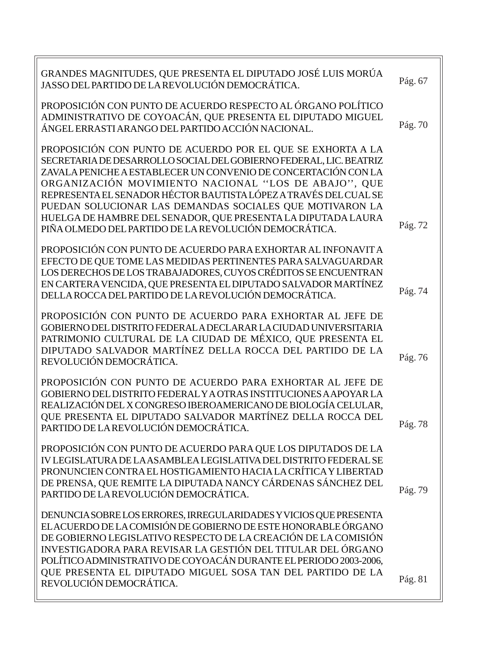| GRANDES MAGNITUDES, QUE PRESENTA EL DIPUTADO JOSÉ LUIS MORÚA<br>JASSO DEL PARTIDO DE LA REVOLUCIÓN DEMOCRÁTICA.                                                                                                                                                                                                                                                                                                                                                                                                      | Pág. 67 |
|----------------------------------------------------------------------------------------------------------------------------------------------------------------------------------------------------------------------------------------------------------------------------------------------------------------------------------------------------------------------------------------------------------------------------------------------------------------------------------------------------------------------|---------|
| PROPOSICIÓN CON PUNTO DE ACUERDO RESPECTO AL ÓRGANO POLÍTICO<br>ADMINISTRATIVO DE COYOACÁN, QUE PRESENTA EL DIPUTADO MIGUEL<br>ÁNGEL ERRASTI ARANGO DEL PARTIDO ACCIÓN NACIONAL.                                                                                                                                                                                                                                                                                                                                     | Pág. 70 |
| PROPOSICIÓN CON PUNTO DE ACUERDO POR EL QUE SE EXHORTA A LA<br>SECRETARIA DE DESARROLLO SOCIAL DEL GOBIERNO FEDERAL, LIC. BEATRIZ<br>ZAVALA PENICHE A ESTABLECER UN CONVENIO DE CONCERTACIÓN CON LA<br>ORGANIZACIÓN MOVIMIENTO NACIONAL "LOS DE ABAJO", QUE<br>REPRESENTA EL SENADOR HÉCTOR BAUTISTA LÓPEZ A TRAVÉS DEL CUAL SE<br>PUEDAN SOLUCIONAR LAS DEMANDAS SOCIALES QUE MOTIVARON LA<br>HUELGA DE HAMBRE DEL SENADOR, QUE PRESENTA LA DIPUTADA LAURA<br>PIÑA OLMEDO DEL PARTIDO DE LA REVOLUCIÓN DEMOCRÁTICA. | Pág. 72 |
| PROPOSICIÓN CON PUNTO DE ACUERDO PARA EXHORTAR AL INFONAVITA<br>EFECTO DE QUE TOME LAS MEDIDAS PERTINENTES PARA SALVAGUARDAR<br>LOS DERECHOS DE LOS TRABAJADORES, CUYOS CRÉDITOS SE ENCUENTRAN<br>EN CARTERA VENCIDA, QUE PRESENTA EL DIPUTADO SALVADOR MARTÍNEZ<br>DELLA ROCCA DEL PARTIDO DE LA REVOLUCIÓN DEMOCRÁTICA.                                                                                                                                                                                            | Pág. 74 |
| PROPOSICIÓN CON PUNTO DE ACUERDO PARA EXHORTAR AL JEFE DE<br>GOBIERNO DEL DISTRITO FEDERAL A DECLARAR LA CIUDAD UNIVERSITARIA<br>PATRIMONIO CULTURAL DE LA CIUDAD DE MÉXICO, QUE PRESENTA EL<br>DIPUTADO SALVADOR MARTÍNEZ DELLA ROCCA DEL PARTIDO DE LA<br>REVOLUCIÓN DEMOCRÁTICA.                                                                                                                                                                                                                                  | Pág. 76 |
| PROPOSICIÓN CON PUNTO DE ACUERDO PARA EXHORTAR AL JEFE DE<br>GOBIERNO DEL DISTRITO FEDERAL Y A OTRAS INSTITUCIONES A APOYAR LA<br>REALIZACIÓN DEL X CONGRESO IBEROAMERICANO DE BIOLOGÍA CELULAR,<br>OUE PRESENTA EL DIPUTADO SALVADOR MARTÍNEZ DELLA ROCCA DEL<br>PARTIDO DE LA REVOLUCIÓN DEMOCRÁTICA.                                                                                                                                                                                                              | Pág. 78 |
| PROPOSICIÓN CON PUNTO DE ACUERDO PARA QUE LOS DIPUTADOS DE LA<br>IV LEGISLATURA DE LA ASAMBLEA LEGISLATIVA DEL DISTRITO FEDERAL SE<br>PRONUNCIEN CONTRA EL HOSTIGAMIENTO HACIA LA CRÍTICA Y LIBERTAD<br>DE PRENSA, QUE REMITE LA DIPUTADA NANCY CÁRDENAS SÁNCHEZ DEL<br>PARTIDO DE LA REVOLUCIÓN DEMOCRÁTICA.                                                                                                                                                                                                        | Pág. 79 |
| DENUNCIA SOBRE LOS ERRORES, IRREGULARIDADES Y VICIOS QUE PRESENTA<br>EL ACUERDO DE LA COMISIÓN DE GOBIERNO DE ESTE HONORABLE ÓRGANO<br>DE GOBIERNO LEGISLATIVO RESPECTO DE LA CREACIÓN DE LA COMISIÓN<br>INVESTIGADORA PARA REVISAR LA GESTIÓN DEL TITULAR DEL ÓRGANO<br>POLÍTICO ADMINISTRATIVO DE COYOACÁN DURANTE EL PERIODO 2003-2006,<br>QUE PRESENTA EL DIPUTADO MIGUEL SOSA TAN DEL PARTIDO DE LA                                                                                                             |         |
| REVOLUCIÓN DEMOCRÁTICA.                                                                                                                                                                                                                                                                                                                                                                                                                                                                                              | Pág. 81 |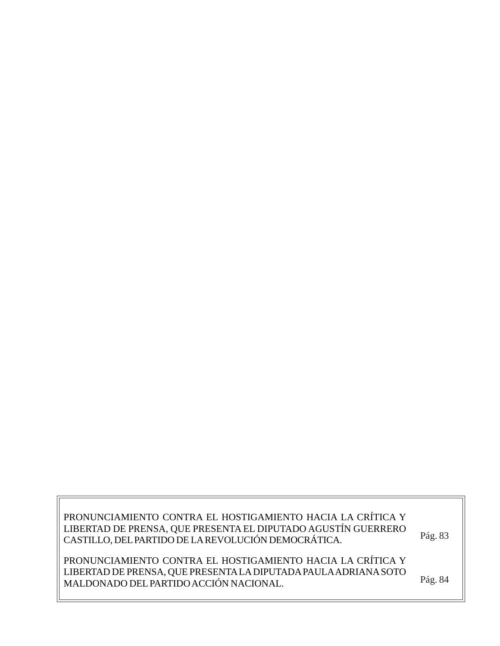PRONUNCIAMIENTO CONTRA EL HOSTIGAMIENTO HACIA LA CRÍTICA Y LIBERTAD DE PRENSA, QUE PRESENTA EL DIPUTADO AGUSTÍN GUERRERO CASTILLO, DEL PARTIDO DE LA REVOLUCIÓN DEMOCRÁTICA.

Pág. 83

PRONUNCIAMIENTO CONTRA EL HOSTIGAMIENTO HACIA LA CRÍTICA Y LIBERTAD DE PRENSA, QUE PRESENTA LA DIPUTADA PAULA ADRIANA SOTO MALDONADO DEL PARTIDO ACCIÓN NACIONAL. Pág. 84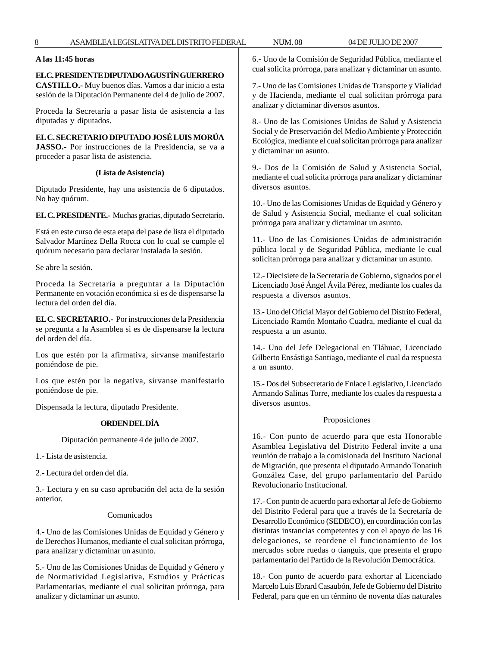# **A las 11:45 horas**

#### **EL C. PRESIDENTE DIPUTADO AGUSTÍN GUERRERO**

**CASTILLO.-** Muy buenos días. Vamos a dar inicio a esta sesión de la Diputación Permanente del 4 de julio de 2007.

Proceda la Secretaría a pasar lista de asistencia a las diputadas y diputados.

# **EL C. SECRETARIO DIPUTADO JOSÉ LUIS MORÚA**

**JASSO.-** Por instrucciones de la Presidencia, se va a proceder a pasar lista de asistencia.

#### **(Lista de Asistencia)**

Diputado Presidente, hay una asistencia de 6 diputados. No hay quórum.

**EL C. PRESIDENTE.-** Muchas gracias, diputado Secretario.

Está en este curso de esta etapa del pase de lista el diputado Salvador Martínez Della Rocca con lo cual se cumple el quórum necesario para declarar instalada la sesión.

Se abre la sesión.

Proceda la Secretaría a preguntar a la Diputación Permanente en votación económica si es de dispensarse la lectura del orden del día.

**EL C. SECRETARIO.-** Por instrucciones de la Presidencia se pregunta a la Asamblea si es de dispensarse la lectura del orden del día.

Los que estén por la afirmativa, sírvanse manifestarlo poniéndose de pie.

Los que estén por la negativa, sírvanse manifestarlo poniéndose de pie.

Dispensada la lectura, diputado Presidente.

## **ORDEN DEL DÍA**

Diputación permanente 4 de julio de 2007.

1.- Lista de asistencia.

2.- Lectura del orden del día.

3.- Lectura y en su caso aprobación del acta de la sesión anterior.

## Comunicados

4.- Uno de las Comisiones Unidas de Equidad y Género y de Derechos Humanos, mediante el cual solicitan prórroga, para analizar y dictaminar un asunto.

5.- Uno de las Comisiones Unidas de Equidad y Género y de Normatividad Legislativa, Estudios y Prácticas Parlamentarias, mediante el cual solicitan prórroga, para analizar y dictaminar un asunto.

6.- Uno de la Comisión de Seguridad Pública, mediante el cual solicita prórroga, para analizar y dictaminar un asunto.

7.- Uno de las Comisiones Unidas de Transporte y Vialidad y de Hacienda, mediante el cual solicitan prórroga para analizar y dictaminar diversos asuntos.

8.- Uno de las Comisiones Unidas de Salud y Asistencia Social y de Preservación del Medio Ambiente y Protección Ecológica, mediante el cual solicitan prórroga para analizar y dictaminar un asunto.

9.- Dos de la Comisión de Salud y Asistencia Social, mediante el cual solicita prórroga para analizar y dictaminar diversos asuntos.

10.- Uno de las Comisiones Unidas de Equidad y Género y de Salud y Asistencia Social, mediante el cual solicitan prórroga para analizar y dictaminar un asunto.

11.- Uno de las Comisiones Unidas de administración pública local y de Seguridad Pública, mediante le cual solicitan prórroga para analizar y dictaminar un asunto.

12.- Diecisiete de la Secretaría de Gobierno, signados por el Licenciado José Ángel Ávila Pérez, mediante los cuales da respuesta a diversos asuntos.

13.- Uno del Oficial Mayor del Gobierno del Distrito Federal, Licenciado Ramón Montaño Cuadra, mediante el cual da respuesta a un asunto.

14.- Uno del Jefe Delegacional en Tláhuac, Licenciado Gilberto Ensástiga Santiago, mediante el cual da respuesta a un asunto.

15.- Dos del Subsecretario de Enlace Legislativo, Licenciado Armando Salinas Torre, mediante los cuales da respuesta a diversos asuntos.

#### Proposiciones

16.- Con punto de acuerdo para que esta Honorable Asamblea Legislativa del Distrito Federal invite a una reunión de trabajo a la comisionada del Instituto Nacional de Migración, que presenta el diputado Armando Tonatiuh González Case, del grupo parlamentario del Partido Revolucionario Institucional.

17.- Con punto de acuerdo para exhortar al Jefe de Gobierno del Distrito Federal para que a través de la Secretaría de Desarrollo Económico (SEDECO), en coordinación con las distintas instancias competentes y con el apoyo de las 16 delegaciones, se reordene el funcionamiento de los mercados sobre ruedas o tianguis, que presenta el grupo parlamentario del Partido de la Revolución Democrática.

18.- Con punto de acuerdo para exhortar al Licenciado Marcelo Luis Ebrard Casaubón, Jefe de Gobierno del Distrito Federal, para que en un término de noventa días naturales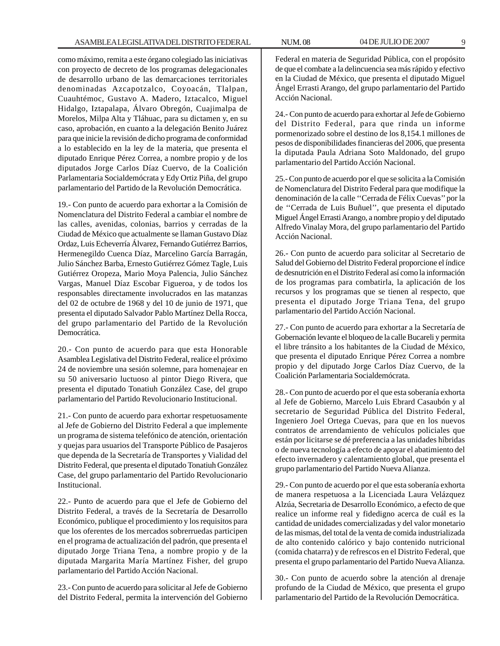como máximo, remita a este órgano colegiado las iniciativas con proyecto de decreto de los programas delegacionales de desarrollo urbano de las demarcaciones territoriales denominadas Azcapotzalco, Coyoacán, Tlalpan, Cuauhtémoc, Gustavo A. Madero, Iztacalco, Miguel Hidalgo, Iztapalapa, Álvaro Obregón, Cuajimalpa de Morelos, Milpa Alta y Tláhuac, para su dictamen y, en su caso, aprobación, en cuanto a la delegación Benito Juárez para que inicie la revisión de dicho programa de conformidad a lo establecido en la ley de la materia, que presenta el diputado Enrique Pérez Correa, a nombre propio y de los diputados Jorge Carlos Díaz Cuervo, de la Coalición Parlamentaria Socialdemócrata y Edy Ortiz Piña, del grupo parlamentario del Partido de la Revolución Democrática.

19.- Con punto de acuerdo para exhortar a la Comisión de Nomenclatura del Distrito Federal a cambiar el nombre de las calles, avenidas, colonias, barrios y cerradas de la Ciudad de México que actualmente se llaman Gustavo Díaz Ordaz, Luis Echeverría Álvarez, Fernando Gutiérrez Barrios, Hermenegildo Cuenca Díaz, Marcelino García Barragán, Julio Sánchez Barba, Ernesto Gutiérrez Gómez Tagle, Luis Gutiérrez Oropeza, Mario Moya Palencia, Julio Sánchez Vargas, Manuel Díaz Escobar Figueroa, y de todos los responsables directamente involucrados en las matanzas del 02 de octubre de 1968 y del 10 de junio de 1971, que presenta el diputado Salvador Pablo Martínez Della Rocca, del grupo parlamentario del Partido de la Revolución Democrática.

20.- Con punto de acuerdo para que esta Honorable Asamblea Legislativa del Distrito Federal, realice el próximo 24 de noviembre una sesión solemne, para homenajear en su 50 aniversario luctuoso al pintor Diego Rivera, que presenta el diputado Tonatiuh González Case, del grupo parlamentario del Partido Revolucionario Institucional.

21.- Con punto de acuerdo para exhortar respetuosamente al Jefe de Gobierno del Distrito Federal a que implemente un programa de sistema telefónico de atención, orientación y quejas para usuarios del Transporte Público de Pasajeros que dependa de la Secretaría de Transportes y Vialidad del Distrito Federal, que presenta el diputado Tonatiuh González Case, del grupo parlamentario del Partido Revolucionario Institucional.

22.- Punto de acuerdo para que el Jefe de Gobierno del Distrito Federal, a través de la Secretaría de Desarrollo Económico, publique el procedimiento y los requisitos para que los oferentes de los mercados sobrerruedas participen en el programa de actualización del padrón, que presenta el diputado Jorge Triana Tena, a nombre propio y de la diputada Margarita María Martínez Fisher, del grupo parlamentario del Partido Acción Nacional.

23.- Con punto de acuerdo para solicitar al Jefe de Gobierno del Distrito Federal, permita la intervención del Gobierno

Federal en materia de Seguridad Pública, con el propósito de que el combate a la delincuencia sea más rápido y efectivo en la Ciudad de México, que presenta el diputado Miguel Ángel Errasti Arango, del grupo parlamentario del Partido Acción Nacional.

24.- Con punto de acuerdo para exhortar al Jefe de Gobierno del Distrito Federal, para que rinda un informe pormenorizado sobre el destino de los 8,154.1 millones de pesos de disponibilidades financieras del 2006, que presenta la diputada Paula Adriana Soto Maldonado, del grupo parlamentario del Partido Acción Nacional.

25.- Con punto de acuerdo por el que se solicita a la Comisión de Nomenclatura del Distrito Federal para que modifique la denominación de la calle ''Cerrada de Félix Cuevas'' por la de ''Cerrada de Luis Buñuel'', que presenta el diputado Miguel Ángel Errasti Arango, a nombre propio y del diputado Alfredo Vinalay Mora, del grupo parlamentario del Partido Acción Nacional.

26.- Con punto de acuerdo para solicitar al Secretario de Salud del Gobierno del Distrito Federal proporcione el índice de desnutrición en el Distrito Federal así como la información de los programas para combatirla, la aplicación de los recursos y los programas que se tienen al respecto, que presenta el diputado Jorge Triana Tena, del grupo parlamentario del Partido Acción Nacional.

27.- Con punto de acuerdo para exhortar a la Secretaría de Gobernación levante el bloqueo de la calle Bucareli y permita el libre tránsito a los habitantes de la Ciudad de México, que presenta el diputado Enrique Pérez Correa a nombre propio y del diputado Jorge Carlos Díaz Cuervo, de la Coalición Parlamentaria Socialdemócrata.

28.- Con punto de acuerdo por el que esta soberanía exhorta al Jefe de Gobierno, Marcelo Luis Ebrard Casaubón y al secretario de Seguridad Pública del Distrito Federal, Ingeniero Joel Ortega Cuevas, para que en los nuevos contratos de arrendamiento de vehículos policiales que están por licitarse se dé preferencia a las unidades híbridas o de nueva tecnología a efecto de apoyar el abatimiento del efecto invernadero y calentamiento global, que presenta el grupo parlamentario del Partido Nueva Alianza.

29.- Con punto de acuerdo por el que esta soberanía exhorta de manera respetuosa a la Licenciada Laura Velázquez Alzúa, Secretaria de Desarrollo Económico, a efecto de que realice un informe real y fidedigno acerca de cuál es la cantidad de unidades comercializadas y del valor monetario de las mismas, del total de la venta de comida industrializada de alto contenido calórico y bajo contenido nutricional (comida chatarra) y de refrescos en el Distrito Federal, que presenta el grupo parlamentario del Partido Nueva Alianza.

30.- Con punto de acuerdo sobre la atención al drenaje profundo de la Ciudad de México, que presenta el grupo parlamentario del Partido de la Revolución Democrática.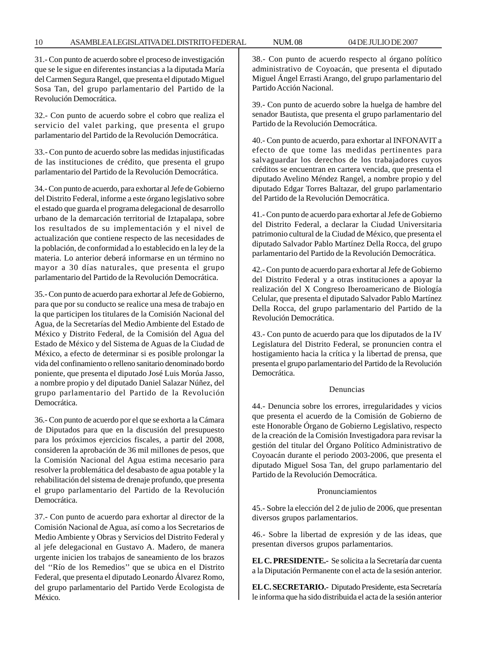31.- Con punto de acuerdo sobre el proceso de investigación que se le sigue en diferentes instancias a la diputada María del Carmen Segura Rangel, que presenta el diputado Miguel Sosa Tan, del grupo parlamentario del Partido de la Revolución Democrática.

32.- Con punto de acuerdo sobre el cobro que realiza el servicio del valet parking, que presenta el grupo parlamentario del Partido de la Revolución Democrática.

33.- Con punto de acuerdo sobre las medidas injustificadas de las instituciones de crédito, que presenta el grupo parlamentario del Partido de la Revolución Democrática.

34.- Con punto de acuerdo, para exhortar al Jefe de Gobierno del Distrito Federal, informe a este órgano legislativo sobre el estado que guarda el programa delegacional de desarrollo urbano de la demarcación territorial de Iztapalapa, sobre los resultados de su implementación y el nivel de actualización que contiene respecto de las necesidades de la población, de conformidad a lo establecido en la ley de la materia. Lo anterior deberá informarse en un término no mayor a 30 días naturales, que presenta el grupo parlamentario del Partido de la Revolución Democrática.

35.- Con punto de acuerdo para exhortar al Jefe de Gobierno, para que por su conducto se realice una mesa de trabajo en la que participen los titulares de la Comisión Nacional del Agua, de la Secretarías del Medio Ambiente del Estado de México y Distrito Federal, de la Comisión del Agua del Estado de México y del Sistema de Aguas de la Ciudad de México, a efecto de determinar si es posible prolongar la vida del confinamiento o relleno sanitario denominado bordo poniente, que presenta el diputado José Luis Morúa Jasso, a nombre propio y del diputado Daniel Salazar Núñez, del grupo parlamentario del Partido de la Revolución Democrática.

36.- Con punto de acuerdo por el que se exhorta a la Cámara de Diputados para que en la discusión del presupuesto para los próximos ejercicios fiscales, a partir del 2008, consideren la aprobación de 36 mil millones de pesos, que la Comisión Nacional del Agua estima necesario para resolver la problemática del desabasto de agua potable y la rehabilitación del sistema de drenaje profundo, que presenta el grupo parlamentario del Partido de la Revolución Democrática.

37.- Con punto de acuerdo para exhortar al director de la Comisión Nacional de Agua, así como a los Secretarios de Medio Ambiente y Obras y Servicios del Distrito Federal y al jefe delegacional en Gustavo A. Madero, de manera urgente inicien los trabajos de saneamiento de los brazos del ''Río de los Remedios'' que se ubica en el Distrito Federal, que presenta el diputado Leonardo Álvarez Romo, del grupo parlamentario del Partido Verde Ecologista de México.

38.- Con punto de acuerdo respecto al órgano político administrativo de Coyoacán, que presenta el diputado Miguel Ángel Errasti Arango, del grupo parlamentario del Partido Acción Nacional.

39.- Con punto de acuerdo sobre la huelga de hambre del senador Bautista, que presenta el grupo parlamentario del Partido de la Revolución Democrática.

40.- Con punto de acuerdo, para exhortar al INFONAVIT a efecto de que tome las medidas pertinentes para salvaguardar los derechos de los trabajadores cuyos créditos se encuentran en cartera vencida, que presenta el diputado Avelino Méndez Rangel, a nombre propio y del diputado Edgar Torres Baltazar, del grupo parlamentario del Partido de la Revolución Democrática.

41.- Con punto de acuerdo para exhortar al Jefe de Gobierno del Distrito Federal, a declarar la Ciudad Universitaria patrimonio cultural de la Ciudad de México, que presenta el diputado Salvador Pablo Martínez Della Rocca, del grupo parlamentario del Partido de la Revolución Democrática.

42.- Con punto de acuerdo para exhortar al Jefe de Gobierno del Distrito Federal y a otras instituciones a apoyar la realización del X Congreso Iberoamericano de Biología Celular, que presenta el diputado Salvador Pablo Martínez Della Rocca, del grupo parlamentario del Partido de la Revolución Democrática.

43.- Con punto de acuerdo para que los diputados de la IV Legislatura del Distrito Federal, se pronuncien contra el hostigamiento hacia la crítica y la libertad de prensa, que presenta el grupo parlamentario del Partido de la Revolución Democrática.

#### Denuncias

44.- Denuncia sobre los errores, irregularidades y vicios que presenta el acuerdo de la Comisión de Gobierno de este Honorable Órgano de Gobierno Legislativo, respecto de la creación de la Comisión Investigadora para revisar la gestión del titular del Órgano Político Administrativo de Coyoacán durante el periodo 2003-2006, que presenta el diputado Miguel Sosa Tan, del grupo parlamentario del Partido de la Revolución Democrática.

#### Pronunciamientos

45.- Sobre la elección del 2 de julio de 2006, que presentan diversos grupos parlamentarios.

46.- Sobre la libertad de expresión y de las ideas, que presentan diversos grupos parlamentarios.

**EL C. PRESIDENTE.-** Se solicita a la Secretaría dar cuenta a la Diputación Permanente con el acta de la sesión anterior.

**EL C. SECRETARIO.-** Diputado Presidente, esta Secretaría le informa que ha sido distribuida el acta de la sesión anterior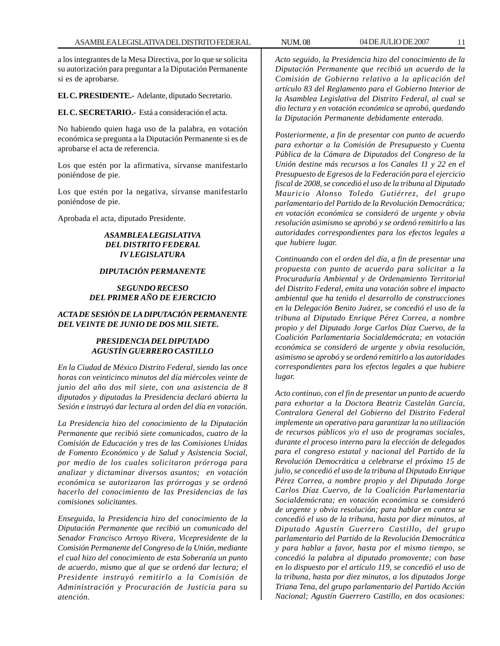a los integrantes de la Mesa Directiva, por lo que se solicita su autorización para preguntar a la Diputación Permanente si es de aprobarse.

**EL C. PRESIDENTE.-** Adelante, diputado Secretario.

**EL C. SECRETARIO.-** Está a consideración el acta.

No habiendo quien haga uso de la palabra, en votación económica se pregunta a la Diputación Permanente si es de aprobarse el acta de referencia.

Los que estén por la afirmativa, sírvanse manifestarlo poniéndose de pie.

Los que estén por la negativa, sírvanse manifestarlo poniéndose de pie.

Aprobada el acta, diputado Presidente.

# *ASAMBLEA LEGISLATIVA DEL DISTRITO FEDERAL IV LEGISLATURA*

#### *DIPUTACIÓN PERMANENTE*

*SEGUNDO RECESO DEL PRIMER AÑO DE EJERCICIO*

# *ACTA DE SESIÓN DE LA DIPUTACIÓN PERMANENTE DEL VEINTE DE JUNIO DE DOS MIL SIETE.*

# *PRESIDENCIA DEL DIPUTADO AGUSTÍN GUERRERO CASTILLO*

*En la Ciudad de México Distrito Federal, siendo las once horas con veinticinco minutos del día miércoles veinte de junio del año dos mil siete, con una asistencia de 8 diputados y diputadas la Presidencia declaró abierta la Sesión e instruyó dar lectura al orden del día en votación.*

*La Presidencia hizo del conocimiento de la Diputación Permanente que recibió siete comunicados, cuatro de la Comisión de Educación y tres de las Comisiones Unidas de Fomento Económico y de Salud y Asistencia Social, por medio de los cuales solicitaron prórroga para analizar y dictaminar diversos asuntos; en votación económica se autorizaron las prórrogas y se ordenó hacerlo del conocimiento de las Presidencias de las comisiones solicitantes.*

*Enseguida, la Presidencia hizo del conocimiento de la Diputación Permanente que recibió un comunicado del Senador Francisco Arroyo Rivera, Vicepresidente de la Comisión Permanente del Congreso de la Unión, mediante el cual hizo del conocimiento de esta Soberanía un punto de acuerdo, mismo que al que se ordenó dar lectura; el Presidente instruyó remitirlo a la Comisión de Administración y Procuración de Justicia para su atención.*

*Acto seguido, la Presidencia hizo del conocimiento de la Diputación Permanente que recibió un acuerdo de la Comisión de Gobierno relativo a la aplicación del artículo 83 del Reglamento para el Gobierno Interior de la Asamblea Legislativa del Distrito Federal, al cual se dio lectura y en votación económica se aprobó, quedando la Diputación Permanente debidamente enterada.*

*Posteriormente, a fin de presentar con punto de acuerdo para exhortar a la Comisión de Presupuesto y Cuenta Pública de la Cámara de Diputados del Congreso de la Unión destine más recursos a los Canales 11 y 22 en el Presupuesto de Egresos de la Federación para el ejercicio fiscal de 2008, se concedió el uso de la tribuna al Diputado Mauricio Alonso Toledo Gutiérrez, del grupo parlamentario del Partido de la Revolución Democrática; en votación económica se consideró de urgente y obvia resolución asimismo se aprobó y se ordenó remitirlo a las autoridades correspondientes para los efectos legales a que hubiere lugar.*

*Continuando con el orden del día, a fin de presentar una propuesta con punto de acuerdo para solicitar a la Procuraduría Ambiental y de Ordenamiento Territorial del Distrito Federal, emita una votación sobre el impacto ambiental que ha tenido el desarrollo de construcciones en la Delegación Benito Juárez, se concedió el uso de la tribuna al Diputado Enrique Pérez Correa, a nombre propio y del Diputado Jorge Carlos Díaz Cuervo, de la Coalición Parlamentaria Socialdemócrata; en votación económica se consideró de urgente y obvia resolución, asimismo se aprobó y se ordenó remitirlo a las autoridades correspondientes para los efectos legales a que hubiere lugar.*

*Acto continuo, con el fin de presentar un punto de acuerdo para exhortar a la Doctora Beatriz Castelán García, Contralora General del Gobierno del Distrito Federal implemente un operativo para garantizar la no utilización de recursos públicos y/o el uso de programas sociales, durante el proceso interno para la elección de delegados para el congreso estatal y nacional del Partido de la Revolución Democrática a celebrarse el próximo 15 de julio, se concedió el uso de la tribuna al Diputado Enrique Pérez Correa, a nombre propio y del Diputado Jorge Carlos Díaz Cuervo, de la Coalición Parlamentaria Socialdemócrata; en votación económica se consideró de urgente y obvia resolución; para hablar en contra se concedió el uso de la tribuna, hasta por diez minutos, al Diputado Agustín Guerrero Castillo, del grupo parlamentario del Partido de la Revolución Democrática y para hablar a favor, hasta por el mismo tiempo, se concedió la palabra al diputado promovente; con base en lo dispuesto por el artículo 119, se concedió el uso de la tribuna, hasta por diez minutos, a los diputados Jorge Triana Tena, del grupo parlamentario del Partido Acción Nacional; Agustín Guerrero Castillo, en dos ocasiones:*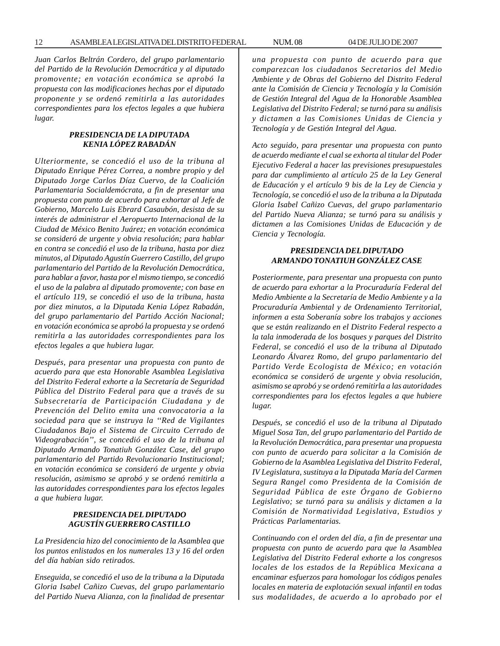*Juan Carlos Beltrán Cordero, del grupo parlamentario del Partido de la Revolución Democrática y al diputado promovente; en votación económica se aprobó la propuesta con las modificaciones hechas por el diputado proponente y se ordenó remitirla a las autoridades correspondientes para los efectos legales a que hubiera lugar.*

# *PRESIDENCIA DE LA DIPUTADA KENIA LÓPEZ RABADÁN*

*Ulteriormente, se concedió el uso de la tribuna al Diputado Enrique Pérez Correa, a nombre propio y del Diputado Jorge Carlos Díaz Cuervo, de la Coalición Parlamentaria Socialdemócrata, a fin de presentar una propuesta con punto de acuerdo para exhortar al Jefe de Gobierno, Marcelo Luis Ebrard Casaubón, desista de su interés de administrar el Aeropuerto Internacional de la Ciudad de México Benito Juárez; en votación económica se consideró de urgente y obvia resolución; para hablar en contra se concedió el uso de la tribuna, hasta por diez minutos, al Diputado Agustín Guerrero Castillo, del grupo parlamentario del Partido de la Revolución Democrática, para hablar a favor, hasta por el mismo tiempo, se concedió el uso de la palabra al diputado promovente; con base en el artículo 119, se concedió el uso de la tribuna, hasta por diez minutos, a la Diputada Kenia López Rabadán, del grupo parlamentario del Partido Acción Nacional; en votación económica se aprobó la propuesta y se ordenó remitirla a las autoridades correspondientes para los efectos legales a que hubiera lugar.*

*Después, para presentar una propuesta con punto de acuerdo para que esta Honorable Asamblea Legislativa del Distrito Federal exhorte a la Secretaría de Seguridad Pública del Distrito Federal para que a través de su Subsecretaría de Participación Ciudadana y de Prevención del Delito emita una convocatoria a la sociedad para que se instruya la ''Red de Vigilantes Ciudadanos Bajo el Sistema de Circuito Cerrado de Videograbación'', se concedió el uso de la tribuna al Diputado Armando Tonatiuh González Case, del grupo parlamentario del Partido Revolucionario Institucional; en votación económica se consideró de urgente y obvia resolución, asimismo se aprobó y se ordenó remitirla a las autoridades correspondientes para los efectos legales a que hubiera lugar.*

# *PRESIDENCIA DEL DIPUTADO AGUSTÍN GUERRERO CASTILLO*

*La Presidencia hizo del conocimiento de la Asamblea que los puntos enlistados en los numerales 13 y 16 del orden del día habían sido retirados.*

*Enseguida, se concedió el uso de la tribuna a la Diputada Gloria Isabel Cañizo Cuevas, del grupo parlamentario del Partido Nueva Alianza, con la finalidad de presentar* *una propuesta con punto de acuerdo para que comparezcan los ciudadanos Secretarios del Medio Ambiente y de Obras del Gobierno del Distrito Federal ante la Comisión de Ciencia y Tecnología y la Comisión de Gestión Integral del Agua de la Honorable Asamblea Legislativa del Distrito Federal; se turnó para su análisis y dictamen a las Comisiones Unidas de Ciencia y Tecnología y de Gestión Integral del Agua.*

*Acto seguido, para presentar una propuesta con punto de acuerdo mediante el cual se exhorta al titular del Poder Ejecutivo Federal a hacer las previsiones presupuestales para dar cumplimiento al artículo 25 de la Ley General de Educación y el artículo 9 bis de la Ley de Ciencia y Tecnología, se concedió el uso de la tribuna a la Diputada Gloria Isabel Cañizo Cuevas, del grupo parlamentario del Partido Nueva Alianza; se turnó para su análisis y dictamen a las Comisiones Unidas de Educación y de Ciencia y Tecnología.*

# *PRESIDENCIA DEL DIPUTADO ARMANDO TONATIUH GONZÁLEZ CASE*

*Posteriormente, para presentar una propuesta con punto de acuerdo para exhortar a la Procuraduría Federal del Medio Ambiente a la Secretaría de Medio Ambiente y a la Procuraduría Ambiental y de Ordenamiento Territorial, informen a esta Soberanía sobre los trabajos y acciones que se están realizando en el Distrito Federal respecto a la tala inmoderada de los bosques y parques del Distrito Federal, se concedió el uso de la tribuna al Diputado Leonardo Álvarez Romo, del grupo parlamentario del Partido Verde Ecologista de México; en votación económica se consideró de urgente y obvia resolución, asimismo se aprobó y se ordenó remitirla a las autoridades correspondientes para los efectos legales a que hubiere lugar.*

*Después, se concedió el uso de la tribuna al Diputado Miguel Sosa Tan, del grupo parlamentario del Partido de la Revolución Democrática, para presentar una propuesta con punto de acuerdo para solicitar a la Comisión de Gobierno de la Asamblea Legislativa del Distrito Federal, IV Legislatura, sustituya a la Diputada María del Carmen Segura Rangel como Presidenta de la Comisión de Seguridad Pública de este Órgano de Gobierno Legislativo; se turnó para su análisis y dictamen a la Comisión de Normatividad Legislativa, Estudios y Prácticas Parlamentarias.*

*Continuando con el orden del día, a fin de presentar una propuesta con punto de acuerdo para que la Asamblea Legislativa del Distrito Federal exhorte a los congresos locales de los estados de la República Mexicana a encaminar esfuerzos para homologar los códigos penales locales en materia de explotación sexual infantil en todas sus modalidades, de acuerdo a lo aprobado por el*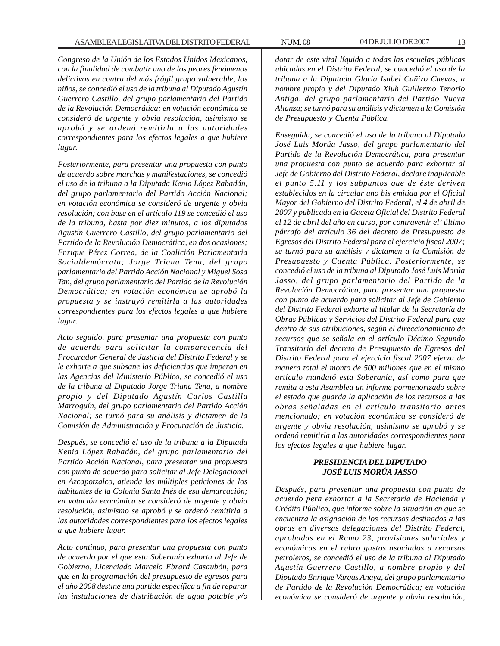*Congreso de la Unión de los Estados Unidos Mexicanos, con la finalidad de combatir uno de los peores fenómenos delictivos en contra del más frágil grupo vulnerable, los niños, se concedió el uso de la tribuna al Diputado Agustín Guerrero Castillo, del grupo parlamentario del Partido de la Revolución Democrática; en votación económica se consideró de urgente y obvia resolución, asimismo se aprobó y se ordenó remitirla a las autoridades correspondientes para los efectos legales a que hubiere lugar.*

*Posteriormente, para presentar una propuesta con punto de acuerdo sobre marchas y manifestaciones, se concedió el uso de la tribuna a la Diputada Kenia López Rabadán, del grupo parlamentario del Partido Acción Nacional; en votación económica se consideró de urgente y obvia resolución; con base en el artículo 119 se concedió el uso de la tribuna, hasta por diez minutos, a los diputados Agustín Guerrero Castillo, del grupo parlamentario del Partido de la Revolución Democrática, en dos ocasiones; Enrique Pérez Correa, de la Coalición Parlamentaria Socialdemócrata; Jorge Triana Tena, del grupo parlamentario del Partido Acción Nacional y Miguel Sosa Tan, del grupo parlamentario del Partido de la Revolución Democrática; en votación económica se aprobó la propuesta y se instruyó remitirla a las autoridades correspondientes para los efectos legales a que hubiere lugar.*

*Acto seguido, para presentar una propuesta con punto de acuerdo para solicitar la comparecencia del Procurador General de Justicia del Distrito Federal y se le exhorte a que subsane las deficiencias que imperan en las Agencias del Ministerio Público, se concedió el uso de la tribuna al Diputado Jorge Triana Tena, a nombre propio y del Diputado Agustín Carlos Castilla Marroquín, del grupo parlamentario del Partido Acción Nacional; se turnó para su análisis y dictamen de la Comisión de Administración y Procuración de Justicia.*

*Después, se concedió el uso de la tribuna a la Diputada Kenia López Rabadán, del grupo parlamentario del Partido Acción Nacional, para presentar una propuesta con punto de acuerdo para solicitar al Jefe Delegacional en Azcapotzalco, atienda las múltiples peticiones de los habitantes de la Colonia Santa Inés de esa demarcación; en votación económica se consideró de urgente y obvia resolución, asimismo se aprobó y se ordenó remitirla a las autoridades correspondientes para los efectos legales a que hubiere lugar.*

*Acto continuo, para presentar una propuesta con punto de acuerdo por el que esta Soberanía exhorta al Jefe de Gobierno, Licenciado Marcelo Ebrard Casaubón, para que en la programación del presupuesto de egresos para el año 2008 destine una partida específica a fin de reparar las instalaciones de distribución de agua potable y/o*

*dotar de este vital líquido a todas las escuelas públicas ubicadas en el Distrito Federal, se concedió el uso de la tribuna a la Diputada Gloria Isabel Cañizo Cuevas, a nombre propio y del Diputado Xiuh Guillermo Tenorio Antiga, del grupo parlamentario del Partido Nueva Alianza; se turnó para su análisis y dictamen a la Comisión de Presupuesto y Cuenta Pública.*

*Enseguida, se concedió el uso de la tribuna al Diputado José Luis Morúa Jasso, del grupo parlamentario del Partido de la Revolución Democrática, para presentar una propuesta con punto de acuerdo para exhortar al Jefe de Gobierno del Distrito Federal, declare inaplicable el punto 5.11 y los subpuntos que de éste deriven establecidos en la circular uno bis emitida por el Oficial Mayor del Gobierno del Distrito Federal, el 4 de abril de 2007 y publicada en la Gaceta Oficial del Distrito Federal el 12 de abril del año en curso, por contravenir el' último párrafo del artículo 36 del decreto de Presupuesto de Egresos del Distrito Federal para el ejercicio fiscal 2007; se turnó para su análisis y dictamen a la Comisión de Presupuesto y Cuenta Pública. Posteriormente, se concedió el uso de la tribuna al Diputado José Luis Morúa Jasso, del grupo parlamentario del Partido de la Revolución Democrática, para presentar una propuesta con punto de acuerdo para solicitar al Jefe de Gobierno del Distrito Federal exhorte al titular de la Secretaría de Obras Públicas y Servicios del Distrito Federal para que dentro de sus atribuciones, según el direccionamiento de recursos que se señala en el artículo Décimo Segundo Transitorio del decreto de Presupuesto de Egresos del Distrito Federal para el ejercicio fiscal 2007 ejerza de manera total el monto de 500 millones que en el mismo artículo mandató esta Soberanía, así como para que remita a esta Asamblea un informe pormenorizado sobre el estado que guarda la aplicación de los recursos a las obras señaladas en el artículo transitorio antes mencionado; en votación económica se consideró de urgente y obvia resolución, asimismo se aprobó y se ordenó remitirla a las autoridades correspondientes para los efectos legales a que hubiere lugar.*

# *PRESIDENCIA DEL DIPUTADO JOSÉ LUIS MORÚA JASSO*

*Después, para presentar una propuesta con punto de acuerdo pera exhortar a la Secretaría de Hacienda y Crédito Público, que informe sobre la situación en que se encuentra la asignación de los recursos destinados a las obras en diversas delegaciones del Distrito Federal, aprobadas en el Ramo 23, provisiones salariales y económicas en el rubro gastos asociados a recursos petroleros, se concedió el uso de la tribuna al Diputado Agustín Guerrero Castillo, a nombre propio y del Diputado Enrique Vargas Anaya, del grupo parlamentario de Partido de la Revolución Democrática; en votación económica se consideró de urgente y obvia resolución,*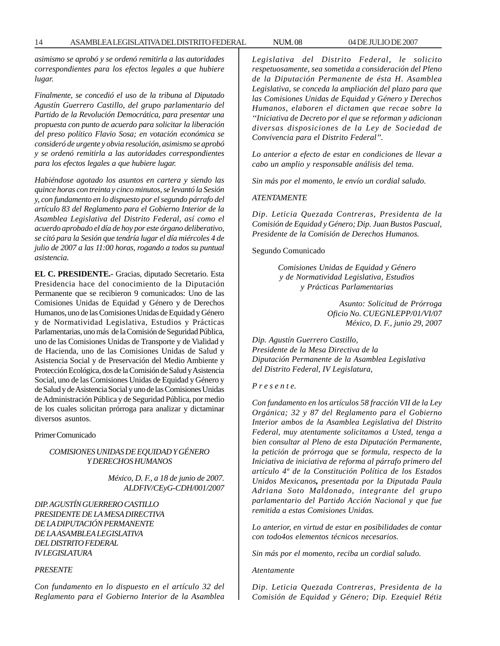*asimismo se aprobó y se ordenó remitirla a las autoridades correspondientes para los efectos legales a que hubiere lugar.*

*Finalmente, se concedió el uso de la tribuna al Diputado Agustín Guerrero Castillo, del grupo parlamentario del Partido de la Revolución Democrática, para presentar una propuesta con punto de acuerdo para solicitar la liberación del preso político Flavio Sosa; en votación económica se consideró de urgente y obvia resolución, asimismo se aprobó y se ordenó remitirla a las autoridades correspondientes para los efectos legales a que hubiere lugar.*

*Habiéndose agotado los asuntos en cartera y siendo las quince horas con treinta y cinco minutos, se levantó la Sesión y, con fundamento en lo dispuesto por el segundo párrafo del artículo 83 del Reglamento para el Gobierno Interior de la Asamblea Legislativa del Distrito Federal, así como el acuerdo aprobado el día de hoy por este órgano deliberativo, se citó para la Sesión que tendría lugar el día miércoles 4 de julio de 2007 a las 11:00 horas, rogando a todos su puntual asistencia.*

**EL C. PRESIDENTE.-** Gracias, diputado Secretario. Esta Presidencia hace del conocimiento de la Diputación Permanente que se recibieron 9 comunicados: Uno de las Comisiones Unidas de Equidad y Género y de Derechos Humanos, uno de las Comisiones Unidas de Equidad y Género y de Normatividad Legislativa, Estudios y Prácticas Parlamentarias, uno más de la Comisión de Seguridad Pública, uno de las Comisiones Unidas de Transporte y de Vialidad y de Hacienda, uno de las Comisiones Unidas de Salud y Asistencia Social y de Preservación del Medio Ambiente y Protección Ecológica, dos de la Comisión de Salud y Asistencia Social, uno de las Comisiones Unidas de Equidad y Género y de Salud y de Asistencia Social y uno de las Comisiones Unidas de Administración Pública y de Seguridad Pública, por medio de los cuales solicitan prórroga para analizar y dictaminar diversos asuntos.

Primer Comunicado

#### *COMISIONES UNIDAS DE EQUIDAD Y GÉNERO Y DERECHOS HUMANOS*

 *México, D. F., a 18 de junio de 2007. ALDFIV/CEyG-CDH/001/2007*

*DIP. AGUSTÍN GUERRERO CASTILLO PRESIDENTE DE LA MESA DIRECTIVA DE LA DIPUTACIÓN PERMANENTE DE LA ASAMBLEA LEGISLATIVA DEL DISTRITO FEDERAL IV LEGISLATURA*

#### *PRESENTE*

*Con fundamento en lo dispuesto en el artículo 32 del Reglamento para el Gobierno Interior de la Asamblea* *Legislativa del Distrito Federal, le solicito respetuosamente, sea sometida a consideración del Pleno de la Diputación Permanente de ésta H. Asamblea Legislativa, se conceda la ampliación del plazo para que las Comisiones Unidas de Equidad y Género y Derechos Humanos, elaboren el dictamen que recae sobre la ''Iniciativa de Decreto por el que se reforman y adicionan diversas disposiciones de la Ley de Sociedad de Convivencia para el Distrito Federal''.*

*Lo anterior a efecto de estar en condiciones de llevar a cabo un amplio y responsable análisis del tema.*

*Sin más por el momento, le envío un cordial saludo.*

#### *ATENTAMENTE*

*Dip. Leticia Quezada Contreras, Presidenta de la Comisión de Equidad y Género; Dip. Juan Bustos Pascual, Presidente de la Comisión de Derechos Humanos.*

Segundo Comunicado

*Comisiones Unidas de Equidad y Género y de Normatividad Legislativa, Estudios y Prácticas Parlamentarias*

> *Asunto: Solicitud de Prórroga Oficio No. CUEGNLEPP/01/VI/07 México, D. F., junio 29, 2007*

*Dip. Agustín Guerrero Castillo, Presidente de la Mesa Directiva de la Diputación Permanente de la Asamblea Legislativa del Distrito Federal, IV Legislatura,*

*P r e s e n t e.*

*Con fundamento en los artículos 58 fracción VII de la Ley Orgánica; 32 y 87 del Reglamento para el Gobierno Interior ambos de la Asamblea Legislativa del Distrito Federal, muy atentamente solicitamos a Usted, tenga a bien consultar al Pleno de esta Diputación Permanente, la petición de prórroga que se formula, respecto de la Iniciativa de iniciativa de reforma al párrafo primero del artículo 4º de la Constitución Política de los Estados Unidos Mexicanos, presentada por la Diputada Paula Adriana Soto Maldonado, integrante del grupo parlamentario del Partido Acción Nacional y que fue remitida a estas Comisiones Unidas.*

*Lo anterior, en virtud de estar en posibilidades de contar con todo4os elementos técnicos necesarios.*

*Sin más por el momento, reciba un cordial saludo.*

*Atentamente*

*Dip. Leticia Quezada Contreras, Presidenta de la Comisión de Equidad y Género; Dip. Ezequiel Rétiz*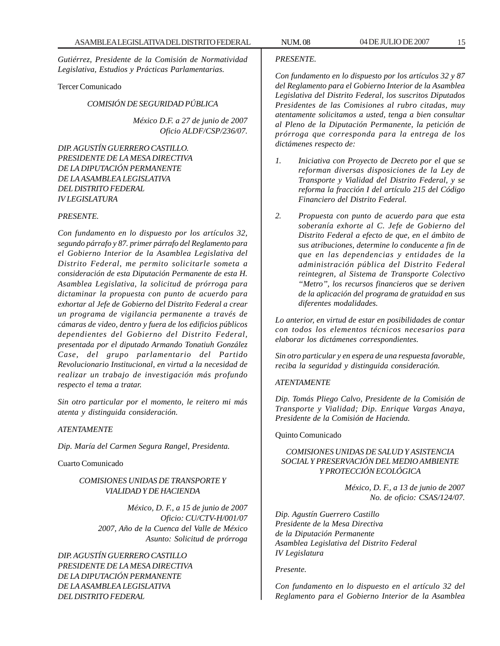*Gutiérrez, Presidente de la Comisión de Normatividad Legislativa, Estudios y Prácticas Parlamentarias.*

#### Tercer Comunicado

#### *COMISIÓN DE SEGURIDAD PÚBLICA*

*México D.F. a 27 de junio de 2007 Oficio ALDF/CSP/236/07.*

*DIP. AGUSTÍN GUERRERO CASTILLO. PRESIDENTE DE LA MESA DIRECTIVA DE LA DIPUTACIÓN PERMANENTE DE LA ASAMBLEA LEGISLATIVA DEL DISTRITO FEDERAL IV LEGISLATURA*

### *PRESENTE.*

*Con fundamento en lo dispuesto por los artículos 32, segundo párrafo y 87. primer párrafo del Reglamento para el Gobierno Interior de la Asamblea Legislativa del Distrito Federal, me permito solicitarle someta a consideración de esta Diputación Permanente de esta H. Asamblea Legislativa, la solicitud de prórroga para dictaminar la propuesta con punto de acuerdo para exhortar al Jefe de Gobierno del Distrito Federal a crear un programa de vigilancia permanente a través de cámaras de video, dentro y fuera de los edificios públicos dependientes del Gobierno del Distrito Federal, presentada por el diputado Armando Tonatiuh González Case, del grupo parlamentario del Partido Revolucionario Institucional, en virtud a la necesidad de realizar un trabajo de investigación más profundo respecto el tema a tratar.*

*Sin otro particular por el momento, le reitero mi más atenta y distinguida consideración.*

#### *ATENTAMENTE*

*Dip. María del Carmen Segura Rangel, Presidenta.*

Cuarto Comunicado

# *COMISIONES UNIDAS DE TRANSPORTE Y VIALIDAD Y DE HACIENDA*

*México, D. F., a 15 de junio de 2007 Oficio: CU/CTV-H/001/07 2007, Año de la Cuenca del Valle de México Asunto: Solicitud de prórroga*

*DIP. AGUSTÍN GUERRERO CASTILLO PRESIDENTE DE LA MESA DIRECTIVA DE LA DIPUTACIÓN PERMANENTE DE LA ASAMBLEA LEGISLATIVA DEL DISTRITO FEDERAL*

### *PRESENTE.*

*Con fundamento en lo dispuesto por los artículos 32 y 87 del Reglamento para el Gobierno Interior de la Asamblea Legislativa del Distrito Federal, los suscritos Diputados Presidentes de las Comisiones al rubro citadas, muy atentamente solicitamos a usted, tenga a bien consultar al Pleno de la Diputación Permanente, la petición de prórroga que corresponda para la entrega de los dictámenes respecto de:*

- *1. Iniciativa con Proyecto de Decreto por el que se reforman diversas disposiciones de la Ley de Transporte y Vialidad del Distrito Federal, y se reforma la fracción I del artículo 215 del Código Financiero del Distrito Federal.*
- *2. Propuesta con punto de acuerdo para que esta soberanía exhorte al C. Jefe de Gobierno del Distrito Federal a efecto de que, en el ámbito de sus atribuciones, determine lo conducente a fin de que en las dependencias y entidades de la administración pública del Distrito Federal reintegren, al Sistema de Transporte Colectivo ''Metro'', los recursos financieros que se deriven de la aplicación del programa de gratuidad en sus diferentes modalidades.*

*Lo anterior, en virtud de estar en posibilidades de contar con todos los elementos técnicos necesarios para elaborar los dictámenes correspondientes.*

*Sin otro particular y en espera de una respuesta favorable, reciba la seguridad y distinguida consideración.*

# *ATENTAMENTE*

*Dip. Tomás Pliego Calvo, Presidente de la Comisión de Transporte y Vialidad; Dip. Enrique Vargas Anaya, Presidente de la Comisión de Hacienda.*

#### Quinto Comunicado

# *COMISIONES UNIDAS DE SALUD Y ASISTENCIA SOCIAL Y PRESERVACIÓN DEL MEDIO AMBIENTE Y PROTECCIÓN ECOLÓGICA*

*México, D. F., a 13 de junio de 2007 No. de oficio: CSAS/124/07.*

*Dip. Agustín Guerrero Castillo Presidente de la Mesa Directiva de la Diputación Permanente Asamblea Legislativa del Distrito Federal IV Legislatura*

#### *Presente.*

*Con fundamento en lo dispuesto en el artículo 32 del Reglamento para el Gobierno Interior de la Asamblea*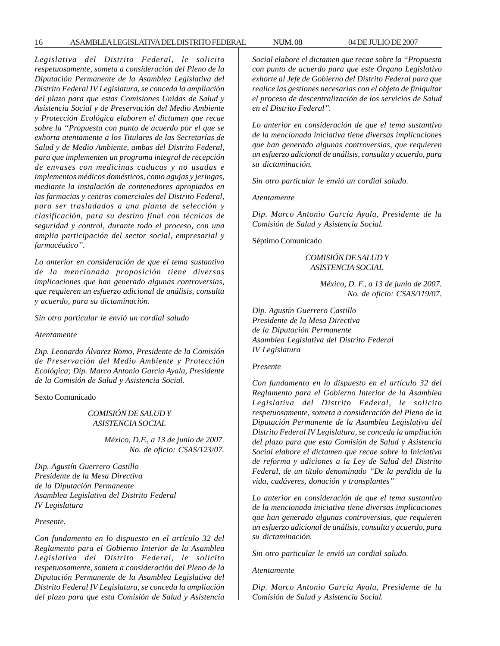16 ASAMBLEA LEGISLATIVA DEL DISTRITO FEDERAL NUM. 08 04 DE JULIO DE 2007

*Legislativa del Distrito Federal, le solicito respetuosamente, someta a consideración del Pleno de la Diputación Permanente de la Asamblea Legislativa del Distrito Federal IV Legislatura, se conceda la ampliación del plazo para que estas Comisiones Unidas de Salud y Asistencia Social y de Preservación del Medio Ambiente y Protección Ecológica elaboren el dictamen que recae sobre la ''Propuesta con punto de acuerdo por el que se exhorta atentamente a los Titulares de las Secretarías de Salud y de Medio Ambiente, ambas del Distrito Federal, para que implementen un programa integral de recepción de envases con medicinas caducas y no usadas e implementos médicos domésticos, como agujas y jeringas, mediante la instalación de contenedores apropiados en las farmacias y centros comerciales del Distrito Federal, para ser trasladados a una planta de selección y clasificación, para su destino final con técnicas de seguridad y control, durante todo el proceso, con una amplia participación del sector social, empresarial y farmacéutico''.*

*Lo anterior en consideración de que el tema sustantivo de la mencionada proposición tiene diversas implicaciones que han generado algunas controversias, que requieren un esfuerzo adicional de análisis, consulta y acuerdo, para su dictaminación.*

*Sin otro particular le envió un cordial saludo*

*Atentamente*

*Dip. Leonardo Álvarez Romo, Presidente de la Comisión de Preservación del Medio Ambiente y Protección Ecológica; Dip. Marco Antonio García Ayala, Presidente de la Comisión de Salud y Asistencia Social.*

Sexto Comunicado

*COMISIÓN DE SALUD Y ASISTENCIA SOCIAL*

> *México, D.F., a 13 de junio de 2007. No. de oficio: CSAS/123/07.*

*Dip. Agustín Guerrero Castillo Presidente de la Mesa Directiva de la Diputación Permanente Asamblea Legislativa del Distrito Federal IV Legislatura*

*Presente.*

*Con fundamento en lo dispuesto en el artículo 32 del Reglamento para el Gobierno Interior de la Asamblea Legislativa del Distrito Federal, le solicito respetuosamente, someta a consideración del Pleno de la Diputación Permanente de la Asamblea Legislativa del Distrito Federal IV Legislatura, se conceda la ampliación del plazo para que esta Comisión de Salud y Asistencia* *Social elabore el dictamen que recae sobre la ''Propuesta con punto de acuerdo para que este Órgano Legislativo exhorte al Jefe de Gobierno del Distrito Federal para que realice las gestiones necesarias con el objeto de finiquitar el proceso de descentralización de los servicios de Salud en el Distrito Federal''.*

*Lo anterior en consideración de que el tema sustantivo de la mencionada iniciativa tiene diversas implicaciones que han generado algunas controversias, que requieren un esfuerzo adicional de análisis, consulta y acuerdo, para su dictaminación.*

*Sin otro particular le envió un cordial saludo.*

*Atentamente*

*Dip. Marco Antonio García Ayala, Presidente de la Comisión de Salud y Asistencia Social.*

Séptimo Comunicado

*COMISIÓN DE SALUD Y ASISTENCIA SOCIAL*

> *México, D. F., a 13 de junio de 2007. No. de oficio: CSAS/119/07.*

*Dip. Agustín Guerrero Castillo Presidente de la Mesa Directiva de la Diputación Permanente Asamblea Legislativa del Distrito Federal IV Legislatura*

#### *Presente*

*Con fundamento en lo dispuesto en el artículo 32 del Reglamento para el Gobierno Interior de la Asamblea Legislativa del Distrito Federal, le solicito respetuosamente, someta a consideración del Pleno de la Diputación Permanente de la Asamblea Legislativa del Distrito Federal IV Legislatura, se conceda la ampliación del plazo para que esta Comisión de Salud y Asistencia Social elabore el dictamen que recae sobre la Iniciativa de reforma y adiciones a la Ley de Salud del Distrito Federal, de un título denominado ''De la perdida de la vida, cadáveres, donación y transplantes''*

*Lo anterior en consideración de que el tema sustantivo de la mencionada iniciativa tiene diversas implicaciones que han generado algunas controversias, que requieren un esfuerzo adicional de análisis, consulta y acuerdo, para su dictaminación.*

*Sin otro particular le envió un cordial saludo.*

*Atentamente*

*Dip. Marco Antonio García Ayala, Presidente de la Comisión de Salud y Asistencia Social.*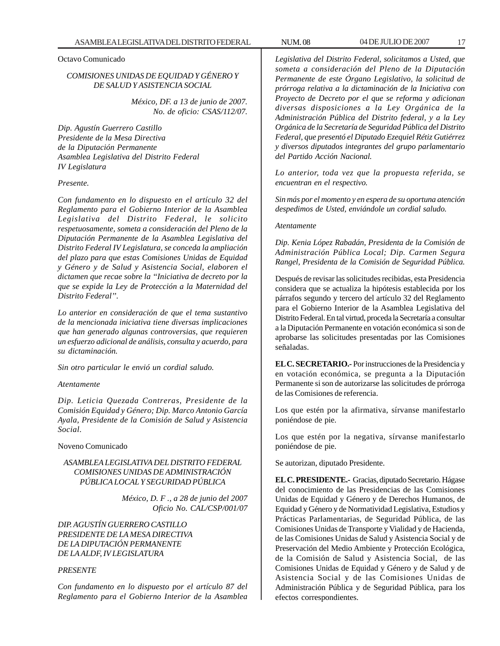# Octavo Comunicado

# *COMISIONES UNIDAS DE EQUIDAD Y GÉNERO Y DE SALUD Y ASISTENCIA SOCIAL*

*México, DF. a 13 de junio de 2007. No. de oficio: CSAS/112/07.*

*Dip. Agustín Guerrero Castillo Presidente de la Mesa Directiva de la Diputación Permanente Asamblea Legislativa del Distrito Federal IV Legislatura*

#### *Presente.*

*Con fundamento en lo dispuesto en el artículo 32 del Reglamento para el Gobierno Interior de la Asamblea Legislativa del Distrito Federal, le solicito respetuosamente, someta a consideración del Pleno de la Diputación Permanente de la Asamblea Legislativa del Distrito Federal IV Legislatura, se conceda la ampliación del plazo para que estas Comisiones Unidas de Equidad y Género y de Salud y Asistencia Social, elaboren el dictamen que recae sobre la ''Iniciativa de decreto por la que se expide la Ley de Protección a la Maternidad del Distrito Federal''.*

*Lo anterior en consideración de que el tema sustantivo de la mencionada iniciativa tiene diversas implicaciones que han generado algunas controversias, que requieren un esfuerzo adicional de análisis, consulta y acuerdo, para su dictaminación.*

*Sin otro particular le envió un cordial saludo.*

#### *Atentamente*

*Dip. Leticia Quezada Contreras, Presidente de la Comisión Equidad y Género; Dip. Marco Antonio García Ayala, Presidente de la Comisión de Salud y Asistencia Social.*

Noveno Comunicado

### *ASAMBLEA LEGISLATIVA DEL DISTRITO FEDERAL COMISIONES UNIDAS DE ADMINISTRACIÓN PÚBLICA LOCAL Y SEGURIDAD PÚBLICA*

*México, D. F ., a 28 de junio del 2007 Oficio No. CAL/CSP/001/07*

*DIP. AGUSTÍN GUERRERO CASTILLO PRESIDENTE DE LA MESA DIRECTIVA DE LA DIPUTACIÓN PERMANENTE DE LA ALDF, IV LEGISLATURA*

#### *PRESENTE*

*Con fundamento en lo dispuesto por el artículo 87 del Reglamento para el Gobierno Interior de la Asamblea*

*Legislativa del Distrito Federal, solicitamos a Usted, que someta a consideración del Pleno de la Diputación Permanente de este Órgano Legislativo, la solicitud de prórroga relativa a la dictaminación de la Iniciativa con Proyecto de Decreto por el que se reforma y adicionan diversas disposiciones a la Ley Orgánica de la Administración Pública del Distrito federal, y a la Ley Orgánica de la Secretaría de Seguridad Pública del Distrito Federal, que presentó el Diputado Ezequiel Rétiz Gutiérrez y diversos diputados integrantes del grupo parlamentario del Partido Acción Nacional.*

*Lo anterior, toda vez que la propuesta referida, se encuentran en el respectivo.*

*Sin más por el momento y en espera de su oportuna atención despedimos de Usted, enviándole un cordial saludo.*

#### *Atentamente*

*Dip. Kenia López Rabadán, Presidenta de la Comisión de Administración Pública Local; Dip. Carmen Segura Rangel, Presidenta de la Comisión de Seguridad Pública.*

Después de revisar las solicitudes recibidas, esta Presidencia considera que se actualiza la hipótesis establecida por los párrafos segundo y tercero del artículo 32 del Reglamento para el Gobierno Interior de la Asamblea Legislativa del Distrito Federal. En tal virtud, proceda la Secretaría a consultar a la Diputación Permanente en votación económica si son de aprobarse las solicitudes presentadas por las Comisiones señaladas.

**EL C. SECRETARIO.-** Por instrucciones de la Presidencia y en votación económica, se pregunta a la Diputación Permanente si son de autorizarse las solicitudes de prórroga de las Comisiones de referencia.

Los que estén por la afirmativa, sírvanse manifestarlo poniéndose de pie.

Los que estén por la negativa, sírvanse manifestarlo poniéndose de pie.

Se autorizan, diputado Presidente.

**EL C. PRESIDENTE.-** Gracias, diputado Secretario. Hágase del conocimiento de las Presidencias de las Comisiones Unidas de Equidad y Género y de Derechos Humanos, de Equidad y Género y de Normatividad Legislativa, Estudios y Prácticas Parlamentarias, de Seguridad Pública, de las Comisiones Unidas de Transporte y Vialidad y de Hacienda, de las Comisiones Unidas de Salud y Asistencia Social y de Preservación del Medio Ambiente y Protección Ecológica, de la Comisión de Salud y Asistencia Social, de las Comisiones Unidas de Equidad y Género y de Salud y de Asistencia Social y de las Comisiones Unidas de Administración Pública y de Seguridad Pública, para los efectos correspondientes.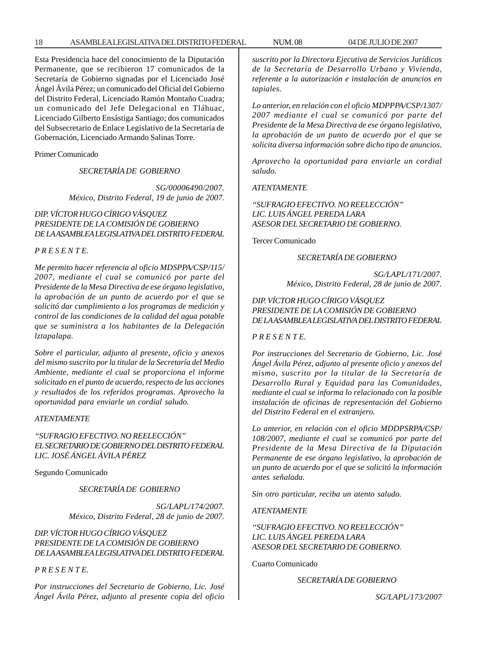Esta Presidencia hace del conocimiento de la Diputación Permanente, que se recibieron 17 comunicados de la Secretaría de Gobierno signadas por el Licenciado José Ángel Ávila Pérez; un comunicado del Oficial del Gobierno del Distrito Federal, Licenciado Ramón Montaño Cuadra; un comunicado del Jefe Delegacional en Tláhuac, Licenciado Gilberto Ensástiga Santiago; dos comunicados del Subsecretario de Enlace Legislativo de la Secretaría de Gobernación, Licenciado Armando Salinas Torre.

Primer Comunicado

*SECRETARÍA DE GOBIERNO*

*SG/00006490/2007. México, Distrito Federal, 19 de junio de 2007.*

# *DIP. VÍCTOR HUGO CÍRIGO VÁSQUEZ PRESIDENTE DE LA COMISIÓN DE GOBIERNO DE LA ASAMBLEA LEGISLATIVA DEL DISTRITO FEDERAL*

#### *P R E S E N T E.*

*Me permito hacer referencia al oficio MDSPPA/CSP/115/ 2007, mediante el cual se comunicó por parte del Presidente de la Mesa Directiva de ese órgano legislativo, la aprobación de un punto de acuerdo por el que se solicitó dar cumplimiento a los programas de medición y control de las condiciones de la calidad del agua potable que se suministra a los habitantes de la Delegación lztapalapa.*

*Sobre el particular, adjunto al presente, oficio y anexos del mismo suscrito por la titular de la Secretaría del Medio Ambiente, mediante el cual se proporciona el informe solicitado en el punto de acuerdo, respecto de las acciones y resultados de los referidos programas. Aprovecho la oportunidad para enviarle un cordial saludo.*

#### *ATENTAMENTE*

# *''SUFRAGIO EFECTIVO. NO REELECCIÓN'' EL SECRETARIO DE GOBIERNO DEL DISTRITO FEDERAL LIC. JOSÉ ÁNGEL ÁVILA PÉREZ*

Segundo Comunicado

*SECRETARÍA DE GOBIERNO*

*SG/LAPL/174/2007. México, Distrito Federal, 28 de junio de 2007.*

*DIP. VÍCTOR HUGO CÍRIGO VÁSQUEZ PRESIDENTE DE LA COMISIÓN DE GOBIERNO DE LA ASAMBLEA LEGISLATIVA DEL DISTRITO FEDERAL*

*P R E S E N T E.*

*Por instrucciones del Secretario de Gobierno, Lic. José Ángel Ávila Pérez, adjunto al presente copia del oficio* *suscrito por la Directora Ejecutiva de Servicios Jurídicos de la Secretaría de Desarrollo Urbano y Vivienda, referente a la autorización e instalación de anuncios en tapiales.*

*Lo anterior, en relación con el oficio MDPPPA/CSP/1307/ 2007 mediante el cual se comunicó por parte del Presidente de la Mesa Directiva de ese órgano legislativo, la aprobación de un punto de acuerdo por el que se solicita diversa información sobre dicho tipo de anuncios.*

*Aprovecho la oportunidad para enviarle un cordial saludo.*

*ATENTAMENTE*

*''SUFRAGIO EFECTIVO. NO REELECCIÓN'' LIC. LUIS ÁNGEL PEREDA LARA ASESOR DEL SECRETARIO DE GOBIERNO.*

Tercer Comunicado

# *SECRETARÍA DE GOBIERNO*

*SG/LAPL/171/2007. México, Distrito Federal, 28 de junio de 2007.*

# *DIP. VÍCTOR HUGO CÍRIGO VÁSQUEZ PRESIDENTE DE LA COMISIÓN DE GOBIERNO DE LA ASAMBLEA LEGISLATIVA DEL DISTRITO FEDERAL*

# *P R E S E N T E.*

*Por instrucciones del Secretario de Gobierno, Lic. José Ángel Ávila Pérez, adjunto al presente oficio y anexos del mismo, suscrito por la titular de la Secretaría de Desarrollo Rural y Equidad para las Comunidades, mediante el cual se informa lo relacionado con la posible instalación de oficinas de representación del Gobierno del Distrito Federal en el extranjero.*

*Lo anterior, en relación con el oficio MDDPSRPA/CSP/ 108/2007, mediante el cual se comunicó por parte del Presidente de la Mesa Directiva de la Diputación Permanente de ese órgano legislativo, la aprobación de un punto de acuerdo por el que se solicitó la información antes señalada.*

*Sin otro particular, reciba un atento saludo.*

*ATENTAMENTE*

*''SUFRAGIO EFECTIVO. NO REELECCIÓN'' LIC. LUIS ÁNGEL PEREDA LARA ASESOR DEL SECRETARIO DE GOBIERNO.*

Cuarto Comunicado

*SECRETARÍA DE GOBIERNO*

*SG/LAPL/173/2007*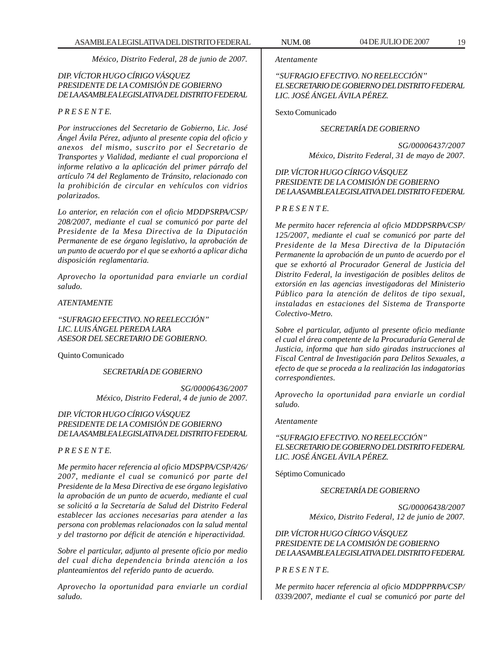*México, Distrito Federal, 28 de junio de 2007.*

# *DIP. VÍCTOR HUGO CÍRIGO VÁSQUEZ PRESIDENTE DE LA COMISIÓN DE GOBIERNO DE LA ASAMBLEA LEGISLATIVA DEL DISTRITO FEDERAL*

# *P R E S E N T E.*

*Por instrucciones del Secretario de Gobierno, Lic. José Ángel Ávila Pérez, adjunto al presente copia del oficio y anexos del mismo, suscrito por el Secretario de Transportes y Vialidad, mediante el cual proporciona el informe relativo a la aplicación del primer párrafo del artículo 74 del Reglamento de Tránsito, relacionado con la prohibición de circular en vehículos con vidrios polarizados.*

*Lo anterior, en relación con el oficio MDDPSRPA/CSP/ 208/2007, mediante el cual se comunicó por parte del Presidente de la Mesa Directiva de la Diputación Permanente de ese órgano legislativo, la aprobación de un punto de acuerdo por el que se exhortó a aplicar dicha disposición reglamentaria.*

*Aprovecho la oportunidad para enviarle un cordial saludo.*

# *ATENTAMENTE*

*''SUFRAGIO EFECTIVO. NO REELECCIÓN'' LIC. LUIS ÁNGEL PEREDA LARA ASESOR DEL SECRETARIO DE GOBIERNO.*

Quinto Comunicado

*SECRETARÍA DE GOBIERNO*

*SG/00006436/2007 México, Distrito Federal, 4 de junio de 2007.*

*DIP. VÍCTOR HUGO CÍRIGO VÁSQUEZ PRESIDENTE DE LA COMISIÓN DE GOBIERNO DE LA ASAMBLEA LEGISLATIVA DEL DISTRITO FEDERAL*

# *P R E S E N T E.*

*Me permito hacer referencia al oficio MDSPPA/CSP/426/ 2007, mediante el cual se comunicó por parte del Presidente de la Mesa Directiva de ese órgano legislativo la aprobación de un punto de acuerdo, mediante el cual se solicitó a la Secretaría de Salud del Distrito Federal establecer las acciones necesarias para atender a las persona con problemas relacionados con la salud mental y del trastorno por déficit de atención e hiperactividad.*

*Sobre el particular, adjunto al presente oficio por medio del cual dicha dependencia brinda atención a los planteamientos del referido punto de acuerdo.*

*Aprovecho la oportunidad para enviarle un cordial saludo.*

*Atentamente*

*''SUFRAGIO EFECTIVO. NO REELECCIÓN'' EL SECRETARIO DE GOBIERNO DEL DISTRITO FEDERAL LIC. JOSÉ ÁNGEL ÁVILA PÉREZ.*

Sexto Comunicado

#### *SECRETARÍA DE GOBIERNO*

*SG/00006437/2007 México, Distrito Federal, 31 de mayo de 2007.*

# *DIP. VÍCTOR HUGO CÍRIGO VÁSQUEZ PRESIDENTE DE LA COMISIÓN DE GOBIERNO DE LA ASAMBLEA LEGISLATIVA DEL DISTRITO FEDERAL*

#### *P R E S E N T E.*

*Me permito hacer referencia al oficio MDDPSRPA/CSP/ 125/2007, mediante el cual se comunicó por parte del Presidente de la Mesa Directiva de la Diputación Permanente la aprobación de un punto de acuerdo por el que se exhortó al Procurador General de Justicia del Distrito Federal, la investigación de posibles delitos de extorsión en las agencias investigadoras del Ministerio Público para la atención de delitos de tipo sexual, instaladas en estaciones del Sistema de Transporte Colectivo-Metro.*

*Sobre el particular, adjunto al presente oficio mediante el cual el área competente de la Procuraduría General de Justicia, informa que han sido giradas instrucciones al Fiscal Central de Investigación para Delitos Sexuales, a efecto de que se proceda a la realización las indagatorias correspondientes.*

*Aprovecho la oportunidad para enviarle un cordial saludo.*

#### *Atentamente*

*''SUFRAGIO EFECTIVO. NO REELECCIÓN'' EL SECRETARIO DE GOBIERNO DEL DISTRITO FEDERAL LIC. JOSÉ ÁNGEL ÁVILA PÉREZ.*

Séptimo Comunicado

*SECRETARÍA DE GOBIERNO*

*SG/00006438/2007 México, Distrito Federal, 12 de junio de 2007.*

*DIP. VÍCTOR HUGO CÍRIGO VÁSQUEZ PRESIDENTE DE LA COMISIÓN DE GOBIERNO DE LA ASAMBLEA LEGISLATIVA DEL DISTRITO FEDERAL*

# *P R E S E N T E.*

*Me permito hacer referencia al oficio MDDPPRPA/CSP/ 0339/2007, mediante el cual se comunicó por parte del*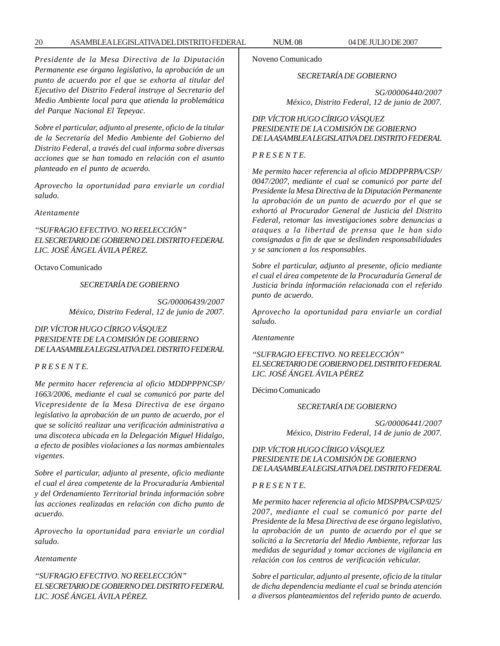# 20 ASAMBLEA LEGISLATIVA DEL DISTRITO FEDERAL NUM. 08 04 DE JULIO DE 2007

*Presidente de la Mesa Directiva de la Diputación Permanente ese órgano legislativo, la aprobación de un punto de acuerdo por el que se exhorta al titular del Ejecutivo del Distrito Federal instruye al Secretario del Medio Ambiente local para que atienda la problemática del Parque Nacional El Tepeyac.*

*Sobre el particular, adjunto al presente, oficio de la titular de la Secretaría del Medio Ambiente del Gobierno del Distrito Federal, a través del cual informa sobre diversas acciones que se han tomado en relación con el asunto planteado en el punto de acuerdo.*

*Aprovecho la oportunidad para enviarle un cordial saludo.*

*Atentamente*

*''SUFRAGIO EFECTIVO. NO REELECCIÓN'' EL SECRETARIO DE GOBIERNO DEL DISTRITO FEDERAL LIC. JOSÉ ÁNGEL ÁVILA PÉREZ.*

Octavo Comunicado

*SECRETARÍA DE GOBIERNO*

*SG/00006439/2007 México, Distrito Federal, 12 de junio de 2007.*

# *DIP. VÍCTOR HUGO CÍRIGO VÁSQUEZ PRESIDENTE DE LA COMISIÓN DE GOBIERNO DE LA ASAMBLEA LEGISLATIVA DEL DISTRITO FEDERAL*

# *P R E S E N T E.*

*Me permito hacer referencia al oficio MDDPPPNCSP/ 1663/2006, mediante el cual se comunicó por parte del Vicepresidente de la Mesa Directiva de ese órgano legislativo la aprobación de un punto de acuerdo, por el que se solicitó realizar una verificación administrativa a una discoteca ubicada en la Delegación Miguel Hidalgo, a efecto de posibles violaciones a las normas ambientales vigentes.*

*Sobre el particular, adjunto al presente, oficio mediante el cual el área competente de la Procuraduría Ambiental y del Ordenamiento Territorial brinda información sobre las acciones realizadas en relación con dicho punto de acuerdo.*

*Aprovecho la oportunidad para enviarle un cordial saludo.*

#### *Atentamente*

*''SUFRAGIO EFECTIVO. NO REELECCIÓN'' EL SECRETARIO DE GOBIERNO DEL DISTRITO FEDERAL LIC. JOSÉ ÁNGEL ÁVILA PÉREZ.*

Noveno Comunicado

#### *SECRETARÍA DE GOBIERNO*

*SG/00006440/2007 México, Distrito Federal, 12 de junio de 2007.*

# *DIP. VÍCTOR HUGO CÍRIGO VÁSQUEZ PRESIDENTE DE LA COMISIÓN DE GOBIERNO DE LA ASAMBLEA LEGISLATIVA DEL DISTRITO FEDERAL*

# *P R E S E N T E.*

*Me permito hacer referencia al oficio MDDPPRPA/CSP/ 0047/2007, mediante el cual se comunicó por parte del Presidente la Mesa Directiva de la Diputación Permanente la aprobación de un punto de acuerdo por el que se exhortó al Procurador General de Justicia del Distrito Federal, retomar las investigaciones sobre denuncias a ataques a la libertad de prensa que le han sido consignadas a fin de que se deslinden responsabilidades y se sancionen a los responsables.*

*Sobre el particular, adjunto al presente, oficio mediante el cual el área competente de la Procuraduría General de Justicia brinda información relacionada con el referido punto de acuerdo.*

*Aprovecho la oportunidad para enviarle un cordial saludo.*

*Atentamente*

# *''SUFRAGIO EFECTIVO. NO REELECCIÓN'' EL SECRETARIO DE GOBIERNO DEL DISTRITO FEDERAL LIC. JOSÉ ÁNGEL ÁVILA PÉREZ*

Décimo Comunicado

*SECRETARÍA DE GOBIERNO*

*SG/00006441/2007 México, Distrito Federal, 14 de junio de 2007.*

# *DIP. VÍCTOR HUGO CÍRIGO VÁSQUEZ PRESIDENTE DE LA COMISIÓN DE GOBIERNO DE LA ASAMBLEA LEGISLATIVA DEL DISTRITO FEDERAL*

# *P R E S E N T E.*

*Me permito hacer referencia al oficio MDSPPA/CSP/025/ 2007, mediante el cual se comunicó por parte del Presidente de la Mesa Directiva de ese órgano legislativo, la aprobación de un punto de acuerdo por el que se solicitó a la Secretaría del Medio Ambiente, reforzar las medidas de seguridad y tomar acciones de vigilancia en relación con los centros de verificación vehicular.*

*Sobre el particular, adjunto al presente, oficio de la titular de dicha dependencia mediante el cual se brinda atención a diversos planteamientos del referido punto de acuerdo.*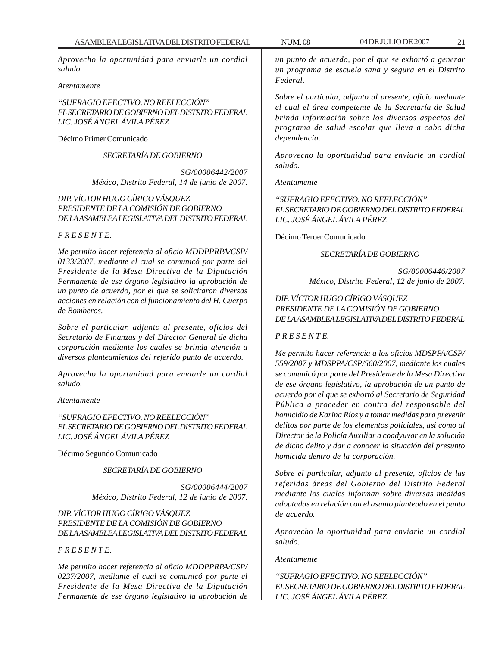*Aprovecho la oportunidad para enviarle un cordial saludo.*

#### *Atentamente*

*''SUFRAGIO EFECTIVO. NO REELECCIÓN'' EL SECRETARIO DE GOBIERNO DEL DISTRITO FEDERAL LIC. JOSÉ ÁNGEL ÁVILA PÉREZ*

Décimo Primer Comunicado

*SECRETARÍA DE GOBIERNO*

*SG/00006442/2007 México, Distrito Federal, 14 de junio de 2007.*

# *DIP. VÍCTOR HUGO CÍRIGO VÁSQUEZ PRESIDENTE DE LA COMISIÓN DE GOBIERNO DE LA ASAMBLEA LEGISLATIVA DEL DISTRITO FEDERAL*

#### *P R E S E N T E.*

*Me permito hacer referencia al oficio MDDPPRPA/CSP/ 0133/2007, mediante el cual se comunicó por parte del Presidente de la Mesa Directiva de la Diputación Permanente de ese órgano legislativo la aprobación de un punto de acuerdo, por el que se solicitaron diversas acciones en relación con el funcionamiento del H. Cuerpo de Bomberos.*

*Sobre el particular, adjunto al presente, oficios del Secretario de Finanzas y del Director General de dicha corporación mediante los cuales se brinda atención a diversos planteamientos del referido punto de acuerdo.*

*Aprovecho la oportunidad para enviarle un cordial saludo.*

#### *Atentamente*

*''SUFRAGIO EFECTIVO. NO REELECCIÓN'' EL SECRETARIO DE GOBIERNO DEL DISTRITO FEDERAL LIC. JOSÉ ÁNGEL ÁVILA PÉREZ*

Décimo Segundo Comunicado

#### *SECRETARÍA DE GOBIERNO*

*SG/00006444/2007 México, Distrito Federal, 12 de junio de 2007.*

# *DIP. VÍCTOR HUGO CÍRIGO VÁSQUEZ PRESIDENTE DE LA COMISIÓN DE GOBIERNO DE LA ASAMBLEA LEGISLATIVA DEL DISTRITO FEDERAL*

# *P R E S E N T E.*

*Me permito hacer referencia al oficio MDDPPRPA/CSP/ 0237/2007, mediante el cual se comunicó por parte el Presidente de la Mesa Directiva de la Diputación Permanente de ese órgano legislativo la aprobación de*

*un punto de acuerdo, por el que se exhortó a generar un programa de escuela sana y segura en el Distrito Federal.*

*Sobre el particular, adjunto al presente, oficio mediante el cual el área competente de la Secretaría de Salud brinda información sobre los diversos aspectos del programa de salud escolar que lleva a cabo dicha dependencia.*

*Aprovecho la oportunidad para enviarle un cordial saludo.*

*Atentamente*

*''SUFRAGIO EFECTIVO. NO REELECCIÓN'' EL SECRETARIO DE GOBIERNO DEL DISTRITO FEDERAL LIC. JOSÉ ÁNGEL ÁVILA PÉREZ*

Décimo Tercer Comunicado

#### *SECRETARÍA DE GOBIERNO*

*SG/00006446/2007 México, Distrito Federal, 12 de junio de 2007.*

# *DIP. VÍCTOR HUGO CÍRIGO VÁSQUEZ PRESIDENTE DE LA COMISIÓN DE GOBIERNO DE LA ASAMBLEA LEGISLATIVA DEL DISTRITO FEDERAL*

# *P R E S E N T E.*

*Me permito hacer referencia a los oficios MDSPPA/CSP/ 559/2007 y MDSPPA/CSP/560/2007, mediante los cuales se comunicó por parte del Presidente de la Mesa Directiva de ese órgano legislativo, la aprobación de un punto de acuerdo por el que se exhortó al Secretario de Seguridad Pública a proceder en contra del responsable del homicidio de Karina Ríos y a tomar medidas para prevenir delitos por parte de los elementos policiales, así como al Director de la Policía Auxiliar a coadyuvar en la solución de dicho delito y dar a conocer la situación del presunto homicida dentro de la corporación.*

*Sobre el particular, adjunto al presente, oficios de las referidas áreas del Gobierno del Distrito Federal mediante los cuales informan sobre diversas medidas adoptadas en relación con el asunto planteado en el punto de acuerdo.*

*Aprovecho la oportunidad para enviarle un cordial saludo.*

#### *Atentamente*

*''SUFRAGIO EFECTIVO. NO REELECCIÓN'' EL SECRETARIO DE GOBIERNO DEL DISTRITO FEDERAL LIC. JOSÉ ÁNGEL ÁVILA PÉREZ*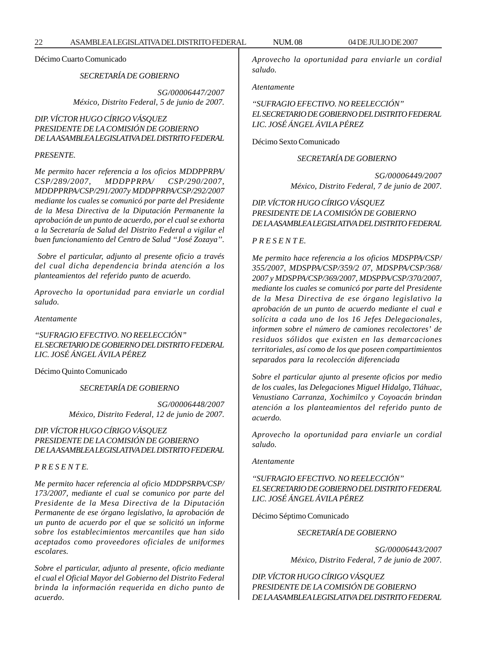Décimo Cuarto Comunicado

*SECRETARÍA DE GOBIERNO*

*SG/00006447/2007 México, Distrito Federal, 5 de junio de 2007.*

# *DIP. VÍCTOR HUGO CÍRIGO VÁSQUEZ PRESIDENTE DE LA COMISIÓN DE GOBIERNO DE LA ASAMBLEA LEGISLATIVA DEL DISTRITO FEDERAL*

#### *PRESENTE.*

*Me permito hacer referencia a los oficios MDDPPRPA/ CSP/289/2007, MDDPPRPA/ CSP/290/2007, MDDPPRPA/CSP/291/2007y MDDPPRPA/CSP/292/2007 mediante los cuales se comunicó por parte del Presidente de la Mesa Directiva de la Diputación Permanente la aprobación de un punto de acuerdo, por el cual se exhorta a la Secretaría de Salud del Distrito Federal a vigilar el buen funcionamiento del Centro de Salud ''José Zozaya''.*

 *Sobre el particular, adjunto al presente oficio a través del cual dicha dependencia brinda atención a los planteamientos del referido punto de acuerdo.*

*Aprovecho la oportunidad para enviarle un cordial saludo.*

*Atentamente*

*''SUFRAGIO EFECTIVO. NO REELECCIÓN'' EL SECRETARIO DE GOBIERNO DEL DISTRITO FEDERAL LIC. JOSÉ ÁNGEL ÁVILA PÉREZ*

Décimo Quinto Comunicado

*SECRETARÍA DE GOBIERNO*

*SG/00006448/2007 México, Distrito Federal, 12 de junio de 2007.*

# *DIP. VÍCTOR HUGO CÍRIGO VÁSQUEZ PRESIDENTE DE LA COMISIÓN DE GOBIERNO DE LA ASAMBLEA LEGISLATIVA DEL DISTRITO FEDERAL*

#### *P R E S E N T E.*

*Me permito hacer referencia al oficio MDDPSRPA/CSP/ 173/2007, mediante el cual se comunico por parte del Presidente de la Mesa Directiva de la Diputación Permanente de ese órgano legislativo, la aprobación de un punto de acuerdo por el que se solicitó un informe sobre los establecimientos mercantiles que han sido aceptados como proveedores oficiales de uniformes escolares.*

*Sobre el particular, adjunto al presente, oficio mediante el cual el Oficial Mayor del Gobierno del Distrito Federal brinda la información requerida en dicho punto de acuerdo*.

*Aprovecho la oportunidad para enviarle un cordial saludo.*

*Atentamente*

*''SUFRAGIO EFECTIVO. NO REELECCIÓN'' EL SECRETARIO DE GOBIERNO DEL DISTRITO FEDERAL LIC. JOSÉ ÁNGEL ÁVILA PÉREZ*

Décimo Sexto Comunicado

#### *SECRETARÍA DE GOBIERNO*

*SG/00006449/2007 México, Distrito Federal, 7 de junio de 2007.*

*DIP. VÍCTOR HUGO CÍRIGO VÁSQUEZ PRESIDENTE DE LA COMISIÓN DE GOBIERNO DE LA ASAMBLEA LEGISLATIVA DEL DISTRITO FEDERAL*

#### *P R E S E N T E.*

*Me permito hace referencia a los oficios MDSPPA/CSP/ 355/2007, MDSPPA/CSP/359/2 07, MDSPPA/CSP/368/ 2007 y MDSPPA/CSP/369/2007, MDSPPA/CSP/370/2007, mediante los cuales se comunicó por parte del Presidente de la Mesa Directiva de ese órgano legislativo la aprobación de un punto de acuerdo mediante el cual e solícita a cada uno de los 16 Jefes Delegacionales, informen sobre el número de camiones recolectores' de residuos sólidos que existen en las demarcaciones territoriales, así como de los que poseen compartimientos separados para la recolección diferenciada*

*Sobre el particular ajunto al presente oficios por medio de los cuales, las Delegaciones Miguel Hidalgo, Tláhuac, Venustiano Carranza, Xochimilco y Coyoacán brindan atención a los planteamientos del referido punto de acuerdo.*

*Aprovecho la oportunidad para enviarle un cordial saludo.*

*Atentamente*

*''SUFRAGIO EFECTIVO. NO REELECCIÓN'' EL SECRETARIO DE GOBIERNO DEL DISTRITO FEDERAL LIC. JOSÉ ÁNGEL ÁVILA PÉREZ*

Décimo Séptimo Comunicado

*SECRETARÍA DE GOBIERNO*

*SG/00006443/2007 México, Distrito Federal, 7 de junio de 2007.*

*DIP. VÍCTOR HUGO CÍRIGO VÁSQUEZ PRESIDENTE DE LA COMISIÓN DE GOBIERNO DE LA ASAMBLEA LEGISLATIVA DEL DISTRITO FEDERAL*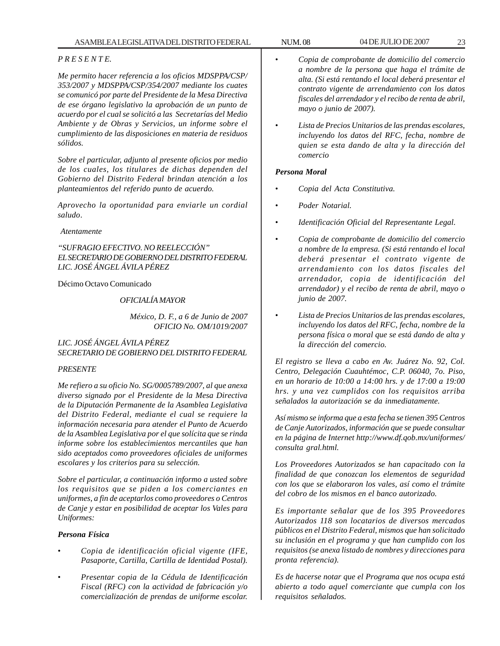# *P R E S E N T E.*

*Me permito hacer referencia a los oficios MDSPPA/CSP/ 353/2007 y MDSPPA/CSP/354/2007 mediante los cuates se comunicó por parte del Presidente de la Mesa Directiva de ese órgano legislativo la aprobación de un punto de acuerdo por el cual se solicitó a las Secretarías del Medio Ambiente y de Obras y Servicios, un informe sobre el cumplimiento de las disposiciones en materia de residuos sólidos.*

*Sobre el particular, adjunto al presente oficios por medio de los cuales, los titulares de dichas dependen del Gobierno del Distrito Federal brindan atención a los planteamientos del referido punto de acuerdo.*

*Aprovecho la oportunidad para enviarle un cordial saludo*.

*Atentamente*

*''SUFRAGIO EFECTIVO. NO REELECCIÓN'' EL SECRETARIO DE GOBIERNO DEL DISTRITO FEDERAL LIC. JOSÉ ÁNGEL ÁVILA PÉREZ*

Décimo Octavo Comunicado

# *OFICIALÍA MAYOR*

*México, D. F., a 6 de Junio de 2007 OFICIO No. OM/1019/2007*

*LIC. JOSÉ ÁNGEL ÁVILA PÉREZ SECRETARIO DE GOBIERNO DEL DISTRITO FEDERAL*

# *PRESENTE*

*Me refiero a su oficio No. SG/0005789/2007, al que anexa diverso signado por el Presidente de la Mesa Directiva de la Diputación Permanente de la Asamblea Legislativa del Distrito Federal, mediante el cual se requiere la información necesaria para atender el Punto de Acuerdo de la Asamblea Legislativa por el que solícita que se rinda informe sobre los establecimientos mercantiles que han sido aceptados como proveedores oficiales de uniformes escolares y los criterios para su selección.*

*Sobre el particular, a continuación informo a usted sobre los requisitos que se piden a los comerciantes en uniformes, a fin de aceptarlos como proveedores o Centros de Canje y estar en posibilidad de aceptar los Vales para Uniformes:*

# *Persona Física*

- *Copia de identificación oficial vigente (IFE, Pasaporte, Cartilla, Cartilla de Identidad Postal).*
- *Presentar copia de la Cédula de Identificación Fiscal (RFC) con la actividad de fabricación y/o comercialización de prendas de uniforme escolar.*
- *Copia de comprobante de domicilio del comercio a nombre de la persona que haga el trámite de alta. (Si está rentando el local deberá presentar el contrato vigente de arrendamiento con los datos fiscales del arrendador y el recibo de renta de abril, mayo o junio de 2007).*
- *Lista de Precios Unitarios de las prendas escolares, incluyendo los datos del RFC, fecha, nombre de quien se esta dando de alta y la dirección del comercio*

# *Persona Moral*

- *Copia del Acta Constitutiva.*
- *Poder Notarial.*
- *Identificación Oficial del Representante Legal.*
- *Copia de comprobante de domicilio del comercio a nombre de la empresa. (Si está rentando el local deberá presentar el contrato vigente de arrendamiento con los datos fiscales del arrendador, copia de identificación del arrendador) y el recibo de renta de abril, mayo o junio de 2007.*
- *Lista de Precios Unitarios de las prendas escolares, incluyendo los datos del RFC, fecha, nombre de la persona física o moral que se está dando de alta y la dirección del comercio.*

*El registro se lleva a cabo en Av. Juárez No. 92, Col. Centro, Delegación Cuauhtémoc, C.P. 06040, 7o. Piso, en un horario de 10:00 a 14:00 hrs. y de 17:00 a 19:00 hrs. y una vez cumplidos con los requisitos arriba señalados la autorización se da inmediatamente.*

*Así mismo se informa que a esta fecha se tienen 395 Centros de Canje Autorizados, información que se puede consultar en la página de Internet http://www.df.qob.mx/uniformes/ consulta gral.html.*

*Los Proveedores Autorizados se han capacitado con la finalidad de que conozcan los elementos de seguridad con los que se elaboraron los vales, así como el trámite del cobro de los mismos en el banco autorizado.*

*Es importante señalar que de los 395 Proveedores Autorizados 118 son locatarios de diversos mercados públicos en el Distrito Federal, mismos que han solicitado su inclusión en el programa y que han cumplido con los requisitos (se anexa listado de nombres y direcciones para pronta referencia).*

*Es de hacerse notar que el Programa que nos ocupa está abierto a todo aquel comerciante que cumpla con los requisitos señalados.*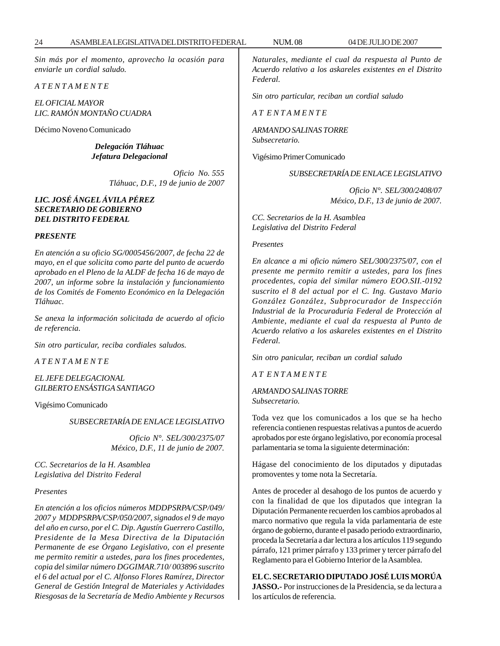*Sin más por el momento, aprovecho la ocasión para enviarle un cordial saludo.*

*A T E N T A M E N T E*

*EL OFICIAL MAYOR LIC. RAMÓN MONTAÑO CUADRA*

Décimo Noveno Comunicado

*Delegación Tláhuac Jefatura Delegacional*

> *Oficio No. 555 Tláhuac, D.F., 19 de junio de 2007*

# *LIC. JOSÉ ÁNGEL ÁVILA PÉREZ SECRETARIO DE GOBIERNO DEL DISTRITO FEDERAL*

#### *PRESENTE*

*En atención a su oficio SG/0005456/2007, de fecha 22 de mayo, en el que solicita como parte del punto de acuerdo aprobado en el Pleno de la ALDF de fecha 16 de mayo de 2007, un informe sobre la instalación y funcionamiento de los Comités de Fomento Económico en la Delegación Tláhuac.*

*Se anexa la información solicitada de acuerdo al oficio de referencia.*

*Sin otro particular, reciba cordiales saludos.*

*A T E N T A M E N T E*

*EL JEFE DELEGACIONAL GILBERTO ENSÁSTIGA SANTIAGO*

Vigésimo Comunicado

*SUBSECRETARÍA DE ENLACE LEGISLATIVO*

*Oficio N°. SEL/300/2375/07 México, D.F., 11 de junio de 2007.*

*CC. Secretarios de la H. Asamblea Legislativa del Distrito Federal*

#### *Presentes*

*En atención a los oficios números MDDPSRPA/CSP/049/ 2007 y MDDPSRPA/CSP/050/2007, signados el 9 de mayo del año en curso, por el C. Dip. Agustín Guerrero Castillo, Presidente de la Mesa Directiva de la Diputación Permanente de ese Órgano Legislativo, con el presente me permito remitir a ustedes, para los fines procedentes, copia del similar número DGGIMAR.710/ 003896 suscrito el 6 del actual por el C. Alfonso Flores Ramírez, Director General de Gestión Integral de Materiales y Actividades Riesgosas de la Secretaría de Medio Ambiente y Recursos* *Naturales, mediante el cual da respuesta al Punto de Acuerdo relativo a los askareles existentes en el Distrito Federal.*

*Sin otro particular, reciban un cordial saludo*

*A T E N T A M E N T E*

*ARMANDO SALINAS TORRE Subsecretario.*

Vigésimo Primer Comunicado

*SUBSECRETARÍA DE ENLACE LEGISLATIVO*

*Oficio N°. SEL/300/2408/07 México, D.F., 13 de junio de 2007.*

*CC. Secretarios de la H. Asamblea Legislativa del Distrito Federal*

#### *Presentes*

*En alcance a mi oficio número SEL/300/2375/07, con el presente me permito remitir a ustedes, para los fines procedentes, copia del similar número EOO.SII.-0192 suscrito el 8 del actual por el C. Ing. Gustavo Mario González González, Subprocurador de Inspección Industrial de la Procuraduría Federal de Protección al Ambiente, mediante el cual da respuesta al Punto de Acuerdo relativo a los askareles existentes en el Distrito Federal.*

*Sin otro panicular, reciban un cordial saludo*

*A T E N T A M E N T E*

*ARMANDO SALINAS TORRE Subsecretario.*

Toda vez que los comunicados a los que se ha hecho referencia contienen respuestas relativas a puntos de acuerdo aprobados por este órgano legislativo, por economía procesal parlamentaria se toma la siguiente determinación:

Hágase del conocimiento de los diputados y diputadas promoventes y tome nota la Secretaría.

Antes de proceder al desahogo de los puntos de acuerdo y con la finalidad de que los diputados que integran la Diputación Permanente recuerden los cambios aprobados al marco normativo que regula la vida parlamentaria de este órgano de gobierno, durante el pasado periodo extraordinario, proceda la Secretaría a dar lectura a los artículos 119 segundo párrafo, 121 primer párrafo y 133 primer y tercer párrafo del Reglamento para el Gobierno Interior de la Asamblea.

## **EL C. SECRETARIO DIPUTADO JOSÉ LUIS MORÚA**

**JASSO.-** Por instrucciones de la Presidencia, se da lectura a los artículos de referencia.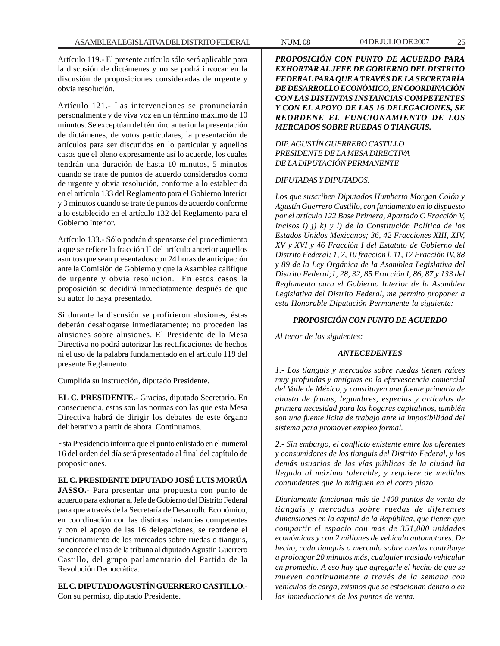Artículo 119.- El presente artículo sólo será aplicable para la discusión de dictámenes y no se podrá invocar en la discusión de proposiciones consideradas de urgente y obvia resolución.

Artículo 121.- Las intervenciones se pronunciarán personalmente y de viva voz en un término máximo de 10 minutos. Se exceptúan del término anterior la presentación de dictámenes, de votos particulares, la presentación de artículos para ser discutidos en lo particular y aquellos casos que el pleno expresamente así lo acuerde, los cuales tendrán una duración de hasta 10 minutos, 5 minutos cuando se trate de puntos de acuerdo considerados como de urgente y obvia resolución, conforme a lo establecido en el artículo 133 del Reglamento para el Gobierno Interior y 3 minutos cuando se trate de puntos de acuerdo conforme a lo establecido en el artículo 132 del Reglamento para el Gobierno Interior.

Artículo 133.- Sólo podrán dispensarse del procedimiento a que se refiere la fracción II del artículo anterior aquellos asuntos que sean presentados con 24 horas de anticipación ante la Comisión de Gobierno y que la Asamblea califique de urgente y obvia resolución. En estos casos la proposición se decidirá inmediatamente después de que su autor lo haya presentado.

Si durante la discusión se profirieron alusiones, éstas deberán desahogarse inmediatamente; no proceden las alusiones sobre alusiones. El Presidente de la Mesa Directiva no podrá autorizar las rectificaciones de hechos ni el uso de la palabra fundamentado en el artículo 119 del presente Reglamento.

Cumplida su instrucción, diputado Presidente.

**EL C. PRESIDENTE.-** Gracias, diputado Secretario. En consecuencia, estas son las normas con las que esta Mesa Directiva habrá de dirigir los debates de este órgano deliberativo a partir de ahora. Continuamos.

Esta Presidencia informa que el punto enlistado en el numeral 16 del orden del día será presentado al final del capítulo de proposiciones.

# **EL C. PRESIDENTE DIPUTADO JOSÉ LUIS MORÚA**

**JASSO.-** Para presentar una propuesta con punto de acuerdo para exhortar al Jefe de Gobierno del Distrito Federal para que a través de la Secretaría de Desarrollo Económico, en coordinación con las distintas instancias competentes y con el apoyo de las 16 delegaciones, se reordene el funcionamiento de los mercados sobre ruedas o tianguis, se concede el uso de la tribuna al diputado Agustín Guerrero Castillo, del grupo parlamentario del Partido de la Revolución Democrática.

**EL C. DIPUTADO AGUSTÍN GUERRERO CASTILLO.-** Con su permiso, diputado Presidente.

*PROPOSICIÓN CON PUNTO DE ACUERDO PARA EXHORTAR AL JEFE DE GOBIERNO DEL DISTRITO FEDERAL PARA QUE A TRAVÉS DE LA SECRETARÍA DE DESARROLLO ECONÓMICO, EN COORDINACIÓN CON LAS DISTINTAS INSTANCIAS COMPETENTES Y CON EL APOYO DE LAS 16 DELEGACIONES, SE REORDENE EL FUNCIONAMIENTO DE LOS MERCADOS SOBRE RUEDAS O TIANGUIS.*

# *DIP. AGUSTÍN GUERRERO CASTILLO PRESIDENTE DE LA MESA DIRECTIVA DE LA DIPUTACIÓN PERMANENTE*

# *DIPUTADAS Y DIPUTADOS.*

*Los que suscriben Diputados Humberto Morgan Colón y Agustín Guerrero Castillo, con fundamento en lo dispuesto por el artículo 122 Base Primera, Apartado C Fracción V, Incisos i) j) k) y l) de la Constitución Política de los Estados Unidos Mexicanos; 36, 42 Fracciones XIII, XIV, XV y XVI y 46 Fracción I del Estatuto de Gobierno del Distrito Federal; 1, 7, 10 fracción l, 11, 17 Fracción IV, 88 y 89 de la Ley Orgánica de la Asamblea Legislativa del Distrito Federal;1, 28, 32, 85 Fracción I, 86, 87 y 133 del Reglamento para el Gobierno Interior de la Asamblea Legislativa del Distrito Federal, me permito proponer a esta Honorable Diputación Permanente la siguiente:*

### *PROPOSICIÓN CON PUNTO DE ACUERDO*

*Al tenor de los siguientes:*

#### *ANTECEDENTES*

*1.- Los tianguis y mercados sobre ruedas tienen raíces muy profundas y antiguas en la efervescencia comercial del Valle de México, y constituyen una fuente primaria de abasto de frutas, legumbres, especias y artículos de primera necesidad para los hogares capitalinos, también son una fuente licita de trabajo ante la imposibilidad del sistema para promover empleo formal.*

*2.- Sin embargo, el conflicto existente entre los oferentes y consumidores de los tianguis del Distrito Federal, y los demás usuarios de las vías públicas de la ciudad ha llegado al máximo tolerable, y requiere de medidas contundentes que lo mitiguen en el corto plazo.*

*Diariamente funcionan más de 1400 puntos de venta de tianguis y mercados sobre ruedas de diferentes dimensiones en la capital de la República, que tienen que compartir el espacio con mas de 351,000 unidades económicas y con 2 millones de vehículo automotores. De hecho, cada tianguis o mercado sobre ruedas contribuye a prolongar 20 minutos más, cualquier traslado vehicular en promedio. A eso hay que agregarle el hecho de que se mueven continuamente a través de la semana con vehículos de carga, mismos que se estacionan dentro o en las inmediaciones de los puntos de venta.*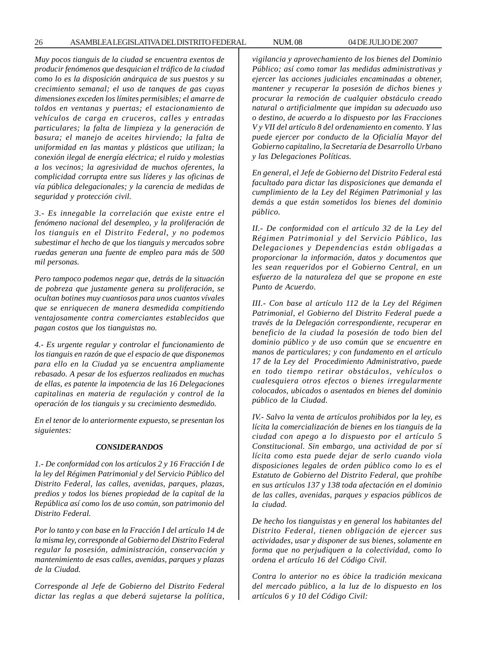26 ASAMBLEA LEGISLATIVA DEL DISTRITO FEDERAL NUM. 08 04 DE JULIO DE 2007

*Muy pocos tianguis de la ciudad se encuentra exentos de producir fenómenos que desquician el tráfico de la ciudad como lo es la disposición anárquica de sus puestos y su crecimiento semanal; el uso de tanques de gas cuyas dimensiones exceden los límites permisibles; el amarre de toldos en ventanas y puertas; el estacionamiento de vehículos de carga en cruceros, calles y entradas particulares; la falta de limpieza y la generación de basura; el manejo de aceites hirviendo; la falta de uniformidad en las mantas y plásticos que utilizan; la conexión ilegal de energía eléctrica; el ruido y molestias a los vecinos; la agresividad de muchos oferentes, la complicidad corrupta entre sus líderes y las oficinas de vía pública delegacionales; y la carencia de medidas de seguridad y protección civil.*

*3.- Es innegable la correlación que existe entre el fenómeno nacional del desempleo, y la proliferación de los tianguis en el Distrito Federal, y no podemos subestimar el hecho de que los tianguis y mercados sobre ruedas generan una fuente de empleo para más de 500 mil personas.*

*Pero tampoco podemos negar que, detrás de la situación de pobreza que justamente genera su proliferación, se ocultan botines muy cuantiosos para unos cuantos vívales que se enriquecen de manera desmedida compitiendo ventajosamente contra comerciantes establecidos que pagan costos que los tianguistas no.*

*4.- Es urgente regular y controlar el funcionamiento de los tianguis en razón de que el espacio de que disponemos para ello en la Ciudad ya se encuentra ampliamente rebasado. A pesar de los esfuerzos realizados en muchas de ellas, es patente la impotencia de las 16 Delegaciones capitalinas en materia de regulación y control de la operación de los tianguis y su crecimiento desmedido.*

*En el tenor de lo anteriormente expuesto, se presentan los siguientes:*

#### *CONSIDERANDOS*

*1.- De conformidad con los artículos 2 y 16 Fracción I de la ley del Régimen Patrimonial y del Servicio Público del Distrito Federal, las calles, avenidas, parques, plazas, predios y todos los bienes propiedad de la capital de la República así como los de uso común, son patrimonio del Distrito Federal.*

*Por lo tanto y con base en la Fracción I del artículo 14 de la misma ley, corresponde al Gobierno del Distrito Federal regular la posesión, administración, conservación y mantenimiento de esas calles, avenidas, parques y plazas de la Ciudad.*

*Corresponde al Jefe de Gobierno del Distrito Federal dictar las reglas a que deberá sujetarse la política,* *vigilancia y aprovechamiento de los bienes del Dominio Público; así como tomar las medidas administrativas y ejercer las acciones judiciales encaminadas a obtener, mantener y recuperar la posesión de dichos bienes y procurar la remoción de cualquier obstáculo creado natural o artificialmente que impidan su adecuado uso o destino, de acuerdo a lo dispuesto por las Fracciones V y VII del artículo 8 del ordenamiento en comento. Y las puede ejercer por conducto de la Oficialía Mayor del Gobierno capitalino, la Secretaría de Desarrollo Urbano y las Delegaciones Políticas.*

*En general, el Jefe de Gobierno del Distrito Federal está facultado para dictar las disposiciones que demanda el cumplimiento de la Ley del Régimen Patrimonial y las demás a que están sometidos los bienes del dominio público.*

*II.- De conformidad con el artículo 32 de la Ley del Régimen Patrimonial y del Servicio Público, las Delegaciones y Dependencias están obligadas a proporcionar la información, datos y documentos que les sean requeridos por el Gobierno Central, en un esfuerzo de la naturaleza del que se propone en este Punto de Acuerdo.*

*III.- Con base al artículo 112 de la Ley del Régimen Patrimonial, el Gobierno del Distrito Federal puede a través de la Delegación correspondiente, recuperar en beneficio de la ciudad la posesión de todo bien del dominio público y de uso común que se encuentre en manos de particulares; y con fundamento en el artículo 17 de la Ley del Procedimiento Administrativo, puede en todo tiempo retirar obstáculos, vehículos o cualesquiera otros efectos o bienes irregularmente colocados, ubicados o asentados en bienes del dominio público de la Ciudad.*

*IV.- Salvo la venta de artículos prohibidos por la ley, es lícita la comercialización de bienes en los tianguis de la ciudad con apego a lo dispuesto por el artículo 5 Constitucional. Sin embargo, una actividad de por sí lícita como esta puede dejar de serlo cuando viola disposiciones legales de orden público como lo es el Estatuto de Gobierno del Distrito Federal, que prohíbe en sus artículos 137 y 138 toda afectación en el dominio de las calles, avenidas, parques y espacios públicos de la ciudad.*

*De hecho los tianguistas y en general los habitantes del Distrito Federal, tienen obligación de ejercer sus actividades, usar y disponer de sus bienes, solamente en forma que no perjudiquen a la colectividad, como lo ordena el artículo 16 del Código Civil.*

*Contra lo anterior no es óbice la tradición mexicana del mercado público, a la luz de lo dispuesto en los artículos 6 y 10 del Código Civil:*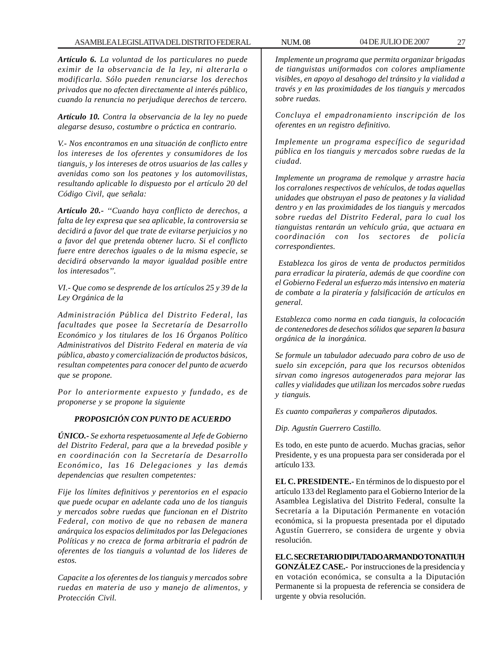*Artículo 6. La voluntad de los particulares no puede eximir de la observancia de la ley, ni alterarla o modificarla. Sólo pueden renunciarse los derechos privados que no afecten directamente al interés público, cuando la renuncia no perjudique derechos de tercero.*

*Artículo 10. Contra la observancia de la ley no puede alegarse desuso, costumbre o práctica en contrario.*

*V.- Nos encontramos en una situación de conflicto entre los intereses de los oferentes y consumidores de los tianguis, y los intereses de otros usuarios de las calles y avenidas como son los peatones y los automovilistas, resultando aplicable lo dispuesto por el artículo 20 del Código Civil, que señala:*

*Artículo 20.- ''Cuando haya conflicto de derechos, a falta de ley expresa que sea aplicable, la controversia se decidirá a favor del que trate de evitarse perjuicios y no a favor del que pretenda obtener lucro. Si el conflicto fuere entre derechos iguales o de la misma especie, se decidirá observando la mayor igualdad posible entre los interesados''.*

*VI.- Que como se desprende de los artículos 25 y 39 de la Ley Orgánica de la*

*Administración Pública del Distrito Federal, las facultades que posee la Secretaría de Desarrollo Económico y los titulares de los 16 Órganos Político Administrativos del Distrito Federal en materia de vía pública, abasto y comercialización de productos básicos, resultan competentes para conocer del punto de acuerdo que se propone.*

*Por lo anteriormente expuesto y fundado, es de proponerse y se propone la siguiente*

# *PROPOSICIÓN CON PUNTO DE ACUERDO*

*ÚNICO.- Se exhorta respetuosamente al Jefe de Gobierno del Distrito Federal, para que a la brevedad posible y en coordinación con la Secretaría de Desarrollo Económico, las 16 Delegaciones y las demás dependencias que resulten competentes:*

*Fije los límites definitivos y perentorios en el espacio que puede ocupar en adelante cada uno de los tianguis y mercados sobre ruedas que funcionan en el Distrito Federal, con motivo de que no rebasen de manera anárquica los espacios delimitados por las Delegaciones Políticas y no crezca de forma arbitraria el padrón de oferentes de los tianguis a voluntad de los lideres de estos.*

*Capacite a los oferentes de los tianguis y mercados sobre ruedas en materia de uso y manejo de alimentos, y Protección Civil.*

*Implemente un programa que permita organizar brigadas de tianguistas uniformados con colores ampliamente visibles, en apoyo al desahogo del tránsito y la vialidad a través y en las proximidades de los tianguis y mercados sobre ruedas.*

*Concluya el empadronamiento inscripción de los oferentes en un registro definitivo.*

*Implemente un programa específico de seguridad pública en los tianguis y mercados sobre ruedas de la ciudad.*

*Implemente un programa de remolque y arrastre hacia los corralones respectivos de vehículos, de todas aquellas unidades que obstruyan el paso de peatones y la vialidad dentro y en las proximidades de los tianguis y mercados sobre ruedas del Distrito Federal, para lo cual los tianguistas rentarán un vehículo grúa, que actuara en coordinación con los sectores de policía correspondientes.*

 *Establezca los giros de venta de productos permitidos para erradicar la piratería, además de que coordine con el Gobierno Federal un esfuerzo más intensivo en materia de combate a la piratería y falsificación de artículos en general.*

*Establezca como norma en cada tianguis, la colocación de contenedores de desechos sólidos que separen la basura orgánica de la inorgánica.*

*Se formule un tabulador adecuado para cobro de uso de suelo sin excepción, para que los recursos obtenidos sirvan como ingresos autogenerados para mejorar las calles y vialidades que utilizan los mercados sobre ruedas y tianguis.*

*Es cuanto compañeras y compañeros diputados.*

*Dip. Agustín Guerrero Castillo.*

Es todo, en este punto de acuerdo. Muchas gracias, señor Presidente, y es una propuesta para ser considerada por el artículo 133.

**EL C. PRESIDENTE.-** En términos de lo dispuesto por el artículo 133 del Reglamento para el Gobierno Interior de la Asamblea Legislativa del Distrito Federal, consulte la Secretaría a la Diputación Permanente en votación económica, si la propuesta presentada por el diputado Agustín Guerrero, se considera de urgente y obvia resolución.

**EL C. SECRETARIO DIPUTADO ARMANDO TONATIUH GONZÁLEZ CASE.-** Por instrucciones de la presidencia y en votación económica, se consulta a la Diputación Permanente si la propuesta de referencia se considera de urgente y obvia resolución.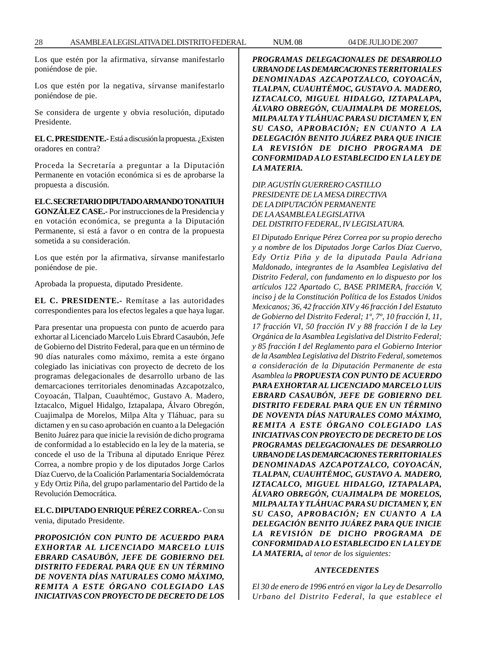Los que estén por la afirmativa, sírvanse manifestarlo poniéndose de pie.

Los que estén por la negativa, sírvanse manifestarlo poniéndose de pie.

Se considera de urgente y obvia resolución, diputado Presidente.

**EL C. PRESIDENTE.-** Está a discusión la propuesta. ¿Existen oradores en contra?

Proceda la Secretaría a preguntar a la Diputación Permanente en votación económica si es de aprobarse la propuesta a discusión.

**EL C. SECRETARIO DIPUTADO ARMANDO TONATIUH GONZÁLEZ CASE.-** Por instrucciones de la Presidencia y en votación económica, se pregunta a la Diputación Permanente, si está a favor o en contra de la propuesta sometida a su consideración.

Los que estén por la afirmativa, sírvanse manifestarlo poniéndose de pie.

Aprobada la propuesta, diputado Presidente.

**EL C. PRESIDENTE.-** Remítase a las autoridades correspondientes para los efectos legales a que haya lugar.

Para presentar una propuesta con punto de acuerdo para exhortar al Licenciado Marcelo Luis Ebrard Casaubón, Jefe de Gobierno del Distrito Federal, para que en un término de 90 días naturales como máximo, remita a este órgano colegiado las iniciativas con proyecto de decreto de los programas delegacionales de desarrollo urbano de las demarcaciones territoriales denominadas Azcapotzalco, Coyoacán, Tlalpan, Cuauhtémoc, Gustavo A. Madero, Iztacalco, Miguel Hidalgo, Iztapalapa, Álvaro Obregón, Cuajimalpa de Morelos, Milpa Alta y Tláhuac, para su dictamen y en su caso aprobación en cuanto a la Delegación Benito Juárez para que inicie la revisión de dicho programa de conformidad a lo establecido en la ley de la materia, se concede el uso de la Tribuna al diputado Enrique Pérez Correa, a nombre propio y de los diputados Jorge Carlos Díaz Cuervo, de la Coalición Parlamentaria Socialdemócrata y Edy Ortiz Piña, del grupo parlamentario del Partido de la Revolución Democrática.

**EL C. DIPUTADO ENRIQUE PÉREZ CORREA.-** Con su venia, diputado Presidente.

*PROPOSICIÓN CON PUNTO DE ACUERDO PARA EXHORTAR AL LICENCIADO MARCELO LUIS EBRARD CASAUBÓN, JEFE DE GOBIERNO DEL DISTRITO FEDERAL PARA QUE EN UN TÉRMINO DE NOVENTA DÍAS NATURALES COMO MÁXIMO, REMITA A ESTE ÓRGANO COLEGIADO LAS INICIATIVAS CON PROYECTO DE DECRETO DE LOS* *PROGRAMAS DELEGACIONALES DE DESARROLLO URBANO DE LAS DEMARCACIONES TERRITORIALES DENOMINADAS AZCAPOTZALCO, COYOACÁN, TLALPAN, CUAUHTÉMOC, GUSTAVO A. MADERO, IZTACALCO, MIGUEL HIDALGO, IZTAPALAPA, ÁLVARO OBREGÓN, CUAJIMALPA DE MORELOS, MILPA ALTA Y TLÁHUAC PARA SU DICTAMEN Y, EN SU CASO, APROBACIÓN; EN CUANTO A LA DELEGACIÓN BENITO JUÁREZ PARA QUE INICIE LA REVISIÓN DE DICHO PROGRAMA DE CONFORMIDAD A LO ESTABLECIDO EN LA LEY DE LA MATERIA.*

*DIP. AGUSTÍN GUERRERO CASTILLO PRESIDENTE DE LA MESA DIRECTIVA DE LA DIPUTACIÓN PERMANENTE DE LA ASAMBLEA LEGISLATIVA DEL DISTRITO FEDERAL, IV LEGISLATURA.*

*El Diputado Enrique Pérez Correa por su propio derecho y a nombre de los Diputados Jorge Carlos Díaz Cuervo, Edy Ortiz Piña y de la diputada Paula Adriana Maldonado, integrantes de la Asamblea Legislativa del Distrito Federal, con fundamento en lo dispuesto por los artículos 122 Apartado C, BASE PRIMERA, fracción V, inciso j de la Constitución Política de los Estados Unidos Mexicanos; 36, 42 fracción XIV y 46 fracción I del Estatuto de Gobierno del Distrito Federal; 1º, 7º, 10 fracción I, 11, 17 fracción VI, 50 fracción IV y 88 fracción I de la Ley Orgánica de la Asamblea Legislativa del Distrito Federal; y 85 fracción I del Reglamento para el Gobierno Interior de la Asamblea Legislativa del Distrito Federal, sometemos a consideración de la Diputación Permanente de esta Asamblea la PROPUESTA CON PUNTO DE ACUERDO PARA EXHORTAR AL LICENCIADO MARCELO LUIS EBRARD CASAUBÓN, JEFE DE GOBIERNO DEL DISTRITO FEDERAL PARA QUE EN UN TÉRMINO DE NOVENTA DÍAS NATURALES COMO MÁXIMO, REMITA A ESTE ÓRGANO COLEGIADO LAS INICIATIVAS CON PROYECTO DE DECRETO DE LOS PROGRAMAS DELEGACIONALES DE DESARROLLO URBANO DE LAS DEMARCACIONES TERRITORIALES DENOMINADAS AZCAPOTZALCO, COYOACÁN, TLALPAN, CUAUHTÉMOC, GUSTAVO A. MADERO, IZTACALCO, MIGUEL HIDALGO, IZTAPALAPA, ÁLVARO OBREGÓN, CUAJIMALPA DE MORELOS, MILPA ALTA Y TLÁHUAC PARA SU DICTAMEN Y, EN SU CASO, APROBACIÓN; EN CUANTO A LA DELEGACIÓN BENITO JUÁREZ PARA QUE INICIE LA REVISIÓN DE DICHO PROGRAMA DE CONFORMIDAD A LO ESTABLECIDO EN LA LEY DE LA MATERIA, al tenor de los siguientes:*

#### *ANTECEDENTES*

*El 30 de enero de 1996 entró en vigor la Ley de Desarrollo Urbano del Distrito Federal, la que establece el*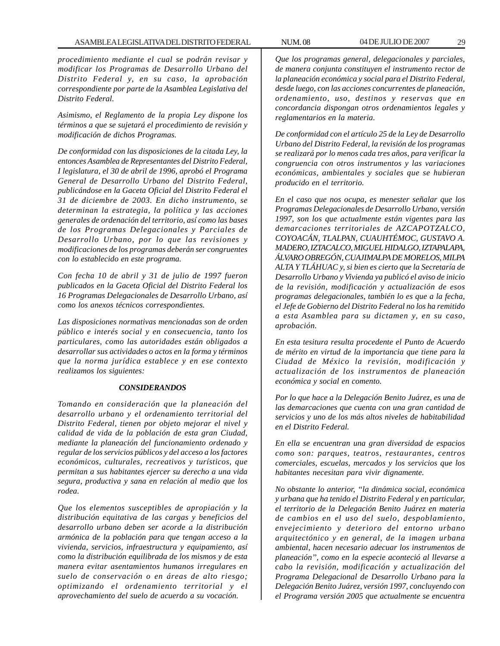*procedimiento mediante el cual se podrán revisar y modificar los Programas de Desarrollo Urbano del Distrito Federal y, en su caso, la aprobación correspondiente por parte de la Asamblea Legislativa del Distrito Federal.*

*Asimismo, el Reglamento de la propia Ley dispone los términos a que se sujetará el procedimiento de revisión y modificación de dichos Programas.*

*De conformidad con las disposiciones de la citada Ley, la entonces Asamblea de Representantes del Distrito Federal, I legislatura, el 30 de abril de 1996, aprobó el Programa General de Desarrollo Urbano del Distrito Federal, publicándose en la Gaceta Oficial del Distrito Federal el 31 de diciembre de 2003. En dicho instrumento, se determinan la estrategia, la política y las acciones generales de ordenación del territorio, así como las bases de los Programas Delegacionales y Parciales de Desarrollo Urbano, por lo que las revisiones y modificaciones de los programas deberán ser congruentes con lo establecido en este programa.*

*Con fecha 10 de abril y 31 de julio de 1997 fueron publicados en la Gaceta Oficial del Distrito Federal los 16 Programas Delegacionales de Desarrollo Urbano, así como los anexos técnicos correspondientes.*

*Las disposiciones normativas mencionadas son de orden público e interés social y en consecuencia, tanto los particulares, como las autoridades están obligados a desarrollar sus actividades o actos en la forma y términos que la norma jurídica establece y en ese contexto realizamos los siguientes:*

#### *CONSIDERANDOS*

*Tomando en consideración que la planeación del desarrollo urbano y el ordenamiento territorial del Distrito Federal, tienen por objeto mejorar el nivel y calidad de vida de la población de esta gran Ciudad, mediante la planeación del funcionamiento ordenado y regular de los servicios públicos y del acceso a los factores económicos, culturales, recreativos y turísticos, que permitan a sus habitantes ejercer su derecho a una vida segura, productiva y sana en relación al medio que los rodea.*

*Que los elementos susceptibles de apropiación y la distribución equitativa de las cargas y beneficios del desarrollo urbano deben ser acorde a la distribución armónica de la población para que tengan acceso a la vivienda, servicios, infraestructura y equipamiento, así como la distribución equilibrada de los mismos y de esta manera evitar asentamientos humanos irregulares en suelo de conservación o en áreas de alto riesgo; optimizando el ordenamiento territorial y el aprovechamiento del suelo de acuerdo a su vocación.*

*Que los programas general, delegacionales y parciales, de manera conjunta constituyen el instrumento rector de la planeación económica y social para el Distrito Federal, desde luego, con las acciones concurrentes de planeación, ordenamiento, uso, destinos y reservas que en concordancia dispongan otros ordenamientos legales y reglamentarios en la materia.*

*De conformidad con el artículo 25 de la Ley de Desarrollo Urbano del Distrito Federal, la revisión de los programas se realizará por lo menos cada tres años, para verificar la congruencia con otros instrumentos y las variaciones económicas, ambientales y sociales que se hubieran producido en el territorio.*

*En el caso que nos ocupa, es menester señalar que los Programas Delegacionales de Desarrollo Urbano, versión 1997, son los que actualmente están vigentes para las demarcaciones territoriales de AZCAPOTZALCO, COYOACÁN, TLALPAN, CUAUHTÉMOC, GUSTAVO A. MADERO, IZTACALCO, MIGUEL HIDALGO, IZTAPALAPA, ÁLVARO OBREGÓN, CUAJIMALPA DE MORELOS, MILPA ALTA Y TLÁHUAC y, si bien es cierto que la Secretaría de Desarrollo Urbano y Vivienda ya publicó el aviso de inicio de la revisión, modificación y actualización de esos programas delegacionales, también lo es que a la fecha, el Jefe de Gobierno del Distrito Federal no los ha remitido a esta Asamblea para su dictamen y, en su caso, aprobación.*

*En esta tesitura resulta procedente el Punto de Acuerdo de mérito en virtud de la importancia que tiene para la Ciudad de México la revisión, modificación y actualización de los instrumentos de planeación económica y social en comento.*

*Por lo que hace a la Delegación Benito Juárez, es una de las demarcaciones que cuenta con una gran cantidad de servicios y uno de los más altos niveles de habitabilidad en el Distrito Federal.*

*En ella se encuentran una gran diversidad de espacios como son: parques, teatros, restaurantes, centros comerciales, escuelas, mercados y los servicios que los habitantes necesitan para vivir dignamente.*

*No obstante lo anterior, ''la dinámica social, económica y urbana que ha tenido el Distrito Federal y en particular, el territorio de la Delegación Benito Juárez en materia de cambios en el uso del suelo, despoblamiento, envejecimiento y deterioro del entorno urbano arquitectónico y en general, de la imagen urbana ambiental, hacen necesario adecuar los instrumentos de planeación'', como en la especie aconteció al llevarse a cabo la revisión, modificación y actualización del Programa Delegacional de Desarrollo Urbano para la Delegación Benito Juárez, versión 1997, concluyendo con el Programa versión 2005 que actualmente se encuentra*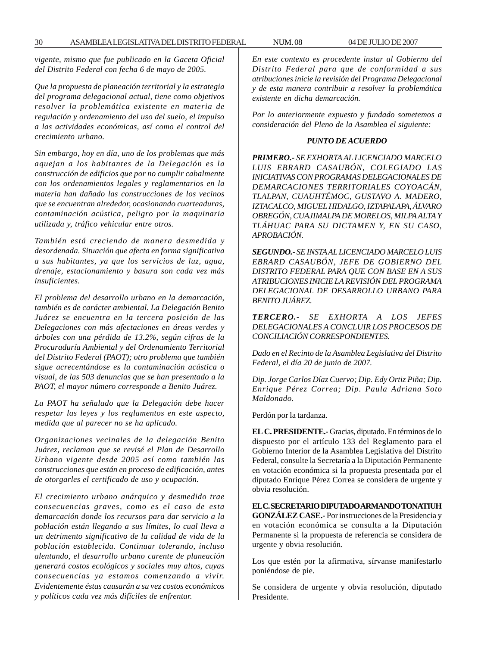*vigente, mismo que fue publicado en la Gaceta Oficial del Distrito Federal con fecha 6 de mayo de 2005.*

*Que la propuesta de planeación territorial y la estrategia del programa delegacional actual, tiene como objetivos resolver la problemática existente en materia de regulación y ordenamiento del uso del suelo, el impulso a las actividades económicas, así como el control del crecimiento urbano.*

*Sin embargo, hoy en día, uno de los problemas que más aquejan a los habitantes de la Delegación es la construcción de edificios que por no cumplir cabalmente con los ordenamientos legales y reglamentarios en la materia han dañado las construcciones de los vecinos que se encuentran alrededor, ocasionando cuarteaduras, contaminación acústica, peligro por la maquinaria utilizada y, tráfico vehicular entre otros.*

*También está creciendo de manera desmedida y desordenada. Situación que afecta en forma significativa a sus habitantes, ya que los servicios de luz, agua, drenaje, estacionamiento y basura son cada vez más insuficientes.*

*El problema del desarrollo urbano en la demarcación, también es de carácter ambiental. La Delegación Benito Juárez se encuentra en la tercera posición de las Delegaciones con más afectaciones en áreas verdes y árboles con una pérdida de 13.2%, según cifras de la Procuraduría Ambiental y del Ordenamiento Territorial del Distrito Federal (PAOT); otro problema que también sigue acrecentándose es la contaminación acústica o visual, de las 503 denuncias que se han presentado a la PAOT, el mayor número corresponde a Benito Juárez.*

*La PAOT ha señalado que la Delegación debe hacer respetar las leyes y los reglamentos en este aspecto, medida que al parecer no se ha aplicado.*

*Organizaciones vecinales de la delegación Benito Juárez, reclaman que se revisé el Plan de Desarrollo Urbano vigente desde 2005 así como también las construcciones que están en proceso de edificación, antes de otorgarles el certificado de uso y ocupación.*

*El crecimiento urbano anárquico y desmedido trae consecuencias graves, como es el caso de esta demarcación donde los recursos para dar servicio a la población están llegando a sus límites, lo cual lleva a un detrimento significativo de la calidad de vida de la población establecida. Continuar tolerando, incluso alentando, el desarrollo urbano carente de planeación generará costos ecológicos y sociales muy altos, cuyas consecuencias ya estamos comenzando a vivir. Evidentemente éstas causarán a su vez costos económicos y políticos cada vez más difíciles de enfrentar.*

*En este contexto es procedente instar al Gobierno del Distrito Federal para que de conformidad a sus atribuciones inicie la revisión del Programa Delegacional y de esta manera contribuir a resolver la problemática existente en dicha demarcación.*

*Por lo anteriormente expuesto y fundado sometemos a consideración del Pleno de la Asamblea el siguiente:*

# *PUNTO DE ACUERDO*

*PRIMERO.- SE EXHORTA AL LICENCIADO MARCELO LUIS EBRARD CASAUBÓN, COLEGIADO LAS INICIATIVAS CON PROGRAMAS DELEGACIONALES DE DEMARCACIONES TERRITORIALES COYOACÁN, TLALPAN, CUAUHTÉMOC, GUSTAVO A. MADERO, IZTACALCO, MIGUEL HIDALGO, IZTAPALAPA, ÁLVARO OBREGÓN, CUAJIMALPA DE MORELOS, MILPA ALTA Y TLÁHUAC PARA SU DICTAMEN Y, EN SU CASO, APROBACIÓN.*

*SEGUNDO.- SE INSTA AL LICENCIADO MARCELO LUIS EBRARD CASAUBÓN, JEFE DE GOBIERNO DEL DISTRITO FEDERAL PARA QUE CON BASE EN A SUS ATRIBUCIONES INICIE LA REVISIÓN DEL PROGRAMA DELEGACIONAL DE DESARROLLO URBANO PARA BENITO JUÁREZ.*

*TERCERO.- SE EXHORTA A LOS JEFES DELEGACIONALES A CONCLUIR LOS PROCESOS DE CONCILIACIÓN CORRESPONDIENTES.*

*Dado en el Recinto de la Asamblea Legislativa del Distrito Federal, el día 20 de junio de 2007.*

*Dip. Jorge Carlos Díaz Cuervo; Dip. Edy Ortiz Piña; Dip. Enrique Pérez Correa; Dip. Paula Adriana Soto Maldonado.*

Perdón por la tardanza.

**EL C. PRESIDENTE.-** Gracias, diputado. En términos de lo dispuesto por el artículo 133 del Reglamento para el Gobierno Interior de la Asamblea Legislativa del Distrito Federal, consulte la Secretaría a la Diputación Permanente en votación económica si la propuesta presentada por el diputado Enrique Pérez Correa se considera de urgente y obvia resolución.

**EL C. SECRETARIO DIPUTADO ARMANDO TONATIUH GONZÁLEZ CASE.-** Por instrucciones de la Presidencia y en votación económica se consulta a la Diputación Permanente si la propuesta de referencia se considera de urgente y obvia resolución.

Los que estén por la afirmativa, sírvanse manifestarlo poniéndose de pie.

Se considera de urgente y obvia resolución, diputado Presidente.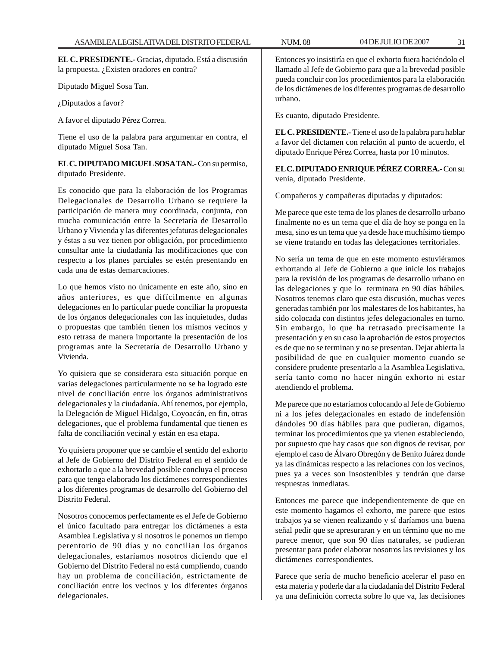**EL C. PRESIDENTE.-** Gracias, diputado. Está a discusión la propuesta. ¿Existen oradores en contra?

Diputado Miguel Sosa Tan.

¿Diputados a favor?

A favor el diputado Pérez Correa.

Tiene el uso de la palabra para argumentar en contra, el diputado Miguel Sosa Tan.

**EL C. DIPUTADO MIGUEL SOSA TAN.-** Con su permiso, diputado Presidente.

Es conocido que para la elaboración de los Programas Delegacionales de Desarrollo Urbano se requiere la participación de manera muy coordinada, conjunta, con mucha comunicación entre la Secretaría de Desarrollo Urbano y Vivienda y las diferentes jefaturas delegacionales y éstas a su vez tienen por obligación, por procedimiento consultar ante la ciudadanía las modificaciones que con respecto a los planes parciales se estén presentando en cada una de estas demarcaciones.

Lo que hemos visto no únicamente en este año, sino en años anteriores, es que difícilmente en algunas delegaciones en lo particular puede conciliar la propuesta de los órganos delegacionales con las inquietudes, dudas o propuestas que también tienen los mismos vecinos y esto retrasa de manera importante la presentación de los programas ante la Secretaría de Desarrollo Urbano y Vivienda.

Yo quisiera que se considerara esta situación porque en varias delegaciones particularmente no se ha logrado este nivel de conciliación entre los órganos administrativos delegacionales y la ciudadanía. Ahí tenemos, por ejemplo, la Delegación de Miguel Hidalgo, Coyoacán, en fin, otras delegaciones, que el problema fundamental que tienen es falta de conciliación vecinal y están en esa etapa.

Yo quisiera proponer que se cambie el sentido del exhorto al Jefe de Gobierno del Distrito Federal en el sentido de exhortarlo a que a la brevedad posible concluya el proceso para que tenga elaborado los dictámenes correspondientes a los diferentes programas de desarrollo del Gobierno del Distrito Federal.

Nosotros conocemos perfectamente es el Jefe de Gobierno el único facultado para entregar los dictámenes a esta Asamblea Legislativa y si nosotros le ponemos un tiempo perentorio de 90 días y no concilian los órganos delegacionales, estaríamos nosotros diciendo que el Gobierno del Distrito Federal no está cumpliendo, cuando hay un problema de conciliación, estrictamente de conciliación entre los vecinos y los diferentes órganos delegacionales.

Entonces yo insistiría en que el exhorto fuera haciéndolo el llamado al Jefe de Gobierno para que a la brevedad posible pueda concluir con los procedimientos para la elaboración de los dictámenes de los diferentes programas de desarrollo urbano.

Es cuanto, diputado Presidente.

**EL C. PRESIDENTE.-** Tiene el uso de la palabra para hablar a favor del dictamen con relación al punto de acuerdo, el diputado Enrique Pérez Correa, hasta por 10 minutos.

**EL C. DIPUTADO ENRIQUE PÉREZ CORREA.-** Con su venia, diputado Presidente.

Compañeros y compañeras diputadas y diputados:

Me parece que este tema de los planes de desarrollo urbano finalmente no es un tema que el día de hoy se ponga en la mesa, sino es un tema que ya desde hace muchísimo tiempo se viene tratando en todas las delegaciones territoriales.

No sería un tema de que en este momento estuviéramos exhortando al Jefe de Gobierno a que inicie los trabajos para la revisión de los programas de desarrollo urbano en las delegaciones y que lo terminara en 90 días hábiles. Nosotros tenemos claro que esta discusión, muchas veces generadas también por los malestares de los habitantes, ha sido colocada con distintos jefes delegacionales en turno. Sin embargo, lo que ha retrasado precisamente la presentación y en su caso la aprobación de estos proyectos es de que no se terminan y no se presentan. Dejar abierta la posibilidad de que en cualquier momento cuando se considere prudente presentarlo a la Asamblea Legislativa, sería tanto como no hacer ningún exhorto ni estar atendiendo el problema.

Me parece que no estaríamos colocando al Jefe de Gobierno ni a los jefes delegacionales en estado de indefensión dándoles 90 días hábiles para que pudieran, digamos, terminar los procedimientos que ya vienen estableciendo, por supuesto que hay casos que son dignos de revisar, por ejemplo el caso de Álvaro Obregón y de Benito Juárez donde ya las dinámicas respecto a las relaciones con los vecinos, pues ya a veces son insostenibles y tendrán que darse respuestas inmediatas.

Entonces me parece que independientemente de que en este momento hagamos el exhorto, me parece que estos trabajos ya se vienen realizando y sí daríamos una buena señal pedir que se apresuraran y en un término que no me parece menor, que son 90 días naturales, se pudieran presentar para poder elaborar nosotros las revisiones y los dictámenes correspondientes.

Parece que sería de mucho beneficio acelerar el paso en esta materia y poderle dar a la ciudadanía del Distrito Federal ya una definición correcta sobre lo que va, las decisiones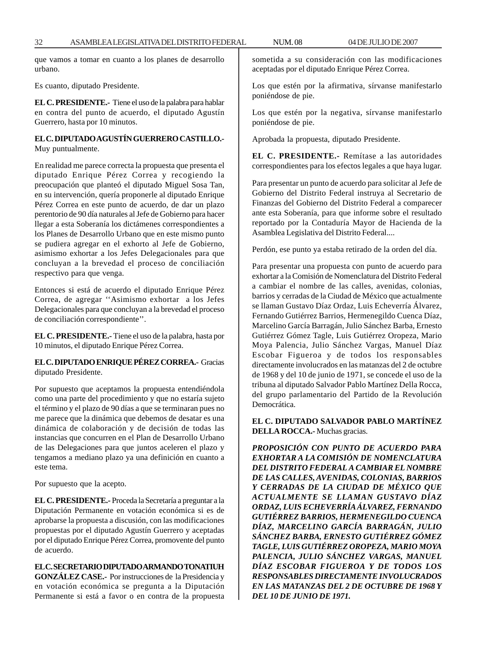que vamos a tomar en cuanto a los planes de desarrollo urbano.

Es cuanto, diputado Presidente.

**EL C. PRESIDENTE.-** Tiene el uso de la palabra para hablar en contra del punto de acuerdo, el diputado Agustín Guerrero, hasta por 10 minutos.

# **EL C. DIPUTADO AGUSTÍN GUERRERO CASTILLO.-** Muy puntualmente.

En realidad me parece correcta la propuesta que presenta el diputado Enrique Pérez Correa y recogiendo la preocupación que planteó el diputado Miguel Sosa Tan, en su intervención, quería proponerle al diputado Enrique Pérez Correa en este punto de acuerdo, de dar un plazo perentorio de 90 día naturales al Jefe de Gobierno para hacer llegar a esta Soberanía los dictámenes correspondientes a los Planes de Desarrollo Urbano que en este mismo punto se pudiera agregar en el exhorto al Jefe de Gobierno, asimismo exhortar a los Jefes Delegacionales para que concluyan a la brevedad el proceso de conciliación respectivo para que venga.

Entonces si está de acuerdo el diputado Enrique Pérez Correa, de agregar ''Asimismo exhortar a los Jefes Delegacionales para que concluyan a la brevedad el proceso de conciliación correspondiente''.

**EL C. PRESIDENTE.-** Tiene el uso de la palabra, hasta por 10 minutos, el diputado Enrique Pérez Correa.

# **EL C. DIPUTADO ENRIQUE PÉREZ CORREA.-** Gracias diputado Presidente.

Por supuesto que aceptamos la propuesta entendiéndola como una parte del procedimiento y que no estaría sujeto el término y el plazo de 90 días a que se terminaran pues no me parece que la dinámica que debemos de desatar es una dinámica de colaboración y de decisión de todas las instancias que concurren en el Plan de Desarrollo Urbano de las Delegaciones para que juntos aceleren el plazo y tengamos a mediano plazo ya una definición en cuanto a este tema.

Por supuesto que la acepto.

**EL C. PRESIDENTE.-** Proceda la Secretaría a preguntar a la Diputación Permanente en votación económica si es de aprobarse la propuesta a discusión, con las modificaciones propuestas por el diputado Agustín Guerrero y aceptadas por el diputado Enrique Pérez Correa, promovente del punto de acuerdo.

**EL C. SECRETARIO DIPUTADO ARMANDO TONATIUH GONZÁLEZ CASE.-** Por instrucciones de la Presidencia y en votación económica se pregunta a la Diputación Permanente si está a favor o en contra de la propuesta sometida a su consideración con las modificaciones aceptadas por el diputado Enrique Pérez Correa.

Los que estén por la afirmativa, sírvanse manifestarlo poniéndose de pie.

Los que estén por la negativa, sírvanse manifestarlo poniéndose de pie.

Aprobada la propuesta, diputado Presidente.

**EL C. PRESIDENTE.-** Remítase a las autoridades correspondientes para los efectos legales a que haya lugar.

Para presentar un punto de acuerdo para solicitar al Jefe de Gobierno del Distrito Federal instruya al Secretario de Finanzas del Gobierno del Distrito Federal a comparecer ante esta Soberanía, para que informe sobre el resultado reportado por la Contaduría Mayor de Hacienda de la Asamblea Legislativa del Distrito Federal....

Perdón, ese punto ya estaba retirado de la orden del día.

Para presentar una propuesta con punto de acuerdo para exhortar a la Comisión de Nomenclatura del Distrito Federal a cambiar el nombre de las calles, avenidas, colonias, barrios y cerradas de la Ciudad de México que actualmente se llaman Gustavo Díaz Ordaz, Luis Echeverría Álvarez, Fernando Gutiérrez Barrios, Hermenegildo Cuenca Díaz, Marcelino García Barragán, Julio Sánchez Barba, Ernesto Gutiérrez Gómez Tagle, Luis Gutiérrez Oropeza, Mario Moya Palencia, Julio Sánchez Vargas, Manuel Díaz Escobar Figueroa y de todos los responsables directamente involucrados en las matanzas del 2 de octubre de 1968 y del 10 de junio de 1971, se concede el uso de la tribuna al diputado Salvador Pablo Martínez Della Rocca, del grupo parlamentario del Partido de la Revolución Democrática.

# **EL C. DIPUTADO SALVADOR PABLO MARTÍNEZ DELLA ROCCA.-** Muchas gracias.

*PROPOSICIÓN CON PUNTO DE ACUERDO PARA EXHORTAR A LA COMISIÓN DE NOMENCLATURA DEL DISTRITO FEDERAL A CAMBIAR EL NOMBRE DE LAS CALLES, AVENIDAS, COLONIAS, BARRIOS Y CERRADAS DE LA CIUDAD DE MÉXICO QUE ACTUALMENTE SE LLAMAN GUSTAVO DÍAZ ORDAZ, LUIS ECHEVERRÍA ÁLVAREZ, FERNANDO GUTIÉRREZ BARRIOS, HERMENEGILDO CUENCA DÍAZ, MARCELINO GARCÍA BARRAGÁN, JULIO SÁNCHEZ BARBA, ERNESTO GUTIÉRREZ GÓMEZ TAGLE, LUIS GUTIÉRREZ OROPEZA, MARIO MOYA PALENCIA, JULIO SÁNCHEZ VARGAS, MANUEL DÍAZ ESCOBAR FIGUEROA Y DE TODOS LOS RESPONSABLES DIRECTAMENTE INVOLUCRADOS EN LAS MATANZAS DEL 2 DE OCTUBRE DE 1968 Y DEL 10 DE JUNIO DE 1971.*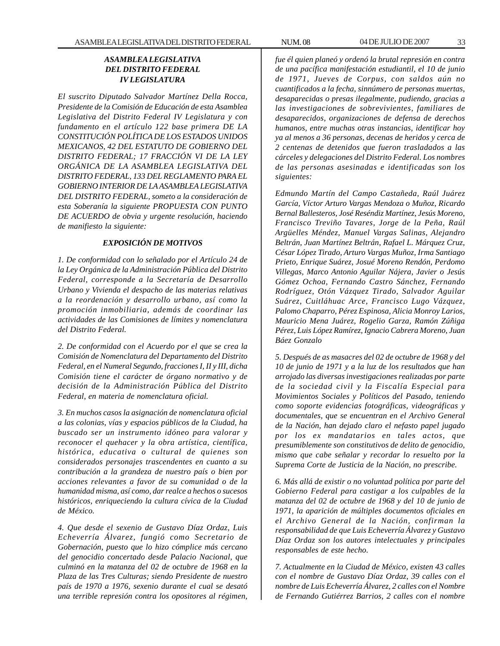# *ASAMBLEA LEGISLATIVA DEL DISTRITO FEDERAL IV LEGISLATURA*

*El suscrito Diputado Salvador Martínez Della Rocca, Presidente de la Comisión de Educación de esta Asamblea Legislativa del Distrito Federal IV Legislatura y con fundamento en el artículo 122 base primera DE LA CONSTITUCIÓN POLÍTICA DE LOS ESTADOS UNIDOS MEXICANOS, 42 DEL ESTATUTO DE GOBIERNO DEL DISTRITO FEDERAL; 17 FRACCIÓN VI DE LA LEY ORGÁNICA DE LA ASAMBLEA LEGISLATIVA DEL DISTRITO FEDERAL, 133 DEL REGLAMENTO PARA EL GOBIERNO INTERIOR DE LA ASAMBLEA LEGISLATIVA DEL DISTRITO FEDERAL, someto a la consideración de esta Soberanía la siguiente PROPUESTA CON PUNTO DE ACUERDO de obvia y urgente resolución, haciendo de manifiesto la siguiente:*

#### *EXPOSICIÓN DE MOTIVOS*

*1. De conformidad con lo señalado por el Artículo 24 de la Ley Orgánica de la Administración Pública del Distrito Federal, corresponde a la Secretaría de Desarrollo Urbano y Vivienda el despacho de las materias relativas a la reordenación y desarrollo urbano, así como la promoción inmobiliaria, además de coordinar las actividades de las Comisiones de límites y nomenclatura del Distrito Federal.*

*2. De conformidad con el Acuerdo por el que se crea la Comisión de Nomenclatura del Departamento del Distrito Federal, en el Numeral Segundo, fracciones I, II y III, dicha Comisión tiene el carácter de órgano normativo y de decisión de la Administración Pública del Distrito Federal, en materia de nomenclatura oficial.*

*3. En muchos casos la asignación de nomenclatura oficial a las colonias, vías y espacios públicos de la Ciudad, ha buscado ser un instrumento idóneo para valorar y reconocer el quehacer y la obra artística, científica, histórica, educativa o cultural de quienes son considerados personajes trascendentes en cuanto a su contribución a la grandeza de nuestro país o bien por acciones relevantes a favor de su comunidad o de la humanidad misma, así como, dar realce a hechos o sucesos históricos, enriqueciendo la cultura cívica de la Ciudad de México.*

*4. Que desde el sexenio de Gustavo Díaz Ordaz, Luis Echeverría Álvarez, fungió como Secretario de Gobernación, puesto que lo hizo cómplice más cercano del genocidio concertado desde Palacio Nacional, que culminó en la matanza del 02 de octubre de 1968 en la Plaza de las Tres Culturas; siendo Presidente de nuestro país de 1970 a 1976, sexenio durante el cual se desató una terrible represión contra los opositores al régimen,*

*fue él quien planeó y ordenó la brutal represión en contra de una pacífica manifestación estudiantil, el 10 de junio de 1971, Jueves de Corpus, con saldos aún no cuantificados a la fecha, sinnúmero de personas muertas, desaparecidas o presas ilegalmente, pudiendo, gracias a las investigaciones de sobrevivientes, familiares de desaparecidos, organizaciones de defensa de derechos humanos, entre muchas otras instancias, identificar hoy ya al menos a 36 personas, decenas de heridos y cerca de 2 centenas de detenidos que fueron trasladados a las cárceles y delegaciones del Distrito Federal. Los nombres de las personas asesinadas e identificadas son los siguientes:*

*Edmundo Martín del Campo Castañeda, Raúl Juárez García, Víctor Arturo Vargas Mendoza o Muñoz, Ricardo Bernal Ballesteros, José Reséndiz Martínez, Jesús Moreno, Francisco Treviño Tavares, Jorge de la Peña, Raúl Argüelles Méndez, Manuel Vargas Salinas, Alejandro Beltrán, Juan Martínez Beltrán, Rafael L. Márquez Cruz, César López Tirado, Arturo Vargas Muñoz, Irma Santiago Prieto, Enrique Suárez, Josué Moreno Rendón, Perdomo Villegas, Marco Antonio Aguilar Nájera, Javier o Jesús Gómez Ochoa, Fernando Castro Sánchez, Fernando Rodríguez, Otón Vázquez Tirado, Salvador Aguilar Suárez, Cuitláhuac Arce, Francisco Lugo Vázquez, Palomo Chaparro, Pérez Espinosa, Alicia Monroy Larios, Mauricio Mena Juárez, Rogelio Garza, Ramón Zúñiga Pérez, Luis López Ramírez, Ignacio Cabrera Moreno, Juan Báez Gonzalo*

*5. Después de as masacres del 02 de octubre de 1968 y del 10 de junio de 1971 y a la luz de los resultados que han arrojado las diversas investigaciones realizadas por parte de la sociedad civil y la Fiscalía Especial para Movimientos Sociales y Políticos del Pasado, teniendo como soporte evidencias fotográficas, videográficas y documentales, que se encuentran en el Archivo General de la Nación, han dejado claro el nefasto papel jugado por los ex mandatarios en tales actos, que presumiblemente son constitutivos de delito de genocidio, mismo que cabe señalar y recordar lo resuelto por la Suprema Corte de Justicia de la Nación, no prescribe.*

*6. Más allá de existir o no voluntad política por parte del Gobierno Federal para castigar a los culpables de la matanza del 02 de octubre de 1968 y del 10 de junio de 1971, la aparición de múltiples documentos oficiales en el Archivo General de la Nación, confirman la responsabilidad de que Luis Echeverría Álvarez y Gustavo Díaz Ordaz son los autores intelectuales y principales responsables de este hecho.*

*7. Actualmente en la Ciudad de México, existen 43 calles con el nombre de Gustavo Díaz Ordaz, 39 calles con el nombre de Luis Echeverría Álvarez, 2 calles con el Nombre de Fernando Gutiérrez Barrios, 2 calles con el nombre*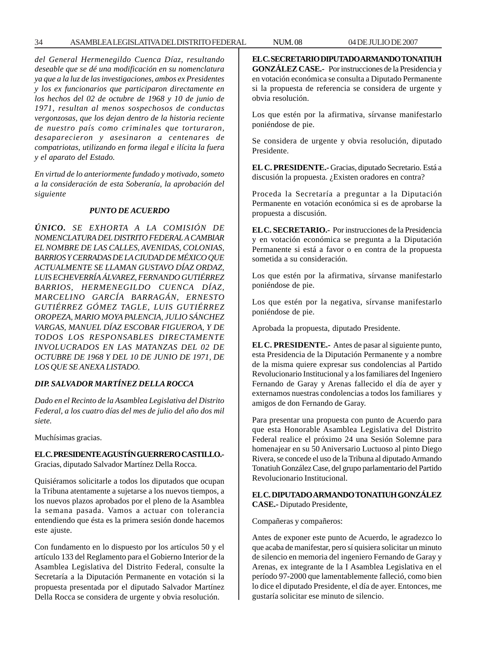*del General Hermenegildo Cuenca Díaz, resultando deseable que se dé una modificación en su nomenclatura ya que a la luz de las investigaciones, ambos ex Presidentes y los ex funcionarios que participaron directamente en los hechos del 02 de octubre de 1968 y 10 de junio de 1971, resultan al menos sospechosos de conductas vergonzosas, que los dejan dentro de la historia reciente de nuestro país como criminales que torturaron, desaparecieron y asesinaron a centenares de compatriotas, utilizando en forma ilegal e ilícita la fuera y el aparato del Estado.*

*En virtud de lo anteriormente fundado y motivado, someto a la consideración de esta Soberanía, la aprobación del siguiente*

#### *PUNTO DE ACUERDO*

*ÚNICO. SE EXHORTA A LA COMISIÓN DE NOMENCLATURA DEL DISTRITO FEDERAL A CAMBIAR EL NOMBRE DE LAS CALLES, AVENIDAS, COLONIAS, BARRIOS Y CERRADAS DE LA CIUDAD DE MÉXICO QUE ACTUALMENTE SE LLAMAN GUSTAVO DÍAZ ORDAZ, LUIS ECHEVERRÍA ÁLVAREZ, FERNANDO GUTIÉRREZ BARRIOS, HERMENEGILDO CUENCA DÍAZ, MARCELINO GARCÍA BARRAGÁN, ERNESTO GUTIÉRREZ GÓMEZ TAGLE, LUIS GUTIÉRREZ OROPEZA, MARIO MOYA PALENCIA, JULIO SÁNCHEZ VARGAS, MANUEL DÍAZ ESCOBAR FIGUEROA, Y DE TODOS LOS RESPONSABLES DIRECTAMENTE INVOLUCRADOS EN LAS MATANZAS DEL 02 DE OCTUBRE DE 1968 Y DEL 10 DE JUNIO DE 1971, DE LOS QUE SE ANEXA LISTADO.*

## *DIP. SALVADOR MARTÍNEZ DELLA ROCCA*

*Dado en el Recinto de la Asamblea Legislativa del Distrito Federal, a los cuatro días del mes de julio del año dos mil siete.*

Muchísimas gracias.

# **EL C. PRESIDENTE AGUSTÍN GUERRERO CASTILLO.-**

Gracias, diputado Salvador Martínez Della Rocca.

Quisiéramos solicitarle a todos los diputados que ocupan la Tribuna atentamente a sujetarse a los nuevos tiempos, a los nuevos plazos aprobados por el pleno de la Asamblea la semana pasada. Vamos a actuar con tolerancia entendiendo que ésta es la primera sesión donde hacemos este ajuste.

Con fundamento en lo dispuesto por los artículos 50 y el artículo 133 del Reglamento para el Gobierno Interior de la Asamblea Legislativa del Distrito Federal, consulte la Secretaría a la Diputación Permanente en votación si la propuesta presentada por el diputado Salvador Martínez Della Rocca se considera de urgente y obvia resolución.

**EL C. SECRETARIO DIPUTADO ARMANDO TONATIUH GONZÁLEZ CASE.-** Por instrucciones de la Presidencia y en votación económica se consulta a Diputado Permanente si la propuesta de referencia se considera de urgente y obvia resolución.

Los que estén por la afirmativa, sírvanse manifestarlo poniéndose de pie.

Se considera de urgente y obvia resolución, diputado Presidente.

**EL C. PRESIDENTE.-** Gracias, diputado Secretario. Está a discusión la propuesta. ¿Existen oradores en contra?

Proceda la Secretaría a preguntar a la Diputación Permanente en votación económica si es de aprobarse la propuesta a discusión.

**EL C. SECRETARIO.-** Por instrucciones de la Presidencia y en votación económica se pregunta a la Diputación Permanente si está a favor o en contra de la propuesta sometida a su consideración.

Los que estén por la afirmativa, sírvanse manifestarlo poniéndose de pie.

Los que estén por la negativa, sírvanse manifestarlo poniéndose de pie.

Aprobada la propuesta, diputado Presidente.

**EL C. PRESIDENTE.-** Antes de pasar al siguiente punto, esta Presidencia de la Diputación Permanente y a nombre de la misma quiere expresar sus condolencias al Partido Revolucionario Institucional y a los familiares del Ingeniero Fernando de Garay y Arenas fallecido el día de ayer y externamos nuestras condolencias a todos los familiares y amigos de don Fernando de Garay.

Para presentar una propuesta con punto de Acuerdo para que esta Honorable Asamblea Legislativa del Distrito Federal realice el próximo 24 una Sesión Solemne para homenajear en su 50 Aniversario Luctuoso al pinto Diego Rivera, se concede el uso de la Tribuna al diputado Armando Tonatiuh González Case, del grupo parlamentario del Partido Revolucionario Institucional.

**EL C. DIPUTADO ARMANDO TONATIUH GONZÁLEZ CASE.-** Diputado Presidente,

Compañeras y compañeros:

Antes de exponer este punto de Acuerdo, le agradezco lo que acaba de manifestar, pero sí quisiera solicitar un minuto de silencio en memoria del ingeniero Fernando de Garay y Arenas, ex integrante de la I Asamblea Legislativa en el período 97-2000 que lamentablemente falleció, como bien lo dice el diputado Presidente, el día de ayer. Entonces, me gustaría solicitar ese minuto de silencio.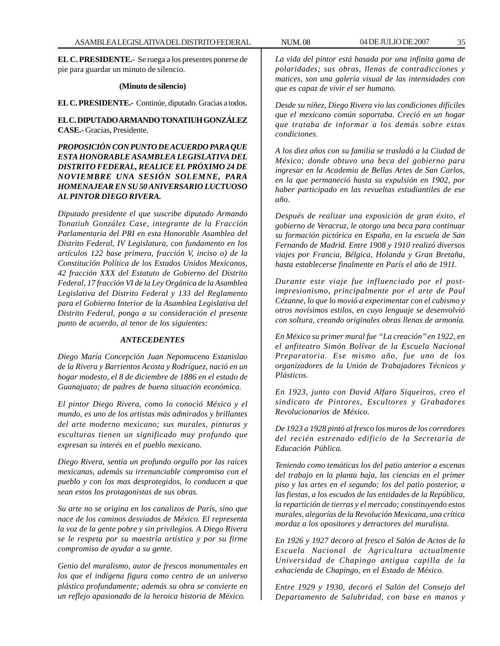**EL C. PRESIDENTE.-** Se ruega a los presentes ponerse de pie para guardar un minuto de silencio.

#### **(Minuto de silencio)**

**EL C. PRESIDENTE.-** Continúe, diputado. Gracias a todos.

**EL C. DIPUTADO ARMANDO TONATIUH GONZÁLEZ CASE.-** Gracias, Presidente.

*PROPOSICIÓN CON PUNTO DE ACUERDO PARA QUE ESTA HONORABLE ASAMBLEA LEGISLATIVA DEL DISTRITO FEDERAL, REALICE EL PRÓXIMO 24 DE NOVIEMBRE UNA SESIÓN SOLEMNE, PARA HOMENAJEAR EN SU 50 ANIVERSARIO LUCTUOSO AL PINTOR DIEGO RIVERA.*

*Diputado presidente el que suscribe diputado Armando Tonatiuh González Case, integrante de la Fracción Parlamentaria del PRI en esta Honorable Asamblea del Distrito Federal, IV Legislatura, con fundamento en los artículos 122 base primera, fracción V, inciso o) de la Constitución Política de los Estados Unidos Mexicanos, 42 fracción XXX del Estatuto de Gobierno del Distrito Federal, 17 fracción VI de la Ley Orgánica de la Asamblea Legislativa del Distrito Federal y 133 del Reglamento para el Gobierno Interior de la Asamblea Legislativa del Distrito Federal, pongo a su consideración el presente punto de acuerdo, al tenor de los siguientes:*

#### *ANTECEDENTES*

*Diego María Concepción Juan Nepomuceno Estanislao de la Rivera y Barrientos Acosta y Rodríguez, nació en un hogar modesto, el 8 de diciembre de 1886 en el estado de Guanajuato; de padres de buena situación económica.*

*El pintor Diego Rivera, como lo conoció México y el mundo, es uno de los artistas más admirados y brillantes del arte moderno mexicano; sus murales, pinturas y esculturas tienen un significado muy profundo que expresan su interés en el pueblo mexicano.*

*Diego Rivera, sentía un profundo orgullo por las raíces mexicanas, además su irrenunciable compromiso con el pueblo y con los mas desprotegidos, lo conducen a que sean estos los protagonistas de sus obras.*

*Su arte no se origina en los canalizos de París, sino que nace de los caminos desviados de México. El representa la voz de la gente pobre y sin privilegios. A Diego Rivera se le respeta por su maestría artística y por su firme compromiso de ayudar a su gente.*

*Genio del muralismo, autor de frescos monumentales en los que el indígena figura como centro de un universo plástico profundamente; además su obra se convierte en un reflejo apasionado de la heroica historia de México.*

*La vida del pintor está basada por una infinita gama de polaridades; sus obras, llenas de contradicciones y matices, son una galería visual de las intensidades con que es capaz de vivir el ser humano.*

*Desde su niñez, Diego Rivera vio las condiciones difíciles que el mexicano común soportaba. Creció en un hogar que trataba de informar a los demás sobre estas condiciones.*

*A los diez años con su familia se trasladó a la Ciudad de México; donde obtuvo una beca del gobierno para ingresar en la Academia de Bellas Artes de San Carlos, en la que permaneció hasta su expulsión en 1902, por haber participado en las revueltas estudiantiles de ese año.*

*Después de realizar una exposición de gran éxito, el gobierno de Veracruz, le otorgo una beca para continuar su formación pictórica en España, en la escuela de San Fernando de Madrid. Entre 1908 y 1910 realizó diversos viajes por Francia, Bélgica, Holanda y Gran Bretaña, hasta establecerse finalmente en París el año de 1911.*

*Durante este viaje fue influenciado por el postimpresionismo, principalmente por el arte de Paul Cézanne, lo que lo movió a experimentar con el cubismo y otros novísimos estilos, en cuyo lenguaje se desenvolvió con soltura, creando originales obras llenas de armonía.*

*En México su primer mural fue ''La creación'' en 1922, en el anfiteatro Simón Bolívar de la Escuela Nacional Preparatoria. Ese mismo año, fue uno de los organizadores de la Unión de Trabajadores Técnicos y Plásticos.*

*En 1923, junto con David Alfaro Siqueiros, creo el sindicato de Pintores, Escultores y Grabadores Revolucionarios de México.*

*De 1923 a 1928 pintó al fresco los muros de los corredores del recién estrenado edificio de la Secretaría de Educación Pública.*

*Teniendo como temáticas los del patio anterior a escenas del trabajo en la planta baja, las ciencias en el primer piso y las artes en el segundo; los del patio posterior, a las fiestas, a los escudos de las entidades de la República, la repartición de tierras y el mercado; constituyendo estos murales, alegorías de la Revolución Mexicana, una crítica mordaz a los opositores y detractores del muralista.*

*En 1926 y 1927 decoro al fresco el Salón de Actos de la Escuela Nacional de Agricultura actualmente Universidad de Chapingo antigua capilla de la exhacienda de Chapingo, en el Estado de México.*

*Entre 1929 y 1930, decoró el Salón del Consejo del Departamento de Salubridad, con base en manos y*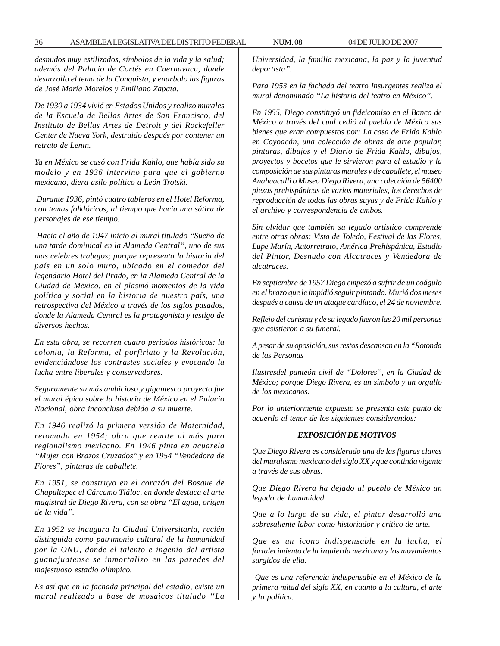*desnudos muy estilizados, símbolos de la vida y la salud; además del Palacio de Cortés en Cuernavaca, donde desarrollo el tema de la Conquista, y enarbolo las figuras de José María Morelos y Emiliano Zapata.*

*De 1930 a 1934 vivió en Estados Unidos y realizo murales de la Escuela de Bellas Artes de San Francisco, del Instituto de Bellas Artes de Detroit y del Rockefeller Center de Nueva York, destruido después por contener un retrato de Lenin.*

*Ya en México se casó con Frida Kahlo, que había sido su modelo y en 1936 intervino para que el gobierno mexicano, diera asilo político a León Trotski.*

 *Durante 1936, pintó cuatro tableros en el Hotel Reforma, con temas folklóricos, al tiempo que hacia una sátira de personajes de ese tiempo.*

 *Hacia el año de 1947 inicio al mural titulado ''Sueño de una tarde dominical en la Alameda Central'', uno de sus mas celebres trabajos; porque representa la historia del país en un solo muro, ubicado en el comedor del legendario Hotel del Prado, en la Alameda Central de la Ciudad de México, en el plasmó momentos de la vida política y social en la historia de nuestro país, una retrospectiva del México a través de los siglos pasados, donde la Alameda Central es la protagonista y testigo de diversos hechos.*

*En esta obra, se recorren cuatro periodos históricos: la colonia, la Reforma, el porfiriato y la Revolución, evidenciándose los contrastes sociales y evocando la lucha entre liberales y conservadores.*

*Seguramente su más ambicioso y gigantesco proyecto fue el mural épico sobre la historia de México en el Palacio Nacional, obra inconclusa debido a su muerte.*

*En 1946 realizó la primera versión de Maternidad, retomada en 1954; obra que remite al más puro regionalismo mexicano. En 1946 pinta en acuarela ''Mujer con Brazos Cruzados'' y en 1954 ''Vendedora de Flores'', pinturas de caballete.*

*En 1951, se construyo en el corazón del Bosque de Chapultepec el Cárcamo Tláloc, en donde destaca el arte magistral de Diego Rivera, con su obra ''El agua, origen de la vida''.*

*En 1952 se inaugura la Ciudad Universitaria, recién distinguida como patrimonio cultural de la humanidad por la ONU, donde el talento e ingenio del artista guanajuatense se inmortalizo en las paredes del majestuoso estadio olímpico.*

*Es así que en la fachada principal del estadio, existe un mural realizado a base de mosaicos titulado ''La* *Universidad, la familia mexicana, la paz y la juventud deportista''.*

*Para 1953 en la fachada del teatro Insurgentes realiza el mural denominado ''La historia del teatro en México''.*

*En 1955, Diego constituyó un fideicomiso en el Banco de México a través del cual cedió al pueblo de México sus bienes que eran compuestos por: La casa de Frida Kahlo en Coyoacán, una colección de obras de arte popular, pinturas, dibujos y el Diario de Frida Kahlo, dibujos, proyectos y bocetos que le sirvieron para el estudio y la composición de sus pinturas murales y de caballete, el museo Anahuacalli o Museo Diego Rivera, una colección de 56400 piezas prehispánicas de varios materiales, los derechos de reproducción de todas las obras suyas y de Frida Kahlo y el archivo y correspondencia de ambos.*

*Sin olvidar que también su legado artístico comprende entre otras obras: Vista de Toledo, Festival de las Flores, Lupe Marín, Autorretrato, América Prehispánica, Estudio del Pintor, Desnudo con Alcatraces y Vendedora de alcatraces.*

*En septiembre de 1957 Diego empezó a sufrir de un coágulo en el brazo que le impidió seguir pintando. Murió dos meses después a causa de un ataque cardíaco, el 24 de noviembre.*

*Reflejo del carisma y de su legado fueron las 20 mil personas que asistieron a su funeral.*

*A pesar de su oposición, sus restos descansan en la ''Rotonda de las Personas*

*Ilustresdel panteón civil de ''Dolores'', en la Ciudad de México; porque Diego Rivera, es un símbolo y un orgullo de los mexicanos.*

*Por lo anteriormente expuesto se presenta este punto de acuerdo al tenor de los siguientes considerandos:*

#### *EXPOSICIÓN DE MOTIVOS*

*Que Diego Rivera es considerado una de las figuras claves del muralismo mexicano del siglo XX y que continúa vigente a través de sus obras.*

*Que Diego Rivera ha dejado al pueblo de México un legado de humanidad.*

*Que a lo largo de su vida, el pintor desarrolló una sobresaliente labor como historiador y crítico de arte.*

*Que es un icono indispensable en la lucha, el fortalecimiento de la izquierda mexicana y los movimientos surgidos de ella.*

 *Que es una referencia indispensable en el México de la primera mitad del siglo XX, en cuanto a la cultura, el arte y la política.*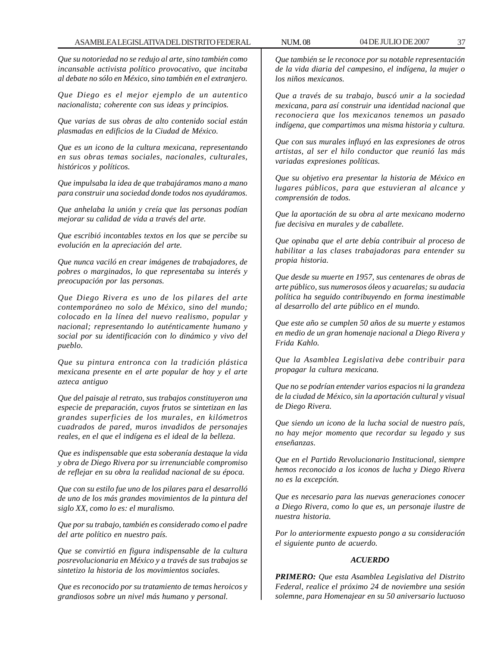*Que su notoriedad no se redujo al arte, sino también como incansable activista político provocativo, que incitaba al debate no sólo en México, sino también en el extranjero.*

*Que Diego es el mejor ejemplo de un autentico nacionalista; coherente con sus ideas y principios.*

*Que varias de sus obras de alto contenido social están plasmadas en edificios de la Ciudad de México.*

*Que es un icono de la cultura mexicana, representando en sus obras temas sociales, nacionales, culturales, históricos y políticos.*

*Que impulsaba la idea de que trabajáramos mano a mano para construir una sociedad donde todos nos ayudáramos.*

*Que anhelaba la unión y creía que las personas podían mejorar su calidad de vida a través del arte.*

*Que escribió incontables textos en los que se percibe su evolución en la apreciación del arte.*

*Que nunca vaciló en crear imágenes de trabajadores, de pobres o marginados, lo que representaba su interés y preocupación por las personas.*

*Que Diego Rivera es uno de los pilares del arte contemporáneo no solo de México, sino del mundo; colocado en la línea del nuevo realismo, popular y nacional; representando lo auténticamente humano y social por su identificación con lo dinámico y vivo del pueblo.*

*Que su pintura entronca con la tradición plástica mexicana presente en el arte popular de hoy y el arte azteca antiguo*

*Que del paisaje al retrato, sus trabajos constituyeron una especie de preparación, cuyos frutos se sintetizan en las grandes superficies de los murales, en kilómetros cuadrados de pared, muros invadidos de personajes reales, en el que el indígena es el ideal de la belleza.*

*Que es indispensable que esta soberanía destaque la vida y obra de Diego Rivera por su irrenunciable compromiso de reflejar en su obra la realidad nacional de su época.*

*Que con su estilo fue uno de los pilares para el desarrolló de uno de los más grandes movimientos de la pintura del siglo XX, como lo es: el muralismo.*

*Que por su trabajo, también es considerado como el padre del arte político en nuestro país.*

*Que se convirtió en figura indispensable de la cultura posrevolucionaria en México y a través de sus trabajos se sintetizo la historia de los movimientos sociales.*

*Que es reconocido por su tratamiento de temas heroicos y grandiosos sobre un nivel más humano y personal.*

*Que también se le reconoce por su notable representación de la vida diaria del campesino, el indígena, la mujer o los niños mexicanos.*

*Que a través de su trabajo, buscó unir a la sociedad mexicana, para así construir una identidad nacional que reconociera que los mexicanos tenemos un pasado indígena, que compartimos una misma historia y cultura.*

*Que con sus murales influyó en las expresiones de otros artistas, al ser el hilo conductor que reunió las más variadas expresiones políticas.*

*Que su objetivo era presentar la historia de México en lugares públicos, para que estuvieran al alcance y comprensión de todos.*

*Que la aportación de su obra al arte mexicano moderno fue decisiva en murales y de caballete.*

*Que opinaba que el arte debía contribuir al proceso de habilitar a las clases trabajadoras para entender su propia historia.*

*Que desde su muerte en 1957, sus centenares de obras de arte público, sus numerosos óleos y acuarelas; su audacia política ha seguido contribuyendo en forma inestimable al desarrollo del arte público en el mundo.*

*Que este año se cumplen 50 años de su muerte y estamos en medio de un gran homenaje nacional a Diego Rivera y Frida Kahlo.*

*Que la Asamblea Legislativa debe contribuir para propagar la cultura mexicana.*

*Que no se podrían entender varios espacios ni la grandeza de la ciudad de México, sin la aportación cultural y visual de Diego Rivera.*

*Que siendo un icono de la lucha social de nuestro país, no hay mejor momento que recordar su legado y sus enseñanzas.*

*Que en el Partido Revolucionario Institucional, siempre hemos reconocido a los iconos de lucha y Diego Rivera no es la excepción.*

*Que es necesario para las nuevas generaciones conocer a Diego Rivera, como lo que es, un personaje ilustre de nuestra historia.*

*Por lo anteriormente expuesto pongo a su consideración el siguiente punto de acuerdo.*

## *ACUERDO*

*PRIMERO: Que esta Asamblea Legislativa del Distrito Federal, realice el próximo 24 de noviembre una sesión solemne, para Homenajear en su 50 aniversario luctuoso*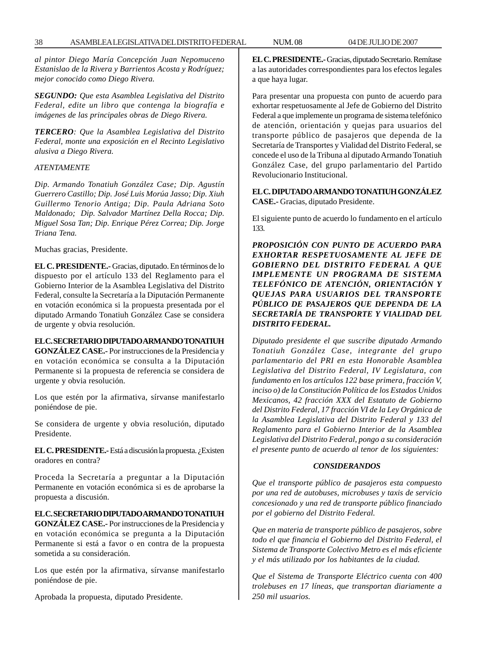*al pintor Diego María Concepción Juan Nepomuceno Estanislao de la Rivera y Barrientos Acosta y Rodríguez; mejor conocido como Diego Rivera.*

*SEGUNDO: Que esta Asamblea Legislativa del Distrito Federal, edite un libro que contenga la biografía e imágenes de las principales obras de Diego Rivera.*

*TERCERO: Que la Asamblea Legislativa del Distrito Federal, monte una exposición en el Recinto Legislativo alusiva a Diego Rivera.*

#### *ATENTAMENTE*

*Dip. Armando Tonatiuh González Case; Dip. Agustín Guerrero Castillo; Dip. José Luis Morúa Jasso; Dip. Xiuh Guillermo Tenorio Antiga; Dip. Paula Adriana Soto Maldonado; Dip. Salvador Martínez Della Rocca; Dip. Miguel Sosa Tan; Dip. Enrique Pérez Correa; Dip. Jorge Triana Tena.*

Muchas gracias, Presidente.

**EL C. PRESIDENTE.-** Gracias, diputado. En términos de lo dispuesto por el artículo 133 del Reglamento para el Gobierno Interior de la Asamblea Legislativa del Distrito Federal, consulte la Secretaría a la Diputación Permanente en votación económica si la propuesta presentada por el diputado Armando Tonatiuh González Case se considera de urgente y obvia resolución.

# **EL C. SECRETARIO DIPUTADO ARMANDO TONATIUH**

**GONZÁLEZ CASE.-** Por instrucciones de la Presidencia y en votación económica se consulta a la Diputación Permanente si la propuesta de referencia se considera de urgente y obvia resolución.

Los que estén por la afirmativa, sírvanse manifestarlo poniéndose de pie.

Se considera de urgente y obvia resolución, diputado Presidente.

**EL C. PRESIDENTE.-** Está a discusión la propuesta. ¿Existen oradores en contra?

Proceda la Secretaría a preguntar a la Diputación Permanente en votación económica si es de aprobarse la propuesta a discusión.

#### **EL C. SECRETARIO DIPUTADO ARMANDO TONATIUH**

**GONZÁLEZ CASE.-** Por instrucciones de la Presidencia y en votación económica se pregunta a la Diputación Permanente si está a favor o en contra de la propuesta sometida a su consideración.

Los que estén por la afirmativa, sírvanse manifestarlo poniéndose de pie.

Aprobada la propuesta, diputado Presidente.

**EL C. PRESIDENTE.-** Gracias, diputado Secretario. Remítase a las autoridades correspondientes para los efectos legales a que haya lugar.

Para presentar una propuesta con punto de acuerdo para exhortar respetuosamente al Jefe de Gobierno del Distrito Federal a que implemente un programa de sistema telefónico de atención, orientación y quejas para usuarios del transporte público de pasajeros que dependa de la Secretaría de Transportes y Vialidad del Distrito Federal, se concede el uso de la Tribuna al diputado Armando Tonatiuh González Case, del grupo parlamentario del Partido Revolucionario Institucional.

**EL C. DIPUTADO ARMANDO TONATIUH GONZÁLEZ CASE.-** Gracias, diputado Presidente.

El siguiente punto de acuerdo lo fundamento en el artículo 133.

*PROPOSICIÓN CON PUNTO DE ACUERDO PARA EXHORTAR RESPETUOSAMENTE AL JEFE DE GOBIERNO DEL DISTRITO FEDERAL A QUE IMPLEMENTE UN PROGRAMA DE SISTEMA TELEFÓNICO DE ATENCIÓN, ORIENTACIÓN Y QUEJAS PARA USUARIOS DEL TRANSPORTE PÚBLICO DE PASAJEROS QUE DEPENDA DE LA SECRETARÍA DE TRANSPORTE Y VIALIDAD DEL DISTRITO FEDERAL.*

*Diputado presidente el que suscribe diputado Armando Tonatiuh González Case, integrante del grupo parlamentario del PRI en esta Honorable Asamblea Legislativa del Distrito Federal, IV Legislatura, con fundamento en los artículos 122 base primera, fracción V, inciso o) de la Constitución Política de los Estados Unidos Mexicanos, 42 fracción XXX del Estatuto de Gobierno del Distrito Federal, 17 fracción VI de la Ley Orgánica de la Asamblea Legislativa del Distrito Federal y 133 del Reglamento para el Gobierno Interior de la Asamblea Legislativa del Distrito Federal, pongo a su consideración el presente punto de acuerdo al tenor de los siguientes:*

#### *CONSIDERANDOS*

*Que el transporte público de pasajeros esta compuesto por una red de autobuses, microbuses y taxis de servicio concesionado y una red de transporte público financiado por el gobierno del Distrito Federal.*

*Que en materia de transporte público de pasajeros, sobre todo el que financia el Gobierno del Distrito Federal, el Sistema de Transporte Colectivo Metro es el más eficiente y el más utilizado por los habitantes de la ciudad.*

*Que el Sistema de Transporte Eléctrico cuenta con 400 trolebuses en 17 líneas, que transportan diariamente a 250 mil usuarios.*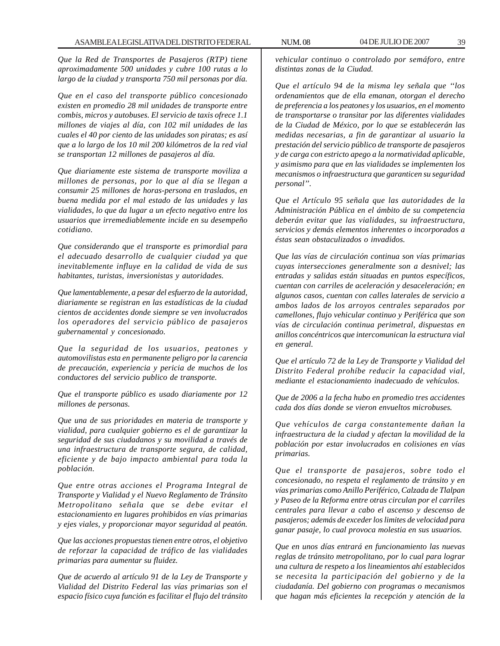*Que la Red de Transportes de Pasajeros (RTP) tiene aproximadamente 500 unidades y cubre 100 rutas a lo largo de la ciudad y transporta 750 mil personas por día.*

*Que en el caso del transporte público concesionado existen en promedio 28 mil unidades de transporte entre combis, micros y autobuses. El servicio de taxis ofrece 1.1 millones de viajes al día, con 102 mil unidades de las cuales el 40 por ciento de las unidades son piratas; es así que a lo largo de los 10 mil 200 kilómetros de la red vial se transportan 12 millones de pasajeros al día.*

*Que diariamente este sistema de transporte moviliza a millones de personas, por lo que al día se llegan a consumir 25 millones de horas-persona en traslados, en buena medida por el mal estado de las unidades y las vialidades, lo que da lugar a un efecto negativo entre los usuarios que irremediablemente incide en su desempeño cotidiano.*

*Que considerando que el transporte es primordial para el adecuado desarrollo de cualquier ciudad ya que inevitablemente influye en la calidad de vida de sus habitantes, turistas, inversionistas y autoridades.*

*Que lamentablemente, a pesar del esfuerzo de la autoridad, diariamente se registran en las estadísticas de la ciudad cientos de accidentes donde siempre se ven involucrados los operadores del servicio público de pasajeros gubernamental y concesionado.*

*Que la seguridad de los usuarios, peatones y automovilistas esta en permanente peligro por la carencia de precaución, experiencia y pericia de muchos de los conductores del servicio publico de transporte.*

*Que el transporte público es usado diariamente por 12 millones de personas.*

*Que una de sus prioridades en materia de transporte y vialidad, para cualquier gobierno es el de garantizar la seguridad de sus ciudadanos y su movilidad a través de una infraestructura de transporte segura, de calidad, eficiente y de bajo impacto ambiental para toda la población.*

*Que entre otras acciones el Programa Integral de Transporte y Vialidad y el Nuevo Reglamento de Tránsito Metropolitano señala que se debe evitar el estacionamiento en lugares prohibidos en vías primarias y ejes viales, y proporcionar mayor seguridad al peatón.*

*Que las acciones propuestas tienen entre otros, el objetivo de reforzar la capacidad de tráfico de las vialidades primarias para aumentar su fluidez.*

*Que de acuerdo al artículo 91 de la Ley de Transporte y Vialidad del Distrito Federal las vías primarias son el espacio físico cuya función es facilitar el flujo del tránsito*

*vehicular continuo o controlado por semáforo, entre distintas zonas de la Ciudad.*

*Que el artículo 94 de la misma ley señala que ''los ordenamientos que de ella emanan, otorgan el derecho de preferencia a los peatones y los usuarios, en el momento de transportarse o transitar por las diferentes vialidades de la Ciudad de México, por lo que se establecerán las medidas necesarias, a fin de garantizar al usuario la prestación del servicio público de transporte de pasajeros y de carga con estricto apego a la normatividad aplicable, y asimismo para que en las vialidades se implementen los mecanismos o infraestructura que garanticen su seguridad personal''.*

*Que el Artículo 95 señala que las autoridades de la Administración Pública en el ámbito de su competencia deberán evitar que las vialidades, su infraestructura, servicios y demás elementos inherentes o incorporados a éstas sean obstaculizados o invadidos.*

*Que las vías de circulación continua son vías primarias cuyas intersecciones generalmente son a desnivel; las entradas y salidas están situadas en puntos específicos, cuentan con carriles de aceleración y desaceleración; en algunos casos, cuentan con calles laterales de servicio a ambos lados de los arroyos centrales separados por camellones, flujo vehicular continuo y Periférica que son vías de circulación continua perimetral, dispuestas en anillos concéntricos que intercomunican la estructura vial en general.*

*Que el artículo 72 de la Ley de Transporte y Vialidad del Distrito Federal prohíbe reducir la capacidad vial, mediante el estacionamiento inadecuado de vehículos.*

*Que de 2006 a la fecha hubo en promedio tres accidentes cada dos días donde se vieron envueltos microbuses.*

*Que vehículos de carga constantemente dañan la infraestructura de la ciudad y afectan la movilidad de la población por estar involucrados en colisiones en vías primarias.*

*Que el transporte de pasajeros, sobre todo el concesionado, no respeta el reglamento de tránsito y en vías primarias como Anillo Periférico, Calzada de Tlalpan y Paseo de la Reforma entre otras circulan por el carriles centrales para llevar a cabo el ascenso y descenso de pasajeros; además de exceder los limites de velocidad para ganar pasaje, lo cual provoca molestia en sus usuarios.*

*Que en unos días entrará en funcionamiento las nuevas reglas de tránsito metropolitano, por lo cual para lograr una cultura de respeto a los lineamientos ahí establecidos se necesita la participación del gobierno y de la ciudadanía. Del gobierno con programas o mecanismos que hagan más eficientes la recepción y atención de la*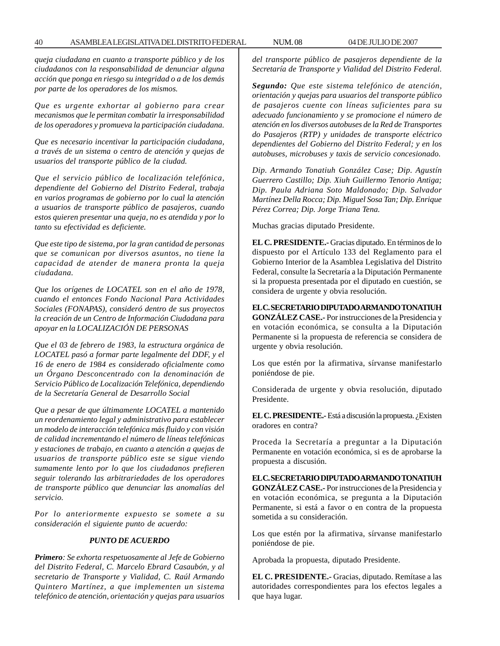*queja ciudadana en cuanto a transporte público y de los ciudadanos con la responsabilidad de denunciar alguna acción que ponga en riesgo su integridad o a de los demás por parte de los operadores de los mismos.*

*Que es urgente exhortar al gobierno para crear mecanismos que le permitan combatir la irresponsabilidad de los operadores y promueva la participación ciudadana.*

*Que es necesario incentivar la participación ciudadana, a través de un sistema o centro de atención y quejas de usuarios del transporte público de la ciudad.*

*Que el servicio público de localización telefónica, dependiente del Gobierno del Distrito Federal, trabaja en varios programas de gobierno por lo cual la atención a usuarios de transporte público de pasajeros, cuando estos quieren presentar una queja, no es atendida y por lo tanto su efectividad es deficiente.*

*Que este tipo de sistema, por la gran cantidad de personas que se comunican por diversos asuntos, no tiene la capacidad de atender de manera pronta la queja ciudadana.*

*Que los orígenes de LOCATEL son en el año de 1978, cuando el entonces Fondo Nacional Para Actividades Sociales (FONAPAS), consideró dentro de sus proyectos la creación de un Centro de Información Ciudadana para apoyar en la LOCALIZACIÓN DE PERSONAS*

*Que el 03 de febrero de 1983, la estructura orgánica de LOCATEL pasó a formar parte legalmente del DDF, y el 16 de enero de 1984 es considerado oficialmente como un Órgano Desconcentrado con la denominación de Servicio Público de Localización Telefónica, dependiendo de la Secretaría General de Desarrollo Social*

*Que a pesar de que últimamente LOCATEL a mantenido un reordenamiento legal y administrativo para establecer un modelo de interacción telefónica más fluido y con visión de calidad incrementando el número de líneas telefónicas y estaciones de trabajo, en cuanto a atención a quejas de usuarios de transporte público este se sigue viendo sumamente lento por lo que los ciudadanos prefieren seguir tolerando las arbitrariedades de los operadores de transporte público que denunciar las anomalías del servicio.*

*Por lo anteriormente expuesto se somete a su consideración el siguiente punto de acuerdo:*

#### *PUNTO DE ACUERDO*

*Primero: Se exhorta respetuosamente al Jefe de Gobierno del Distrito Federal, C. Marcelo Ebrard Casaubón, y al secretario de Transporte y Vialidad, C. Raúl Armando Quintero Martínez, a que implementen un sistema telefónico de atención, orientación y quejas para usuarios* *del transporte público de pasajeros dependiente de la Secretaría de Transporte y Vialidad del Distrito Federal.*

*Segundo: Que este sistema telefónico de atención, orientación y quejas para usuarios del transporte público de pasajeros cuente con líneas suficientes para su adecuado funcionamiento y se promocione el número de atención en los diversos autobuses de la Red de Transportes do Pasajeros (RTP) y unidades de transporte eléctrico dependientes del Gobierno del Distrito Federal; y en los autobuses, microbuses y taxis de servicio concesionado.*

*Dip. Armando Tonatiuh González Case; Dip. Agustín Guerrero Castillo; Dip. Xiuh Guillermo Tenorio Antiga; Dip. Paula Adriana Soto Maldonado; Dip. Salvador Martínez Della Rocca; Dip. Miguel Sosa Tan; Dip. Enrique Pérez Correa; Dip. Jorge Triana Tena.*

Muchas gracias diputado Presidente.

**EL C. PRESIDENTE.-** Gracias diputado. En términos de lo dispuesto por el Artículo 133 del Reglamento para el Gobierno Interior de la Asamblea Legislativa del Distrito Federal, consulte la Secretaría a la Diputación Permanente si la propuesta presentada por el diputado en cuestión, se considera de urgente y obvia resolución.

**EL C. SECRETARIO DIPUTADO ARMANDO TONATIUH GONZÁLEZ CASE.-** Por instrucciones de la Presidencia y en votación económica, se consulta a la Diputación Permanente si la propuesta de referencia se considera de urgente y obvia resolución.

Los que estén por la afirmativa, sírvanse manifestarlo poniéndose de pie.

Considerada de urgente y obvia resolución, diputado Presidente.

**EL C. PRESIDENTE.-** Está a discusión la propuesta. ¿Existen oradores en contra?

Proceda la Secretaría a preguntar a la Diputación Permanente en votación económica, si es de aprobarse la propuesta a discusión.

**EL C. SECRETARIO DIPUTADO ARMANDO TONATIUH GONZÁLEZ CASE.-** Por instrucciones de la Presidencia y en votación económica, se pregunta a la Diputación Permanente, si está a favor o en contra de la propuesta sometida a su consideración.

Los que estén por la afirmativa, sírvanse manifestarlo poniéndose de pie.

Aprobada la propuesta, diputado Presidente.

**EL C. PRESIDENTE.-** Gracias, diputado. Remítase a las autoridades correspondientes para los efectos legales a que haya lugar.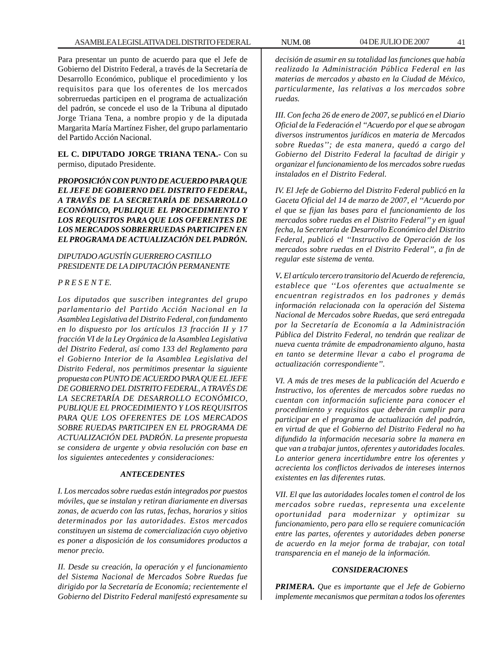Para presentar un punto de acuerdo para que el Jefe de Gobierno del Distrito Federal, a través de la Secretaría de Desarrollo Económico, publique el procedimiento y los requisitos para que los oferentes de los mercados sobrerruedas participen en el programa de actualización del padrón, se concede el uso de la Tribuna al diputado Jorge Triana Tena, a nombre propio y de la diputada Margarita María Martínez Fisher, del grupo parlamentario del Partido Acción Nacional.

**EL C. DIPUTADO JORGE TRIANA TENA.-** Con su permiso, diputado Presidente.

*PROPOSICIÓN CON PUNTO DE ACUERDO PARA QUE EL JEFE DE GOBIERNO DEL DISTRITO FEDERAL, A TRAVÉS DE LA SECRETARÍA DE DESARROLLO ECONÓMICO, PUBLIQUE EL PROCEDIMIENTO Y LOS REQUISITOS PARA QUE LOS OFERENTES DE LOS MERCADOS SOBRERRUEDAS PARTICIPEN EN EL PROGRAMA DE ACTUALIZACIÓN DEL PADRÓN.*

*DIPUTADO AGUSTÍN GUERRERO CASTILLO PRESIDENTE DE LA DIPUTACIÓN PERMANENTE*

## *P R E S E N T E.*

*Los diputados que suscriben integrantes del grupo parlamentario del Partido Acción Nacional en la Asamblea Legislativa del Distrito Federal, con fundamento en lo dispuesto por los artículos 13 fracción II y 17 fracción VI de la Ley Orgánica de la Asamblea Legislativa del Distrito Federal, así como 133 del Reglamento para el Gobierno Interior de la Asamblea Legislativa del Distrito Federal, nos permitimos presentar la siguiente propuesta con PUNTO DE ACUERDO PARA QUE EL JEFE DE GOBIERNO DEL DISTRITO FEDERAL, A TRAVÉS DE LA SECRETARÍA DE DESARROLLO ECONÓMICO, PUBLIQUE EL PROCEDIMIENTO Y LOS REQUISITOS PARA QUE LOS OFERENTES DE LOS MERCADOS SOBRE RUEDAS PARTICIPEN EN EL PROGRAMA DE ACTUALIZACIÓN DEL PADRÓN. La presente propuesta se considera de urgente y obvia resolución con base en los siguientes antecedentes y consideraciones:*

#### *ANTECEDENTES*

*I. Los mercados sobre ruedas están integrados por puestos móviles, que se instalan y retiran diariamente en diversas zonas, de acuerdo con las rutas, fechas, horarios y sitios determinados por las autoridades. Estos mercados constituyen un sistema de comercialización cuyo objetivo es poner a disposición de los consumidores productos a menor precio.*

*II. Desde su creación, la operación y el funcionamiento del Sistema Nacional de Mercados Sobre Ruedas fue dirigido por la Secretaría de Economía; recientemente el Gobierno del Distrito Federal manifestó expresamente su*

*decisión de asumir en su totalidad las funciones que había realizado la Administración Pública Federal en las materias de mercados y abasto en la Ciudad de México, particularmente, las relativas a los mercados sobre ruedas.*

*III. Con fecha 26 de enero de 2007, se publicó en el Diario Oficial de la Federación el ''Acuerdo por el que se abrogan diversos instrumentos jurídicos en materia de Mercados sobre Ruedas''; de esta manera, quedó a cargo del Gobierno del Distrito Federal la facultad de dirigir y organizar el funcionamiento de los mercados sobre ruedas instalados en el Distrito Federal.*

*IV. El Jefe de Gobierno del Distrito Federal publicó en la Gaceta Oficial del 14 de marzo de 2007, el ''Acuerdo por el que se fijan las bases para el funcionamiento de los mercados sobre ruedas en el Distrito Federal'' y en igual fecha, la Secretaría de Desarrollo Económico del Distrito Federal, publicó el ''Instructivo de Operación de los mercados sobre ruedas en el Distrito Federal'', a fin de regular este sistema de venta.*

*V. El artículo tercero transitorio del Acuerdo de referencia, establece que ''Los oferentes que actualmente se encuentran registrados en los padrones y demás información relacionada con la operación del Sistema Nacional de Mercados sobre Ruedas, que será entregada por la Secretaría de Economía a la Administración Pública del Distrito Federal, no tendrán que realizar de nueva cuenta trámite de empadronamiento alguno, hasta en tanto se determine llevar a cabo el programa de actualización correspondiente''.*

*VI. A más de tres meses de la publicación del Acuerdo e Instructivo, los oferentes de mercados sobre ruedas no cuentan con información suficiente para conocer el procedimiento y requisitos que deberán cumplir para participar en el programa de actualización del padrón, en virtud de que el Gobierno del Distrito Federal no ha difundido la información necesaria sobre la manera en que van a trabajar juntos, oferentes y autoridades locales. Lo anterior genera incertidumbre entre los oferentes y acrecienta los conflictos derivados de intereses internos existentes en las diferentes rutas.*

*VII. El que las autoridades locales tomen el control de los mercados sobre ruedas, representa una excelente oportunidad para modernizar y optimizar su funcionamiento, pero para ello se requiere comunicación entre las partes, oferentes y autoridades deben ponerse de acuerdo en la mejor forma de trabajar, con total transparencia en el manejo de la información.*

#### *CONSIDERACIONES*

*PRIMERA. Que es importante que el Jefe de Gobierno implemente mecanismos que permitan a todos los oferentes*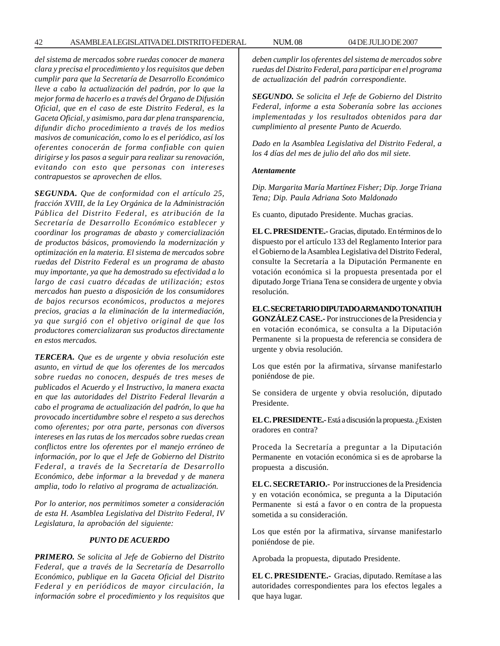42 ASAMBLEA LEGISLATIVA DEL DISTRITO FEDERAL NUM. 08 04 DE JULIO DE 2007

*del sistema de mercados sobre ruedas conocer de manera clara y precisa el procedimiento y los requisitos que deben cumplir para que la Secretaría de Desarrollo Económico lleve a cabo la actualización del padrón, por lo que la mejor forma de hacerlo es a través del Órgano de Difusión Oficial, que en el caso de este Distrito Federal, es la Gaceta Oficial, y asimismo, para dar plena transparencia, difundir dicho procedimiento a través de los medios masivos de comunicación, como lo es el periódico, así los oferentes conocerán de forma confiable con quien dirigirse y los pasos a seguir para realizar su renovación, evitando con esto que personas con intereses contrapuestos se aprovechen de ellos.*

*SEGUNDA. Que de conformidad con el artículo 25, fracción XVIII, de la Ley Orgánica de la Administración Pública del Distrito Federal, es atribución de la Secretaría de Desarrollo Económico establecer y coordinar los programas de abasto y comercialización de productos básicos, promoviendo la modernización y optimización en la materia. El sistema de mercados sobre ruedas del Distrito Federal es un programa de abasto muy importante, ya que ha demostrado su efectividad a lo largo de casi cuatro décadas de utilización; estos mercados han puesto a disposición de los consumidores de bajos recursos económicos, productos a mejores precios, gracias a la eliminación de la intermediación, ya que surgió con el objetivo original de que los productores comercializaran sus productos directamente en estos mercados.*

*TERCERA. Que es de urgente y obvia resolución este asunto, en virtud de que los oferentes de los mercados sobre ruedas no conocen, después de tres meses de publicados el Acuerdo y el Instructivo, la manera exacta en que las autoridades del Distrito Federal llevarán a cabo el programa de actualización del padrón, lo que ha provocado incertidumbre sobre el respeto a sus derechos como oferentes; por otra parte, personas con diversos intereses en las rutas de los mercados sobre ruedas crean conflictos entre los oferentes por el manejo erróneo de información, por lo que el Jefe de Gobierno del Distrito Federal, a través de la Secretaría de Desarrollo Económico, debe informar a la brevedad y de manera amplia, todo lo relativo al programa de actualización.*

*Por lo anterior, nos permitimos someter a consideración de esta H. Asamblea Legislativa del Distrito Federal, IV Legislatura, la aprobación del siguiente:*

## *PUNTO DE ACUERDO*

*PRIMERO. Se solicita al Jefe de Gobierno del Distrito Federal, que a través de la Secretaría de Desarrollo Económico, publique en la Gaceta Oficial del Distrito Federal y en periódicos de mayor circulación, la información sobre el procedimiento y los requisitos que* *deben cumplir los oferentes del sistema de mercados sobre ruedas del Distrito Federal, para participar en el programa de actualización del padrón correspondiente.*

*SEGUNDO. Se solicita el Jefe de Gobierno del Distrito Federal, informe a esta Soberanía sobre las acciones implementadas y los resultados obtenidos para dar cumplimiento al presente Punto de Acuerdo.*

*Dado en la Asamblea Legislativa del Distrito Federal, a los 4 días del mes de julio del año dos mil siete.*

#### *Atentamente*

*Dip. Margarita María Martínez Fisher; Dip. Jorge Triana Tena; Dip. Paula Adriana Soto Maldonado*

Es cuanto, diputado Presidente. Muchas gracias.

**EL C. PRESIDENTE.-** Gracias, diputado. En términos de lo dispuesto por el artículo 133 del Reglamento Interior para el Gobierno de la Asamblea Legislativa del Distrito Federal, consulte la Secretaría a la Diputación Permanente en votación económica si la propuesta presentada por el diputado Jorge Triana Tena se considera de urgente y obvia resolución.

**EL C. SECRETARIO DIPUTADO ARMANDO TONATIUH GONZÁLEZ CASE.-** Por instrucciones de la Presidencia y en votación económica, se consulta a la Diputación Permanente si la propuesta de referencia se considera de

urgente y obvia resolución.

Los que estén por la afirmativa, sírvanse manifestarlo poniéndose de pie.

Se considera de urgente y obvia resolución, diputado Presidente.

**EL C. PRESIDENTE.-** Está a discusión la propuesta. ¿Existen oradores en contra?

Proceda la Secretaría a preguntar a la Diputación Permanente en votación económica si es de aprobarse la propuesta a discusión.

**EL C. SECRETARIO.-** Por instrucciones de la Presidencia y en votación económica, se pregunta a la Diputación Permanente si está a favor o en contra de la propuesta sometida a su consideración.

Los que estén por la afirmativa, sírvanse manifestarlo poniéndose de pie.

Aprobada la propuesta, diputado Presidente.

**EL C. PRESIDENTE.-** Gracias, diputado. Remítase a las autoridades correspondientes para los efectos legales a que haya lugar.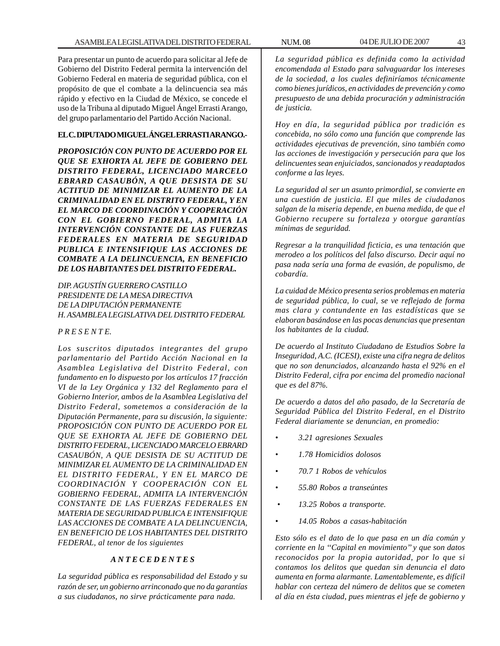Para presentar un punto de acuerdo para solicitar al Jefe de Gobierno del Distrito Federal permita la intervención del Gobierno Federal en materia de seguridad pública, con el propósito de que el combate a la delincuencia sea más rápido y efectivo en la Ciudad de México, se concede el uso de la Tribuna al diputado Miguel Ángel Errasti Arango, del grupo parlamentario del Partido Acción Nacional.

# **EL C. DIPUTADO MIGUEL ÁNGEL ERRASTI ARANGO.-**

*PROPOSICIÓN CON PUNTO DE ACUERDO POR EL QUE SE EXHORTA AL JEFE DE GOBIERNO DEL DISTRITO FEDERAL, LICENCIADO MARCELO EBRARD CASAUBÓN, A QUE DESISTA DE SU ACTITUD DE MINIMIZAR EL AUMENTO DE LA CRIMINALIDAD EN EL DISTRITO FEDERAL, Y EN EL MARCO DE COORDINACIÓN Y COOPERACIÓN CON EL GOBIERNO FEDERAL, ADMITA LA INTERVENCIÓN CONSTANTE DE LAS FUERZAS FEDERALES EN MATERIA DE SEGURIDAD PUBLICA E INTENSIFIQUE LAS ACCIONES DE COMBATE A LA DELINCUENCIA, EN BENEFICIO DE LOS HABITANTES DEL DISTRITO FEDERAL.*

*DIP. AGUSTÍN GUERRERO CASTILLO PRESIDENTE DE LA MESA DIRECTIVA DE LA DIPUTACIÓN PERMANENTE H. ASAMBLEA LEGISLATIVA DEL DISTRITO FEDERAL*

# *P R E S E N T E.*

*Los suscritos diputados integrantes del grupo parlamentario del Partido Acción Nacional en la Asamblea Legislativa del Distrito Federal, con fundamento en lo dispuesto por los artículos 17 fracción VI de la Ley Orgánica y 132 del Reglamento para el Gobierno Interior, ambos de la Asamblea Legislativa del Distrito Federal, sometemos a consideración de la Diputación Permanente, para su discusión, la siguiente: PROPOSICIÓN CON PUNTO DE ACUERDO POR EL QUE SE EXHORTA AL JEFE DE GOBIERNO DEL DISTRITO FEDERAL, LICENCIADO MARCELO EBRARD CASAUBÓN, A QUE DESISTA DE SU ACTITUD DE MINIMIZAR EL AUMENTO DE LA CRIMINALIDAD EN EL DISTRITO FEDERAL, Y EN EL MARCO DE COORDINACIÓN Y COOPERACIÓN CON EL GOBIERNO FEDERAL, ADMITA LA INTERVENCIÓN CONSTANTE DE LAS FUERZAS FEDERALES EN MATERIA DE SEGURIDAD PUBLICA E INTENSIFIQUE LAS ACCIONES DE COMBATE A LA DELINCUENCIA, EN BENEFICIO DE LOS HABITANTES DEL DISTRITO FEDERAL, al tenor de los siguientes*

#### *A N T E C E D E N T E S*

*La seguridad pública es responsabilidad del Estado y su razón de ser, un gobierno arrinconado que no da garantías a sus ciudadanos, no sirve prácticamente para nada.*

*La seguridad pública es definida como la actividad encomendada al Estado para salvaguardar los intereses de la sociedad, a los cuales definiríamos técnicamente como bienes jurídicos, en actividades de prevención y como presupuesto de una debida procuración y administración de justicia.*

*Hoy en día, la seguridad pública por tradición es concebida, no sólo como una función que comprende las actividades ejecutivas de prevención, sino también como las acciones de investigación y persecución para que los delincuentes sean enjuiciados, sancionados y readaptados conforme a las leyes.*

*La seguridad al ser un asunto primordial, se convierte en una cuestión de justicia. El que miles de ciudadanos salgan de la miseria depende, en buena medida, de que el Gobierno recupere su fortaleza y otorgue garantías mínimas de seguridad.*

*Regresar a la tranquilidad ficticia, es una tentación que merodeo a los políticos del falso discurso. Decir aquí no pasa nada sería una forma de evasión, de populismo, de cobardía.*

*La cuidad de México presenta serios problemas en materia de seguridad pública, lo cual, se ve reflejado de forma mas clara y contundente en las estadísticas que se elaboran basándose en las pocas denuncias que presentan los habitantes de la ciudad.*

*De acuerdo al Instituto Ciudadano de Estudios Sobre la Inseguridad, A.C. (ICESI), existe una cifra negra de delitos que no son denunciados, alcanzando hasta el 92% en el Distrito Federal, cifra por encima del promedio nacional que es del 87%.*

*De acuerdo a datos del año pasado, de la Secretaría de Seguridad Pública del Distrito Federal, en el Distrito Federal diariamente se denuncian, en promedio:*

- *3.21 agresiones Sexuales*
- *1.78 Homicidios dolosos*
- *70.7 1 Robos de vehículos*
- *55.80 Robos a transeúntes*
- *13.25 Robos a transporte.*
- *14.05 Robos a casas-habitación*

*Esto sólo es el dato de lo que pasa en un día común y corriente en la ''Capital en movimiento'' y que son datos reconocidos por la propia autoridad, por lo que si contamos los delitos que quedan sin denuncia el dato aumenta en forma alarmante. Lamentablemente, es difícil hablar con certeza del número de delitos que se cometen al día en ésta ciudad, pues mientras el jefe de gobierno y*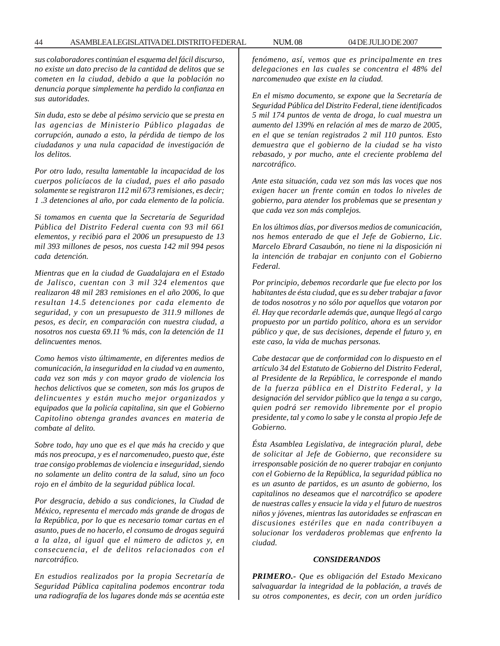*sus colaboradores continúan el esquema del fácil discurso, no existe un dato preciso de la cantidad de delitos que se cometen en la ciudad, debido a que la población no denuncia porque simplemente ha perdido la confianza en sus autoridades.*

*Sin duda, esto se debe al pésimo servicio que se presta en las agencias de Ministerio Público plagadas de corrupción, aunado a esto, la pérdida de tiempo de los ciudadanos y una nula capacidad de investigación de los delitos.*

*Por otro lado, resulta lamentable la incapacidad de los cuerpos policíacos de la ciudad, pues el año pasado solamente se registraron 112 mil 673 remisiones, es decir; 1 .3 detenciones al año, por cada elemento de la policía.*

*Si tomamos en cuenta que la Secretaría de Seguridad Pública del Distrito Federal cuenta con 93 mil 661 elementos, y recibió para el 2006 un presupuesto de 13 mil 393 millones de pesos, nos cuesta 142 mil 994 pesos cada detención.*

*Mientras que en la ciudad de Guadalajara en el Estado de Jalisco, cuentan con 3 mil 324 elementos que realizaron 48 mil 283 remisiones en el año 2006, lo que resultan 14.5 detenciones por cada elemento de seguridad, y con un presupuesto de 311.9 millones de pesos, es decir, en comparación con nuestra ciudad, a nosotros nos cuesta 69.11 % más, con la detención de 11 delincuentes menos.*

*Como hemos visto últimamente, en diferentes medios de comunicación, la inseguridad en la ciudad va en aumento, cada vez son más y con mayor grado de violencia los hechos delictivos que se cometen, son más los grupos de delincuentes y están mucho mejor organizados y equipados que la policía capitalina, sin que el Gobierno Capitolino obtenga grandes avances en materia de combate al delito.*

*Sobre todo, hay uno que es el que más ha crecido y que más nos preocupa, y es el narcomenudeo, puesto que, éste trae consigo problemas de violencia e inseguridad, siendo no solamente un delito contra de la salud, sino un foco rojo en el ámbito de la seguridad pública local.*

*Por desgracia, debido a sus condiciones, la Ciudad de México, representa el mercado más grande de drogas de la República, por lo que es necesario tomar cartas en el asunto, pues de no hacerlo, el consumo de drogas seguirá a la alza, al igual que el número de adictos y, en consecuencia, el de delitos relacionados con el narcotráfico.*

*En estudios realizados por la propia Secretaría de Seguridad Pública capitalina podemos encontrar toda una radiografía de los lugares donde más se acentúa este* *fenómeno, así, vemos que es principalmente en tres delegaciones en las cuales se concentra el 48% del narcomenudeo que existe en la ciudad.*

*En el mismo documento, se expone que la Secretaría de Seguridad Pública del Distrito Federal, tiene identificados 5 mil 174 puntos de venta de droga, lo cual muestra un aumento del 139% en relación al mes de marzo de 2005, en el que se tenían registrados 2 mil 110 puntos. Esto demuestra que el gobierno de la ciudad se ha visto rebasado, y por mucho, ante el creciente problema del narcotráfico.*

*Ante esta situación, cada vez son más las voces que nos exigen hacer un frente común en todos lo niveles de gobierno, para atender los problemas que se presentan y que cada vez son más complejos.*

*En los últimos días, por diversos medios de comunicación, nos hemos enterado de que el Jefe de Gobierno, Lic. Marcelo Ebrard Casaubón, no tiene ni la disposición ni la intención de trabajar en conjunto con el Gobierno Federal.*

*Por principio, debemos recordarle que fue electo por los habitantes de ésta ciudad, que es su deber trabajar a favor de todos nosotros y no sólo por aquellos que votaron por él. Hay que recordarle además que, aunque llegó al cargo propuesto por un partido político, ahora es un servidor público y que, de sus decisiones, depende el futuro y, en este caso, la vida de muchas personas.*

*Cabe destacar que de conformidad con lo dispuesto en el artículo 34 del Estatuto de Gobierno del Distrito Federal, al Presidente de la República, le corresponde el mando de la fuerza pública en el Distrito Federal, y la designación del servidor público que la tenga a su cargo, quien podrá ser removido libremente por el propio presidente, tal y como lo sabe y le consta al propio Jefe de Gobierno.*

*Ésta Asamblea Legislativa, de integración plural, debe de solicitar al Jefe de Gobierno, que reconsidere su irresponsable posición de no querer trabajar en conjunto con el Gobierno de la República, la seguridad pública no es un asunto de partidos, es un asunto de gobierno, los capitalinos no deseamos que el narcotráfico se apodere de nuestras calles y ensucie la vida y el futuro de nuestros niños y jóvenes, mientras las autoridades se enfrascan en discusiones estériles que en nada contribuyen a solucionar los verdaderos problemas que enfrento la ciudad.*

#### *CONSIDERANDOS*

*PRIMERO.- Que es obligación del Estado Mexicano salvaguardar la integridad de la población, a través de su otros componentes, es decir, con un orden jurídico*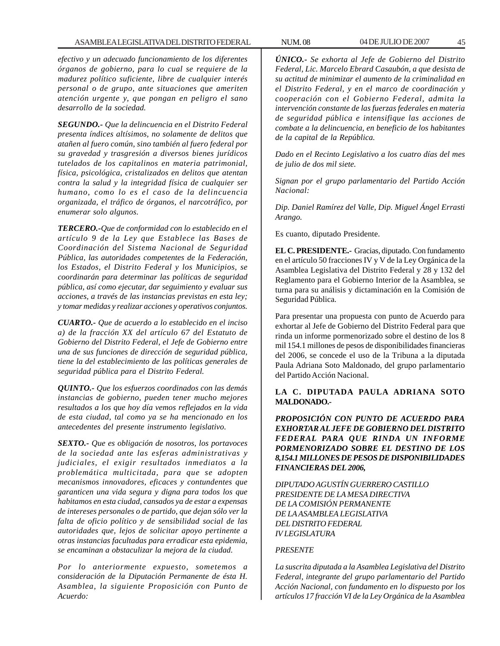*efectivo y un adecuado funcionamiento de los diferentes órganos de gobierno, para lo cual se requiere de la madurez político suficiente, libre de cualquier interés personal o de grupo, ante situaciones que ameriten atención urgente y, que pongan en peligro el sano desarrollo de la sociedad.*

*SEGUNDO.- Que la delincuencia en el Distrito Federal presenta índices altísimos, no solamente de delitos que atañen al fuero común, sino también al fuero federal por su gravedad y trasgresión a diversos bienes jurídicos tutelados de los capitalinos en materia patrimonial, física, psicológica, cristalizados en delitos que atentan contra la salud y la integridad física de cualquier ser humano, como lo es el caso de la delincuencia organizada, el tráfico de órganos, el narcotráfico, por enumerar solo algunos.*

*TERCERO.-Que de conformidad con lo establecido en el artículo 9 de la Ley que Establece las Bases de Coordinación del Sistema Nacional de Seguridad Pública, las autoridades competentes de la Federación, los Estados, el Distrito Federal y los Municipios, se coordinarán para determinar las políticas de seguridad pública, así como ejecutar, dar seguimiento y evaluar sus acciones, a través de las instancias previstas en esta ley; y tomar medidas y realizar acciones y operativos conjuntos.*

*CUARTO.- Que de acuerdo a lo establecido en el inciso a) de la fracción XX del artículo 67 del Estatuto de Gobierno del Distrito Federal, el Jefe de Gobierno entre una de sus funciones de dirección de seguridad pública, tiene la del establecimiento de las políticas generales de seguridad pública para el Distrito Federal.*

*QUINTO.- Que los esfuerzos coordinados con las demás instancias de gobierno, pueden tener mucho mejores resultados a los que hoy día vemos reflejados en la vida de esta ciudad, tal como ya se ha mencionado en los antecedentes del presente instrumento legislativo.*

*SEXTO.- Que es obligación de nosotros, los portavoces de la sociedad ante las esferas administrativas y judiciales, el exigir resultados inmediatos a la problemática multicitada, para que se adopten mecanismos innovadores, eficaces y contundentes que garanticen una vida segura y digna para todos los que habitamos en esta ciudad, cansados ya de estar a expensas de intereses personales o de partido, que dejan sólo ver la falta de oficio político y de sensibilidad social de las autoridades que, lejos de solicitar apoyo pertinente a otras instancias facultadas para erradicar esta epidemia, se encaminan a obstaculizar la mejora de la ciudad.*

*Por lo anteriormente expuesto, sometemos a consideración de la Diputación Permanente de ésta H. Asamblea, la siguiente Proposición con Punto de Acuerdo:*

*ÚNICO.- Se exhorta al Jefe de Gobierno del Distrito Federal, Lic. Marcelo Ebrard Casaubón, a que desista de su actitud de minimizar el aumento de la criminalidad en el Distrito Federal, y en el marco de coordinación y cooperación con el Gobierno Federal, admita la intervención constante de las fuerzas federales en materia de seguridad pública e intensifique las acciones de combate a la delincuencia, en beneficio de los habitantes de la capital de la República.*

*Dado en el Recinto Legislativo a los cuatro días del mes de julio de dos mil siete.*

*Signan por el grupo parlamentario del Partido Acción Nacional:*

*Dip. Daniel Ramírez del Valle, Dip. Miguel Ángel Errasti Arango.*

Es cuanto, diputado Presidente.

**EL C. PRESIDENTE.-** Gracias, diputado. Con fundamento en el artículo 50 fracciones IV y V de la Ley Orgánica de la Asamblea Legislativa del Distrito Federal y 28 y 132 del Reglamento para el Gobierno Interior de la Asamblea, se turna para su análisis y dictaminación en la Comisión de Seguridad Pública.

Para presentar una propuesta con punto de Acuerdo para exhortar al Jefe de Gobierno del Distrito Federal para que rinda un informe pormenorizado sobre el destino de los 8 mil 154.1 millones de pesos de disponibilidades financieras del 2006, se concede el uso de la Tribuna a la diputada Paula Adriana Soto Maldonado, del grupo parlamentario del Partido Acción Nacional.

# **LA C. DIPUTADA PAULA ADRIANA SOTO MALDONADO.-**

*PROPOSICIÓN CON PUNTO DE ACUERDO PARA EXHORTAR AL JEFE DE GOBIERNO DEL DISTRITO FEDERAL PARA QUE RINDA UN INFORME PORMENORIZADO SOBRE EL DESTINO DE LOS 8,154.1 MILLONES DE PESOS DE DISPONIBILIDADES FINANCIERAS DEL 2006,*

*DIPUTADO AGUSTÍN GUERRERO CASTILLO PRESIDENTE DE LA MESA DIRECTIVA DE LA COMISIÓN PERMANENTE DE LA ASAMBLEA LEGISLATIVA DEL DISTRITO FEDERAL IV LEGISLATURA*

## *PRESENTE*

*La suscrita diputada a la Asamblea Legislativa del Distrito Federal, integrante del grupo parlamentario del Partido Acción Nacional, con fundamento en lo dispuesto por los artículos 17 fracción VI de la Ley Orgánica de la Asamblea*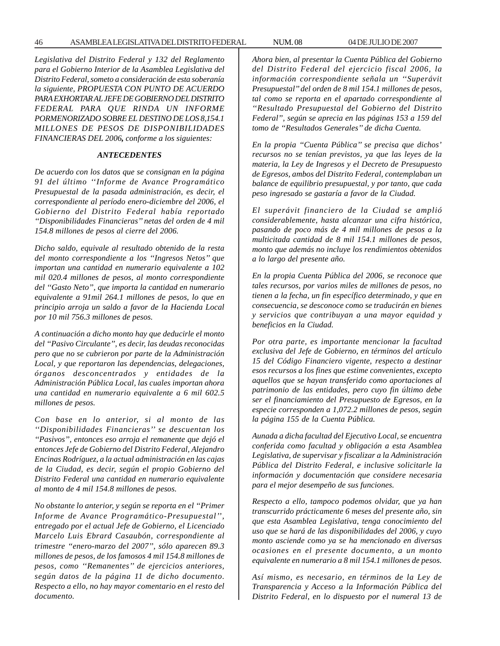*Legislativa del Distrito Federal y 132 del Reglamento para el Gobierno Interior de la Asamblea Legislativa del Distrito Federal, someto a consideración de esta soberanía la siguiente, PROPUESTA CON PUNTO DE ACUERDO PARA EXHORTAR AL JEFE DE GOBIERNO DEL DISTRITO FEDERAL PARA QUE RINDA UN INFORME PORMENORIZADO SOBRE EL DESTINO DE LOS 8,154.1 MILLONES DE PESOS DE DISPONIBILIDADES FINANCIERAS DEL 2006, conforme a los siguientes:*

#### *ANTECEDENTES*

*De acuerdo con los datos que se consignan en la página 91 del último ''Informe de Avance Programático Presupuestal de la pasada administración, es decir, el correspondiente al período enero-diciembre del 2006, el Gobierno del Distrito Federal había reportado ''Disponibilidades Financieras'' netas del orden de 4 mil 154.8 millones de pesos al cierre del 2006.*

*Dicho saldo, equivale al resultado obtenido de la resta del monto correspondiente a los ''Ingresos Netos'' que importan una cantidad en numerario equivalente a 102 mil 020.4 millones de pesos, al monto correspondiente del ''Gasto Neto'', que importa la cantidad en numerario equivalente a 91mil 264.1 millones de pesos, lo que en principio arroja un saldo a favor de la Hacienda Local por 10 mil 756.3 millones de pesos.*

*A continuación a dicho monto hay que deducirle el monto del ''Pasivo Circulante'', es decir, las deudas reconocidas pero que no se cubrieron por parte de la Administración Local, y que reportaron las dependencias, delegaciones, órganos desconcentrados y entidades de la Administración Pública Local, las cuales importan ahora una cantidad en numerario equivalente a 6 mil 602.5 millones de pesos.*

*Con base en lo anterior, si al monto de las ''Disponibilidades Financieras'' se descuentan los ''Pasivos'', entonces eso arroja el remanente que dejó el entonces Jefe de Gobierno del Distrito Federal, Alejandro Encinas Rodríguez, a la actual administración en las cajas de la Ciudad, es decir, según el propio Gobierno del Distrito Federal una cantidad en numerario equivalente al monto de 4 mil 154.8 millones de pesos.*

*No obstante lo anterior, y según se reporta en el ''Primer Informe de Avance Programático-Presupuestal'', entregado por el actual Jefe de Gobierno, el Licenciado Marcelo Luis Ebrard Casaubón, correspondiente al trimestre ''enero-marzo del 2007'', sólo aparecen 89.3 millones de pesos, de los famosos 4 mil 154.8 millones de pesos, como ''Remanentes'' de ejercicios anteriores, según datos de la página 11 de dicho documento. Respecto a ello, no hay mayor comentario en el resto del documento.*

*Ahora bien, al presentar la Cuenta Pública del Gobierno del Distrito Federal del ejercicio fiscal 2006, la información correspondiente señala un ''Superávit Presupuestal'' del orden de 8 mil 154.1 millones de pesos, tal como se reporta en el apartado correspondiente al ''Resultado Presupuestal del Gobierno del Distrito Federal'', según se aprecia en las páginas 153 a 159 del tomo de ''Resultados Generales'' de dicha Cuenta.*

*En la propia ''Cuenta Pública'' se precisa que dichos' recursos no se tenían previstos, ya que las leyes de la materia, la Ley de Ingresos y el Decreto de Presupuesto de Egresos, ambos del Distrito Federal, contemplaban un balance de equilibrio presupuestal, y por tanto, que cada peso ingresado se gastaría a favor de la Ciudad.*

*El superávit financiero de la Ciudad se amplió considerablemente, hasta alcanzar una cifra histórica, pasando de poco más de 4 mil millones de pesos a la multicitada cantidad de 8 mil 154.1 millones de pesos, monto que además no incluye los rendimientos obtenidos a lo largo del presente año.*

*En la propia Cuenta Pública del 2006, se reconoce que tales recursos, por varios miles de millones de pesos, no tienen a la fecha, un fin específico determinado, y que en consecuencia, se desconoce como se traducirán en bienes y servicios que contribuyan a una mayor equidad y beneficios en la Ciudad.*

*Por otra parte, es importante mencionar la facultad exclusiva del Jefe de Gobierno, en términos del artículo 15 del Código Financiero vigente, respecto a destinar esos recursos a los fines que estime convenientes, excepto aquellos que se hayan transferido como aportaciones al patrimonio de las entidades, pero cuyo fin último debe ser el financiamiento del Presupuesto de Egresos, en la especie corresponden a 1,072.2 millones de pesos, según la página 155 de la Cuenta Pública.*

*Aunada a dicha facultad del Ejecutivo Local, se encuentra conferida como facultad y obligación a esta Asamblea Legislativa, de supervisar y fiscalizar a la Administración Pública del Distrito Federal, e inclusive solicitarle la información y documentación que considere necesaria para el mejor desempeño de sus funciones.*

*Respecto a ello, tampoco podemos olvidar, que ya han transcurrido prácticamente 6 meses del presente año, sin que esta Asamblea Legislativa, tenga conocimiento del uso que se hará de las disponibilidades del 2006, y cuyo monto asciende como ya se ha mencionado en diversas ocasiones en el presente documento, a un monto equivalente en numerario a 8 mil 154.1 millones de pesos.*

*Así mismo, es necesario, en términos de la Ley de Transparencia y Acceso a la Información Pública del Distrito Federal, en lo dispuesto por el numeral 13 de*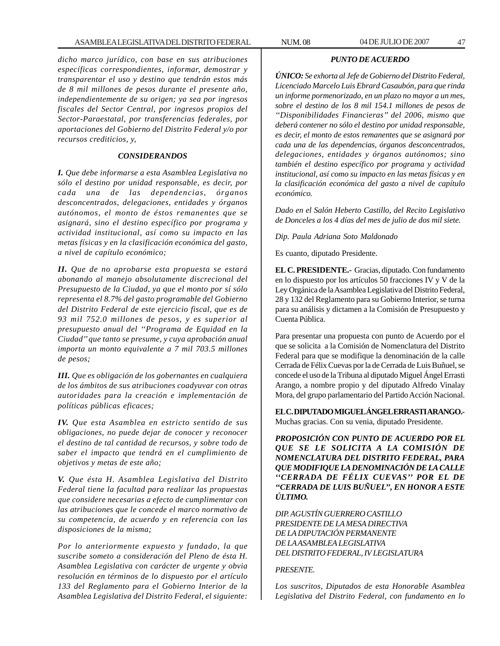*dicho marco jurídico, con base en sus atribuciones específicas correspondientes, informar, demostrar y transparentar el uso y destino que tendrán estos más de 8 mil millones de pesos durante el presente año, independientemente de su origen; ya sea por ingresos fiscales del Sector Central, por ingresos propios del Sector-Paraestatal, por transferencias federales, por aportaciones del Gobierno del Distrito Federal y/o por recursos crediticios, y,*

#### *CONSIDERANDOS*

*I. Que debe informarse a esta Asamblea Legislativa no sólo el destino por unidad responsable, es decir, por cada una de las dependencias, órganos desconcentrados, delegaciones, entidades y órganos autónomos, el monto de éstos remanentes que se asignará, sino el destino específico por programa y actividad institucional, así como su impacto en las metas físicas y en la clasificación económica del gasto, a nivel de capítulo económico;*

*II. Que de no aprobarse esta propuesta se estará abonando al manejo absolutamente discrecional del Presupuesto de la Ciudad, ya que el monto por sí sólo representa el 8.7% del gasto programable del Gobierno del Distrito Federal de este ejercicio fiscal, que es de 93 mil 752.0 millones de pesos, y es superior al presupuesto anual del ''Programa de Equidad en la Ciudad'' que tanto se presume, y cuya aprobación anual importa un monto equivalente a 7 mil 703.5 millones de pesos;*

*III. Que es obligación de los gobernantes en cualquiera de los ámbitos de sus atribuciones coadyuvar con otras autoridades para la creación e implementación de políticas públicas eficaces;*

*IV. Que esta Asamblea en estricto sentido de sus obligaciones, no puede dejar de conocer y reconocer el destino de tal cantidad de recursos, y sobre todo de saber el impacto que tendrá en el cumplimiento de objetivos y metas de este año;*

*V. Que ésta H. Asamblea Legislativa del Distrito Federal tiene la facultad para realizar las propuestas que considere necesarias a efecto de cumplimentar con las atribuciones que le concede el marco normativo de su competencia, de acuerdo y en referencia con las disposiciones de la misma;*

*Por lo anteriormente expuesto y fundado, la que suscribe someto a consideración del Pleno de ésta H. Asamblea Legislativa con carácter de urgente y obvia resolución en términos de lo dispuesto por el artículo 133 del Reglamento para el Gobierno Interior de la Asamblea Legislativa del Distrito Federal, el siguiente:*

#### *PUNTO DE ACUERDO*

*ÚNICO: Se exhorta al Jefe de Gobierno del Distrito Federal, Licenciado Marcelo Luis Ebrard Casaubón, para que rinda un informe pormenorizado, en un plazo no mayor a un mes, sobre el destino de los 8 mil 154.1 millones de pesos de ''Disponibilidades Financieras'' del 2006, mismo que deberá contener no sólo el destino por unidad responsable, es decir, el monto de estos remanentes que se asignará por cada una de las dependencias, órganos desconcentrados, delegaciones, entidades y órganos autónomos; sino también el destino específico por programa y actividad institucional, así como su impacto en las metas físicas y en la clasificación económica del gasto a nivel de capítulo económico.*

*Dado en el Salón Heberto Castillo, del Recito Legislativo de Donceles a los 4 días del mes de julio de dos mil siete.*

*Dip. Paula Adriana Soto Maldonado*

Es cuanto, diputado Presidente.

**EL C. PRESIDENTE.-** Gracias, diputado. Con fundamento en lo dispuesto por los artículos 50 fracciones IV y V de la Ley Orgánica de la Asamblea Legislativa del Distrito Federal, 28 y 132 del Reglamento para su Gobierno Interior, se turna para su análisis y dictamen a la Comisión de Presupuesto y Cuenta Pública.

Para presentar una propuesta con punto de Acuerdo por el que se solicita a la Comisión de Nomenclatura del Distrito Federal para que se modifique la denominación de la calle Cerrada de Félix Cuevas por la de Cerrada de Luis Buñuel, se concede el uso de la Tribuna al diputado Miguel Ángel Errasti Arango, a nombre propio y del diputado Alfredo Vinalay Mora, del grupo parlamentario del Partido Acción Nacional.

**EL C. DIPUTADO MIGUEL ÁNGEL ERRASTI ARANGO.-** Muchas gracias. Con su venia, diputado Presidente.

*PROPOSICIÓN CON PUNTO DE ACUERDO POR EL QUE SE LE SOLICITA A LA COMISIÓN DE NOMENCLATURA DEL DISTRITO FEDERAL, PARA QUE MODIFIQUE LA DENOMINACIÓN DE LA CALLE ''CERRADA DE FÉLIX CUEVAS'' POR EL DE ''CERRADA DE LUIS BUÑUEL'', EN HONOR A ESTE ÚLTIMO.*

*DIP. AGUSTÍN GUERRERO CASTILLO PRESIDENTE DE LA MESA DIRECTIVA DE LA DIPUTACIÓN PERMANENTE DE LA ASAMBLEA LEGISLATIVA DEL DISTRITO FEDERAL, IV LEGISLATURA*

#### *PRESENTE.*

*Los suscritos, Diputados de esta Honorable Asamblea Legislativa del Distrito Federal, con fundamento en lo*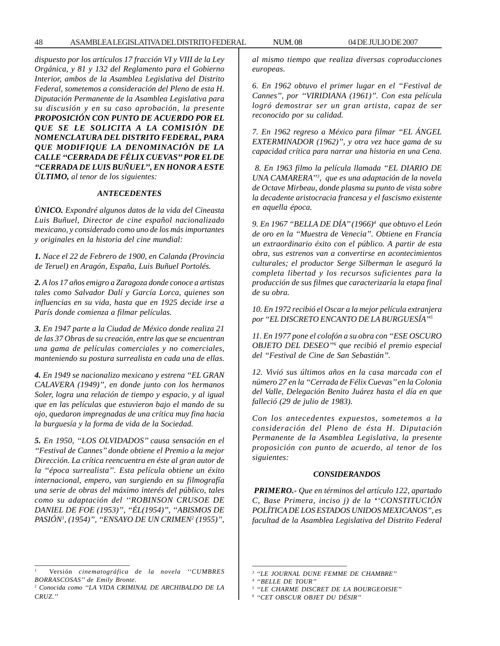*dispuesto por los artículos 17 fracción VI y VIII de la Ley Orgánica, y 81 y 132 del Reglamento para el Gobierno Interior, ambos de la Asamblea Legislativa del Distrito Federal, sometemos a consideración del Pleno de esta H. Diputación Permanente de la Asamblea Legislativa para su discusión y en su caso aprobación, la presente PROPOSICIÓN CON PUNTO DE ACUERDO POR EL QUE SE LE SOLICITA A LA COMISIÓN DE NOMENCLATURA DEL DISTRITO FEDERAL, PARA QUE MODIFIQUE LA DENOMINACIÓN DE LA CALLE ''CERRADA DE FÉLIX CUEVAS'' POR EL DE ''CERRADA DE LUIS BUÑUEL'', EN HONOR A ESTE ÚLTIMO, al tenor de los siguientes:*

#### *ANTECEDENTES*

*ÚNICO. Expondré algunos datos de la vida del Cineasta Luis Buñuel, Director de cine español nacionalizado mexicano, y considerado como uno de los más importantes y originales en la historia del cine mundial:*

*1. Nace el 22 de Febrero de 1900, en Calanda (Provincia de Teruel) en Aragón, España, Luis Buñuel Portolés.*

*2. A los 17 años emigro a Zaragoza donde conoce a artistas tales como Salvador Dalí y García Lorca, quienes son influencias en su vida, hasta que en 1925 decide irse a París donde comienza a filmar películas.*

*3. En 1947 parte a la Ciudad de México donde realiza 21 de las 37 Obras de su creación, entre las que se encuentran una gama de películas comerciales y no comerciales, manteniendo su postura surrealista en cada una de ellas.*

*4. En 1949 se nacionalizo mexicano y estrena ''EL GRAN CALAVERA (1949)'', en donde junto con los hermanos Soler, logra una relación de tiempo y espacio, y al igual que en las películas que estuvieron bajo el mando de su ojo, quedaron impregnadas de una crítica muy fina hacia la burguesía y la forma de vida de la Sociedad.*

*5. En 1950, ''LOS OLVIDADOS'' causa sensación en el ''Festival de Cannes'' donde obtiene el Premio a la mejor Dirección. La crítica reencuentra en éste al gran autor de la ''época surrealista''. Esta película obtiene un éxito internacional, empero, van surgiendo en su filmografía una serie de obras del máximo interés del público, tales como su adaptación del ''ROBINSON CRUSOE DE DANIEL DE FOE (1953)'', ''ÉL(1954)'', ''ABISMOS DE PASIÓN1 , (1954)'', ''ENSAYO DE UN CRIMEN2 (1955)'',*

1 Versión *cinematográfica de la novela ''CUMBRES BORRASCOSAS'' de Emily Bronte.*

*al mismo tiempo que realiza diversas coproducciones europeas.*

*6. En 1962 obtuvo el primer lugar en el ''Festival de Cannes'', por ''VIRIDIANA (1961)''. Con esta película logró demostrar ser un gran artista, capaz de ser reconocido por su calidad.*

*7. En 1962 regreso a México para filmar ''EL ÁNGEL EXTERMINADOR (1962)'', y otra vez hace gama de su capacidad crítica para narrar una historia en una Cena.*

 *8. En 1963 filmo la película llamada ''EL DIARIO DE UNA CAMARERA''3 , que es una adaptación de la novela de Octave Mirbeau, donde plasma su punto de vista sobre la decadente aristocracia francesa y el fascismo existente en aquella época.*

*9. En 1967 ''BELLA DE DÍA'' (1966)4 que obtuvo el León de oro en la ''Muestra de Venecia''. Obtiene en Francia un extraordinario éxito con el público. A partir de esta obra, sus estrenos van a convertirse en acontecimientos culturales; el productor Serge Silberman le aseguró la completa libertad y los recursos suficientes para la producción de sus filmes que caracterizaría la etapa final de su obra.*

*10. En 1972 recibió el Oscar a la mejor película extranjera por ''EL DISCRETO ENCANTO DE LA BURGUESÍA''5*

*11. En 1977 pone el colofón a su obra con ''ESE OSCURO OBJETO DEL DESEO''6 que recibió el premio especial del ''Festival de Cine de San Sebastián''.*

*12. Vivió sus últimos años en la casa marcada con el número 27 en la ''Cerrada de Félix Cuevas'' en la Colonia del Valle, Delegación Benito Juárez hasta el día en que falleció (29 de julio de 1983).*

*Con los antecedentes expuestos, sometemos a la consideración del Pleno de ésta H. Diputación Permanente de la Asamblea Legislativa, la presente proposición con punto de acuerdo, al tenor de los siguientes:*

#### *CONSIDERANDOS*

 *PRIMERO.- Que en términos del artículo 122, apartado C, Base Primera, inciso j) de la ''CONSTITUCIÓN POLÍTICA DE LOS ESTADOS UNIDOS MEXICANOS'', es facultad de la Asamblea Legislativa del Distrito Federal*

<sup>2</sup> *Conocida como ''LA VIDA CRIMINAL DE ARCHIBALDO DE LA CRUZ.''*

*<sup>3</sup> ''LE JOURNAL DUNE FEMME DE CHAMBRE''*

*<sup>4</sup> ''BELLE DE TOUR''*

*<sup>5</sup> ''LE CHARME DISCRET DE LA BOURGEOISIE''*

*<sup>6</sup> ''CET OBSCUR OBJET DU DÉSIR''*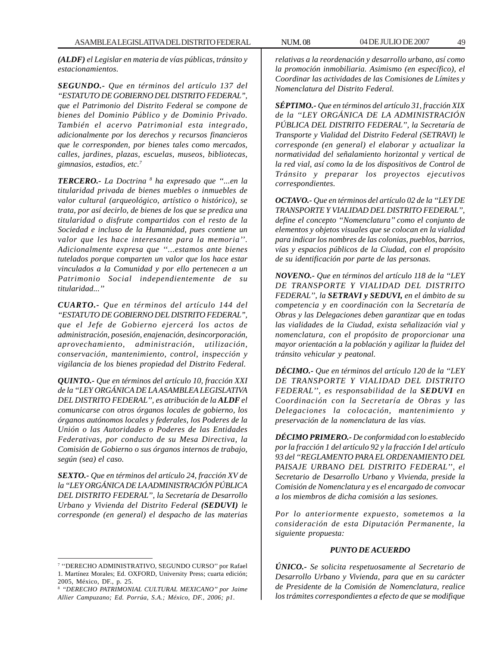*(ALDF) el Legislar en materia de vías públicas, tránsito y estacionamientos.*

*SEGUNDO.- Que en términos del artículo 137 del ''ESTATUTO DE GOBIERNO DEL DISTRITO FEDERAL'', que el Patrimonio del Distrito Federal se compone de bienes del Dominio Público y de Dominio Privado. También el acervo Patrimonial esta integrado, adicionalmente por los derechos y recursos financieros que le corresponden, por bienes tales como mercados, calles, jardines, plazas, escuelas, museos, bibliotecas, gimnasios, estadios, etc.7*

*TERCERO.- La Doctrina 8 ha expresado que ''...en la titularidad privada de bienes muebles o inmuebles de valor cultural (arqueológico, artístico o histórico), se trata, por así decirlo, de bienes de los que se predica una titularidad o disfrute compartidos con el resto de la Sociedad e incluso de la Humanidad, pues contiene un valor que les hace interesante para la memoria''. Adicionalmente expresa que ''...estamos ante bienes tutelados porque comparten un valor que los hace estar vinculados a la Comunidad y por ello pertenecen a un Patrimonio Social independientemente de su titularidad...''*

*CUARTO.- Que en términos del artículo 144 del ''ESTATUTO DE GOBIERNO DEL DISTRITO FEDERAL'', que el Jefe de Gobierno ejercerá los actos de administración, posesión, enajenación, desincorporación, aprovechamiento, administración, utilización, conservación, mantenimiento, control, inspección y vigilancia de los bienes propiedad del Distrito Federal.*

*QUINTO.- Que en términos del artículo 10, fracción XXI de la ''LEY ORGÁNICA DE LA ASAMBLEA LEGISLATIVA DEL DISTRITO FEDERAL'', es atribución de la ALDF el comunicarse con otros órganos locales de gobierno, los órganos autónomos locales y federales, los Poderes de la Unión o las Autoridades o Poderes de las Entidades Federativas, por conducto de su Mesa Directiva, la Comisión de Gobierno o sus órganos internos de trabajo, según (sea) el caso.*

*SEXTO.- Que en términos del artículo 24, fracción XV de la ''LEY ORGÁNICA DE LA ADMINISTRACIÓN PÚBLICA DEL DISTRITO FEDERAL'', la Secretaría de Desarrollo Urbano y Vivienda del Distrito Federal (SEDUVI) le corresponde (en general) el despacho de las materias*

*relativas a la reordenación y desarrollo urbano, así como la promoción inmobiliaria. Asimismo (en específico), el Coordinar las actividades de las Comisiones de Límites y Nomenclatura del Distrito Federal.*

*SÉPTIMO.- Que en términos del artículo 31, fracción XIX de la ''LEY ORGÁNICA DE LA ADMINISTRACIÓN PÚBLICA DEL DISTRITO FEDERAL'', la Secretaría de Transporte y Vialidad del Distrito Federal (SETRAVI) le corresponde (en general) el elaborar y actualizar la normatividad del señalamiento horizontal y vertical de la red vial, así como la de los dispositivos de Control de Tránsito y preparar los proyectos ejecutivos correspondientes.*

*OCTAVO.- Que en términos del artículo 02 de la ''LEY DE TRANSPORTE Y VIALIDAD DEL DISTRITO FEDERAL'', define el concepto ''Nomenclatura'' como el conjunto de elementos y objetos visuales que se colocan en la vialidad para indicar los nombres de las colonias, pueblos, barrios, vías y espacios públicos de la Ciudad, con el propósito de su identificación por parte de las personas.*

*NOVENO.- Que en términos del artículo 118 de la ''LEY DE TRANSPORTE Y VIALIDAD DEL DISTRITO FEDERAL'', la SETRAVI y SEDUVI, en el ámbito de su competencia y en coordinación con la Secretaría de Obras y las Delegaciones deben garantizar que en todas las vialidades de la Ciudad, exista señalización vial y nomenclatura, con el propósito de proporcionar una mayor orientación a la población y agilizar la fluidez del tránsito vehicular y peatonal.*

*DÉCIMO.- Que en términos del artículo 120 de la ''LEY DE TRANSPORTE Y VIALIDAD DEL DISTRITO FEDERAL'', es responsabilidad de la SEDUVI en Coordinación con la Secretaría de Obras y las Delegaciones la colocación, mantenimiento y preservación de la nomenclatura de las vías.*

*DÉCIMO PRIMERO.- De conformidad con lo establecido por la fracción 1 del artículo 92 y la fracción I del artículo 93 del ''REGLAMENTO PARA EL ORDENAMIENTO DEL PAISAJE URBANO DEL DISTRITO FEDERAL'', el Secretario de Desarrollo Urbano y Vivienda, preside la Comisión de Nomenclatura y es el encargado de convocar a los miembros de dicha comisión a las sesiones.*

*Por lo anteriormente expuesto, sometemos a la consideración de esta Diputación Permanente, la siguiente propuesta:*

#### *PUNTO DE ACUERDO*

*ÚNICO.- Se solicita respetuosamente al Secretario de Desarrollo Urbano y Vivienda, para que en su carácter de Presidente de la Comisión de Nomenclatura, realice los trámites correspondientes a efecto de que se modifique*

<sup>7</sup> ''DERECHO ADMINISTRATIVO, SEGUNDO CURSO'' por Rafael 1. Martínez Morales; Ed. OXFORD, University Press; cuarta edición; 2005, México, DF., p. 25.

<sup>8</sup> *''DERECHO PATRIMONIAL CULTURAL MEXICANO'' por Jaime Allier Campuzano; Ed. Porrúa, S.A.; México, DF., 2006; p1.*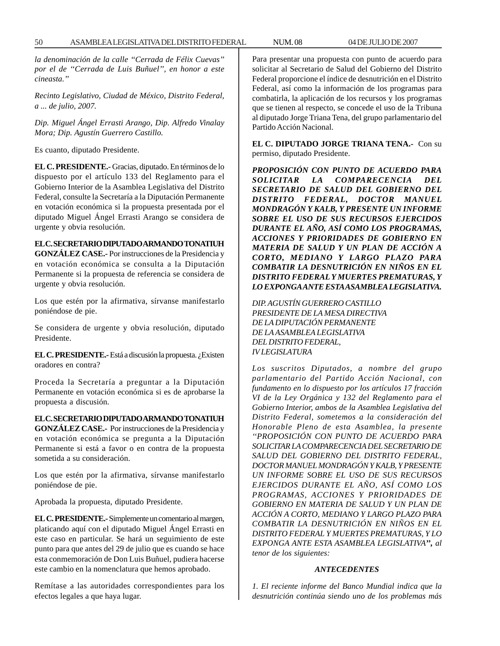*la denominación de la calle ''Cerrada de Félix Cuevas'' por el de ''Cerrada de Luis Buñuel'', en honor a este cineasta.''*

*Recinto Legislativo, Ciudad de México, Distrito Federal, a ... de julio, 2007.*

*Dip. Miguel Ángel Errasti Arango, Dip. Alfredo Vinalay Mora; Dip. Agustín Guerrero Castillo.*

Es cuanto, diputado Presidente.

**EL C. PRESIDENTE.-** Gracias, diputado. En términos de lo dispuesto por el artículo 133 del Reglamento para el Gobierno Interior de la Asamblea Legislativa del Distrito Federal, consulte la Secretaría a la Diputación Permanente en votación económica si la propuesta presentada por el diputado Miguel Ángel Errasti Arango se considera de urgente y obvia resolución.

## **EL C. SECRETARIO DIPUTADO ARMANDO TONATIUH**

**GONZÁLEZ CASE.-** Por instrucciones de la Presidencia y en votación económica se consulta a la Diputación Permanente si la propuesta de referencia se considera de urgente y obvia resolución.

Los que estén por la afirmativa, sírvanse manifestarlo poniéndose de pie.

Se considera de urgente y obvia resolución, diputado Presidente.

**EL C. PRESIDENTE.-** Está a discusión la propuesta. ¿Existen oradores en contra?

Proceda la Secretaría a preguntar a la Diputación Permanente en votación económica si es de aprobarse la propuesta a discusión.

**EL C. SECRETARIO DIPUTADO ARMANDO TONATIUH GONZÁLEZ CASE.-** Por instrucciones de la Presidencia y en votación económica se pregunta a la Diputación Permanente si está a favor o en contra de la propuesta sometida a su consideración.

Los que estén por la afirmativa, sírvanse manifestarlo poniéndose de pie.

Aprobada la propuesta, diputado Presidente.

**EL C. PRESIDENTE.-** Simplemente un comentario al margen, platicando aquí con el diputado Miguel Ángel Errasti en este caso en particular. Se hará un seguimiento de este punto para que antes del 29 de julio que es cuando se hace esta conmemoración de Don Luis Buñuel, pudiera hacerse este cambio en la nomenclatura que hemos aprobado.

Remítase a las autoridades correspondientes para los efectos legales a que haya lugar.

Para presentar una propuesta con punto de acuerdo para solicitar al Secretario de Salud del Gobierno del Distrito Federal proporcione el índice de desnutrición en el Distrito Federal, así como la información de los programas para combatirla, la aplicación de los recursos y los programas que se tienen al respecto, se concede el uso de la Tribuna al diputado Jorge Triana Tena, del grupo parlamentario del Partido Acción Nacional.

**EL C. DIPUTADO JORGE TRIANA TENA.-** Con su permiso, diputado Presidente.

*PROPOSICIÓN CON PUNTO DE ACUERDO PARA SOLICITAR LA COMPARECENCIA DEL SECRETARIO DE SALUD DEL GOBIERNO DEL DISTRITO FEDERAL, DOCTOR MANUEL MONDRAGÓN Y KALB, Y PRESENTE UN INFORME SOBRE EL USO DE SUS RECURSOS EJERCIDOS DURANTE EL AÑO, ASÍ COMO LOS PROGRAMAS, ACCIONES Y PRIORIDADES DE GOBIERNO EN MATERIA DE SALUD Y UN PLAN DE ACCIÓN A CORTO, MEDIANO Y LARGO PLAZO PARA COMBATIR LA DESNUTRICIÓN EN NIÑOS EN EL DISTRITO FEDERAL Y MUERTES PREMATURAS, Y LO EXPONGA ANTE ESTA ASAMBLEA LEGISLATIVA.*

*DIP. AGUSTÍN GUERRERO CASTILLO PRESIDENTE DE LA MESA DIRECTIVA DE LA DIPUTACIÓN PERMANENTE DE LA ASAMBLEA LEGISLATIVA DEL DISTRITO FEDERAL, IV LEGISLATURA*

*Los suscritos Diputados, a nombre del grupo parlamentario del Partido Acción Nacional, con fundamento en lo dispuesto por los artículos 17 fracción VI de la Ley Orgánica y 132 del Reglamento para el Gobierno Interior, ambos de la Asamblea Legislativa del Distrito Federal, sometemos a la consideración del Honorable Pleno de esta Asamblea, la presente ''PROPOSICIÓN CON PUNTO DE ACUERDO PARA SOLICITAR LA COMPARECENCIA DEL SECRETARIO DE SALUD DEL GOBIERNO DEL DISTRITO FEDERAL, DOCTOR MANUEL MONDRAGÓN Y KALB, Y PRESENTE UN INFORME SOBRE EL USO DE SUS RECURSOS EJERCIDOS DURANTE EL AÑO, ASÍ COMO LOS PROGRAMAS, ACCIONES Y PRIORIDADES DE GOBIERNO EN MATERIA DE SALUD Y UN PLAN DE ACCIÓN A CORTO, MEDIANO Y LARGO PLAZO PARA COMBATIR LA DESNUTRICIÓN EN NIÑOS EN EL DISTRITO FEDERAL Y MUERTES PREMATURAS, Y LO EXPONGA ANTE ESTA ASAMBLEA LEGISLATIVA'', al tenor de los siguientes:*

## *ANTECEDENTES*

*1. El reciente informe del Banco Mundial indica que la desnutrición continúa siendo uno de los problemas más*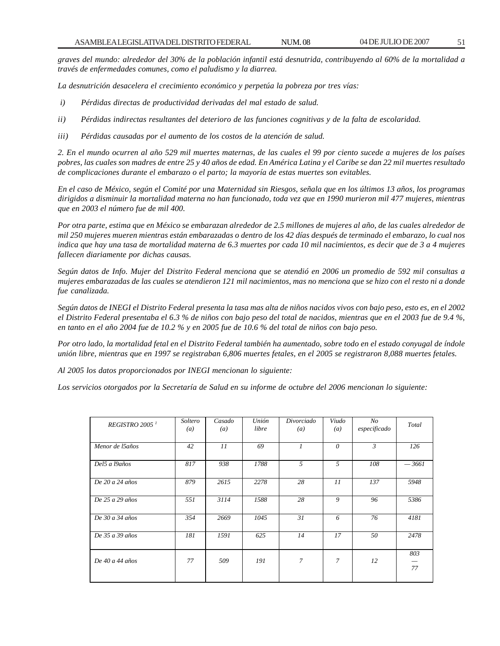*graves del mundo: alrededor del 30% de la población infantil está desnutrida, contribuyendo al 60% de la mortalidad a través de enfermedades comunes, como el paludismo y la diarrea.*

*La desnutrición desacelera el crecimiento económico y perpetúa la pobreza por tres vías:*

- *i) Pérdidas directas de productividad derivadas del mal estado de salud.*
- *ii) Pérdidas indirectas resultantes del deterioro de las funciones cognitivas y de la falta de escolaridad.*
- *iii) Pérdidas causadas por el aumento de los costos de la atención de salud.*

*2. En el mundo ocurren al año 529 mil muertes maternas, de las cuales el 99 por ciento sucede a mujeres de los países pobres, las cuales son madres de entre 25 y 40 años de edad. En América Latina y el Caribe se dan 22 mil muertes resultado de complicaciones durante el embarazo o el parto; la mayoría de estas muertes son evitables.*

*En el caso de México, según el Comité por una Maternidad sin Riesgos, señala que en los últimos 13 años, los programas dirigidos a disminuir la mortalidad materna no han funcionado, toda vez que en 1990 murieron mil 477 mujeres, mientras que en 2003 el número fue de mil 400.*

*Por otra parte, estima que en México se embarazan alrededor de 2.5 millones de mujeres al año, de las cuales alrededor de mil 250 mujeres mueren mientras están embarazadas o dentro de los 42 días después de terminado el embarazo, lo cual nos indica que hay una tasa de mortalidad materna de 6.3 muertes por cada 10 mil nacimientos, es decir que de 3 a 4 mujeres fallecen diariamente por dichas causas.*

*Según datos de Info. Mujer del Distrito Federal menciona que se atendió en 2006 un promedio de 592 mil consultas a mujeres embarazadas de las cuales se atendieron 121 mil nacimientos, mas no menciona que se hizo con el resto ni a donde fue canalizada.*

*Según datos de INEGI el Distrito Federal presenta la tasa mas alta de niños nacidos vivos con bajo peso, esto es, en el 2002 el Distrito Federal presentaba el 6.3 % de niños con bajo peso del total de nacidos, mientras que en el 2003 fue de 9.4 %, en tanto en el año 2004 fue de 10.2 % y en 2005 fue de 10.6 % del total de niños con bajo peso.*

*Por otro lado, la mortalidad fetal en el Distrito Federal también ha aumentado, sobre todo en el estado conyugal de índole unión libre, mientras que en 1997 se registraban 6,806 muertes fetales, en el 2005 se registraron 8,088 muertes fetales.*

*Al 2005 los datos proporcionados por INEGI mencionan lo siguiente:*

*Los servicios otorgados por la Secretaría de Salud en su informe de octubre del 2006 mencionan lo siguiente:*

| REGISTRO 2005 <sup>1</sup> | Soltero<br>$\left(a\right)$ | Casado<br>$\left(a\right)$ | Unión<br>libre | Divorciado<br>$\left(a\right)$ | Viudo<br>$\left(a\right)$ | No<br>especificado | Total     |
|----------------------------|-----------------------------|----------------------------|----------------|--------------------------------|---------------------------|--------------------|-----------|
| Menor de l5años            | 42                          | 11                         | 69             | $\mathcal{I}$                  | $\theta$                  | $\mathfrak{Z}$     | 126       |
| Del5 a l9años              | 817                         | 938                        | 1788           | .5                             | 5                         | 108                | $-3661$   |
| De $20a24a\tilde{a}$ os    | 879                         | 2615                       | 2278           | 28                             | 11                        | 137                | 5948      |
| De 25 a 29 años            | 551                         | 3114                       | 1588           | 28                             | 9                         | 96                 | 5386      |
| De 30 a 34 años            | 354                         | 2669                       | 1045           | 31                             | 6                         | 76                 | 4181      |
| De 35 a 39 años            | 181                         | 1591                       | 625            | 14                             | 17                        | 50                 | 2478      |
| De 40 a 44 años            | 77                          | 509                        | 191            | 7                              | $\mathcal{I}$             | 12                 | 803<br>77 |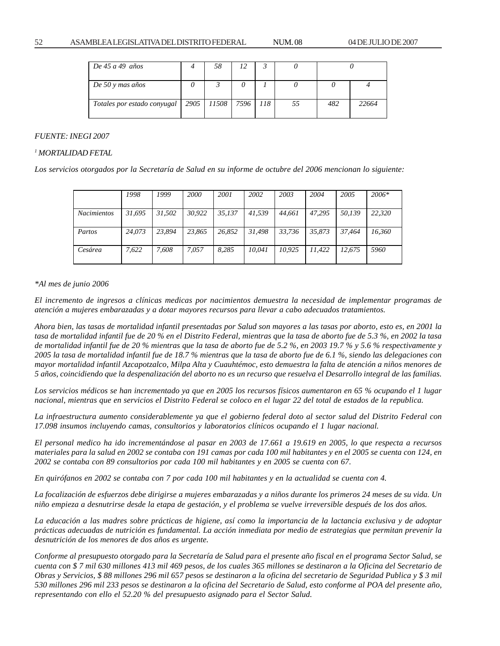| De 45 a 49 años             | 58                        |  |    |     |       |
|-----------------------------|---------------------------|--|----|-----|-------|
| De 50 y mas años            |                           |  |    |     |       |
| Totales por estado conyugal | 2905   11508   7596   118 |  | 55 | 482 | 22664 |

#### *FUENTE: INEGI 2007*

#### *1 MORTALIDAD FETAL*

*Los servicios otorgados por la Secretaría de Salud en su informe de octubre del 2006 mencionan lo siguiente:*

|                    | 1998   | 1999   | <b>2000</b> | 2001   | 2002   | 2003   | 2004   | 2005   | $2006*$ |
|--------------------|--------|--------|-------------|--------|--------|--------|--------|--------|---------|
| <b>Nacimientos</b> | 31.695 | 31,502 | 30.922      | 35,137 | 41.539 | 44,661 | 47.295 | 50.139 | 22,320  |
| Partos             | 24.073 | 23.894 | 23.865      | 26.852 | 31.498 | 33.736 | 35.873 | 37.464 | 16.360  |
| Cesárea            | 7.622  | 7.608  | 7.057       | 8.285  | 10.041 | 10.925 | 11.422 | 12.675 | 5960    |

#### *\*Al mes de junio 2006*

*El incremento de ingresos a clínicas medicas por nacimientos demuestra la necesidad de implementar programas de atención a mujeres embarazadas y a dotar mayores recursos para llevar a cabo adecuados tratamientos.*

*Ahora bien, las tasas de mortalidad infantil presentadas por Salud son mayores a las tasas por aborto, esto es, en 2001 la tasa de mortalidad infantil fue de 20 % en el Distrito Federal, mientras que la tasa de aborto fue de 5.3 %, en 2002 la tasa de mortalidad infantil fue de 20 % mientras que la tasa de aborto fue de 5.2 %, en 2003 19.7 % y 5.6 % respectivamente y 2005 la tasa de mortalidad infantil fue de 18.7 % mientras que la tasa de aborto fue de 6.1 %, siendo las delegaciones con mayor mortalidad infantil Azcapotzalco, Milpa Alta y Cuauhtémoc, esto demuestra la falta de atención a niños menores de 5 años, coincidiendo que la despenalización del aborto no es un recurso que resuelva el Desarrollo integral de las familias.*

*Los servicios médicos se han incrementado ya que en 2005 los recursos físicos aumentaron en 65 % ocupando el 1 lugar nacional, mientras que en servicios el Distrito Federal se coloco en el lugar 22 del total de estados de la republica.*

*La infraestructura aumento considerablemente ya que el gobierno federal doto al sector salud del Distrito Federal con 17.098 insumos incluyendo camas, consultorios y laboratorios clínicos ocupando el 1 lugar nacional.*

*El personal medico ha ido incrementándose al pasar en 2003 de 17.661 a 19.619 en 2005, lo que respecta a recursos materiales para la salud en 2002 se contaba con 191 camas por cada 100 mil habitantes y en el 2005 se cuenta con 124, en 2002 se contaba con 89 consultorios por cada 100 mil habitantes y en 2005 se cuenta con 67.*

*En quirófanos en 2002 se contaba con 7 por cada 100 mil habitantes y en la actualidad se cuenta con 4.*

*La focalización de esfuerzos debe dirigirse a mujeres embarazadas y a niños durante los primeros 24 meses de su vida. Un niño empieza a desnutrirse desde la etapa de gestación, y el problema se vuelve irreversible después de los dos años.*

*La educación a las madres sobre prácticas de higiene, así como la importancia de la lactancia exclusiva y de adoptar prácticas adecuadas de nutrición es fundamental. La acción inmediata por medio de estrategias que permitan prevenir la desnutrición de los menores de dos años es urgente.*

*Conforme al presupuesto otorgado para la Secretaría de Salud para el presente año fiscal en el programa Sector Salud, se cuenta con \$ 7 mil 630 millones 413 mil 469 pesos, de los cuales 365 millones se destinaron a la Oficina del Secretario de Obras y Servicios, \$ 88 millones 296 mil 657 pesos se destinaron a la oficina del secretario de Seguridad Publica y \$ 3 mil 530 millones 296 mil 233 pesos se destinaron a la oficina del Secretario de Salud, esto conforme al POA del presente año, representando con ello el 52.20 % del presupuesto asignado para el Sector Salud.*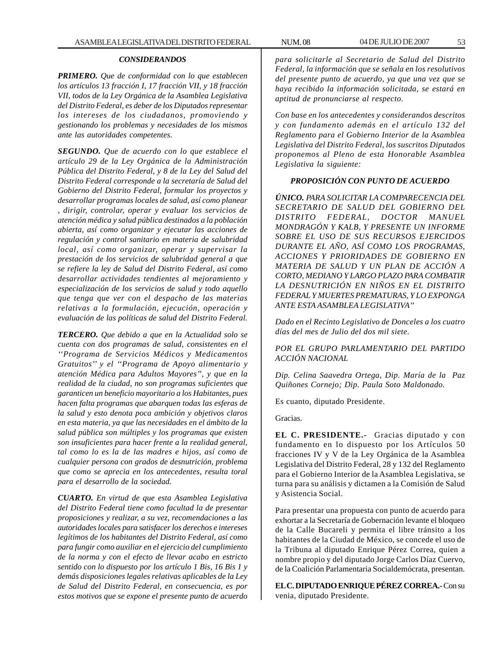## *CONSIDERANDOS*

*PRIMERO. Que de conformidad con lo que establecen los artículos 13 fracción I, 17 fracción VII, y 18 fracción VII, todos de la Ley Orgánica de la Asamblea Legislativa del Distrito Federal, es deber de los Diputados representar los intereses de los ciudadanos, promoviendo y gestionando los problemas y necesidades de los mismos ante las autoridades competentes.*

*SEGUNDO. Que de acuerdo con lo que establece el artículo 29 de la Ley Orgánica de la Administración Pública del Distrito Federal, y 8 de la Ley del Salud del Distrito Federal corresponde a la secretaría de Salud del Gobierno del Distrito Federal, formular los proyectos y desarrollar programas locales de salud, así como planear , dirigir, controlar, operar y evaluar los servicios de atención médica y salud pública destinados a la población abierta, así como organizar y ejecutar las acciones de regulación y control sanitario en materia de salubridad local, así como organizar, operar y supervisar la prestación de los servicios de salubridad general a que se refiere la ley de Salud del Distrito Federal, así como desarrollar actividades tendientes al mejoramiento y especialización de los servicios de salud y todo aquello que tenga que ver con el despacho de las materias relativas a la formulación, ejecución, operación y evaluación de las políticas de salud del Distrito Federal.*

*TERCERO. Que debido a que en la Actualidad solo se cuenta con dos programas de salud, consistentes en el ''Programa de Servicios Médicos y Medicamentos Gratuitos'' y el ''Programa de Apoyo alimentario y atención Médica para Adultos Mayores'', y que en la realidad de la ciudad, no son programas suficientes que garanticen un beneficio mayoritario a los Habitantes, pues hacen falta programas que abarquen todas las esferas de la salud y esto denota poca ambición y objetivos claros en esta materia, ya que las necesidades en el ámbito de la salud pública son múltiples y los programas que existen son insuficientes para hacer frente a la realidad general, tal como lo es la de las madres e hijos, así como de cualquier persona con grados de desnutrición, problema que como se aprecia en los antecedentes, resulta toral para el desarrollo de la sociedad.*

*CUARTO. En virtud de que esta Asamblea Legislativa del Distrito Federal tiene como facultad la de presentar proposiciones y realizar, a su vez, recomendaciones a las autoridades locales para satisfacer los derechos e intereses legítimos de los habitantes del Distrito Federal, así como para fungir como auxiliar en el ejercicio del cumplimiento de la norma y con el efecto de llevar acabo en estricto sentido con lo dispuesto por los artículo 1 Bis, 16 Bis 1 y demás disposiciones legales relativas aplicables de la Ley de Salud del Distrito Federal, en consecuencia, es por estos motivos que se expone el presente punto de acuerdo*

*para solicitarle al Secretario de Salud del Distrito Federal, la información que se señala en los resolutivos del presente punto de acuerdo, ya que una vez que se haya recibido la información solicitada, se estará en aptitud de pronunciarse al respecto.*

*Con base en los antecedentes y considerandos descritos y con fundamento además en el artículo 132 del Reglamento para el Gobierno Interior de la Asamblea Legislativa del Distrito Federal, los suscritos Diputados proponemos al Pleno de esta Honorable Asamblea Legislativa la siguiente:*

## *PROPOSICIÓN CON PUNTO DE ACUERDO*

*ÚNICO. PARA SOLICITAR LA COMPARECENCIA DEL SECRETARIO DE SALUD DEL GOBIERNO DEL DISTRITO FEDERAL, DOCTOR MANUEL MONDRAGÓN Y KALB, Y PRESENTE UN INFORME SOBRE EL USO DE SUS RECURSOS EJERCIDOS DURANTE EL AÑO, ASÍ COMO LOS PROGRAMAS, ACCIONES Y PRIORIDADES DE GOBIERNO EN MATERIA DE SALUD Y UN PLAN DE ACCIÓN A CORTO, MEDIANO Y LARGO PLAZO PARA COMBATIR LA DESNUTRICIÓN EN NIÑOS EN EL DISTRITO FEDERAL Y MUERTES PREMATURAS, Y LO EXPONGA ANTE ESTA ASAMBLEA LEGISLATIVA''*

*Dado en el Recinto Legislativo de Donceles a los cuatro días del mes de Julio del dos mil siete.*

*POR EL GRUPO PARLAMENTARIO DEL PARTIDO ACCIÓN NACIONAL*

*Dip. Celina Saavedra Ortega, Dip. María de la Paz Quiñones Cornejo; Dip. Paula Soto Maldonado.*

Es cuanto, diputado Presidente.

Gracias.

**EL C. PRESIDENTE.-** Gracias diputado y con fundamento en lo dispuesto por los Artículos 50 fracciones IV y V de la Ley Orgánica de la Asamblea Legislativa del Distrito Federal, 28 y 132 del Reglamento para el Gobierno Interior de la Asamblea Legislativa, se turna para su análisis y dictamen a la Comisión de Salud y Asistencia Social.

Para presentar una propuesta con punto de acuerdo para exhortar a la Secretaría de Gobernación levante el bloqueo de la Calle Bucareli y permita el libre tránsito a los habitantes de la Ciudad de México, se concede el uso de la Tribuna al diputado Enrique Pérez Correa, quien a nombre propio y del diputado Jorge Carlos Díaz Cuervo, de la Coalición Parlamentaria Socialdemócrata, presentan.

**EL C. DIPUTADO ENRIQUE PÉREZ CORREA.-** Con su venia, diputado Presidente.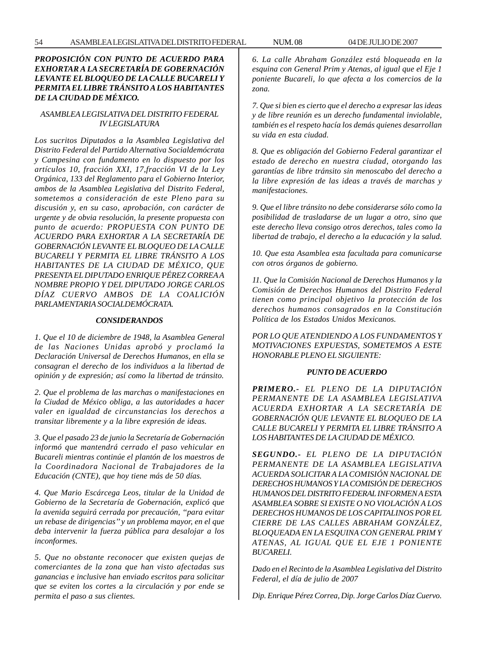# *PROPOSICIÓN CON PUNTO DE ACUERDO PARA EXHORTAR A LA SECRETARÍA DE GOBERNACIÓN LEVANTE EL BLOQUEO DE LA CALLE BUCARELI Y PERMITA EL LIBRE TRÁNSITO A LOS HABITANTES DE LA CIUDAD DE MÉXICO.*

## *ASAMBLEA LEGISLATIVA DEL DISTRITO FEDERAL IV LEGISLATURA*

*Los sucritos Diputados a la Asamblea Legislativa del Distrito Federal del Partido Alternativa Socialdemócrata y Campesina con fundamento en lo dispuesto por los artículos 10, fracción XXI, 17,fracción VI de la Ley Orgánica, 133 del Reglamento para el Gobierno Interior, ambos de la Asamblea Legislativa del Distrito Federal, sometemos a consideración de este Pleno para su discusión y, en su caso, aprobación, con carácter de urgente y de obvia resolución, la presente propuesta con punto de acuerdo: PROPUESTA CON PUNTO DE ACUERDO PARA EXHORTAR A LA SECRETARÍA DE GOBERNACIÓN LEVANTE EL BLOQUEO DE LA CALLE BUCARELI Y PERMITA EL LIBRE TRÁNSITO A LOS HABITANTES DE LA CIUDAD DE MÉXICO, QUE PRESENTA EL DIPUTADO ENRIQUE PÉREZ CORREA A NOMBRE PROPIO Y DEL DIPUTADO JORGE CARLOS DÍAZ CUERVO AMBOS DE LA COALICIÓN PARLAMENTARIA SOCIALDEMÓCRATA.*

#### *CONSIDERANDOS*

*1. Que el 10 de diciembre de 1948, la Asamblea General de las Naciones Unidas aprobó y proclamó la Declaración Universal de Derechos Humanos, en ella se consagran el derecho de los individuos a la libertad de opinión y de expresión; así como la libertad de tránsito.*

*2. Que el problema de las marchas o manifestaciones en la Ciudad de México obliga, a las autoridades a hacer valer en igualdad de circunstancias los derechos a transitar libremente y a la libre expresión de ideas.*

*3. Que el pasado 23 de junio la Secretaría de Gobernación informó que mantendrá cerrado el paso vehicular en Bucareli mientras continúe el plantón de los maestros de la Coordinadora Nacional de Trabajadores de la Educación (CNTE), que hoy tiene más de 50 días.*

*4. Que Mario Escárcega Leos, titular de la Unidad de Gobierno de la Secretaría de Gobernación, explicó que la avenida seguirá cerrada por precaución, ''para evitar un rebase de dirigencias'' y un problema mayor, en el que deba intervenir la fuerza pública para desalojar a los inconformes.*

*5. Que no obstante reconocer que existen quejas de comerciantes de la zona que han visto afectadas sus ganancias e inclusive han enviado escritos para solicitar que se eviten los cortes a la circulación y por ende se permita el paso a sus clientes.*

*6. La calle Abraham González está bloqueada en la esquina con General Prim y Atenas, al igual que el Eje 1 poniente Bucareli, lo que afecta a los comercios de la zona.*

*7. Que si bien es cierto que el derecho a expresar las ideas y de libre reunión es un derecho fundamental inviolable, también es el respeto hacía los demás quienes desarrollan su vida en esta ciudad.*

*8. Que es obligación del Gobierno Federal garantizar el estado de derecho en nuestra ciudad, otorgando las garantías de libre tránsito sin menoscabo del derecho a la libre expresión de las ideas a través de marchas y manifestaciones.*

*9. Que el libre tránsito no debe considerarse sólo como la posibilidad de trasladarse de un lugar a otro, sino que este derecho lleva consigo otros derechos, tales como la libertad de trabajo, el derecho a la educación y la salud.*

*10. Que esta Asamblea esta facultada para comunicarse con otros órganos de gobierno.*

*11. Que la Comisión Nacional de Derechos Humanos y la Comisión de Derechos Humanos del Distrito Federal tienen como principal objetivo la protección de los derechos humanos consagrados en la Constitución Política de los Estados Unidos Mexicanos.*

*POR LO QUE ATENDIENDO A LOS FUNDAMENTOS Y MOTIVACIONES EXPUESTAS, SOMETEMOS A ESTE HONORABLE PLENO EL SIGUIENTE:*

#### *PUNTO DE ACUERDO*

*PRIMERO.- EL PLENO DE LA DIPUTACIÓN PERMANENTE DE LA ASAMBLEA LEGISLATIVA ACUERDA EXHORTAR A LA SECRETARÍA DE GOBERNACIÓN QUE LEVANTE EL BLOQUEO DE LA CALLE BUCARELI Y PERMITA EL LIBRE TRÁNSITO A LOS HABITANTES DE LA CIUDAD DE MÉXICO.*

*SEGUNDO.- EL PLENO DE LA DIPUTACIÓN PERMANENTE DE LA ASAMBLEA LEGISLATIVA ACUERDA SOLICITAR A LA COMISIÓN NACIONAL DE DERECHOS HUMANOS Y LA COMISIÓN DE DERECHOS HUMANOS DEL DISTRITO FEDERAL INFORMEN A ESTA ASAMBLEA SOBRE SI EXISTE O NO VIOLACIÓN A LOS DERECHOS HUMANOS DE LOS CAPITALINOS POR EL CIERRE DE LAS CALLES ABRAHAM GONZÁLEZ, BLOQUEADA EN LA ESQUINA CON GENERAL PRIM Y ATENAS, AL IGUAL QUE EL EJE 1 PONIENTE BUCARELI.*

*Dado en el Recinto de la Asamblea Legislativa del Distrito Federal, el día de julio de 2007*

*Dip. Enrique Pérez Correa, Dip. Jorge Carlos Díaz Cuervo.*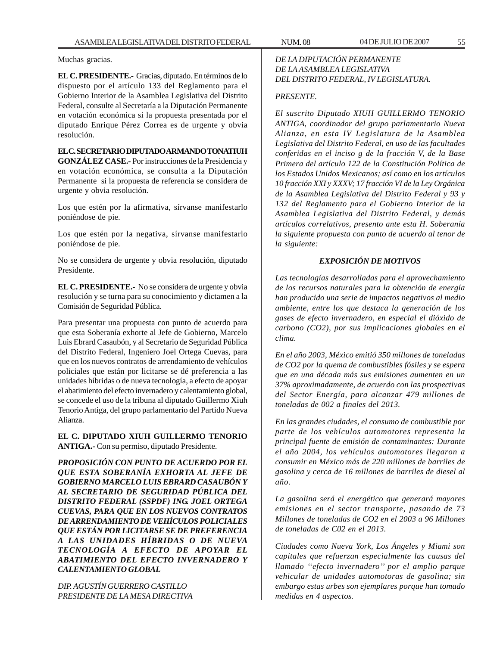Muchas gracias.

**EL C. PRESIDENTE.-** Gracias, diputado. En términos de lo dispuesto por el artículo 133 del Reglamento para el Gobierno Interior de la Asamblea Legislativa del Distrito Federal, consulte al Secretaría a la Diputación Permanente en votación económica si la propuesta presentada por el diputado Enrique Pérez Correa es de urgente y obvia resolución.

**EL C. SECRETARIO DIPUTADO ARMANDO TONATIUH GONZÁLEZ CASE.-** Por instrucciones de la Presidencia y en votación económica, se consulta a la Diputación Permanente si la propuesta de referencia se considera de urgente y obvia resolución.

Los que estén por la afirmativa, sírvanse manifestarlo poniéndose de pie.

Los que estén por la negativa, sírvanse manifestarlo poniéndose de pie.

No se considera de urgente y obvia resolución, diputado Presidente.

**EL C. PRESIDENTE.-** No se considera de urgente y obvia resolución y se turna para su conocimiento y dictamen a la Comisión de Seguridad Pública.

Para presentar una propuesta con punto de acuerdo para que esta Soberanía exhorte al Jefe de Gobierno, Marcelo Luis Ebrard Casaubón, y al Secretario de Seguridad Pública del Distrito Federal, Ingeniero Joel Ortega Cuevas, para que en los nuevos contratos de arrendamiento de vehículos policiales que están por licitarse se dé preferencia a las unidades híbridas o de nueva tecnología, a efecto de apoyar el abatimiento del efecto invernadero y calentamiento global, se concede el uso de la tribuna al diputado Guillermo Xiuh Tenorio Antiga, del grupo parlamentario del Partido Nueva Alianza.

**EL C. DIPUTADO XIUH GUILLERMO TENORIO ANTIGA.-** Con su permiso, diputado Presidente.

*PROPOSICIÓN CON PUNTO DE ACUERDO POR EL QUE ESTA SOBERANÍA EXHORTA AL JEFE DE GOBIERNO MARCELO LUIS EBRARD CASAUBÓN Y AL SECRETARIO DE SEGURIDAD PÚBLICA DEL DISTRITO FEDERAL (SSPDF) ING. JOEL ORTEGA CUEVAS, PARA QUE EN LOS NUEVOS CONTRATOS DE ARRENDAMIENTO DE VEHÍCULOS POLICIALES QUE ESTÁN POR LICITARSE SE DE PREFERENCIA A LAS UNIDADES HÍBRIDAS O DE NUEVA TECNOLOGÍA A EFECTO DE APOYAR EL ABATIMIENTO DEL EFECTO INVERNADERO Y CALENTAMIENTO GLOBAL*

*DIP. AGUSTÍN GUERRERO CASTILLO PRESIDENTE DE LA MESA DIRECTIVA*

# *DE LA DIPUTACIÓN PERMANENTE DE LA ASAMBLEA LEGISLATIVA DEL DISTRITO FEDERAL, IV LEGISLATURA.*

## *PRESENTE.*

*El suscrito Diputado XIUH GUILLERMO TENORIO ANTIGA, coordinador del grupo parlamentario Nueva Alianza, en esta IV Legislatura de la Asamblea Legislativa del Distrito Federal, en uso de las facultades conferidas en el inciso g de la fracción V, de la Base Primera del artículo 122 de la Constitución Política de los Estados Unidos Mexicanos; así como en los artículos 10 fracción XXI y XXXV; 17 fracción VI de la Ley Orgánica de la Asamblea Legislativa del Distrito Federal y 93 y 132 del Reglamento para el Gobierno Interior de la Asamblea Legislativa del Distrito Federal, y demás artículos correlativos, presento ante esta H. Soberanía la siguiente propuesta con punto de acuerdo al tenor de la siguiente:*

## *EXPOSICIÓN DE MOTIVOS*

*Las tecnologías desarrolladas para el aprovechamiento de los recursos naturales para la obtención de energía han producido una serie de impactos negativos al medio ambiente, entre los que destaca la generación de los gases de efecto invernadero, en especial el dióxido de carbono (CO2), por sus implicaciones globales en el clima.*

*En el año 2003, México emitió 350 millones de toneladas de CO2 por la quema de combustibles fósiles y se espera que en una década más sus emisiones aumenten en un 37% aproximadamente, de acuerdo con las prospectivas del Sector Energía, para alcanzar 479 millones de toneladas de 002 a finales del 2013.*

*En las grandes ciudades, el consumo de combustible por parte de los vehículos automotores representa la principal fuente de emisión de contaminantes: Durante el año 2004, los vehículos automotores llegaron a consumir en México más de 220 millones de barriles de gasolina y cerca de 16 millones de barriles de diesel al año.*

*La gasolina será el energético que generará mayores emisiones en el sector transporte, pasando de 73 Millones de toneladas de CO2 en el 2003 a 96 Millones de toneladas de C02 en el 2013.*

*Ciudades como Nueva York, Los Ángeles y Miami son capitales que refuerzan especialmente las causas del llamado ''efecto invernadero'' por el amplio parque vehicular de unidades automotoras de gasolina; sin embargo estas urbes son ejemplares porque han tomado medidas en 4 aspectos.*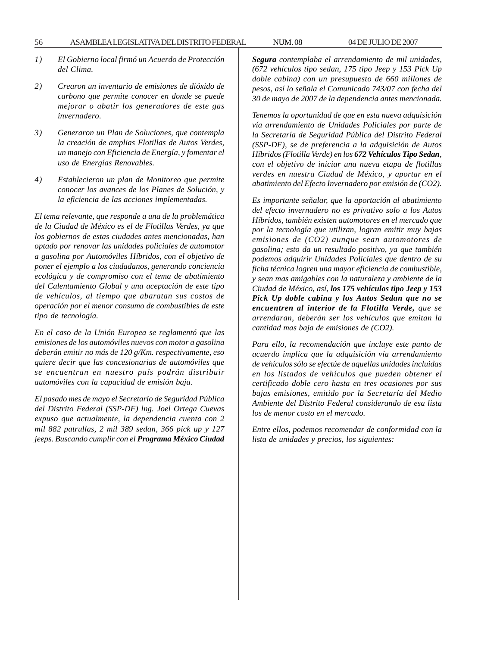- *1) El Gobierno local firmó un Acuerdo de Protección del Clima.*
- *2) Crearon un inventario de emisiones de dióxido de carbono que permite conocer en donde se puede mejorar o abatir los generadores de este gas invernadero.*
- *3) Generaron un Plan de Soluciones, que contempla la creación de amplias Flotillas de Autos Verdes, un manejo con Eficiencia de Energía, y fomentar el uso de Energías Renovables.*
- *4) Establecieron un plan de Monitoreo que permite conocer los avances de los Planes de Solución, y la eficiencia de las acciones implementadas.*

*El tema relevante, que responde a una de la problemática de la Ciudad de México es el de Flotillas Verdes, ya que los gobiernos de estas ciudades antes mencionadas, han optado por renovar las unidades policiales de automotor a gasolina por Automóviles Híbridos, con el objetivo de poner el ejemplo a los ciudadanos, generando conciencia ecológica y de compromiso con el tema de abatimiento del Calentamiento Global y una aceptación de este tipo de vehículos, al tiempo que abaratan sus costos de operación por el menor consumo de combustibles de este tipo de tecnología.*

*En el caso de la Unión Europea se reglamentó que las emisiones de los automóviles nuevos con motor a gasolina deberán emitir no más de 120 g/Km. respectivamente, eso quiere decir que las concesionarias de automóviles que se encuentran en nuestro país podrán distribuir automóviles con la capacidad de emisión baja.*

*El pasado mes de mayo el Secretario de Seguridad Pública del Distrito Federal (SSP-DF) lng. Joel Ortega Cuevas expuso que actualmente, la dependencia cuenta con 2 mil 882 patrullas, 2 mil 389 sedan, 366 pick up y 127 jeeps. Buscando cumplir con el Programa México Ciudad* *Segura contemplaba el arrendamiento de mil unidades, (672 vehículos tipo sedan, 175 tipo Jeep y 153 Pick Up doble cabina) con un presupuesto de 660 millones de pesos, así lo señala el Comunicado 743/07 con fecha del 30 de mayo de 2007 de la dependencia antes mencionada.*

*Tenemos la oportunidad de que en esta nueva adquisición vía arrendamiento de Unidades Policiales por parte de la Secretaría de Seguridad Pública del Distrito Federal (SSP-DF), se de preferencia a la adquisición de Autos Híbridos (Flotilla Verde) en los 672 Vehículos Tipo Sedan, con el objetivo de iniciar una nueva etapa de flotillas verdes en nuestra Ciudad de México, y aportar en el abatimiento del Efecto Invernadero por emisión de (CO2).*

*Es importante señalar, que la aportación al abatimiento del efecto invernadero no es privativo solo a los Autos Híbridos, también existen automotores en el mercado que por la tecnología que utilizan, logran emitir muy bajas emisiones de (CO2) aunque sean automotores de gasolina; esto da un resultado positivo, ya que también podemos adquirir Unidades Policiales que dentro de su ficha técnica logren una mayor eficiencia de combustible, y sean mas amigables con la naturaleza y ambiente de la Ciudad de México, así, los 175 vehículos tipo Jeep y 153 Pick Up doble cabina y los Autos Sedan que no se encuentren al interior de la Flotilla Verde, que se arrendaran, deberán ser los vehículos que emitan la cantidad mas baja de emisiones de (CO2).*

*Para ello, la recomendación que incluye este punto de acuerdo implica que la adquisición vía arrendamiento de vehículos sólo se efectúe de aquellas unidades incluidas en los listados de vehículos que pueden obtener el certificado doble cero hasta en tres ocasiones por sus bajas emisiones, emitido por la Secretaría del Medio Ambiente del Distrito Federal considerando de esa lista los de menor costo en el mercado.*

*Entre ellos, podemos recomendar de conformidad con la lista de unidades y precios, los siguientes:*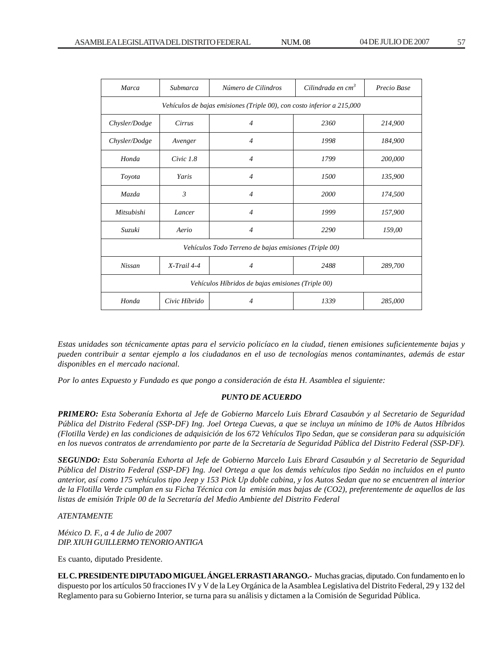| <b>Marca</b>                                                           | Submarca       | Cilindrada en cm <sup>3</sup><br>Número de Cilindros |      | Precio Base |  |  |  |  |
|------------------------------------------------------------------------|----------------|------------------------------------------------------|------|-------------|--|--|--|--|
| Vehículos de bajas emisiones (Triple 00), con costo inferior a 215,000 |                |                                                      |      |             |  |  |  |  |
| Chysler/Dodge                                                          | Cirrus         | $\overline{4}$                                       | 2360 | 214,900     |  |  |  |  |
| Chysler/Dodge                                                          | Avenger        | $\overline{4}$                                       | 1998 | 184,900     |  |  |  |  |
| Honda                                                                  | Civic 1.8      | $\overline{4}$                                       | 1799 | 200,000     |  |  |  |  |
| Toyota                                                                 | Yaris          | $\overline{4}$                                       | 1500 | 135,900     |  |  |  |  |
| Mazda                                                                  | $\mathfrak{Z}$ | $\overline{4}$                                       | 2000 | 174,500     |  |  |  |  |
| Mitsubishi                                                             | Lancer         | $\overline{4}$                                       | 1999 | 157,900     |  |  |  |  |
| Suzuki                                                                 | Aerio          | $\overline{4}$                                       | 2290 | 159,00      |  |  |  |  |
| Vehículos Todo Terreno de bajas emisiones (Triple 00)                  |                |                                                      |      |             |  |  |  |  |
| Nissan                                                                 | $X$ -Trail 4-4 | $\overline{4}$                                       | 2488 | 289,700     |  |  |  |  |
| Vehículos Híbridos de bajas emisiones (Triple 00)                      |                |                                                      |      |             |  |  |  |  |
| Honda                                                                  | Civic Híbrido  | $\overline{4}$                                       | 1339 | 285,000     |  |  |  |  |

*Estas unidades son técnicamente aptas para el servicio policíaco en la ciudad, tienen emisiones suficientemente bajas y pueden contribuir a sentar ejemplo a los ciudadanos en el uso de tecnologías menos contaminantes, además de estar disponibles en el mercado nacional.*

*Por lo antes Expuesto y Fundado es que pongo a consideración de ésta H. Asamblea el siguiente:*

# *PUNTO DE ACUERDO*

*PRIMERO: Esta Soberanía Exhorta al Jefe de Gobierno Marcelo Luis Ebrard Casaubón y al Secretario de Seguridad Pública del Distrito Federal (SSP-DF) Ing. Joel Ortega Cuevas, a que se incluya un mínimo de 10% de Autos Híbridos (Flotilla Verde) en las condiciones de adquisición de los 672 Vehículos Tipo Sedan, que se consideran para su adquisición en los nuevos contratos de arrendamiento por parte de la Secretaría de Seguridad Pública del Distrito Federal (SSP-DF).*

*SEGUNDO: Esta Soberanía Exhorta al Jefe de Gobierno Marcelo Luis Ebrard Casaubón y al Secretario de Seguridad Pública del Distrito Federal (SSP-DF) Ing. Joel Ortega a que los demás vehículos tipo Sedán no incluidos en el punto anterior, así como 175 vehículos tipo Jeep y 153 Pick Up doble cabina, y los Autos Sedan que no se encuentren al interior de la Flotilla Verde cumplan en su Ficha Técnica con la emisión mas bajas de (CO2), preferentemente de aquellos de las listas de emisión Triple 00 de la Secretaría del Medio Ambiente del Distrito Federal*

## *ATENTAMENTE*

*México D. F., a 4 de Julio de 2007 DIP. XIUH GUILLERMO TENORIO ANTIGA*

Es cuanto, diputado Presidente.

**EL C. PRESIDENTE DIPUTADO MIGUEL ÁNGEL ERRASTI ARANGO.-** Muchas gracias, diputado. Con fundamento en lo dispuesto por los artículos 50 fracciones IV y V de la Ley Orgánica de la Asamblea Legislativa del Distrito Federal, 29 y 132 del Reglamento para su Gobierno Interior, se turna para su análisis y dictamen a la Comisión de Seguridad Pública.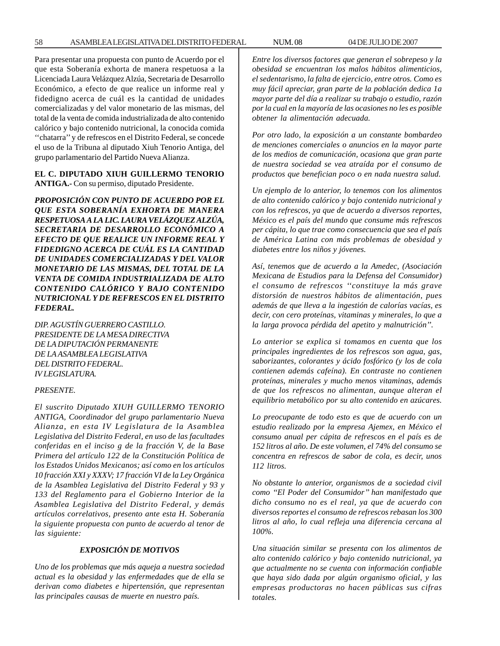Para presentar una propuesta con punto de Acuerdo por el que esta Soberanía exhorta de manera respetuosa a la Licenciada Laura Velázquez Alzúa, Secretaria de Desarrollo Económico, a efecto de que realice un informe real y fidedigno acerca de cuál es la cantidad de unidades comercializadas y del valor monetario de las mismas, del total de la venta de comida industrializada de alto contenido calórico y bajo contenido nutricional, la conocida comida ''chatarra'' y de refrescos en el Distrito Federal, se concede el uso de la Tribuna al diputado Xiuh Tenorio Antiga, del grupo parlamentario del Partido Nueva Alianza.

# **EL C. DIPUTADO XIUH GUILLERMO TENORIO ANTIGA.-** Con su permiso, diputado Presidente.

*PROPOSICIÓN CON PUNTO DE ACUERDO POR EL QUE ESTA SOBERANÍA EXHORTA DE MANERA RESPETUOSA A LA LIC. LAURA VELÁZQUEZ ALZÚA, SECRETARIA DE DESARROLLO ECONÓMICO A EFECTO DE QUE REALICE UN INFORME REAL Y FIDEDIGNO ACERCA DE CUÁL ES LA CANTIDAD DE UNIDADES COMERCIALIZADAS Y DEL VALOR MONETARIO DE LAS MISMAS, DEL TOTAL DE LA VENTA DE COMIDA INDUSTRIALIZADA DE ALTO CONTENIDO CALÓRICO Y BAJO CONTENIDO NUTRICIONAL Y DE REFRESCOS EN EL DISTRITO FEDERAL.*

*DIP. AGUSTÍN GUERRERO CASTILLO. PRESIDENTE DE LA MESA DIRECTIVA DE LA DIPUTACIÓN PERMANENTE DE LA ASAMBLEA LEGISLATIVA DEL DISTRITO FEDERAL. IV LEGISLATURA.*

## *PRESENTE.*

*El suscrito Diputado XIUH GUILLERMO TENORIO ANTIGA, Coordinador del grupo parlamentario Nueva Alianza, en esta IV Legislatura de la Asamblea Legislativa del Distrito Federal, en uso de las facultades conferidas en el inciso g de la fracción V, de la Base Primera del artículo 122 de la Constitución Política de los Estados Unidos Mexicanos; así como en los artículos 10 fracción XXI y XXXV; 17 fracción VI de la Ley Orgánica de la Asamblea Legislativa del Distrito Federal y 93 y 133 del Reglamento para el Gobierno Interior de la Asamblea Legislativa del Distrito Federal, y demás artículos correlativos, presento ante esta H. Soberanía la siguiente propuesta con punto de acuerdo al tenor de las siguiente:*

# *EXPOSICIÓN DE MOTIVOS*

*Uno de los problemas que más aqueja a nuestra sociedad actual es la obesidad y las enfermedades que de ella se derivan como diabetes e hipertensión, que representan las principales causas de muerte en nuestro país.*

*Entre los diversos factores que generan el sobrepeso y la obesidad se encuentran los malos hábitos alimenticios, el sedentarismo, la falta de ejercicio, entre otros. Como es muy fácil apreciar, gran parte de la población dedica 1a mayor parte del día a realizar su trabajo o estudio, razón por la cual en la mayoría de las ocasiones no les es posible obtener la alimentación adecuada.*

*Por otro lado, la exposición a un constante bombardeo de menciones comerciales o anuncios en la mayor parte de los medios de comunicación, ocasiona que gran parte de nuestra sociedad se vea atraída por el consumo de productos que benefician poco o en nada nuestra salud.*

*Un ejemplo de lo anterior, lo tenemos con los alimentos de alto contenido calórico y bajo contenido nutricional y con los refrescos, ya que de acuerdo a diversos reportes, México es el país del mundo que consume más refrescos per cápita, lo que trae como consecuencia que sea el país de América Latina con más problemas de obesidad y diabetes entre los niños y jóvenes.*

*Así, tenemos que de acuerdo a la Amedec, (Asociación Mexicana de Estudios para la Defensa del Consumidor) el consumo de refrescos ''constituye la más grave distorsión de nuestros hábitos de alimentación, pues además de que lleva a la ingestión de calorías vacías, es decir, con cero proteínas, vitaminas y minerales, lo que a la larga provoca pérdida del apetito y malnutrición''.*

*Lo anterior se explica si tomamos en cuenta que los principales ingredientes de los refrescos son agua, gas, saborizantes, colorantes y ácido fosfórico (y los de cola contienen además cafeína). En contraste no contienen proteínas, minerales y mucho menos vitaminas, además de que los refrescos no alimentan, aunque alteran el equilibrio metabólico por su alto contenido en azúcares.*

*Lo preocupante de todo esto es que de acuerdo con un estudio realizado por la empresa Ajemex, en México el consumo anual per cápita de refrescos en el país es de 152 litros al año. De este volumen, el 74% del consumo se concentra en refrescos de sabor de cola, es decir, unos 112 litros.*

*No obstante lo anterior, organismos de a sociedad civil como ''El Poder del Consumidor'' han manifestado que dicho consumo no es el real, ya que de acuerdo con diversos reportes el consumo de refrescos rebasan los 300 litros al año, lo cual refleja una diferencia cercana al 100%.*

*Una situación similar se presenta con los alimentos de alto contenido calórico y bajo contenido nutricional, ya que actualmente no se cuenta con información confiable que haya sido dada por algún organismo oficial, y las empresas productoras no hacen públicas sus cifras totales.*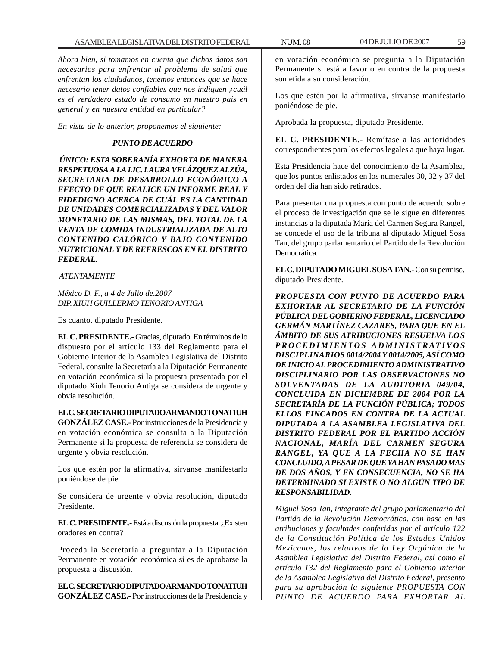*Ahora bien, si tomamos en cuenta que dichos datos son necesarios para enfrentar al problema de salud que enfrentan los ciudadanos, tenemos entonces que se hace necesario tener datos confiables que nos indiquen ¿cuál es el verdadero estado de consumo en nuestro país en general y en nuestra entidad en particular?*

*En vista de lo anterior, proponemos el siguiente:*

## *PUNTO DE ACUERDO*

*ÚNICO: ESTA SOBERANÍA EXHORTA DE MANERA RESPETUOSA A LA LIC. LAURA VELÁZQUEZ ALZÚA, SECRETARIA DE DESARROLLO ECONÓMICO A EFECTO DE QUE REALICE UN INFORME REAL Y FIDEDIGNO ACERCA DE CUÁL ES LA CANTIDAD DE UNIDADES COMERCIALIZADAS Y DEL VALOR MONETARIO DE LAS MISMAS, DEL TOTAL DE LA VENTA DE COMIDA INDUSTRIALIZADA DE ALTO CONTENIDO CALÓRICO Y BAJO CONTENIDO NUTRICIONAL Y DE REFRESCOS EN EL DISTRITO FEDERAL.*

 *ATENTAMENTE*

*México D. F., a 4 de Julio de.2007 DIP. XIUH GUILLERMO TENORIO ANTIGA*

Es cuanto, diputado Presidente.

urgente y obvia resolución.

**EL C. PRESIDENTE.-** Gracias, diputado. En términos de lo dispuesto por el artículo 133 del Reglamento para el Gobierno Interior de la Asamblea Legislativa del Distrito Federal, consulte la Secretaría a la Diputación Permanente en votación económica si la propuesta presentada por el diputado Xiuh Tenorio Antiga se considera de urgente y obvia resolución.

**EL C. SECRETARIO DIPUTADO ARMANDO TONATIUH GONZÁLEZ CASE.-** Por instrucciones de la Presidencia y en votación económica se consulta a la Diputación Permanente si la propuesta de referencia se considera de

Los que estén por la afirmativa, sírvanse manifestarlo poniéndose de pie.

Se considera de urgente y obvia resolución, diputado Presidente.

**EL C. PRESIDENTE.-** Está a discusión la propuesta. ¿Existen oradores en contra?

Proceda la Secretaría a preguntar a la Diputación Permanente en votación económica si es de aprobarse la propuesta a discusión.

**EL C. SECRETARIO DIPUTADO ARMANDO TONATIUH GONZÁLEZ CASE.-** Por instrucciones de la Presidencia y

en votación económica se pregunta a la Diputación Permanente si está a favor o en contra de la propuesta sometida a su consideración.

Los que estén por la afirmativa, sírvanse manifestarlo poniéndose de pie.

Aprobada la propuesta, diputado Presidente.

**EL C. PRESIDENTE.-** Remítase a las autoridades correspondientes para los efectos legales a que haya lugar.

Esta Presidencia hace del conocimiento de la Asamblea, que los puntos enlistados en los numerales 30, 32 y 37 del orden del día han sido retirados.

Para presentar una propuesta con punto de acuerdo sobre el proceso de investigación que se le sigue en diferentes instancias a la diputada María del Carmen Segura Rangel, se concede el uso de la tribuna al diputado Miguel Sosa Tan, del grupo parlamentario del Partido de la Revolución Democrática.

**EL C. DIPUTADO MIGUEL SOSA TAN.-** Con su permiso, diputado Presidente.

*PROPUESTA CON PUNTO DE ACUERDO PARA EXHORTAR AL SECRETARIO DE LA FUNCIÓN PÚBLICA DEL GOBIERNO FEDERAL, LICENCIADO GERMÁN MARTÍNEZ CAZARES, PARA QUE EN EL ÁMBITO DE SUS ATRIBUCIONES RESUELVA LOS PROCEDIMIENTOS ADMINISTRATIVOS DISCIPLINARIOS 0014/2004 Y 0014/2005, ASÍ COMO DE INICIO AL PROCEDIMIENTO ADMINISTRATIVO DISCIPLINARIO POR LAS OBSERVACIONES NO SOLVENTADAS DE LA AUDITORIA 049/04, CONCLUIDA EN DICIEMBRE DE 2004 POR LA SECRETARÍA DE LA FUNCIÓN PÚBLICA; TODOS ELLOS FINCADOS EN CONTRA DE LA ACTUAL DIPUTADA A LA ASAMBLEA LEGISLATIVA DEL DISTRITO FEDERAL POR EL PARTIDO ACCIÓN NACIONAL, MARÍA DEL CARMEN SEGURA RANGEL, YA QUE A LA FECHA NO SE HAN CONCLUIDO, A PESAR DE QUE YA HAN PASADO MAS DE DOS AÑOS, Y EN CONSECUENCIA, NO SE HA DETERMINADO SI EXISTE O NO ALGÚN TIPO DE RESPONSABILIDAD.*

*Miguel Sosa Tan, integrante del grupo parlamentario del Partido de la Revolución Democrática, con base en las atribuciones y facultades conferidas por el artículo 122 de la Constitución Política de los Estados Unidos Mexicanos, los relativos de la Ley Orgánica de la Asamblea Legislativa del Distrito Federal, así como el artículo 132 del Reglamento para el Gobierno Interior de la Asamblea Legislativa del Distrito Federal, presento para su aprobación la siguiente PROPUESTA CON PUNTO DE ACUERDO PARA EXHORTAR AL*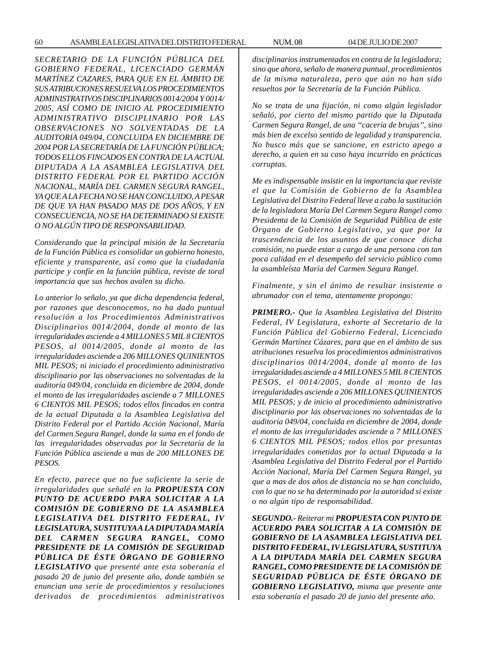*SECRETARIO DE LA FUNCIÓN PÚBLICA DEL GOBIERNO FEDERAL, LICENCIADO GERMÁN MARTÍNEZ CAZARES, PARA QUE EN EL ÁMBITO DE SUS ATRIBUCIONES RESUELVA LOS PROCEDIMIENTOS ADMINISTRATIVOS DISCIPLINARIOS 0014/2004 Y 0014/ 2005, ASÍ COMO DE INICIO AL PROCEDIMIENTO ADMINISTRATIVO DISCIPLINARIO POR LAS OBSERVACIONES NO SOLVENTADAS DE LA AUDITORIA 049/04, CONCLUIDA EN DICIEMBRE DE 2004 POR LA SECRETARÍA DE LA FUNCIÓN PÚBLICA; TODOS ELLOS FINCADOS EN CONTRA DE LA ACTUAL DIPUTADA A LA ASAMBLEA LEGISLATIVA DEL DISTRITO FEDERAL POR EL PARTIDO ACCIÓN NACIONAL, MARÍA DEL CARMEN SEGURA RANGEL, YA QUE A LA FECHA NO SE HAN CONCLUIDO, A PESAR DE QUE YA HAN PASADO MAS DE DOS AÑOS, Y EN CONSECUENCIA, NO SE HA DETERMINADO SI EXISTE O NO ALGÚN TIPO DE RESPONSABILIDAD.*

*Considerando que la principal misión de la Secretaría de la Función Pública es consolidar un gobierno honesto, eficiente y transparente, así como que la ciudadanía participe y confíe en la función pública, reviste de toral importancia que sus hechos avalen su dicho.*

*Lo anterior lo señalo, ya que dicha dependencia federal, por razones que desconocemos, no ha dado puntual resolución a los Procedimientos Administrativos Disciplinarios 0014/2004, donde al monto de las irregularidades asciende a 4 MILLONES 5 MIL 8 CIENTOS PESOS, al 0014/2005, donde al monto de las irregularidades asciende a 206 MILLONES QUINIENTOS MIL PESOS; ni iniciado el procedimiento administrativo disciplinario por las observaciones no solventadas de la auditoría 049/04, concluida en diciembre de 2004, donde el monto de las irregularidades asciende a 7 MILLONES 6 CIENTOS MIL PESOS; todos ellos fincados en contra de la actual Diputada a la Asamblea Legislativa del Distrito Federal por el Partido Acción Nacional, María del Carmen Segura Rangel, donde la suma en el fondo de las irregularidades observadas por la Secretaría de la Función Pública asciende a mas de 200 MILLONES DE PESOS.*

*En efecto, parece que no fue suficiente la serie de irregularidades que señalé en la PROPUESTA CON PUNTO DE ACUERDO PARA SOLICITAR A LA COMISIÓN DE GOBIERNO DE LA ASAMBLEA LEGISLATIVA DEL DISTRITO FEDERAL, IV LEGISLATURA, SUSTITUYA A LA DIPUTADA MARÍA DEL CARMEN SEGURA RANGEL, COMO PRESIDENTE DE LA COMISIÓN DE SEGURIDAD PÚBLICA DE ÉSTE ÓRGANO DE GOBIERNO LEGISLATIVO que presenté ante esta soberanía el pasado 20 de junio del presente año, donde también se enuncian una serie de procedimientos y resoluciones derivados de procedimientos administrativos* *disciplinarios instrumentados en contra de la legisladora; sino que ahora, señalo de manera puntual, procedimientos de la misma naturaleza, pero que aún no han sido resueltos por la Secretaría de la Función Pública.*

*No se trata de una fijación, ni como algún legislador señaló, por cierto del mismo partido que la Diputada Carmen Segura Rangel, de una ''cacería de brujas'', sino más bien de excelso sentido de legalidad y transparencia. No busco más que se sancione, en estricto apego a derecho, a quien en su caso haya incurrido en prácticas corruptas.*

*Me es indispensable insistir en la importancia que reviste el que la Comisión de Gobierno de la Asamblea Legislativa del Distrito Federal lleve a cabo la sustitución de la legisladora María Del Carmen Segura Rangel como Presidenta de la Comisión de Seguridad Pública de este Órgano de Gobierno Legislativo, ya que por la trascendencia de los asuntos de que conoce dicha comisión, no puede estar a cargo de una persona con tan poca calidad en el desempeño del servicio público como la asambleísta María del Carmen Segura Rangel.*

*Finalmente, y sin el ánimo de resultar insistente o abrumador con el tema, atentamente propongo:*

*PRIMERO.- Que la Asamblea Legislativa del Distrito Federal, IV Legislatura, exhorte al Secretario de la Función Pública del Gobierno Federal, Licenciado Germán Martínez Cázares, para que en el ámbito de sus atribuciones resuelva los procedimientos administrativos disciplinarios 0014/2004, donde al monto de las irregularidades asciende a 4 MILLONES 5 MIL 8 CIENTOS PESOS, el 0014/2005, donde al monto de las irregularidades asciende a 206 MILLONES QUINIENTOS MIL PESOS; y de inicio al procedimiento administrativo disciplinario por las observaciones no solventadas de la auditoría 049/04, concluida en diciembre de 2004, donde el monto de las irregularidades asciende a 7 MILLONES 6 CIENTOS MIL PESOS; todos ellos por presuntas irregularidades cometidas por la actual Diputada a la Asamblea Legislativa del Distrito Federal por el Partido Acción Nacional, María Del Carmen Segura Rangel, ya que a mas de dos años de distancia no se han concluido, con lo que no se ha determinado por la autoridad si existe o no algún tipo de responsabilidad.*

*SEGUNDO.- Reiterar mi PROPUESTA CON PUNTO DE ACUERDO PARA SOLICITAR A LA COMISIÓN DE GOBIERNO DE LA ASAMBLEA LEGISLATIVA DEL DISTRITO FEDERAL, IV LEGISLATURA, SUSTITUYA A LA DIPUTADA MARÍA DEL CARMEN SEGURA RANGEL, COMO PRESIDENTE DE LA COMISIÓN DE SEGURIDAD PÚBLICA DE ÉSTE ÓRGANO DE GOBIERNO LEGISLATIVO, misma que presente ante esta soberanía el pasado 20 de junio del presente año.*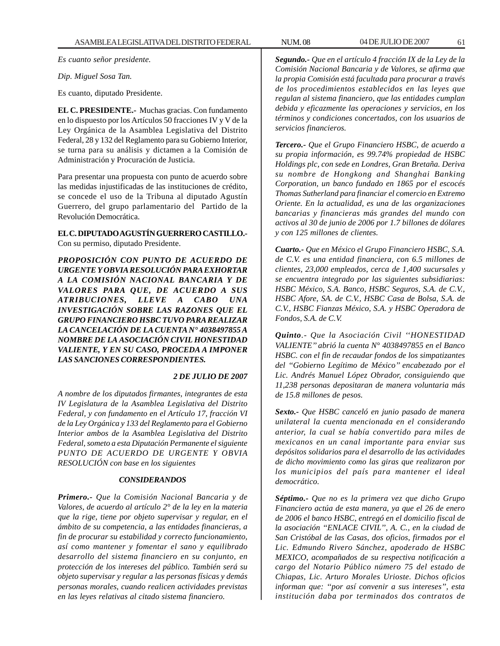*Es cuanto señor presidente.*

*Dip. Miguel Sosa Tan.*

Es cuanto, diputado Presidente.

**EL C. PRESIDENTE.-** Muchas gracias. Con fundamento en lo dispuesto por los Artículos 50 fracciones IV y V de la Ley Orgánica de la Asamblea Legislativa del Distrito Federal, 28 y 132 del Reglamento para su Gobierno Interior, se turna para su análisis y dictamen a la Comisión de Administración y Procuración de Justicia.

Para presentar una propuesta con punto de acuerdo sobre las medidas injustificadas de las instituciones de crédito, se concede el uso de la Tribuna al diputado Agustín Guerrero, del grupo parlamentario del Partido de la Revolución Democrática.

**EL C. DIPUTADO AGUSTÍN GUERRERO CASTILLO.-** Con su permiso, diputado Presidente.

*PROPOSICIÓN CON PUNTO DE ACUERDO DE URGENTE Y OBVIA RESOLUCIÓN PARA EXHORTAR A LA COMISIÓN NACIONAL BANCARIA Y DE VALORES PARA QUE, DE ACUERDO A SUS ATRIBUCIONES, LLEVE A CABO UNA INVESTIGACIÓN SOBRE LAS RAZONES QUE EL GRUPO FINANCIERO HSBC TUVO PARA REALIZAR LA CANCELACIÓN DE LA CUENTA N° 4038497855 A NOMBRE DE LA ASOCIACIÓN CIVIL HONESTIDAD VALIENTE, Y EN SU CASO, PROCEDA A IMPONER LAS SANCIONES CORRESPONDIENTES.*

## *2 DE JULIO DE 2007*

*A nombre de los diputados firmantes, integrantes de esta IV Legislatura de la Asamblea Legislativa del Distrito Federal, y con fundamento en el Artículo 17, fracción VI de la Ley Orgánica y 133 del Reglamento para el Gobierno Interior ambos de la Asamblea Legislativa del Distrito Federal, someto a esta Diputación Permanente el siguiente PUNTO DE ACUERDO DE URGENTE Y OBVIA RESOLUCIÓN con base en los siguientes*

## *CONSIDERANDOS*

*Primero.- Que la Comisión Nacional Bancaria y de Valores, de acuerdo al artículo 2° de la ley en la materia que la rige, tiene por objeto supervisar y regular, en el ámbito de su competencia, a las entidades financieras, a fin de procurar su estabilidad y correcto funcionamiento, así como mantener y fomentar el sano y equilibrado desarrollo del sistema financiero en su conjunto, en protección de los intereses del público. También será su objeto supervisar y regular a las personas físicas y demás personas morales, cuando realicen actividades previstas en las leyes relativas al citado sistema financiero.*

*Segundo.- Que en el artículo 4 fracción IX de la Ley de la Comisión Nacional Bancaria y de Valores, se afirma que la propia Comisión está facultada para procurar a través de los procedimientos establecidos en las leyes que regulan al sistema financiero, que las entidades cumplan debida y eficazmente las operaciones y servicios, en los términos y condiciones concertados, con los usuarios de servicios financieros.*

*Tercero.- Que el Grupo Financiero HSBC, de acuerdo a su propia información, es 99.74% propiedad de HSBC Holdings plc, con sede en Londres, Gran Bretaña. Deriva su nombre de Hongkong and Shanghai Banking Corporation, un banco fundado en 1865 por el escocés Thomas Sutherland para financiar el comercio en Extremo Oriente. En la actualidad, es una de las organizaciones bancarias y financieras más grandes del mundo con activos al 30 de junio de 2006 por 1.7 billones de dólares y con 125 millones de clientes.*

*Cuarto.- Que en México el Grupo Financiero HSBC, S.A. de C.V. es una entidad financiera, con 6.5 millones de clientes, 23,000 empleados, cerca de 1,400 sucursales y se encuentra integrado por las siguientes subsidiarias: HSBC México, S.A. Banco, HSBC Seguros, S.A. de C.V., HSBC Afore, SA. de C.V., HSBC Casa de Bolsa, S.A. de C.V., HSBC Fianzas México, S.A. y HSBC Operadora de Fondos, S.A. de C.V.*

*Quinto.- Que la Asociación Civil ''HONESTIDAD VALIENTE'' abrió la cuenta N° 4038497855 en el Banco HSBC. con el fin de recaudar fondos de los simpatizantes del ''Gobierno Legítimo de México'' encabezado por el Lic. Andrés Manuel López Obrador, consiguiendo que 11,238 personas depositaran de manera voluntaria más de 15.8 millones de pesos.*

*Sexto.- Que HSBC canceló en junio pasado de manera unilateral la cuenta mencionada en el considerando anterior, la cual se había convertido para miles de mexicanos en un canal importante para enviar sus depósitos solidarios para el desarrollo de las actividades de dicho movimiento como las giras que realizaron por los municipios del país para mantener el ideal democrático.*

*Séptimo.- Que no es la primera vez que dicho Grupo Financiero actúa de esta manera, ya que el 26 de enero de 2006 el banco HSBC, entregó en el domicilio fiscal de la asociación ''ENLACE CIVIL'', A. C., en la ciudad de San Cristóbal de las Casas, dos oficios, firmados por el Lic. Edmundo Rivero Sánchez, apoderado de HSBC MEXICO, acompañados de su respectiva notificación a cargo del Notario Público número 75 del estado de Chiapas, Lic. Arturo Morales Urioste. Dichos oficios informan que: ''por así convenir a sus intereses'', esta institución daba por terminados dos contratos de*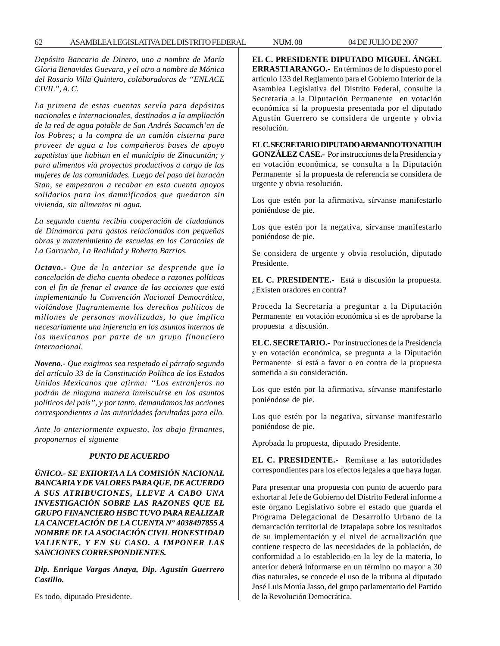*Depósito Bancario de Dinero, uno a nombre de María Gloria Benavides Guevara, y el otro a nombre de Mónica del Rosario Villa Quintero, colaboradoras de ''ENLACE CIVIL'', A. C.*

*La primera de estas cuentas servía para depósitos nacionales e internacionales, destinados a la ampliación de la red de agua potable de San Andrés Sacamch'en de los Pobres; a la compra de un camión cisterna para proveer de agua a los compañeros bases de apoyo zapatistas que habitan en el municipio de Zinacantán; y para alimentos vía proyectos productivos a cargo de las mujeres de las comunidades. Luego del paso del huracán Stan, se empezaron a recabar en esta cuenta apoyos solidarios para los damnificados que quedaron sin vivienda, sin alimentos ni agua.*

*La segunda cuenta recibía cooperación de ciudadanos de Dinamarca para gastos relacionados con pequeñas obras y mantenimiento de escuelas en los Caracoles de La Garrucha, La Realidad y Roberto Barrios.*

*Octavo.- Que de lo anterior se desprende que la cancelación de dicha cuenta obedece a razones políticas con el fin de frenar el avance de las acciones que está implementando la Convención Nacional Democrática, violándose flagrantemente los derechos políticos de millones de personas movilizadas, lo que implica necesariamente una injerencia en los asuntos internos de los mexicanos por parte de un grupo financiero internacional.*

*Noveno.- Que exigimos sea respetado el párrafo segundo del artículo 33 de la Constitución Política de los Estados Unidos Mexicanos que afirma: ''Los extranjeros no podrán de ninguna manera inmiscuirse en los asuntos políticos del país'', y por tanto, demandamos las acciones correspondientes a las autoridades facultadas para ello.*

*Ante lo anteriormente expuesto, los abajo firmantes, proponernos el siguiente*

#### *PUNTO DE ACUERDO*

*ÚNICO.- SE EXHORTA A LA COMISIÓN NACIONAL BANCARIA Y DE VALORES PARA QUE, DE ACUERDO A SUS ATRIBUCIONES, LLEVE A CABO UNA INVESTIGACIÓN SOBRE LAS RAZONES QUE EL GRUPO FINANCIERO HSBC TUVO PARA REALIZAR LA CANCELACIÓN DE LA CUENTA N° 4038497855 A NOMBRE DE LA ASOCIACIÓN CIVIL HONESTIDAD VALIENTE, Y EN SU CASO. A IMPONER LAS SANCIONES CORRESPONDIENTES.*

*Dip. Enrique Vargas Anaya, Dip. Agustín Guerrero Castillo.*

Es todo, diputado Presidente.

**EL C. PRESIDENTE DIPUTADO MIGUEL ÁNGEL ERRASTI ARANGO.-** En términos de lo dispuesto por el artículo 133 del Reglamento para el Gobierno Interior de la Asamblea Legislativa del Distrito Federal, consulte la Secretaría a la Diputación Permanente en votación económica si la propuesta presentada por el diputado Agustín Guerrero se considera de urgente y obvia resolución.

**EL C. SECRETARIO DIPUTADO ARMANDO TONATIUH GONZÁLEZ CASE.-** Por instrucciones de la Presidencia y en votación económica, se consulta a la Diputación Permanente si la propuesta de referencia se considera de urgente y obvia resolución.

Los que estén por la afirmativa, sírvanse manifestarlo poniéndose de pie.

Los que estén por la negativa, sírvanse manifestarlo poniéndose de pie.

Se considera de urgente y obvia resolución, diputado Presidente.

**EL C. PRESIDENTE.-** Está a discusión la propuesta. ¿Existen oradores en contra?

Proceda la Secretaría a preguntar a la Diputación Permanente en votación económica si es de aprobarse la propuesta a discusión.

**EL C. SECRETARIO.-** Por instrucciones de la Presidencia y en votación económica, se pregunta a la Diputación Permanente si está a favor o en contra de la propuesta sometida a su consideración.

Los que estén por la afirmativa, sírvanse manifestarlo poniéndose de pie.

Los que estén por la negativa, sírvanse manifestarlo poniéndose de pie.

Aprobada la propuesta, diputado Presidente.

**EL C. PRESIDENTE.-** Remítase a las autoridades correspondientes para los efectos legales a que haya lugar.

Para presentar una propuesta con punto de acuerdo para exhortar al Jefe de Gobierno del Distrito Federal informe a este órgano Legislativo sobre el estado que guarda el Programa Delegacional de Desarrollo Urbano de la demarcación territorial de Iztapalapa sobre los resultados de su implementación y el nivel de actualización que contiene respecto de las necesidades de la población, de conformidad a lo establecido en la ley de la materia, lo anterior deberá informarse en un término no mayor a 30 días naturales, se concede el uso de la tribuna al diputado José Luis Morúa Jasso, del grupo parlamentario del Partido de la Revolución Democrática.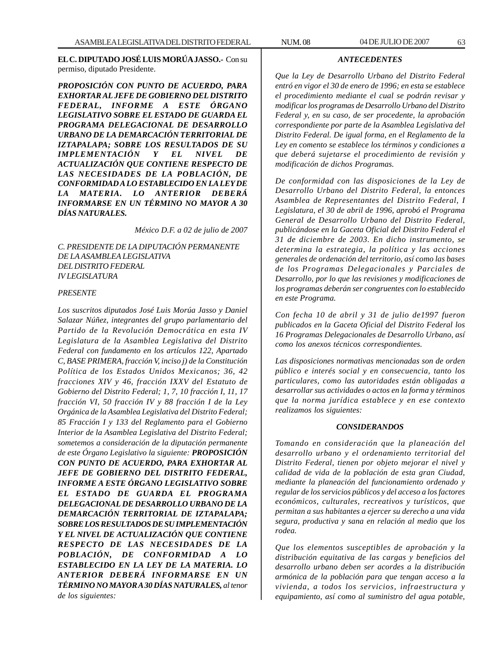**EL C. DIPUTADO JOSÉ LUIS MORÚA JASSO.-** Con su permiso, diputado Presidente.

*PROPOSICIÓN CON PUNTO DE ACUERDO, PARA EXHORTAR AL JEFE DE GOBIERNO DEL DISTRITO FEDERAL, INFORME A ESTE ÓRGANO LEGISLATIVO SOBRE EL ESTADO DE GUARDA EL PROGRAMA DELEGACIONAL DE DESARROLLO URBANO DE LA DEMARCACIÓN TERRITORIAL DE IZTAPALAPA; SOBRE LOS RESULTADOS DE SU IMPLEMENTACIÓN Y EL NIVEL DE ACTUALIZACIÓN QUE CONTIENE RESPECTO DE LAS NECESIDADES DE LA POBLACIÓN, DE CONFORMIDAD A LO ESTABLECIDO EN LA LEY DE LA MATERIA. LO ANTERIOR DEBERÁ INFORMARSE EN UN TÉRMINO NO MAYOR A 30 DÍAS NATURALES.*

*México D.F. a 02 de julio de 2007*

*C. PRESIDENTE DE LA DIPUTACIÓN PERMANENTE DE LA ASAMBLEA LEGISLATIVA DEL DISTRITO FEDERAL IV LEGISLATURA*

#### *PRESENTE*

*Los suscritos diputados José Luis Morúa Jasso y Daniel Salazar Núñez, integrantes del grupo parlamentario del Partido de la Revolución Democrática en esta IV Legislatura de la Asamblea Legislativa del Distrito Federal con fundamento en los artículos 122, Apartado C, BASE PRIMERA, fracción V, inciso j) de la Constitución Política de los Estados Unidos Mexicanos; 36, 42 fracciones XIV y 46, fracción IXXV del Estatuto de Gobierno del Distrito Federal; 1, 7, 10 fracción I, 11, 17 fracción VI, 50 fracción IV y 88 fracción I de la Ley Orgánica de la Asamblea Legislativa del Distrito Federal; 85 Fracción I y 133 del Reglamento para el Gobierno Interior de la Asamblea Legislativa del Distrito Federal; sometemos a consideración de la diputación permanente de este Órgano Legislativo la siguiente: PROPOSICIÓN CON PUNTO DE ACUERDO, PARA EXHORTAR AL JEFE DE GOBIERNO DEL DISTRITO FEDERAL, INFORME A ESTE ÓRGANO LEGISLATIVO SOBRE EL ESTADO DE GUARDA EL PROGRAMA DELEGACIONAL DE DESARROLLO URBANO DE LA DEMARCACIÓN TERRITORIAL DE IZTAPALAPA; SOBRE LOS RESULTADOS DE SU IMPLEMENTACIÓN Y EL NIVEL DE ACTUALIZACIÓN QUE CONTIENE RESPECTO DE LAS NECESIDADES DE LA POBLACIÓN, DE CONFORMIDAD A LO ESTABLECIDO EN LA LEY DE LA MATERIA. LO ANTERIOR DEBERÁ INFORMARSE EN UN TÉRMINO NO MAYOR A 30 DÍAS NATURALES, al tenor de los siguientes:*

*Que la Ley de Desarrollo Urbano del Distrito Federal entró en vigor el 30 de enero de 1996; en esta se establece el procedimiento mediante el cual se podrán revisar y modificar los programas de Desarrollo Urbano del Distrito Federal y, en su caso, de ser procedente, la aprobación correspondiente por parte de la Asamblea Legislativa del Distrito Federal. De igual forma, en el Reglamento de la Ley en comento se establece los términos y condiciones a que deberá sujetarse el procedimiento de revisión y*

*modificación de dichos Programas.*

*ANTECEDENTES*

*De conformidad con las disposiciones de la Ley de Desarrollo Urbano del Distrito Federal, la entonces Asamblea de Representantes del Distrito Federal, I Legislatura, el 30 de abril de 1996, aprobó el Programa General de Desarrollo Urbano del Distrito Federal, publicándose en la Gaceta Oficial del Distrito Federal el 31 de diciembre de 2003. En dicho instrumento, se determina la estrategia, la política y las acciones generales de ordenación del territorio, así como las bases de los Programas Delegacionales y Parciales de Desarrollo, por lo que las revisiones y modificaciones de los programas deberán ser congruentes con lo establecido en este Programa.*

*Con fecha 10 de abril y 31 de julio de1997 fueron publicados en la Gaceta Oficial del Distrito Federal los 16 Programas Delegacionales de Desarrollo Urbano, así como los anexos técnicos correspondientes.*

*Las disposiciones normativas mencionadas son de orden público e interés social y en consecuencia, tanto los particulares, como las autoridades están obligadas a desarrollar sus actividades o actos en la forma y términos que la norma jurídica establece y en ese contexto realizamos los siguientes:*

## *CONSIDERANDOS*

*Tomando en consideración que la planeación del desarrollo urbano y el ordenamiento territorial del Distrito Federal, tienen por objeto mejorar el nivel y calidad de vida de la población de esta gran Ciudad, mediante la planeación del funcionamiento ordenado y regular de los servicios públicos y del acceso a los factores económicos, culturales, recreativos y turísticos, que permitan a sus habitantes a ejercer su derecho a una vida segura, productiva y sana en relación al medio que los rodea.*

*Que los elementos susceptibles de aprobación y la distribución equitativa de las cargas y beneficios del desarrollo urbano deben ser acordes a la distribución armónica de la población para que tengan acceso a la vivienda, a todos los servicios, infraestructura y equipamiento, así como al suministro del agua potable,*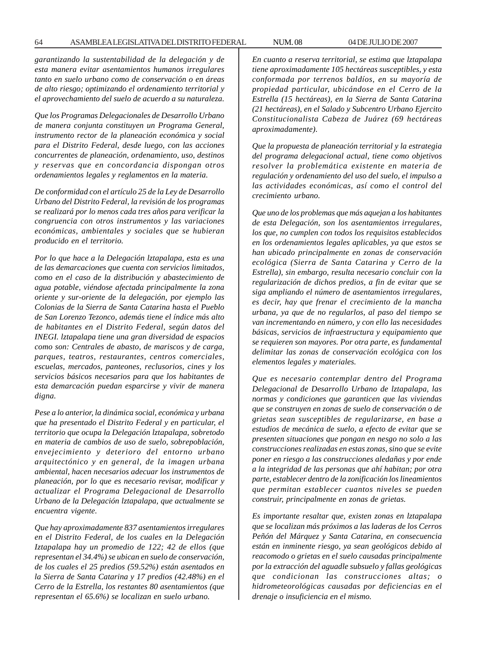*garantizando la sustentabilidad de la delegación y de esta manera evitar asentamientos humanos irregulares tanto en suelo urbano como de conservación o en áreas de alto riesgo; optimizando el ordenamiento territorial y el aprovechamiento del suelo de acuerdo a su naturaleza.*

*Que los Programas Delegacionales de Desarrollo Urbano de manera conjunta constituyen un Programa General, instrumento rector de la planeación económica y social para el Distrito Federal, desde luego, con las acciones concurrentes de planeación, ordenamiento, uso, destinos y reservas que en concordancia dispongan otros ordenamientos legales y reglamentos en la materia.*

*De conformidad con el artículo 25 de la Ley de Desarrollo Urbano del Distrito Federal, la revisión de los programas se realizará por lo menos cada tres años para verificar la congruencia con otros instrumentos y las variaciones económicas, ambientales y sociales que se hubieran producido en el territorio.*

*Por lo que hace a la Delegación lztapalapa, esta es una de las demarcaciones que cuenta con servicios limitados, como en el caso de la distribución y abastecimiento de agua potable, viéndose afectada principalmente la zona oriente y sur-oriente de la delegación, por ejemplo las Colonias de la Sierra de Santa Catarina hasta el Pueblo de San Lorenzo Tezonco, además tiene el índice más alto de habitantes en el Distrito Federal, según datos del INEGI. lztapalapa tiene una gran diversidad de espacios como son: Centrales de abasto, de mariscos y de carga, parques, teatros, restaurantes, centros comerciales, escuelas, mercados, panteones, reclusorios, cines y los servicios básicos necesarios para que los habitantes de esta demarcación puedan esparcirse y vivir de manera digna.*

*Pese a lo anterior, la dinámica social, económica y urbana que ha presentado el Distrito Federal y en particular, el territorio que ocupa la Delegación lztapalapa, sobretodo en materia de cambios de uso de suelo, sobrepoblación, envejecimiento y deterioro del entorno urbano arquitectónico y en general, de la imagen urbana ambiental, hacen necesarios adecuar los instrumentos de planeación, por lo que es necesario revisar, modificar y actualizar el Programa Delegacional de Desarrollo Urbano de la Delegación lztapalapa, que actualmente se encuentra vigente.*

*Que hay aproximadamente 837 asentamientos irregulares en el Distrito Federal, de los cuales en la Delegación Iztapalapa hay un promedio de 122; 42 de ellos (que representan el 34.4%) se ubican en suelo de conservación, de los cuales el 25 predios (59.52%) están asentados en la Sierra de Santa Catarina y 17 predios (42.48%) en el Cerro de la Estrella, los restantes 80 asentamientos (que representan el 65.6%) se localizan en suelo urbano.*

*En cuanto a reserva territorial, se estima que lztapalapa tiene aproximadamente 105 hectáreas susceptibles, y esta conformada por terrenos baldíos, en su mayoría de propiedad particular, ubicándose en el Cerro de la Estrella (15 hectáreas), en la Sierra de Santa Catarina (21 hectáreas), en el Salado y Subcentro Urbano Ejercito Constitucionalista Cabeza de Juárez (69 hectáreas aproximadamente).*

*Que la propuesta de planeación territorial y la estrategia del programa delegacional actual, tiene como objetivos resolver la problemática existente en materia de regulación y ordenamiento del uso del suelo, el impulso a las actividades económicas, así como el control del crecimiento urbano.*

*Que uno de los problemas que más aquejan a los habitantes de esta Delegación, son los asentamientos irregulares, los que, no cumplen con todos los requisitos establecidos en los ordenamientos legales aplicables, ya que estos se han ubicado principalmente en zonas de conservación ecológica (Sierra de Santa Catarina y Cerro de la Estrella), sin embargo, resulta necesario concluir con la regularización de dichos predios, a fin de evitar que se siga ampliando el número de asentamientos irregulares, es decir, hay que frenar el crecimiento de la mancha urbana, ya que de no regularlos, al paso del tiempo se van incrementando en número, y con ello las necesidades básicas, servicios de infraestructura y equipamiento que se requieren son mayores. Por otra parte, es fundamental delimitar las zonas de conservación ecológica con los elementos legales y materiales.*

*Que es necesario contemplar dentro del Programa Delegacional de Desarrollo Urbano de lztapalapa, las normas y condiciones que garanticen que las viviendas que se construyen en zonas de suelo de conservación o de grietas sean susceptibles de regularizarse, en base a estudios de mecánica de suelo, a efecto de evitar que se presenten situaciones que pongan en nesgo no solo a las construcciones realizadas en estas zonas, sino que se evite poner en riesgo a las construcciones aledañas y por ende a la integridad de las personas que ahí habitan; por otra parte, establecer dentro de la zonificación los lineamientos que permitan establecer cuantos niveles se pueden construir, principalmente en zonas de grietas.*

*Es importante resaltar que, existen zonas en lztapalapa que se localizan más próximos a las laderas de los Cerros Peñón del Márquez y Santa Catarina, en consecuencia están en inminente riesgo, ya sean geológicos debido al reacomodo o grietas en el suelo causadas principalmente por la extracción del aguadle subsuelo y fallas geológicas que condicionan las construcciones altas; o hidrometeorológicas causadas por deficiencias en el drenaje o insuficiencia en el mismo.*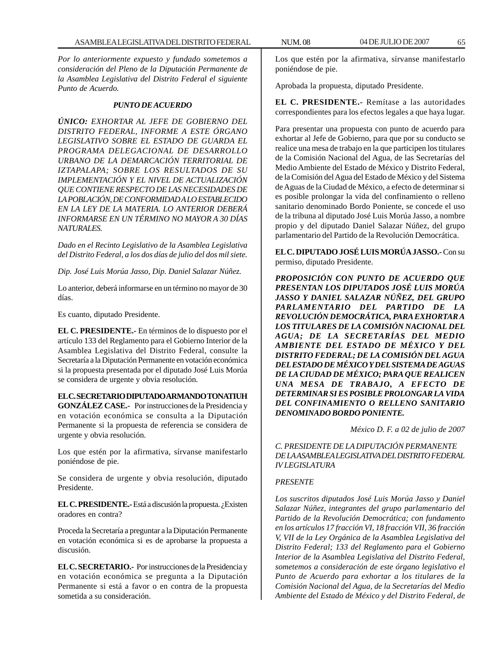*Por lo anteriormente expuesto y fundado sometemos a consideración del Pleno de la Diputación Permanente de la Asamblea Legislativa del Distrito Federal el siguiente Punto de Acuerdo.*

#### *PUNTO DE ACUERDO*

*ÚNICO: EXHORTAR AL JEFE DE GOBIERNO DEL DISTRITO FEDERAL, INFORME A ESTE ÓRGANO LEGISLATIVO SOBRE EL ESTADO DE GUARDA EL PROGRAMA DELEGACIONAL DE DESARROLLO URBANO DE LA DEMARCACIÓN TERRITORIAL DE IZTAPALAPA; SOBRE LOS RESULTADOS DE SU IMPLEMENTACIÓN Y EL NIVEL DE ACTUALIZACIÓN QUE CONTIENE RESPECTO DE LAS NECESIDADES DE LA POBLACIÓN, DE CONFORMIDAD A LO ESTABLECIDO EN LA LEY DE LA MATERIA. LO ANTERIOR DEBERÁ INFORMARSE EN UN TÉRMINO NO MAYOR A 30 DÍAS NATURALES.*

*Dado en el Recinto Legislativo de la Asamblea Legislativa del Distrito Federal, a los dos días de julio del dos mil siete.*

*Dip. José Luis Morúa Jasso, Dip. Daniel Salazar Núñez.*

Lo anterior, deberá informarse en un término no mayor de 30 días.

Es cuanto, diputado Presidente.

**EL C. PRESIDENTE.-** En términos de lo dispuesto por el artículo 133 del Reglamento para el Gobierno Interior de la Asamblea Legislativa del Distrito Federal, consulte la Secretaría a la Diputación Permanente en votación económica si la propuesta presentada por el diputado José Luis Morúa se considera de urgente y obvia resolución.

**EL C. SECRETARIO DIPUTADO ARMANDO TONATIUH GONZÁLEZ CASE.-** Por instrucciones de la Presidencia y en votación económica se consulta a la Diputación Permanente si la propuesta de referencia se considera de urgente y obvia resolución.

Los que estén por la afirmativa, sírvanse manifestarlo poniéndose de pie.

Se considera de urgente y obvia resolución, diputado Presidente.

**EL C. PRESIDENTE.-** Está a discusión la propuesta. ¿Existen oradores en contra?

Proceda la Secretaría a preguntar a la Diputación Permanente en votación económica si es de aprobarse la propuesta a discusión.

**EL C. SECRETARIO.-** Por instrucciones de la Presidencia y en votación económica se pregunta a la Diputación Permanente si está a favor o en contra de la propuesta sometida a su consideración.

Los que estén por la afirmativa, sírvanse manifestarlo poniéndose de pie.

Aprobada la propuesta, diputado Presidente.

**EL C. PRESIDENTE.-** Remítase a las autoridades correspondientes para los efectos legales a que haya lugar.

Para presentar una propuesta con punto de acuerdo para exhortar al Jefe de Gobierno, para que por su conducto se realice una mesa de trabajo en la que participen los titulares de la Comisión Nacional del Agua, de las Secretarías del Medio Ambiente del Estado de México y Distrito Federal, de la Comisión del Agua del Estado de México y del Sistema de Aguas de la Ciudad de México, a efecto de determinar si es posible prolongar la vida del confinamiento o relleno sanitario denominado Bordo Poniente, se concede el uso de la tribuna al diputado José Luis Morúa Jasso, a nombre propio y del diputado Daniel Salazar Núñez, del grupo parlamentario del Partido de la Revolución Democrática.

**EL C. DIPUTADO JOSÉ LUIS MORÚA JASSO.-** Con su permiso, diputado Presidente.

*PROPOSICIÓN CON PUNTO DE ACUERDO QUE PRESENTAN LOS DIPUTADOS JOSÉ LUIS MORÚA JASSO Y DANIEL SALAZAR NÚÑEZ, DEL GRUPO PARLAMENTARIO DEL PARTIDO DE LA REVOLUCIÓN DEMOCRÁTICA, PARA EXHORTAR A LOS TITULARES DE LA COMISIÓN NACIONAL DEL AGUA; DE LA SECRETARÍAS DEL MEDIO AMBIENTE DEL ESTADO DE MÉXICO Y DEL DISTRITO FEDERAL; DE LA COMISIÓN DEL AGUA DEL ESTADO DE MÉXICO Y DEL SISTEMA DE AGUAS DE LA CIUDAD DE MÉXICO; PARA QUE REALICEN UNA MESA DE TRABAJO, A EFECTO DE DETERMINAR SI ES POSIBLE PROLONGAR LA VIDA DEL CONFINAMIENTO O RELLENO SANITARIO DENOMINADO BORDO PONIENTE.*

*México D. F. a 02 de julio de 2007*

*C. PRESIDENTE DE LA DIPUTACIÓN PERMANENTE DE LA ASAMBLEA LEGISLATIVA DEL DISTRITO FEDERAL IV LEGISLATURA*

## *PRESENTE*

*Los suscritos diputados José Luis Morúa Jasso y Daniel Salazar Núñez, integrantes del grupo parlamentario del Partido de la Revolución Democrática; con fundamento en los artículos 17 fracción VI, 18 fracción VII, 36 fracción V, VII de la Ley Orgánica de la Asamblea Legislativa del Distrito Federal; 133 del Reglamento para el Gobierno Interior de la Asamblea Legislativa del Distrito Federal, sometemos a consideración de este órgano legislativo el Punto de Acuerdo para exhortar a los titulares de la Comisión Nacional del Agua, de la Secretarías del Medio Ambiente del Estado de México y del Distrito Federal, de*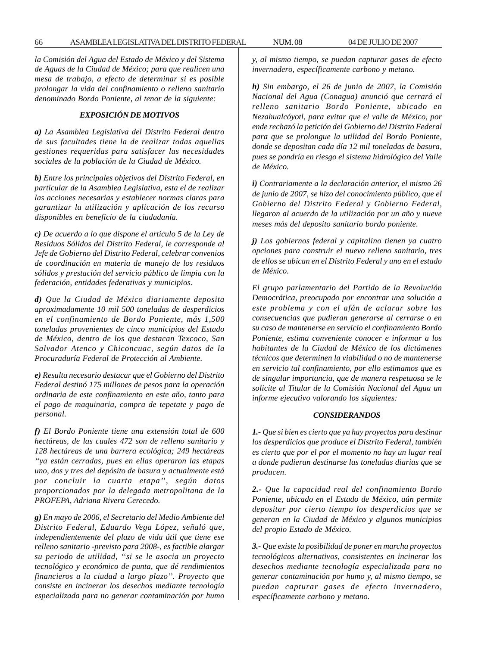*la Comisión del Agua del Estado de México y del Sistema de Aguas de la Ciudad de México; para que realicen una mesa de trabajo, a efecto de determinar si es posible prolongar la vida del confinamiento o relleno sanitario denominado Bordo Poniente, al tenor de la siguiente:*

## *EXPOSICIÓN DE MOTIVOS*

*a) La Asamblea Legislativa del Distrito Federal dentro de sus facultades tiene la de realizar todas aquellas gestiones requeridas para satisfacer las necesidades sociales de la población de la Ciudad de México.*

*b) Entre los principales objetivos del Distrito Federal, en particular de la Asamblea Legislativa, esta el de realizar las acciones necesarias y establecer normas claras para garantizar la utilización y aplicación de los recurso disponibles en beneficio de la ciudadanía.*

*c) De acuerdo a lo que dispone el artículo 5 de la Ley de Residuos Sólidos del Distrito Federal, le corresponde al Jefe de Gobierno del Distrito Federal, celebrar convenios de coordinación en materia de manejo de los residuos sólidos y prestación del servicio público de limpia con la federación, entidades federativas y municipios.*

*d) Que la Ciudad de México diariamente deposita aproximadamente 10 mil 500 toneladas de desperdicios en el confinamiento de Bordo Poniente, más 1,500 toneladas provenientes de cinco municipios del Estado de México, dentro de los que destacan Texcoco, San Salvador Atenco y Chiconcuac, según datos de la Procuraduría Federal de Protección al Ambiente.*

*e) Resulta necesario destacar que el Gobierno del Distrito Federal destinó 175 millones de pesos para la operación ordinaria de este confinamiento en este año, tanto para el pago de maquinaria, compra de tepetate y pago de personal.*

*f) El Bordo Poniente tiene una extensión total de 600 hectáreas, de las cuales 472 son de relleno sanitario y 128 hectáreas de una barrera ecológica; 249 hectáreas ''ya están cerradas, pues en ellas operaron las etapas uno, dos y tres del depósito de basura y actualmente está por concluir la cuarta etapa'', según datos proporcionados por la delegada metropolitana de la PROFEPA, Adriana Rivera Cerecedo.*

*g) En mayo de 2006, el Secretario del Medio Ambiente del Distrito Federal, Eduardo Vega López, señaló que, independientemente del plazo de vida útil que tiene ese relleno sanitario -previsto para 2008-, es factible alargar su periodo de utilidad, ''si se le asocia un proyecto tecnológico y económico de punta, que dé rendimientos financieros a la ciudad a largo plazo''. Proyecto que consiste en incinerar los desechos mediante tecnología especializada para no generar contaminación por humo* *y, al mismo tiempo, se puedan capturar gases de efecto invernadero, específicamente carbono y metano.*

*h) Sin embargo, el 26 de junio de 2007, la Comisión Nacional del Agua (Conagua) anunció que cerrará el relleno sanitario Bordo Poniente, ubicado en Nezahualcóyotl, para evitar que el valle de México, por ende rechazó la petición del Gobierno del Distrito Federal para que se prolongue la utilidad del Bordo Poniente, donde se depositan cada día 12 mil toneladas de basura, pues se pondría en riesgo el sistema hidrológico del Valle de México.*

*i) Contrariamente a la declaración anterior, el mismo 26 de junio de 2007, se hizo del conocimiento público, que el Gobierno del Distrito Federal y Gobierno Federal, llegaron al acuerdo de la utilización por un año y nueve meses más del deposito sanitario bordo poniente.*

*j) Los gobiernos federal y capitalino tienen ya cuatro opciones para construir el nuevo relleno sanitario, tres de ellos se ubican en el Distrito Federal y uno en el estado de México.*

*El grupo parlamentario del Partido de la Revolución Democrática, preocupado por encontrar una solución a este problema y con el afán de aclarar sobre las consecuencias que pudieran generarse al cerrarse o en su caso de mantenerse en servicio el confinamiento Bordo Poniente, estima conveniente conocer e informar a los habitantes de la Ciudad de México de los dictámenes técnicos que determinen la viabilidad o no de mantenerse en servicio tal confinamiento, por ello estimamos que es de singular importancia, que de manera respetuosa se le solicite al Titular de la Comisión Nacional del Agua un informe ejecutivo valorando los siguientes:*

#### *CONSIDERANDOS*

*1.- Que si bien es cierto que ya hay proyectos para destinar los desperdicios que produce el Distrito Federal, también es cierto que por el por el momento no hay un lugar real a donde pudieran destinarse las toneladas diarias que se producen.*

*2.- Que la capacidad real del confinamiento Bordo Poniente, ubicado en el Estado de México, aún permite depositar por cierto tiempo los desperdicios que se generan en la Ciudad de México y algunos municipios del propio Estado de México.*

*3.- Que existe la posibilidad de poner en marcha proyectos tecnológicos alternativos, consistentes en incinerar los desechos mediante tecnología especializada para no generar contaminación por humo y, al mismo tiempo, se puedan capturar gases de efecto invernadero, específicamente carbono y metano.*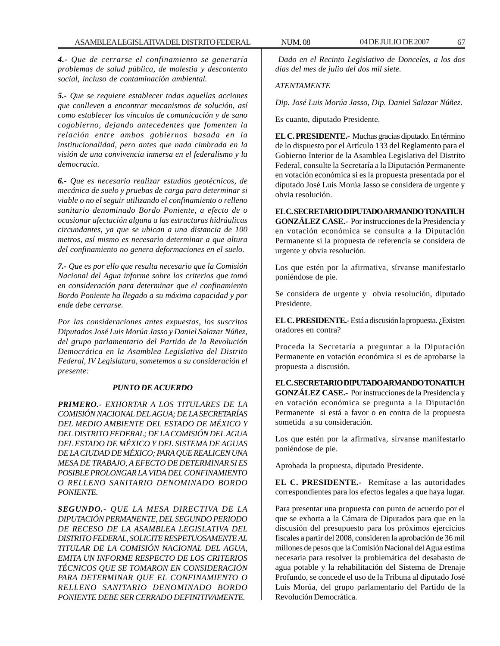*4.- Que de cerrarse el confinamiento se generaría problemas de salud pública, de molestia y descontento social, incluso de contaminación ambiental.*

*5.- Que se requiere establecer todas aquellas acciones que conlleven a encontrar mecanismos de solución, así como establecer los vínculos de comunicación y de sano cogobierno, dejando antecedentes que fomenten la relación entre ambos gobiernos basada en la institucionalidad, pero antes que nada cimbrada en la visión de una convivencia inmersa en el federalismo y la democracia.*

*6.- Que es necesario realizar estudios geotécnicos, de mecánica de suelo y pruebas de carga para determinar si viable o no el seguir utilizando el confinamiento o relleno sanitario denominado Bordo Poniente, a efecto de o ocasionar afectación alguna a las estructuras hidráulicas circundantes, ya que se ubican a una distancia de 100 metros, así mismo es necesario determinar a que altura del confinamiento no genera deformaciones en el suelo.*

*7.- Que es por ello que resulta necesario que la Comisión Nacional del Agua informe sobre los criterios que tomó en consideración para determinar que el confinamiento Bordo Poniente ha llegado a su máxima capacidad y por ende debe cerrarse.*

*Por las consideraciones antes expuestas, los suscritos Diputados José Luis Morúa Jasso y Daniel Salazar Núñez, del grupo parlamentario del Partido de la Revolución Democrática en la Asamblea Legislativa del Distrito Federal, IV Legislatura, sometemos a su consideración el presente:*

## *PUNTO DE ACUERDO*

*PRIMERO.- EXHORTAR A LOS TITULARES DE LA COMISIÓN NACIONAL DEL AGUA; DE LA SECRETARÍAS DEL MEDIO AMBIENTE DEL ESTADO DE MÉXICO Y DEL DISTRITO FEDERAL; DE LA COMISIÓN DEL AGUA DEL ESTADO DE MÉXICO Y DEL SISTEMA DE AGUAS DE LA CIUDAD DE MÉXICO; PARA QUE REALICEN UNA MESA DE TRABAJO, A EFECTO DE DETERMINAR SI ES POSIBLE PROLONGAR LA VIDA DEL CONFINAMIENTO O RELLENO SANITARIO DENOMINADO BORDO PONIENTE.*

*SEGUNDO.- QUE LA MESA DIRECTIVA DE LA DIPUTACIÓN PERMANENTE, DEL SEGUNDO PERIODO DE RECESO DE LA ASAMBLEA LEGISLATIVA DEL DISTRITO FEDERAL, SOLICITE RESPETUOSAMENTE AL TITULAR DE LA COMISIÓN NACIONAL DEL AGUA, EMITA UN INFORME RESPECTO DE LOS CRITERIOS TÉCNICOS QUE SE TOMARON EN CONSIDERACIÓN PARA DETERMINAR QUE EL CONFINAMIENTO O RELLENO SANITARIO DENOMINADO BORDO PONIENTE DEBE SER CERRADO DEFINITIVAMENTE.*

*Dado en el Recinto Legislativo de Donceles, a los dos días del mes de julio del dos mil siete.*

# *ATENTAMENTE*

*Dip. José Luis Morúa Jasso, Dip. Daniel Salazar Núñez.*

Es cuanto, diputado Presidente.

**EL C. PRESIDENTE.-** Muchas gracias diputado. En término de lo dispuesto por el Artículo 133 del Reglamento para el Gobierno Interior de la Asamblea Legislativa del Distrito Federal, consulte la Secretaría a la Diputación Permanente en votación económica si es la propuesta presentada por el diputado José Luis Morúa Jasso se considera de urgente y obvia resolución.

**EL C. SECRETARIO DIPUTADO ARMANDO TONATIUH GONZÁLEZ CASE.-** Por instrucciones de la Presidencia y en votación económica se consulta a la Diputación Permanente si la propuesta de referencia se considera de urgente y obvia resolución.

Los que estén por la afirmativa, sírvanse manifestarlo poniéndose de pie.

Se considera de urgente y obvia resolución, diputado Presidente.

**EL C. PRESIDENTE.-** Está a discusión la propuesta. ¿Existen oradores en contra?

Proceda la Secretaría a preguntar a la Diputación Permanente en votación económica si es de aprobarse la propuesta a discusión.

**EL C. SECRETARIO DIPUTADO ARMANDO TONATIUH GONZÁLEZ CASE.-** Por instrucciones de la Presidencia y en votación económica se pregunta a la Diputación Permanente si está a favor o en contra de la propuesta sometida a su consideración.

Los que estén por la afirmativa, sírvanse manifestarlo poniéndose de pie.

Aprobada la propuesta, diputado Presidente.

**EL C. PRESIDENTE.-** Remítase a las autoridades correspondientes para los efectos legales a que haya lugar.

Para presentar una propuesta con punto de acuerdo por el que se exhorta a la Cámara de Diputados para que en la discusión del presupuesto para los próximos ejercicios fiscales a partir del 2008, consideren la aprobación de 36 mil millones de pesos que la Comisión Nacional del Agua estima necesaria para resolver la problemática del desabasto de agua potable y la rehabilitación del Sistema de Drenaje Profundo, se concede el uso de la Tribuna al diputado José Luis Morúa, del grupo parlamentario del Partido de la Revolución Democrática.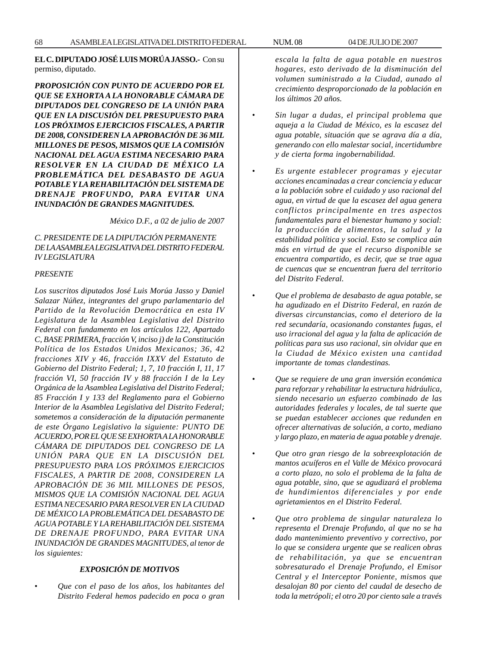# **EL C. DIPUTADO JOSÉ LUIS MORÚA JASSO.-** Con su permiso, diputado.

*PROPOSICIÓN CON PUNTO DE ACUERDO POR EL QUE SE EXHORTA A LA HONORABLE CÁMARA DE DIPUTADOS DEL CONGRESO DE LA UNIÓN PARA QUE EN LA DISCUSIÓN DEL PRESUPUESTO PARA LOS PRÓXIMOS EJERCICIOS FISCALES, A PARTIR DE 2008, CONSIDEREN LA APROBACIÓN DE 36 MIL MILLONES DE PESOS, MISMOS QUE LA COMISIÓN NACIONAL DEL AGUA ESTIMA NECESARIO PARA RESOLVER EN LA CIUDAD DE MÉXICO LA PROBLEMÁTICA DEL DESABASTO DE AGUA POTABLE Y LA REHABILITACIÓN DEL SISTEMA DE DRENAJE PROFUNDO, PARA EVITAR UNA INUNDACIÓN DE GRANDES MAGNITUDES.*

*México D.F., a 02 de julio de 2007*

# *C. PRESIDENTE DE LA DIPUTACIÓN PERMANENTE DE LA ASAMBLEA LEGISLATIVA DEL DISTRITO FEDERAL IV LEGISLATURA*

## *PRESENTE*

*Los suscritos diputados José Luis Morúa Jasso y Daniel Salazar Núñez, integrantes del grupo parlamentario del Partido de la Revolución Democrática en esta IV Legislatura de la Asamblea Legislativa del Distrito Federal con fundamento en los artículos 122, Apartado C, BASE PRIMERA, fracción V, inciso j) de la Constitución Política de los Estados Unidos Mexicanos; 36, 42 fracciones XIV y 46, fracción IXXV del Estatuto de Gobierno del Distrito Federal; 1, 7, 10 fracción I, 11, 17 fracción VI, 50 fracción IV y 88 fracción I de la Ley Orgánica de la Asamblea Legislativa del Distrito Federal; 85 Fracción I y 133 del Reglamento para el Gobierno Interior de la Asamblea Legislativa del Distrito Federal; sometemos a consideración de la diputación permanente de este Órgano Legislativo la siguiente: PUNTO DE ACUERDO, POR EL QUE SE EXHORTA A LA HONORABLE CÁMARA DE DIPUTADOS DEL CONGRESO DE LA UNIÓN PARA QUE EN LA DISCUSIÓN DEL PRESUPUESTO PARA LOS PRÓXIMOS EJERCICIOS FISCALES, A PARTIR DE 2008, CONSIDEREN LA APROBACIÓN DE 36 MIL MILLONES DE PESOS, MISMOS QUE LA COMISIÓN NACIONAL DEL AGUA ESTIMA NECESARIO PARA RESOLVER EN LA CIUDAD DE MÉXICO LA PROBLEMÁTICA DEL DESABASTO DE AGUA POTABLE Y LA REHABILITACIÓN DEL SISTEMA DE DRENAJE PROFUNDO, PARA EVITAR UNA INUNDACIÓN DE GRANDES MAGNITUDES, al tenor de los siguientes:*

# *EXPOSICIÓN DE MOTIVOS*

• *Que con el paso de los años, los habitantes del Distrito Federal hemos padecido en poca o gran* *escala la falta de agua potable en nuestros hogares, esto derivado de la disminución del volumen suministrado a la Ciudad, aunado al crecimiento desproporcionado de la población en los últimos 20 años.*

- *Sin lugar a dudas, el principal problema que aqueja a la Ciudad de México, es la escasez del agua potable, situación que se agrava día a día, generando con ello malestar social, incertidumbre y de cierta forma ingobernabilidad.*
- *Es urgente establecer programas y ejecutar acciones encaminadas a crear conciencia y educar a la población sobre el cuidado y uso racional del agua, en virtud de que la escasez del agua genera conflictos principalmente en tres aspectos fundamentales para el bienestar humano y social: la producción de alimentos, la salud y la estabilidad política y social. Esto se complica aún más en virtud de que el recurso disponible se encuentra compartido, es decir, que se trae agua de cuencas que se encuentran fuera del territorio del Distrito Federal.*
- *Que el problema de desabasto de agua potable, se ha agudizado en el Distrito Federal, en razón de diversas circunstancias, como el deterioro de la red secundaría, ocasionando constantes fugas, el uso irracional del agua y la falta de aplicación de políticas para sus uso racional, sin olvidar que en la Ciudad de México existen una cantidad importante de tomas clandestinas.*
- *Que se requiere de una gran inversión económica para reforzar y rehabilitar la estructura hidráulica, siendo necesario un esfuerzo combinado de las autoridades federales y locales, de tal suerte que se puedan establecer acciones que redunden en ofrecer alternativas de solución, a corto, mediano y largo plazo, en materia de agua potable y drenaje.*
- *Que otro gran riesgo de la sobreexplotación de mantos acuíferos en el Valle de México provocará a corto plazo, no solo el problema de la falta de agua potable, sino, que se agudizará el problema de hundimientos diferenciales y por ende agrietamientos en el Distrito Federal.*
- *Que otro problema de singular naturaleza lo representa el Drenaje Profundo, al que no se ha dado mantenimiento preventivo y correctivo, por lo que se considera urgente que se realicen obras de rehabilitación, ya que se encuentran sobresaturado el Drenaje Profundo, el Emisor Central y el Interceptor Poniente, mismos que desalojan 80 por ciento del caudal de desecho de toda la metrópoli; el otro 20 por ciento sale a través*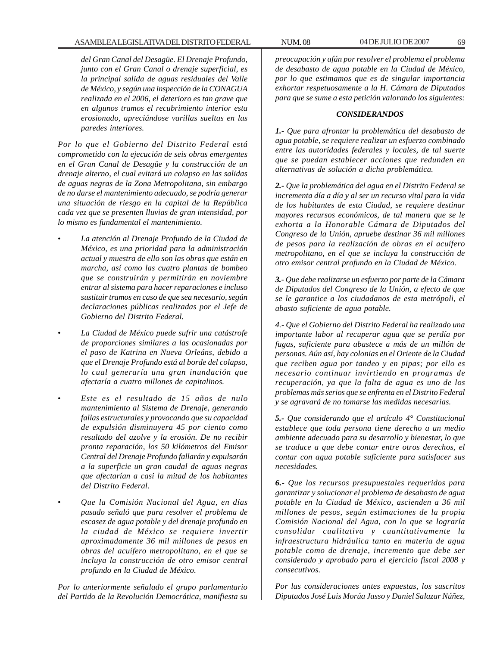*del Gran Canal del Desagüe. El Drenaje Profundo, junto con el Gran Canal o drenaje superficial, es la principal salida de aguas residuales del Valle de México, y según una inspección de la CONAGUA realizada en el 2006, el deterioro es tan grave que en algunos tramos el recubrimiento interior esta erosionado, apreciándose varillas sueltas en las paredes interiores.*

*Por lo que el Gobierno del Distrito Federal está comprometido con la ejecución de seis obras emergentes en el Gran Canal de Desagüe y la construcción de un drenaje alterno, el cual evitará un colapso en las salidas de aguas negras de la Zona Metropolitana, sin embargo de no darse el mantenimiento adecuado, se podría generar una situación de riesgo en la capital de la República cada vez que se presenten lluvias de gran intensidad, por lo mismo es fundamental el mantenimiento.*

- *La atención al Drenaje Profundo de la Ciudad de México, es una prioridad para la administración actual y muestra de ello son las obras que están en marcha, así como las cuatro plantas de bombeo que se construirán y permitirán en noviembre entrar al sistema para hacer reparaciones e incluso sustituir tramos en caso de que sea necesario, según declaraciones públicas realizadas por el Jefe de Gobierno del Distrito Federal.*
- *La Ciudad de México puede sufrir una catástrofe de proporciones similares a las ocasionadas por el paso de Katrina en Nueva Orleáns, debido a que el Drenaje Profundo está al borde del colapso, lo cual generaría una gran inundación que afectaría a cuatro millones de capitalinos.*
- *Este es el resultado de 15 años de nulo mantenimiento al Sistema de Drenaje, generando fallas estructurales y provocando que su capacidad de expulsión disminuyera 45 por ciento como resultado del azolve y la erosión. De no recibir pronta reparación, los 50 kilómetros del Emisor Central del Drenaje Profundo fallarán y expulsarán a la superficie un gran caudal de aguas negras que afectarían a casi la mitad de los habitantes del Distrito Federal.*
- *Que la Comisión Nacional del Agua, en días pasado señaló que para resolver el problema de escasez de agua potable y del drenaje profundo en la ciudad de México se requiere invertir aproximadamente 36 mil millones de pesos en obras del acuífero metropolitano, en el que se incluya la construcción de otro emisor central profundo en la Ciudad de México.*

*Por lo anteriormente señalado el grupo parlamentario del Partido de la Revolución Democrática, manifiesta su*

*preocupación y afán por resolver el problema el problema de desabasto de agua potable en la Ciudad de México, por lo que estimamos que es de singular importancia exhortar respetuosamente a la H. Cámara de Diputados para que se sume a esta petición valorando los siguientes:*

#### *CONSIDERANDOS*

*1.- Que para afrontar la problemática del desabasto de agua potable, se requiere realizar un esfuerzo combinado entre las autoridades federales y locales, de tal suerte que se puedan establecer acciones que redunden en alternativas de solución a dicha problemática.*

*2.- Que la problemática del agua en el Distrito Federal se incrementa día a día y al ser un recurso vital para la vida de los habitantes de esta Ciudad, se requiere destinar mayores recursos económicos, de tal manera que se le exhorta a la Honorable Cámara de Diputados del Congreso de la Unión, apruebe destinar 36 mil millones de pesos para la realización de obras en el acuífero metropolitano, en el que se incluya la construcción de otro emisor central profundo en la Ciudad de México.*

*3.- Que debe realizarse un esfuerzo por parte de la Cámara de Diputados del Congreso de la Unión, a efecto de que se le garantice a los ciudadanos de esta metrópoli, el abasto suficiente de agua potable.*

*4.- Que el Gobierno del Distrito Federal ha realizado una importante labor al recuperar agua que se perdía por fugas, suficiente para abastece a más de un millón de personas. Aún así, hay colonias en el Oriente de la Ciudad que reciben agua por tandeo y en pipas; por ello es necesario continuar invirtiendo en programas de recuperación, ya que la falta de agua es uno de los problemas más serios que se enfrenta en el Distrito Federal y se agravará de no tomarse las medidas necesarias.*

*5.- Que considerando que el artículo 4° Constitucional establece que toda persona tiene derecho a un medio ambiente adecuado para su desarrollo y bienestar, lo que se traduce a que debe contar entre otros derechos, el contar con agua potable suficiente para satisfacer sus necesidades.*

*6.- Que los recursos presupuestales requeridos para garantizar y solucionar el problema de desabasto de agua potable en la Ciudad de México, ascienden a 36 mil millones de pesos, según estimaciones de la propia Comisión Nacional del Agua, con lo que se lograría consolidar cualitativa y cuantitativamente la infraestructura hidráulica tanto en materia de agua potable como de drenaje, incremento que debe ser considerado y aprobado para el ejercicio fiscal 2008 y consecutivos.*

*Por las consideraciones antes expuestas, los suscritos Diputados José Luis Morúa Jasso y Daniel Salazar Núñez,*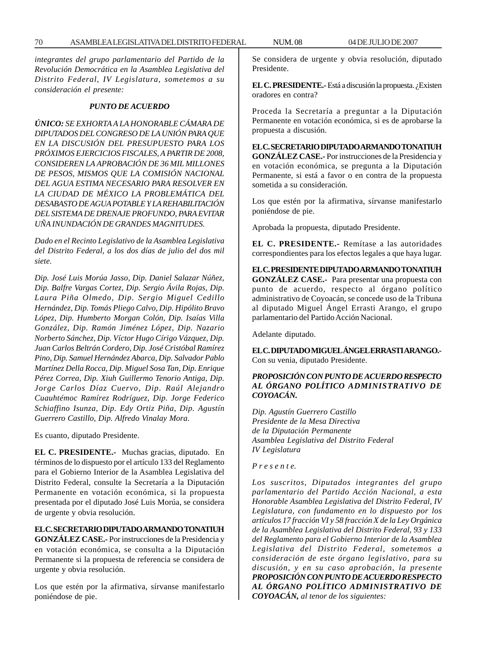*integrantes del grupo parlamentario del Partido de la Revolución Democrática en la Asamblea Legislativa del Distrito Federal, IV Legislatura, sometemos a su consideración el presente:*

## *PUNTO DE ACUERDO*

*ÚNICO: SE EXHORTA A LA HONORABLE CÁMARA DE DIPUTADOS DEL CONGRESO DE LA UNIÓN PARA QUE EN LA DISCUSIÓN DEL PRESUPUESTO PARA LOS PRÓXIMOS EJERCICIOS FISCALES, A PARTIR DE 2008, CONSIDEREN LA APROBACIÓN DE 36 MIL MILLONES DE PESOS, MISMOS QUE LA COMISIÓN NACIONAL DEL AGUA ESTIMA NECESARIO PARA RESOLVER EN LA CIUDAD DE MÉXICO LA PROBLEMÁTICA DEL DESABASTO DE AGUA POTABLE Y LA REHABILITACIÓN DEL SISTEMA DE DRENAJE PROFUNDO, PARA EVITAR UÑA INUNDACIÓN DE GRANDES MAGNITUDES.*

*Dado en el Recinto Legislativo de la Asamblea Legislativa del Distrito Federal, a los dos días de julio del dos mil siete.*

*Dip. José Luis Morúa Jasso, Dip. Daniel Salazar Núñez, Dip. Balfre Vargas Cortez, Dip. Sergio Ávila Rojas, Dip. Laura Piña Olmedo, Dip. Sergio Miguel Cedillo Hernández, Dip. Tomás Pliego Calvo, Dip. Hipólito Bravo López, Dip. Humberto Morgan Colón, Dip. Isaías Villa González, Dip. Ramón Jiménez López, Dip. Nazario Norberto Sánchez, Dip. Víctor Hugo Círigo Vázquez, Dip. Juan Carlos Beltrán Cordero, Dip. José Cristóbal Ramírez Pino, Dip. Samuel Hernández Abarca, Dip. Salvador Pablo Martínez Della Rocca, Dip. Miguel Sosa Tan, Dip. Enrique Pérez Correa, Dip. Xiuh Guillermo Tenorio Antiga, Dip. Jorge Carlos Díaz Cuervo, Dip. Raúl Alejandro Cuauhtémoc Ramírez Rodríguez, Dip. Jorge Federico Schiaffino Isunza, Dip. Edy Ortiz Piña, Dip. Agustín Guerrero Castillo, Dip. Alfredo Vinalay Mora.*

Es cuanto, diputado Presidente.

**EL C. PRESIDENTE.-** Muchas gracias, diputado. En términos de lo dispuesto por el artículo 133 del Reglamento para el Gobierno Interior de la Asamblea Legislativa del Distrito Federal, consulte la Secretaría a la Diputación Permanente en votación económica, si la propuesta presentada por el diputado José Luis Morúa, se considera de urgente y obvia resolución.

## **EL C. SECRETARIO DIPUTADO ARMANDO TONATIUH**

**GONZÁLEZ CASE.-** Por instrucciones de la Presidencia y en votación económica, se consulta a la Diputación Permanente si la propuesta de referencia se considera de urgente y obvia resolución.

Los que estén por la afirmativa, sírvanse manifestarlo poniéndose de pie.

Se considera de urgente y obvia resolución, diputado Presidente.

**EL C. PRESIDENTE.-** Está a discusión la propuesta. ¿Existen oradores en contra?

Proceda la Secretaría a preguntar a la Diputación Permanente en votación económica, si es de aprobarse la propuesta a discusión.

**EL C. SECRETARIO DIPUTADO ARMANDO TONATIUH GONZÁLEZ CASE.-** Por instrucciones de la Presidencia y en votación económica, se pregunta a la Diputación Permanente, si está a favor o en contra de la propuesta sometida a su consideración.

Los que estén por la afirmativa, sírvanse manifestarlo poniéndose de pie.

Aprobada la propuesta, diputado Presidente.

**EL C. PRESIDENTE.-** Remítase a las autoridades correspondientes para los efectos legales a que haya lugar.

**EL C. PRESIDENTE DIPUTADO ARMANDO TONATIUH GONZÁLEZ CASE.-** Para presentar una propuesta con punto de acuerdo, respecto al órgano político administrativo de Coyoacán, se concede uso de la Tribuna al diputado Miguel Ángel Errasti Arango, el grupo parlamentario del Partido Acción Nacional.

Adelante diputado.

**EL C. DIPUTADO MIGUEL ÁNGEL ERRASTI ARANGO.-** Con su venia, diputado Presidente.

# *PROPOSICIÓN CON PUNTO DE ACUERDO RESPECTO AL ÓRGANO POLÍTICO ADMINISTRATIVO DE COYOACÁN.*

*Dip. Agustín Guerrero Castillo Presidente de la Mesa Directiva de la Diputación Permanente Asamblea Legislativa del Distrito Federal IV Legislatura*

#### *P r e s e n t e.*

*Los suscritos, Diputados integrantes del grupo parlamentario del Partido Acción Nacional, a esta Honorable Asamblea Legislativa del Distrito Federal, IV Legislatura, con fundamento en lo dispuesto por los artículos 17 fracción VI y 58 fracción X de la Ley Orgánica de la Asamblea Legislativa del Distrito Federal, 93 y 133 del Reglamento para el Gobierno Interior de la Asamblea Legislativa del Distrito Federal, sometemos a consideración de este órgano legislativo, para su discusión, y en su caso aprobación, la presente PROPOSICIÓN CON PUNTO DE ACUERDO RESPECTO AL ÓRGANO POLÍTICO ADMINISTRATIVO DE COYOACÁN, al tenor de los siguientes:*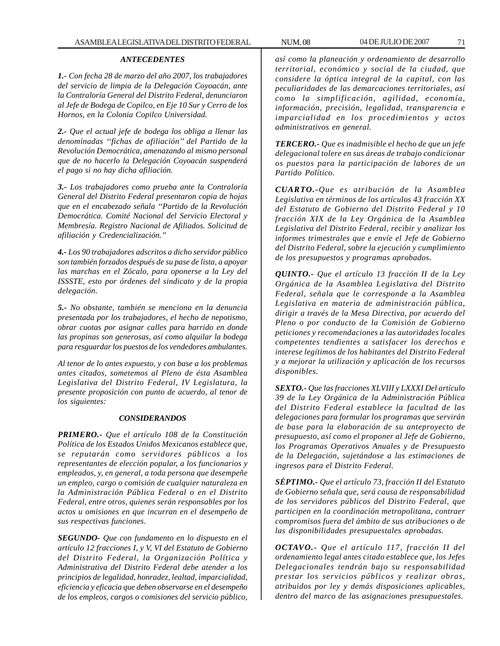#### *ANTECEDENTES*

*1.- Con fecha 28 de marzo del año 2007, los trabajadores del servicio de limpia de la Delegación Coyoacán, ante la Contraloría General del Distrito Federal, denunciaron al Jefe de Bodega de Copilco, en Eje 10 Sur y Cerro de los Hornos, en la Colonia Copilco Universidad.*

*2.- Que el actual jefe de bodega los obliga a llenar las denominadas ''fichas de afiliación'' del Partido de la Revolución Democrática, amenazando al mismo personal que de no hacerlo la Delegación Coyoacán suspenderá el pago si no hay dicha afiliación.*

*3.- Los trabajadores como prueba ante la Contraloría General del Distrito Federal presentaron copia de hojas que en el encabezado señala ''Partido de la Revolución Democrática. Comité Nacional del Servicio Electoral y Membresía. Registro Nacional de Afiliados. Solicitud de afiliación y Credencialización.''*

*4.- Los 90 trabajadores adscritos a dicho servidor público son también forzados después de su pase de lista, a apoyar las marchas en el Zócalo, para oponerse a la Ley del ISSSTE, esto por órdenes del sindicato y de la propia delegación.*

*5.- No obstante, también se menciona en la denuncia presentada por los trabajadores, el hecho de nepotismo, obrar cuotas por asignar calles para barrido en donde las propinas son generosas, así como alquilar la bodega para resguardar los puestos de los vendedores ambulantes.*

*Al tenor de lo antes expuesto, y con base a los problemas antes citados, sometemos al Pleno de ésta Asamblea Legislativa del Distrito Federal, IV Legislatura, la presente proposición con punto de acuerdo, al tenor de los siguientes:*

#### *CONSIDERANDOS*

*PRIMERO.- Que el artículo 108 de la Constitución Política de los Estados Unidos Mexicanos establece que, se reputarán como servidores públicos a los representantes de elección popular, a los funcionarios y empleados, y, en general, a toda persona que desempeñe un empleo, cargo o comisión de cualquier naturaleza en la Administración Pública Federal o en el Distrito Federal, entre otros, quienes serán responsables por los actos u omisiones en que incurran en el desempeño de sus respectivas funciones.*

*SEGUNDO- Que con fundamento en lo dispuesto en el artículo 12 fracciones I, y V, VI del Estatuto de Gobierno del Distrito Federal, la Organización Política y Administrativa del Distrito Federal debe atender a los principios de legalidad, honradez, lealtad, imparcialidad, eficiencia y eficacia que deben observarse en el desempeño de los empleos, cargos o comisiones del servicio público,*

*así como la planeación y ordenamiento de desarrollo territorial, económico y social de la ciudad, que considere la óptica integral de la capital, con las peculiaridades de las demarcaciones territoriales, así como la simplificación, agilidad, economía, información, precisión, legalidad, transparencia e imparcialidad en los procedimientos y actos administrativos en general.*

*TERCERO.- Que es inadmisible el hecho de que un jefe delegacional tolere en sus áreas de trabajo condicionar os puestos para la participación de labores de un Partido Político.*

*CUARTO.-Que es atribución de la Asamblea Legislativa en términos de los artículos 43 fracción XX del Estatuto de Gobierno del Distrito Federal y 10 fracción XIX de la Ley Orgánica de la Asamblea Legislativa del Distrito Federal, recibir y analizar los informes trimestrales que e envíe el Jefe de Gobierno del Distrito Federal, sobre la ejecución y cumplimiento de los presupuestos y programas aprobados.*

*QUINTO.- Que el artículo 13 fracción II de la Ley Orgánica de la Asamblea Legislativa del Distrito Federal, señala que le corresponde a la Asamblea Legislativa en materia de administración pública, dirigir a través de la Mesa Directiva, por acuerdo del Pleno o por conducto de la Comisión de Gobierno peticiones y recomendaciones a las autoridades locales competentes tendientes a satisfacer los derechos e interese legítimos de los habitantes del Distrito Federal y a mejorar la utilización y aplicación de los recursos disponibles.*

*SEXTO.- Que las fracciones XLVIII y LXXXI Del artículo 39 de la Ley Orgánica de la Administración Pública del Distrito Federal establece la facultad de las delegaciones para formular los programas que servirán de base para la elaboración de su anteproyecto de presupuesto, así como el proponer al Jefe de Gobierno, los Programas Operativos Anuales y de Presupuesto de la Delegación, sujetándose a las estimaciones de ingresos para el Distrito Federal.*

*SÉPTIMO.- Que el artículo 73, fracción II del Estatuto de Gobierno señala que, será causa de responsabilidad de los servidores públicos del Distrito Federal, que participen en la coordinación metropolitana, contraer compromisos fuera del ámbito de sus atribuciones o de las disponibilidades presupuestales aprobadas.*

*OCTAVO.- Que el artículo 117, fracción II del ordenamiento legal antes citado establece que, los Jefes Delegacionales tendrán bajo su responsabilidad prestar los servicios públicos y realizar obras, atribuidos por ley y demás disposiciones aplicables, dentro del marco de las asignaciones presupuestales.*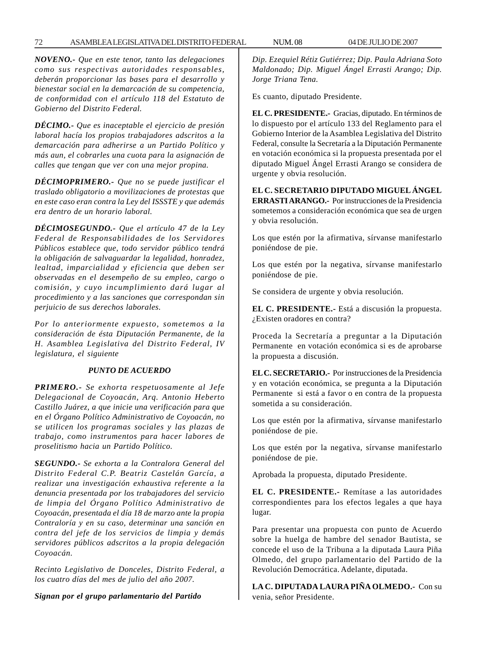*NOVENO.- Que en este tenor, tanto las delegaciones como sus respectivas autoridades responsables, deberán proporcionar las bases para el desarrollo y bienestar social en la demarcación de su competencia, de conformidad con el artículo 118 del Estatuto de Gobierno del Distrito Federal.*

*DÉCIMO.- Que es inaceptable el ejercicio de presión laboral hacía los propios trabajadores adscritos a la demarcación para adherirse a un Partido Político y más aun, el cobrarles una cuota para la asignación de calles que tengan que ver con una mejor propina.*

*DÉCIMOPRIMERO.- Que no se puede justificar el traslado obligatorio a movilizaciones de protestas que en este caso eran contra la Ley del ISSSTE y que además era dentro de un horario laboral.*

*DÉCIMOSEGUNDO.- Que el artículo 47 de la Ley Federal de Responsabilidades de los Servidores Públicos establece que, todo servidor público tendrá la obligación de salvaguardar la legalidad, honradez, lealtad, imparcialidad y eficiencia que deben ser observadas en el desempeño de su empleo, cargo o comisión, y cuyo incumplimiento dará lugar al procedimiento y a las sanciones que correspondan sin perjuicio de sus derechos laborales.*

*Por lo anteriormente expuesto, sometemos a la consideración de ésta Diputación Permanente, de la H. Asamblea Legislativa del Distrito Federal, IV legislatura, el siguiente*

## *PUNTO DE ACUERDO*

*PRIMERO.- Se exhorta respetuosamente al Jefe Delegacional de Coyoacán, Arq. Antonio Heberto Castillo Juárez, a que inicie una verificación para que en el Órgano Político Administrativo de Coyoacán, no se utilicen los programas sociales y las plazas de trabajo, como instrumentos para hacer labores de proselitismo hacia un Partido Político.*

*SEGUNDO.- Se exhorta a la Contralora General del Distrito Federal C.P. Beatriz Castelán García, a realizar una investigación exhaustiva referente a la denuncia presentada por los trabajadores del servicio de limpia del Órgano Político Administrativo de Coyoacán, presentada el día 18 de marzo ante la propia Contraloría y en su caso, determinar una sanción en contra del jefe de los servicios de limpia y demás servidores públicos adscritos a la propia delegación Coyoacán.*

*Recinto Legislativo de Donceles, Distrito Federal, a los cuatro días del mes de julio del año 2007.*

*Signan por el grupo parlamentario del Partido*

*Dip. Ezequiel Rétiz Gutiérrez; Dip. Paula Adriana Soto Maldonado; Dip. Miguel Ángel Errasti Arango; Dip. Jorge Triana Tena.*

Es cuanto, diputado Presidente.

**EL C. PRESIDENTE.-** Gracias, diputado. En términos de lo dispuesto por el artículo 133 del Reglamento para el Gobierno Interior de la Asamblea Legislativa del Distrito Federal, consulte la Secretaría a la Diputación Permanente en votación económica si la propuesta presentada por el diputado Miguel Ángel Errasti Arango se considera de urgente y obvia resolución.

**EL C. SECRETARIO DIPUTADO MIGUEL ÁNGEL ERRASTI ARANGO.-** Por instrucciones de la Presidencia sometemos a consideración económica que sea de urgen y obvia resolución.

Los que estén por la afirmativa, sírvanse manifestarlo poniéndose de pie.

Los que estén por la negativa, sírvanse manifestarlo poniéndose de pie.

Se considera de urgente y obvia resolución.

**EL C. PRESIDENTE.-** Está a discusión la propuesta. ¿Existen oradores en contra?

Proceda la Secretaría a preguntar a la Diputación Permanente en votación económica si es de aprobarse la propuesta a discusión.

**EL C. SECRETARIO.-** Por instrucciones de la Presidencia y en votación económica, se pregunta a la Diputación Permanente si está a favor o en contra de la propuesta sometida a su consideración.

Los que estén por la afirmativa, sírvanse manifestarlo poniéndose de pie.

Los que estén por la negativa, sírvanse manifestarlo poniéndose de pie.

Aprobada la propuesta, diputado Presidente.

**EL C. PRESIDENTE.-** Remítase a las autoridades correspondientes para los efectos legales a que haya lugar.

Para presentar una propuesta con punto de Acuerdo sobre la huelga de hambre del senador Bautista, se concede el uso de la Tribuna a la diputada Laura Piña Olmedo, del grupo parlamentario del Partido de la Revolución Democrática. Adelante, diputada.

**LA C. DIPUTADA LAURA PIÑA OLMEDO.-** Con su venia, señor Presidente.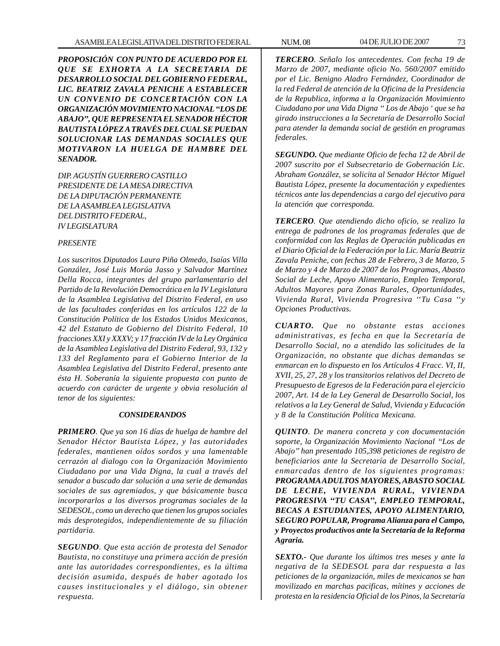*PROPOSICIÓN CON PUNTO DE ACUERDO POR EL QUE SE EXHORTA A LA SECRETARIA DE DESARROLLO SOCIAL DEL GOBIERNO FEDERAL, LIC. BEATRIZ ZAVALA PENICHE A ESTABLECER UN CONVENIO DE CONCERTACIÓN CON LA ORGANIZACIÓN MOVIMIENTO NACIONAL ''LOS DE ABAJO'', QUE REPRESENTA EL SENADOR HÉCTOR BAUTISTA LÓPEZ A TRAVÉS DEL CUAL SE PUEDAN SOLUCIONAR LAS DEMANDAS SOCIALES QUE MOTIVARON LA HUELGA DE HAMBRE DEL SENADOR.*

*DIP. AGUSTÍN GUERRERO CASTILLO PRESIDENTE DE LA MESA DIRECTIVA DE LA DIPUTACIÓN PERMANENTE DE LA ASAMBLEA LEGISLATIVA DEL DISTRITO FEDERAL, IV LEGISLATURA*

#### *PRESENTE*

*Los suscritos Diputados Laura Piña Olmedo, Isaías Villa González, José Luis Morúa Jasso y Salvador Martínez Della Rocca, integrantes del grupo parlamentario del Partido de la Revolución Democrática en la IV Legislatura de la Asamblea Legislativa del Distrito Federal, en uso de las facultades conferidas en los artículos 122 de la Constitución Política de los Estados Unidos Mexicanos, 42 del Estatuto de Gobierno del Distrito Federal, 10 fracciones XXI y XXXV; y 17 fracción IV de la Ley Orgánica de la Asamblea Legislativa del Distrito Federal, 93, 132 y 133 del Reglamento para el Gobierno Interior de la Asamblea Legislativa del Distrito Federal, presento ante ésta H. Soberanía la siguiente propuesta con punto de acuerdo con carácter de urgente y obvia resolución al tenor de los siguientes:*

## *CONSIDERANDOS*

*PRIMERO. Que ya son 16 días de huelga de hambre del Senador Héctor Bautista López, y las autoridades federales, mantienen oídos sordos y una lamentable cerrazón al dialogo con la Organización Movimiento Ciudadano por una Vida Digna, la cual a través del senador a buscado dar solución a una serie de demandas sociales de sus agremiados, y que básicamente busca incorporarlos a los diversos programas sociales de la SEDESOL, como un derecho que tienen los grupos sociales más desprotegidos, independientemente de su filiación partidaria.*

*SEGUNDO. Que esta acción de protesta del Senador Bautista, no constituye una primera acción de presión ante las autoridades correspondientes, es la última decisión asumida, después de haber agotado los causes institucionales y el diálogo, sin obtener respuesta.*

*TERCERO. Señalo los antecedentes. Con fecha 19 de Marzo de 2007, mediante oficio No. 560/2007 emitido por el Lic. Benigno Aladro Fernández, Coordinador de la red Federal de atención de la Oficina de la Presidencia de la Republica, informa a la Organización Movimiento Ciudadano por una Vida Digna '' Los de Abajo ' que se ha girado instrucciones a la Secretaría de Desarrollo Social para atender la demanda social de gestión en programas federales.*

*SEGUNDO. Que mediante Oficio de fecha 12 de Abril de 2007 suscrito por el Subsecretario de Gobernación Lic. Abraham González, se solicita al Senador Héctor Miguel Bautista López, presente la documentación y expedientes técnicos ante las dependencias a cargo del ejecutivo para la atención que corresponda.*

*TERCERO. Que atendiendo dicho oficio, se realizo la entrega de padrones de los programas federales que de conformidad con las Reglas de Operación publicadas en el Diario Oficial de la Federación por la Lic. María Beatriz Zavala Peniche, con fechas 28 de Febrero, 3 de Marzo, 5 de Marzo y 4 de Marzo de 2007 de los Programas, Abasto Social de Leche, Apoyo Alimentario, Empleo Temporal, Adultos Mayores para Zonas Rurales, Oportunidades, Vivienda Rural, Vivienda Progresiva ''Tu Casa ''y Opciones Productivas.*

*CUARTO. Que no obstante estas acciones administrativas, es fecha en que la Secretaría de Desarrollo Social, no a atendido las solicitudes de la Organización, no obstante que dichas demandas se enmarcan en lo dispuesto en los Artículos 4 Fracc. VI, II, XVII, 25, 27, 28 y los transitorios relativos del Decreto de Presupuesto de Egresos de la Federación para el ejercicio 2007, Art. 14 de la Ley General de Desarrollo Social, los relativos a la Ley General de Salud, Vivienda y Educación y 8 de la Constitución Política Mexicana.*

*QUINTO. De manera concreta y con documentación soporte, la Organización Movimiento Nacional ''Los de Abajo'' han presentado 105,398 peticiones de registro de beneficiarios ante la Secretaría de Desarrollo Social, enmarcadas dentro de los siguientes programas: PROGRAMA ADULTOS MAYORES, ABASTO SOCIAL DE LECHE, VIVIENDA RURAL, VIVIENDA PROGRESIVA ''TU CASA'', EMPLEO TEMPORAL, BECAS A ESTUDIANTES, APOYO ALIMENTARIO, SEGURO POPULAR, Programa Alianza para el Campo, y Proyectos productivos ante la Secretaría de la Reforma Agraria.*

*SEXTO.- Que durante los últimos tres meses y ante la negativa de la SEDESOL para dar respuesta a las peticiones de la organización, miles de mexicanos se han movilizado en marchas pacificas, mítines y acciones de protesta en la residencia Oficial de los Pinos, la Secretaría*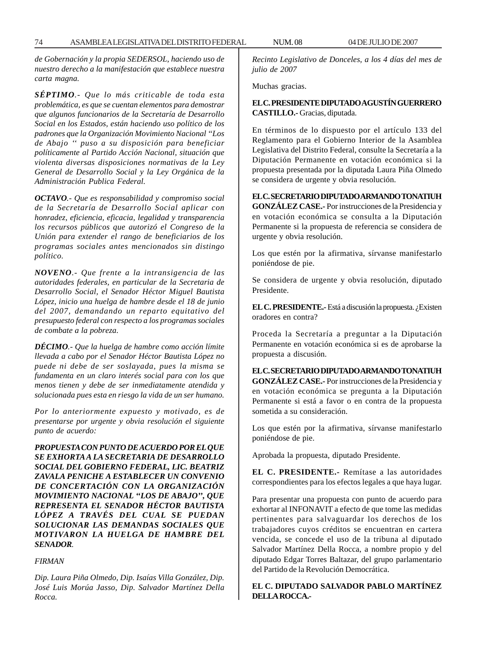*de Gobernación y la propia SEDERSOL, haciendo uso de nuestro derecho a la manifestación que establece nuestra carta magna.*

*SÉPTIMO.- Que lo más criticable de toda esta problemática, es que se cuentan elementos para demostrar que algunos funcionarios de la Secretaría de Desarrollo Social en los Estados, están haciendo uso político de los padrones que la Organización Movimiento Nacional ''Los de Abajo '' puso a su disposición para beneficiar políticamente al Partido Acción Nacional, situación que violenta diversas disposiciones normativas de la Ley General de Desarrollo Social y la Ley Orgánica de la Administración Publica Federal.*

*OCTAVO.- Que es responsabilidad y compromiso social de la Secretaría de Desarrollo Social aplicar con honradez, eficiencia, eficacia, legalidad y transparencia los recursos públicos que autorizó el Congreso de la Unión para extender el rango de beneficiarios de los programas sociales antes mencionados sin distingo político.*

*NOVENO.- Que frente a la intransigencia de las autoridades federales, en particular de la Secretaria de Desarrollo Social, el Senador Héctor Miguel Bautista López, inicio una huelga de hambre desde el 18 de junio del 2007, demandando un reparto equitativo del presupuesto federal con respecto a los programas sociales de combate a la pobreza.*

*DÉCIMO.- Que la huelga de hambre como acción límite llevada a cabo por el Senador Héctor Bautista López no puede ni debe de ser soslayada, pues la misma se fundamenta en un claro interés social para con los que menos tienen y debe de ser inmediatamente atendida y solucionada pues esta en riesgo la vida de un ser humano.*

*Por lo anteriormente expuesto y motivado, es de presentarse por urgente y obvia resolución el siguiente punto de acuerdo:*

*PROPUESTA CON PUNTO DE ACUERDO POR EL QUE SE EXHORTA A LA SECRETARIA DE DESARROLLO SOCIAL DEL GOBIERNO FEDERAL, LIC. BEATRIZ ZAVALA PENICHE A ESTABLECER UN CONVENIO DE CONCERTACIÓN CON LA ORGANIZACIÓN MOVIMIENTO NACIONAL ''LOS DE ABAJO'', QUE REPRESENTA EL SENADOR HÉCTOR BAUTISTA LÓPEZ A TRAVÉS DEL CUAL SE PUEDAN SOLUCIONAR LAS DEMANDAS SOCIALES QUE MOTIVARON LA HUELGA DE HAMBRE DEL SENADOR.*

#### *FIRMAN*

*Dip. Laura Piña Olmedo, Dip. Isaías Villa González, Dip. José Luis Morúa Jasso, Dip. Salvador Martínez Della Rocca.*

*Recinto Legislativo de Donceles, a los 4 días del mes de julio de 2007*

Muchas gracias.

# **EL C. PRESIDENTE DIPUTADO AGUSTÍN GUERRERO CASTILLO.-** Gracias, diputada.

En términos de lo dispuesto por el artículo 133 del Reglamento para el Gobierno Interior de la Asamblea Legislativa del Distrito Federal, consulte la Secretaría a la Diputación Permanente en votación económica si la propuesta presentada por la diputada Laura Piña Olmedo se considera de urgente y obvia resolución.

**EL C. SECRETARIO DIPUTADO ARMANDO TONATIUH GONZÁLEZ CASE.-** Por instrucciones de la Presidencia y en votación económica se consulta a la Diputación Permanente si la propuesta de referencia se considera de urgente y obvia resolución.

Los que estén por la afirmativa, sírvanse manifestarlo poniéndose de pie.

Se considera de urgente y obvia resolución, diputado Presidente.

**EL C. PRESIDENTE.-** Está a discusión la propuesta. ¿Existen oradores en contra?

Proceda la Secretaría a preguntar a la Diputación Permanente en votación económica si es de aprobarse la propuesta a discusión.

**EL C. SECRETARIO DIPUTADO ARMANDO TONATIUH GONZÁLEZ CASE.-** Por instrucciones de la Presidencia y en votación económica se pregunta a la Diputación Permanente si está a favor o en contra de la propuesta sometida a su consideración.

Los que estén por la afirmativa, sírvanse manifestarlo poniéndose de pie.

Aprobada la propuesta, diputado Presidente.

**EL C. PRESIDENTE.-** Remítase a las autoridades correspondientes para los efectos legales a que haya lugar.

Para presentar una propuesta con punto de acuerdo para exhortar al INFONAVIT a efecto de que tome las medidas pertinentes para salvaguardar los derechos de los trabajadores cuyos créditos se encuentran en cartera vencida, se concede el uso de la tribuna al diputado Salvador Martínez Della Rocca, a nombre propio y del diputado Edgar Torres Baltazar, del grupo parlamentario del Partido de la Revolución Democrática.

## **EL C. DIPUTADO SALVADOR PABLO MARTÍNEZ DELLA ROCCA.-**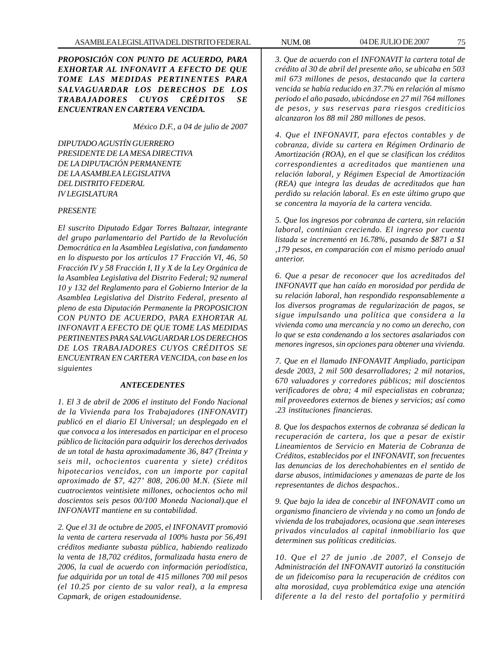*PROPOSICIÓN CON PUNTO DE ACUERDO, PARA EXHORTAR AL INFONAVIT A EFECTO DE QUE TOME LAS MEDIDAS PERTINENTES PARA SALVAGUARDAR LOS DERECHOS DE LOS TRABAJADORES CUYOS CRÉDITOS SE ENCUENTRAN EN CARTERA VENCIDA.*

*México D.F., a 04 de julio de 2007*

*DIPUTADO AGUSTÍN GUERRERO PRESIDENTE DE LA MESA DIRECTIVA DE LA DIPUTACIÓN PERMANENTE DE LA ASAMBLEA LEGISLATIVA DEL DISTRITO FEDERAL IV LEGISLATURA*

## *PRESENTE*

*El suscrito Diputado Edgar Torres Baltazar, integrante del grupo parlamentario del Partido de la Revolución Democrática en la Asamblea Legislativa, con fundamento en lo dispuesto por los artículos 17 Fracción VI, 46, 50 Fracción IV y 58 Fracción I, II y X de la Ley Orgánica de la Asamblea Legislativa del Distrito Federal; 92 numeral 10 y 132 del Reglamento para el Gobierno Interior de la Asamblea Legislativa del Distrito Federal, presento al pleno de esta Diputación Permanente la PROPOSICION CON PUNTO DE ACUERDO, PARA EXHORTAR AL INFONAVIT A EFECTO DE QUE TOME LAS MEDIDAS PERTINENTES PARA SALVAGUARDAR LOS DERECHOS DE LOS TRABAJADORES CUYOS CRÉDITOS SE ENCUENTRAN EN CARTERA VENCIDA, con base en los siguientes*

#### *ANTECEDENTES*

*1. El 3 de abril de 2006 el instituto del Fondo Nacional de la Vivienda para los Trabajadores (INFONAVIT) publicó en el diario El Universal; un desplegado en el que convoca a los interesados en participar en el proceso público de licitación para adquirir los derechos derivados de un total de hasta aproximadamente 36, 847 (Treinta y seis mil, ochocientos cuarenta y siete) créditos hipotecarios vencidos, con un importe por capital aproximado de \$7, 427' 808, 206.00 M.N. (Siete mil cuatrocientos veintisiete millones, ochocientos ocho mil doscientos seis pesos 00/100 Moneda Nacional).que el INFONAVIT mantiene en su contabilidad.*

*2. Que el 31 de octubre de 2005, el INFONAVIT promovió la venta de cartera reservada al 100% hasta por 56,491 créditos mediante subasta pública, habiendo realizado la venta de 18,702 créditos, formalizada hasta enero de 2006, la cual de acuerdo con información periodística, fue adquirida por un total de 415 millones 700 mil pesos (el 10.25 por ciento de su valor real), a la empresa Capmark, de origen estadounidense.*

*3. Que de acuerdo con el INFONAVIT la cartera total de crédito al 30 de abril del presente año, se ubicaba en 503 mil 673 millones de pesos, destacando que la cartera vencida se había reducido en 37.7% en relación al mismo periodo el año pasado, ubicándose en 27 mil 764 millones de pesos, y sus reservas para riesgos crediticios alcanzaron los 88 mil 280 millones de pesos.*

*4. Que el INFONAVIT, para efectos contables y de cobranza, divide su cartera en Régimen Ordinario de Amortización (ROA), en el que se clasifican los créditos correspondientes a acreditados que mantienen una relación laboral, y Régimen Especial de Amortización (REA) que integra las deudas de acreditados que han perdido su relación laboral. Es en este último grupo que se concentra la mayoría de la cartera vencida.*

*5. Que los ingresos por cobranza de cartera, sin relación laboral, continúan creciendo. El ingreso por cuenta listada se incrementó en 16.78%, pasando de \$871 a \$1 ,179 pesos, en comparación con el mismo periodo anual anterior.*

*6. Que a pesar de reconocer que los acreditados del INFONAVIT que han caído en morosidad por perdida de su relación laboral, han respondido responsablemente a los diversos programas de regularización de pagos, se sigue impulsando una política que considera a la vivienda como una mercancía y no como un derecho, con lo que se esta condenando a los sectores asalariados con menores ingresos, sin opciones para obtener una vivienda.*

*7. Que en el llamado INFONAVIT Ampliado, participan desde 2003, 2 mil 500 desarrolladores; 2 mil notarios, 670 valuadores y corredores públicos; mil doscientos verificadores de obra; 4 mil especialistas en cobranza; mil proveedores externos de bienes y servicios; así como .23 instituciones financieras.*

*8. Que los despachos externos de cobranza sé dedican la recuperación de cartera, los que a pesar de existir Lineamientos de Servicio en Materia de Cobranza de Créditos, establecidos por el INFONAVIT, son frecuentes las denuncias de los derechohabientes en el sentido de darse abusos, intimidaciones y amenazas de parte de los representantes de dichos despachos..*

*9. Que bajo la idea de concebir al INFONAVIT como un organismo financiero de vivienda y no como un fondo de vivienda de los trabajadores, ocasiona que .sean intereses privados vinculados al capital inmobiliario los que determinen sus políticas crediticias.*

*10. Que el 27 de junio .de 2007, el Consejo de Administración del INFONAVIT autorizó la constitución de un fideicomiso para la recuperación de créditos con alta morosidad, cuya problemática exige una atención diferente a la del resto del portafolio y permitirá*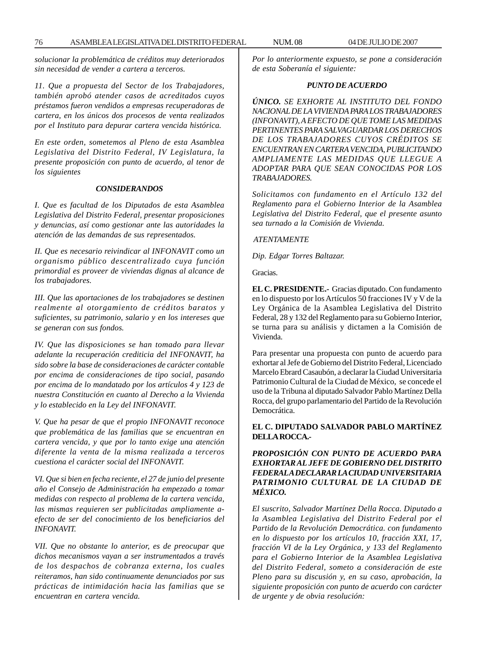*solucionar la problemática de créditos muy deteriorados sin necesidad de vender a cartera a terceros.*

*11. Que a propuesta del Sector de los Trabajadores, también aprobó atender casos de acreditados cuyos préstamos fueron vendidos a empresas recuperadoras de cartera, en los únicos dos procesos de venta realizados por el Instituto para depurar cartera vencida histórica.*

*En este orden, sometemos al Pleno de esta Asamblea Legislativa del Distrito Federal, IV Legislatura, la presente proposición con punto de acuerdo, al tenor de los siguientes*

#### *CONSIDERANDOS*

*I. Que es facultad de los Diputados de esta Asamblea Legislativa del Distrito Federal, presentar proposiciones y denuncias, así como gestionar ante las autoridades la atención de las demandas de sus representados.*

*II. Que es necesario reivindicar al INFONAVIT como un organismo público descentralizado cuya función primordial es proveer de viviendas dignas al alcance de los trabajadores.*

*III. Que las aportaciones de los trabajadores se destinen realmente al otorgamiento de créditos baratos y suficientes, su patrimonio, salario y en los intereses que se generan con sus fondos.*

*IV. Que las disposiciones se han tomado para llevar adelante la recuperación crediticia del INFONAVIT, ha sido sobre la base de consideraciones de carácter contable por encima de consideraciones de tipo social, pasando por encima de lo mandatado por los artículos 4 y 123 de nuestra Constitución en cuanto al Derecho a la Vivienda y lo establecido en la Ley del INFONAVIT.*

*V. Que ha pesar de que el propio INFONAVIT reconoce que problemática de las familias que se encuentran en cartera vencida, y que por lo tanto exige una atención diferente la venta de la misma realizada a terceros cuestiona el carácter social del INFONAVIT.*

*VI. Que si bien en fecha reciente, el 27 de junio del presente año el Consejo de Administración ha empezado a tomar medidas con respecto al problema de la cartera vencida, las mismas requieren ser publicitadas ampliamente aefecto de ser del conocimiento de los beneficiarios del INFONAVIT.*

*VII. Que no obstante lo anterior, es de preocupar que dichos mecanismos vayan a ser instrumentados a través de los despachos de cobranza externa, los cuales reiteramos, han sido continuamente denunciados por sus prácticas de intimidación hacia las familias que se encuentran en cartera vencida.*

*Por lo anteriormente expuesto, se pone a consideración de esta Soberanía el siguiente:*

## *PUNTO DE ACUERDO*

*ÚNICO. SE EXHORTE AL INSTITUTO DEL FONDO NACIONAL DE LA VIVIENDA PARA LOS TRABAJADORES (INFONAVIT), A EFECTO DE QUE TOME LAS MEDIDAS PERTINENTES PARA SALVAGUARDAR LOS DERECHOS DE LOS TRABAJADORES CUYOS CRÉDITOS SE ENCUENTRAN EN CARTERA VENCIDA, PUBLICITANDO AMPLIAMENTE LAS MEDIDAS QUE LLEGUE A ADOPTAR PARA QUE SEAN CONOCIDAS POR LOS TRABAJADORES.*

*Solicitamos con fundamento en el Artículo 132 del Reglamento para el Gobierno Interior de la Asamblea Legislativa del Distrito Federal, que el presente asunto sea turnado a la Comisión de Vivienda.*

 *ATENTAMENTE*

*Dip. Edgar Torres Baltazar.*

Gracias.

**EL C. PRESIDENTE.-** Gracias diputado. Con fundamento en lo dispuesto por los Artículos 50 fracciones IV y V de la Ley Orgánica de la Asamblea Legislativa del Distrito Federal, 28 y 132 del Reglamento para su Gobierno Interior, se turna para su análisis y dictamen a la Comisión de Vivienda.

Para presentar una propuesta con punto de acuerdo para exhortar al Jefe de Gobierno del Distrito Federal, Licenciado Marcelo Ebrard Casaubón, a declarar la Ciudad Universitaria Patrimonio Cultural de la Ciudad de México, se concede el uso de la Tribuna al diputado Salvador Pablo Martínez Della Rocca, del grupo parlamentario del Partido de la Revolución **Democrática** 

## **EL C. DIPUTADO SALVADOR PABLO MARTÍNEZ DELLA ROCCA.-**

# *PROPOSICIÓN CON PUNTO DE ACUERDO PARA EXHORTAR AL JEFE DE GOBIERNO DEL DISTRITO FEDERAL A DECLARAR LA CIUDAD UNIVERSITARIA PATRIMONIO CULTURAL DE LA CIUDAD DE MÉXICO.*

*El suscrito, Salvador Martínez Della Rocca. Diputado a la Asamblea Legislativa del Distrito Federal por el Partido de la Revolución Democrática. con fundamento en lo dispuesto por los artículos 10, fracción XXI, 17, fracción VI de la Ley Orgánica, y 133 del Reglamento para el Gobierno Interior de la Asamblea Legislativa del Distrito Federal, someto a consideración de este Pleno para su discusión y, en su caso, aprobación, la siguiente proposición con punto de acuerdo con carácter de urgente y de obvia resolución:*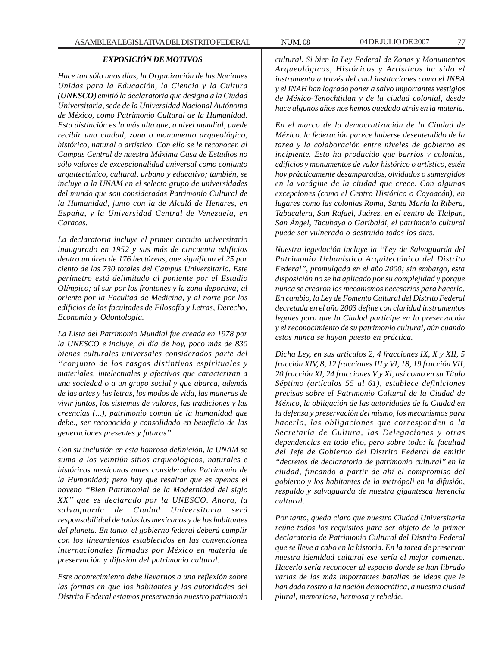## *EXPOSICIÓN DE MOTIVOS*

*Hace tan sólo unos días, la Organización de las Naciones Unidas para la Educación, la Ciencia y la Cultura (UNESCO) emitió la declaratoria que designa a la Ciudad Universitaria, sede de la Universidad Nacional Autónoma de México, como Patrimonio Cultural de la Humanidad. Esta distinción es la más alta que, a nivel mundial, puede recibir una ciudad, zona o monumento arqueológico, histórico, natural o artístico. Con ello se le reconocen al Campus Central de nuestra Máxima Casa de Estudios no sólo valores de excepcionalidad universal como conjunto arquitectónico, cultural, urbano y educativo; también, se incluye a la UNAM en el selecto grupo de universidades del mundo que son consideradas Patrimonio Cultural de la Humanidad, junto con la de Alcalá de Henares, en España, y la Universidad Central de Venezuela, en Caracas.*

*La declaratoria incluye el primer circuito universitario inaugurado en 1952 y sus más de cincuenta edificios dentro un área de 176 hectáreas, que significan el 25 por ciento de las 730 totales del Campus Universitario. Este perímetro está delimitado al poniente por el Estadio Olímpico; al sur por los frontones y la zona deportiva; al oriente por la Facultad de Medicina, y al norte por los edificios de las facultades de Filosofía y Letras, Derecho, Economía y Odontología.*

*La Lista del Patrimonio Mundial fue creada en 1978 por la UNESCO e incluye, al día de hoy, poco más de 830 bienes culturales universales considerados parte del ''conjunto de los rasgos distintivos espirituales y materiales, intelectuales y afectivos que caracterizan a una sociedad o a un grupo social y que abarca, además de las artes y las letras, los modos de vida, las maneras de vivir juntos, los sistemas de valores, las tradiciones y las creencias (...), patrimonio común de la humanidad que debe., ser reconocido y consolidado en beneficio de las generaciones presentes y futuras''*

*Con su inclusión en esta honrosa definición, la UNAM se suma a los veintiún sitios arqueológicos, naturales e históricos mexicanos antes considerados Patrimonio de la Humanidad; pero hay que resaltar que es apenas el noveno ''Bien Patrimonial de la Modernidad del siglo XX'' que es declarado por la UNESCO. Ahora, la salvaguarda de Ciudad Universitaria será responsabilidad de todos los mexicanos y de los habitantes del planeta. En tanto. el gobierno federal deberá cumplir con los lineamientos establecidos en las convenciones internacionales firmadas por México en materia de preservación y difusión del patrimonio cultural.*

*Este acontecimiento debe llevarnos a una reflexión sobre las formas en que los habitantes y las autoridades del Distrito Federal estamos preservando nuestro patrimonio*

*cultural. Si bien la Ley Federal de Zonas y Monumentos Arqueológicos, Históricos y Artísticos ha sido el instrumento a través del cual instituciones como el INBA y el INAH han logrado poner a salvo importantes vestigios de México-Tenochtitlan y de la ciudad colonial, desde hace algunos años nos hemos quedado atrás en la materia.*

*En el marco de la democratización de la Ciudad de México. la federación parece haberse desentendido de la tarea y la colaboración entre niveles de gobierno es incipiente. Esto ha producido que barrios y colonias, edificios y monumentos de valor histórico o artístico, estén hoy prácticamente desamparados, olvidados o sumergidos en la vorágine de la ciudad que crece. Con algunas excepciones (como el Centro Histórico o Coyoacán), en lugares como las colonias Roma, Santa María la Ribera, Tabacalera, San Rafael, Juárez, en el centro de Tlalpan, San Ángel, Tacubaya o Garibaldi, el patrimonio cultural puede ser vulnerado o destruido todos los días.*

*Nuestra legislación incluye la ''Ley de Salvaguarda del Patrimonio Urbanístico Arquitectónico del Distrito Federal'', promulgada en el año 2000; sin embargo, esta disposición no se ha aplicado por su complejidad y porque nunca se crearon los mecanismos necesarios para hacerlo. En cambio, la Ley de Fomento Cultural del Distrito Federal decretada en el año 2003 define con claridad instrumentos legales para que la Ciudad participe en la preservación y el reconocimiento de su patrimonio cultural, aún cuando estos nunca se hayan puesto en práctica.*

*Dicha Ley, en sus artículos 2, 4 fracciones IX, X y XII, 5 fracción XIV, 8, 12 fracciones III y VI, 18, 19 fracción VII, 20 fracción XI, 24 fracciones V y Xl, así como en su Título Séptimo (artículos 55 al 61), establece definiciones precisas sobre el Patrimonio Cultural de la Ciudad de México, la obligación de las autoridades de la Ciudad en la defensa y preservación del mismo, los mecanismos para hacerlo, las obligaciones que corresponden a la Secretaría de Cultura, las Delegaciones y otras dependencias en todo ello, pero sobre todo: la facultad del Jefe de Gobierno del Distrito Federal de emitir ''decretos de declaratoria de patrimonio cultural'' en la ciudad, fincando a partir de ahí el compromiso del gobierno y los habitantes de la metrópoli en la difusión, respaldo y salvaguarda de nuestra gigantesca herencia cultural.*

*Por tanto, queda claro que nuestra Ciudad Universitaria reúne todos los requisitos para ser objeto de la primer declaratoria de Patrimonio Cultural del Distrito Federal que se lleve a cabo en la historia. En la tarea de preservar nuestra identidad cultural ese sería el mejor comienzo. Hacerlo sería reconocer al espacio donde se han librado varias de las más importantes batallas de ideas que le han dado rostro a la nación democrática, a nuestra ciudad plural, memoriosa, hermosa y rebelde.*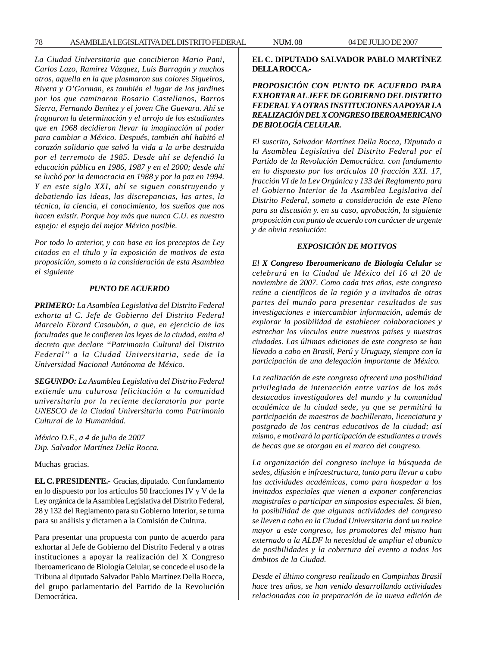78 ASAMBLEA LEGISLATIVA DEL DISTRITO FEDERAL NUM. 08 04 DE JULIO DE 2007

*La Ciudad Universitaria que concibieron Mario Pani, Carlos Lazo, Ramírez Vázquez, Luis Barragán y muchos otros, aquella en la que plasmaron sus colores Siqueiros, Rivera y O'Gorman, es también el lugar de los jardines por los que caminaron Rosario Castellanos, Barros Sierra, Fernando Benítez y el joven Che Guevara. Ahí se fraguaron la determinación y el arrojo de los estudiantes que en 1968 decidieron llevar la imaginación al poder para cambiar a México. Después, también ahí habitó el corazón solidario que salvó la vida a la urbe destruida por el terremoto de 1985. Desde ahí se defendió la educación pública en 1986, 1987 y en el 2000; desde ahí se luchó por la democracia en 1988 y por la paz en 1994. Y en este siglo XXI, ahí se siguen construyendo y debatiendo las ideas, las discrepancias, las artes, la técnica, la ciencia, el conocimiento, los sueños que nos hacen existir. Porque hoy más que nunca C.U. es nuestro espejo: el espejo del mejor México posible.*

*Por todo lo anterior, y con base en los preceptos de Ley citados en el título y la exposición de motivos de esta proposición, someto a la consideración de esta Asamblea el siguiente*

#### *PUNTO DE ACUERDO*

*PRIMERO: La Asamblea Legislativa del Distrito Federal exhorta al C. Jefe de Gobierno del Distrito Federal Marcelo Ebrard Casaubón, a que, en ejercicio de las facultades que le confieren las leyes de la ciudad, emita el decreto que declare ''Patrimonio Cultural del Distrito Federal'' a la Ciudad Universitaria, sede de la Universidad Nacional Autónoma de México.*

*SEGUNDO: La Asamblea Legislativa del Distrito Federal extiende una calurosa felicitación a la comunidad universitaria por la reciente declaratoria por parte UNESCO de la Ciudad Universitaria como Patrimonio Cultural de la Humanidad.*

*México D.F., a 4 de julio de 2007 Dip. Salvador Martínez Della Rocca.*

Muchas gracias.

**EL C. PRESIDENTE.-** Gracias, diputado. Con fundamento en lo dispuesto por los artículos 50 fracciones IV y V de la Ley orgánica de la Asamblea Legislativa del Distrito Federal, 28 y 132 del Reglamento para su Gobierno Interior, se turna para su análisis y dictamen a la Comisión de Cultura.

Para presentar una propuesta con punto de acuerdo para exhortar al Jefe de Gobierno del Distrito Federal y a otras instituciones a apoyar la realización del X Congreso Iberoamericano de Biología Celular, se concede el uso de la Tribuna al diputado Salvador Pablo Martínez Della Rocca, del grupo parlamentario del Partido de la Revolución Democrática.

## **EL C. DIPUTADO SALVADOR PABLO MARTÍNEZ DELLA ROCCA.-**

# *PROPOSICIÓN CON PUNTO DE ACUERDO PARA EXHORTAR AL JEFE DE GOBIERNO DEL DISTRITO FEDERAL Y A OTRAS INSTITUCIONES A APOYAR LA REALIZACIÓN DEL X CONGRESO IBEROAMERICANO DE BIOLOGÍA CELULAR.*

*El suscrito, Salvador Martínez Della Rocca, Diputado a la Asamblea Legislativa del Distrito Federal por el Partido de la Revolución Democrática. con fundamento en lo dispuesto por los artículos 10 fracción XXI. 17, fracción VI de la Lev Orgánica y 133 del Reglamento para el Gobierno Interior de la Asamblea Legislativa del Distrito Federal, someto a consideración de este Pleno para su discusión y. en su caso, aprobación, la siguiente proposición con punto de acuerdo con carácter de urgente y de obvia resolución:*

#### *EXPOSICIÓN DE MOTIVOS*

*El X Congreso Iberoamericano de Biología Celular se celebrará en la Ciudad de México del 16 al 20 de noviembre de 2007. Como cada tres años, este congreso reúne a científicos de la región y a invitados de otras partes del mundo para presentar resultados de sus investigaciones e intercambiar información, además de explorar la posibilidad de establecer colaboraciones y estrechar los vínculos entre nuestros países y nuestras ciudades. Las últimas ediciones de este congreso se han llevado a cabo en Brasil, Perú y Uruguay, siempre con la participación de una delegación importante de México.*

*La realización de este congreso ofrecerá una posibilidad privilegiada de interacción entre varios de los más destacados investigadores del mundo y la comunidad académica de la ciudad sede, ya que se permitirá la participación de maestros de bachillerato, licenciatura y postgrado de los centras educativos de la ciudad; así mismo, e motivará la participación de estudiantes a través de becas que se otorgan en el marco del congreso.*

*La organización del congreso incluye la búsqueda de sedes, difusión e infraestructura, tanto para llevar a cabo las actividades académicas, como para hospedar a los invitados especiales que vienen a exponer conferencias magistrales o participar en simposios especiales. Si bien, la posibilidad de que algunas actividades del congreso se lleven a cabo en la Ciudad Universitaria dará un realce mayor a este congreso, los promotores del mismo han externado a la ALDF la necesidad de ampliar el abanico de posibilidades y la cobertura del evento a todos los ámbitos de la Ciudad.*

*Desde el último congreso realizado en Campinhas Brasil hace tres años, se han venido desarrollando actividades relacionadas con la preparación de la nueva edición de*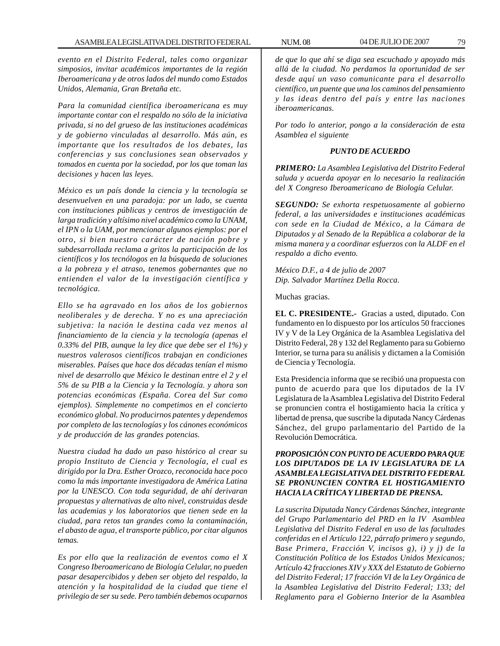*evento en el Distrito Federal, tales como organizar simposios, invitar académicos importantes de la región Iberoamericana y de otros lados del mundo como Estados Unidos, Alemania, Gran Bretaña etc.*

*Para la comunidad científica iberoamericana es muy importante contar con el respaldo no sólo de la iniciativa privada, si no del grueso de las instituciones académicas y de gobierno vinculadas al desarrollo. Más aún, es importante que los resultados de los debates, las conferencias y sus conclusiones sean observados y tomados en cuenta por la sociedad, por los que toman las decisiones y hacen las leyes.*

*México es un país donde la ciencia y la tecnología se desenvuelven en una paradoja: por un lado, se cuenta con instituciones públicas y centros de investigación de larga tradición y altísimo nivel académico como la UNAM, el IPN o la UAM, por mencionar algunos ejemplos: por el otro, si bien nuestro carácter de nación pobre y subdesarrollada reclama a gritos la participación de los científicos y los tecnólogos en la búsqueda de soluciones a la pobreza y el atraso, tenemos gobernantes que no entienden el valor de la investigación científica y tecnológica.*

*Ello se ha agravado en los años de los gobiernos neoliberales y de derecha. Y no es una apreciación subjetiva: la nación le destina cada vez menos al financiamiento de la ciencia y la tecnología (apenas el 0.33% del PIB, aunque la ley dice que debe ser el 1%) y nuestros valerosos científicos trabajan en condiciones miserables. Países que hace dos décadas tenían el mismo nivel de desarrollo que México le destinan entre el 2 y el 5% de su PIB a la Ciencia y la Tecnología. y ahora son potencias económicas (España. Corea del Sur como ejemplos). Simplemente no competimos en el concierto económico global. No producirnos patentes y dependemos por completo de las tecnologías y los cánones económicos y de producción de las grandes potencias.*

*Nuestra ciudad ha dado un paso histórico al crear su propio Instituto de Ciencia y Tecnología, el cual es dirigido por la Dra. Esther Orozco, reconocida hace poco como la más importante investigadora de América Latina por la UNESCO. Con toda seguridad, de ahí derivaran propuestas y alternativas de alto nivel, construidas desde las academias y los laboratorios que tienen sede en la ciudad, para retos tan grandes como la contaminación, el abasto de agua, el transporte público, por citar algunos temas.*

*Es por ello que la realización de eventos como el X Congreso Iberoamericano de Biología Celular, no pueden pasar desapercibidos y deben ser objeto del respaldo, la atención y la hospitalidad de la ciudad que tiene el privilegio de ser su sede. Pero también debemos ocuparnos*

*de que lo que ahí se diga sea escuchado y apoyado más allá de la ciudad. No perdamos la oportunidad de ser desde aquí un vaso comunicante para el desarrollo científico, un puente que una los caminos del pensamiento y las ideas dentro del país y entre las naciones iberoamericanas.*

*Por todo lo anterior, pongo a la consideración de esta Asamblea el siguiente*

#### *PUNTO DE ACUERDO*

*PRIMERO: La Asamblea Legislativa del Distrito Federal saluda y acuerda apoyar en lo necesario la realización del X Congreso Iberoamericano de Biología Celular.*

*SEGUNDO: Se exhorta respetuosamente al gobierno federal, a las universidades e instituciones académicas con sede en la Ciudad de México, a la Cámara de Diputados y al Senado de la República a colaborar de la misma manera y a coordinar esfuerzos con la ALDF en el respaldo a dicho evento.*

*México D.F., a 4 de julio de 2007 Dip. Salvador Martínez Della Rocca.*

Muchas gracias.

**EL C. PRESIDENTE.-** Gracias a usted, diputado. Con fundamento en lo dispuesto por los artículos 50 fracciones IV y V de la Ley Orgánica de la Asamblea Legislativa del Distrito Federal, 28 y 132 del Reglamento para su Gobierno Interior, se turna para su análisis y dictamen a la Comisión de Ciencia y Tecnología.

Esta Presidencia informa que se recibió una propuesta con punto de acuerdo para que los diputados de la IV Legislatura de la Asamblea Legislativa del Distrito Federal se pronuncien contra el hostigamiento hacia la crítica y libertad de prensa, que suscribe la diputada Nancy Cárdenas Sánchez, del grupo parlamentario del Partido de la Revolución Democrática.

# *PROPOSICIÓN CON PUNTO DE ACUERDO PARA QUE LOS DIPUTADOS DE LA IV LEGISLATURA DE LA ASAMBLEA LEGISLATIVA DEL DISTRITO FEDERAL SE PRONUNCIEN CONTRA EL HOSTIGAMIENTO HACIA LA CRÍTICA Y LIBERTAD DE PRENSA.*

*La suscrita Diputada Nancy Cárdenas Sánchez, integrante del Grupo Parlamentario del PRD en la IV Asamblea Legislativa del Distrito Federal en uso de las facultades conferidas en el Artículo 122, párrafo primero y segundo, Base Primera, Fracción V, incisos g), i) y j) de la Constitución Política de los Estados Unidos Mexicanos; Artículo 42 fracciones XIV y XXX del Estatuto de Gobierno del Distrito Federal; 17 fracción VI de la Ley Orgánica de la Asamblea Legislativa del Distrito Federal; 133; del Reglamento para el Gobierno Interior de la Asamblea*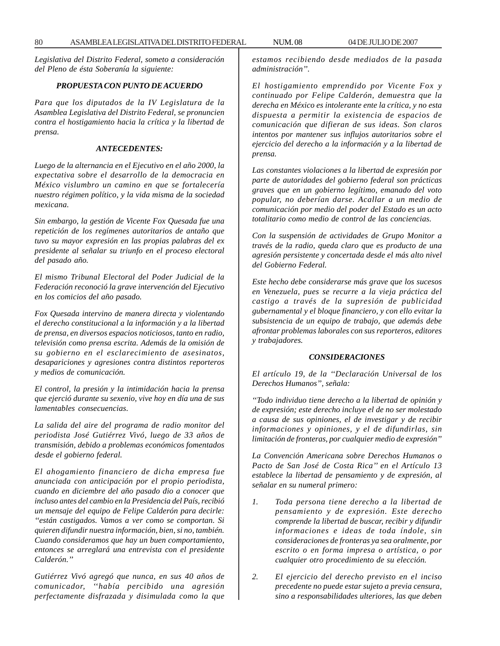*Legislativa del Distrito Federal, someto a consideración del Pleno de ésta Soberanía la siguiente:*

## *PROPUESTA CON PUNTO DE ACUERDO*

*Para que los diputados de la IV Legislatura de la Asamblea Legislativa del Distrito Federal, se pronuncien contra el hostigamiento hacia la crítica y la libertad de prensa.*

#### *ANTECEDENTES:*

*Luego de la alternancia en el Ejecutivo en el año 2000, la expectativa sobre el desarrollo de la democracia en México vislumbro un camino en que se fortalecería nuestro régimen político, y la vida misma de la sociedad mexicana.*

*Sin embargo, la gestión de Vicente Fox Quesada fue una repetición de los regímenes autoritarios de antaño que tuvo su mayor expresión en las propias palabras del ex presidente al señalar su triunfo en el proceso electoral del pasado año.*

*El mismo Tribunal Electoral del Poder Judicial de la Federación reconoció la grave intervención del Ejecutivo en los comicios del año pasado.*

*Fox Quesada intervino de manera directa y violentando el derecho constitucional a la información y a la libertad de prensa, en diversos espacios noticiosos, tanto en radio, televisión como prensa escrita. Además de la omisión de su gobierno en el esclarecimiento de asesinatos, desapariciones y agresiones contra distintos reporteros y medios de comunicación.*

*El control, la presión y la intimidación hacia la prensa que ejerció durante su sexenio, vive hoy en día una de sus lamentables consecuencias.*

*La salida del aire del programa de radio monitor del periodista José Gutiérrez Vivó, luego de 33 años de transmisión, debido a problemas económicos fomentados desde el gobierno federal.*

*El ahogamiento financiero de dicha empresa fue anunciada con anticipación por el propio periodista, cuando en diciembre del año pasado dio a conocer que incluso antes del cambio en la Presidencia del País, recibió un mensaje del equipo de Felipe Calderón para decirle: ''están castigados. Vamos a ver como se comportan. Si quieren difundir nuestra información, bien, si no, también. Cuando consideramos que hay un buen comportamiento, entonces se arreglará una entrevista con el presidente Calderón.''*

*Gutiérrez Vivó agregó que nunca, en sus 40 años de comunicador, ''había percibido una agresión perfectamente disfrazada y disimulada como la que* *estamos recibiendo desde mediados de la pasada administración''.*

*El hostigamiento emprendido por Vicente Fox y continuado por Felipe Calderón, demuestra que la derecha en México es intolerante ente la crítica, y no esta dispuesta a permitir la existencia de espacios de comunicación que difieran de sus ideas. Son claros intentos por mantener sus influjos autoritarios sobre el ejercicio del derecho a la información y a la libertad de prensa.*

*Las constantes violaciones a la libertad de expresión por parte de autoridades del gobierno federal son prácticas graves que en un gobierno legítimo, emanado del voto popular, no deberían darse. Acallar a un medio de comunicación por medio del poder del Estado es un acto totalitario como medio de control de las conciencias.*

*Con la suspensión de actividades de Grupo Monitor a través de la radio, queda claro que es producto de una agresión persistente y concertada desde el más alto nivel del Gobierno Federal.*

*Este hecho debe considerarse más grave que los sucesos en Venezuela, pues se recurre a la vieja práctica del castigo a través de la supresión de publicidad gubernamental y el bloque financiero, y con ello evitar la subsistencia de un equipo de trabajo, que además debe afrontar problemas laborales con sus reporteros, editores y trabajadores.*

#### *CONSIDERACIONES*

*El artículo 19, de la ''Declaración Universal de los Derechos Humanos'', señala:*

*''Todo individuo tiene derecho a la libertad de opinión y de expresión; este derecho incluye el de no ser molestado a causa de sus opiniones, el de investigar y de recibir informaciones y opiniones, y el de difundirlas, sin limitación de fronteras, por cualquier medio de expresión''*

*La Convención Americana sobre Derechos Humanos o Pacto de San José de Costa Rica'' en el Artículo 13 establece la libertad de pensamiento y de expresión, al señalar en su numeral primero:*

- *1. Toda persona tiene derecho a la libertad de pensamiento y de expresión. Este derecho comprende la libertad de buscar, recibir y difundir informaciones e ideas de toda índole, sin consideraciones de fronteras ya sea oralmente, por escrito o en forma impresa o artística, o por cualquier otro procedimiento de su elección.*
- *2. El ejercicio del derecho previsto en el inciso precedente no puede estar sujeto a previa censura, sino a responsabilidades ulteriores, las que deben*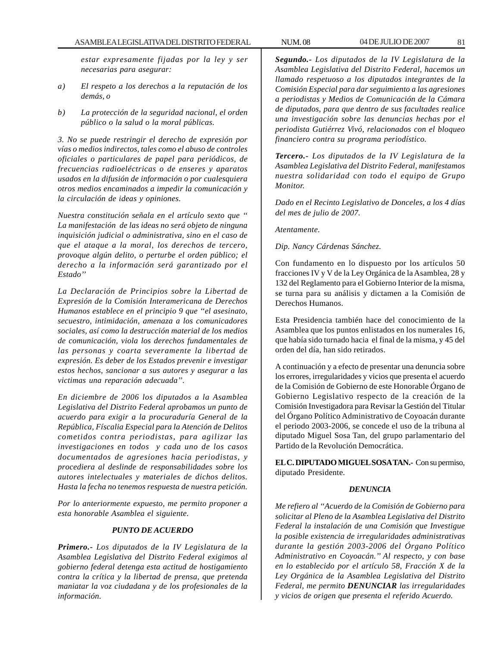*estar expresamente fijadas por la ley y ser necesarias para asegurar:*

- *a) El respeto a los derechos a la reputación de los demás, o*
- *b) La protección de la seguridad nacional, el orden público o la salud o la moral públicas.*

*3. No se puede restringir el derecho de expresión por vías o medios indirectos, tales como el abuso de controles oficiales o particulares de papel para periódicos, de frecuencias radioeléctricas o de enseres y aparatos usados en la difusión de información o por cualesquiera otros medios encaminados a impedir la comunicación y la circulación de ideas y opiniones.*

*Nuestra constitución señala en el artículo sexto que '' La manifestación de las ideas no será objeto de ninguna inquisición judicial o administrativa, sino en el caso de que el ataque a la moral, los derechos de tercero, provoque algún delito, o perturbe el orden público; el derecho a la información será garantizado por el Estado''*

*La Declaración de Principios sobre la Libertad de Expresión de la Comisión Interamericana de Derechos Humanos establece en el principio 9 que ''el asesinato, secuestro, intimidación, amenaza a los comunicadores sociales, así como la destrucción material de los medios de comunicación, viola los derechos fundamentales de las personas y coarta severamente la libertad de expresión. Es deber de los Estados prevenir e investigar estos hechos, sancionar a sus autores y asegurar a las victimas una reparación adecuada''.*

*En diciembre de 2006 los diputados a la Asamblea Legislativa del Distrito Federal aprobamos un punto de acuerdo para exigir a la procuraduría General de la República, Físcalia Especial para la Atención de Delitos cometidos contra periodistas, para agilizar las investigaciones en todos y cada uno de los casos documentados de agresiones hacia periodistas, y procediera al deslinde de responsabilidades sobre los autores intelectuales y materiales de dichos delitos. Hasta la fecha no tenemos respuesta de nuestra petición.*

*Por lo anteriormente expuesto, me permito proponer a esta honorable Asamblea el siguiente.*

## *PUNTO DE ACUERDO*

*Primero.- Los diputados de la IV Legislatura de la Asamblea Legislativa del Distrito Federal exigimos al gobierno federal detenga esta actitud de hostigamiento contra la crítica y la libertad de prensa, que pretenda maniatar la voz ciudadana y de los profesionales de la información.*

*Segundo.- Los diputados de la IV Legislatura de la Asamblea Legislativa del Distrito Federal, hacemos un llamado respetuoso a los diputados integrantes de la Comisión Especial para dar seguimiento a las agresiones a periodistas y Medios de Comunicación de la Cámara de diputados, para que dentro de sus facultades realice una investigación sobre las denuncias hechas por el periodista Gutiérrez Vivó, relacionados con el bloqueo financiero contra su programa periodístico.*

*Tercero.- Los diputados de la IV Legislatura de la Asamblea Legislativa del Distrito Federal, manifestamos nuestra solidaridad con todo el equipo de Grupo Monitor.*

*Dado en el Recinto Legislativo de Donceles, a los 4 días del mes de julio de 2007.*

*Atentamente.*

*Dip. Nancy Cárdenas Sánchez.*

Con fundamento en lo dispuesto por los artículos 50 fracciones IV y V de la Ley Orgánica de la Asamblea, 28 y 132 del Reglamento para el Gobierno Interior de la misma, se turna para su análisis y dictamen a la Comisión de Derechos Humanos.

Esta Presidencia también hace del conocimiento de la Asamblea que los puntos enlistados en los numerales 16, que había sido turnado hacia el final de la misma, y 45 del orden del día, han sido retirados.

A continuación y a efecto de presentar una denuncia sobre los errores, irregularidades y vicios que presenta el acuerdo de la Comisión de Gobierno de este Honorable Órgano de Gobierno Legislativo respecto de la creación de la Comisión Investigadora para Revisar la Gestión del Titular del Órgano Político Administrativo de Coyoacán durante el periodo 2003-2006, se concede el uso de la tribuna al diputado Miguel Sosa Tan, del grupo parlamentario del Partido de la Revolución Democrática.

**EL C. DIPUTADO MIGUEL SOSA TAN.-** Con su permiso, diputado Presidente.

## *DENUNCIA*

*Me refiero al ''Acuerdo de la Comisión de Gobierno para solicitar al Pleno de la Asamblea Legislativa del Distrito Federal la instalación de una Comisión que Investigue la posible existencia de irregularidades administrativas durante la gestión 2003-2006 del Órgano Político Administrativo en Coyoacán.'' Al respecto, y con base en lo establecido por el artículo 58, Fracción X de la Ley Orgánica de la Asamblea Legislativa del Distrito Federal, me permito DENUNCIAR las irregularidades y vicios de origen que presenta el referido Acuerdo.*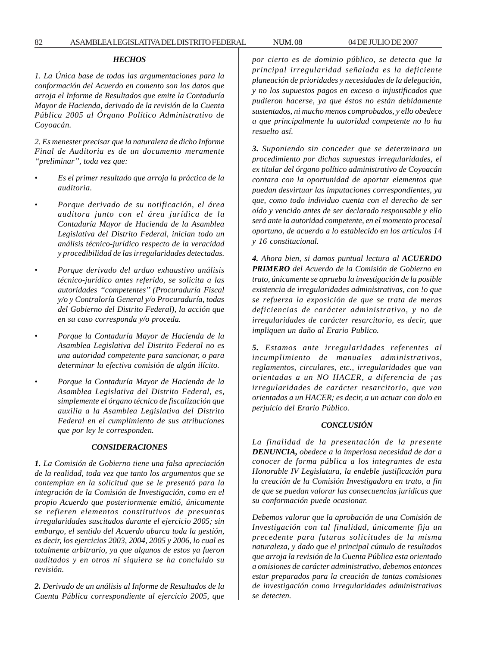## *HECHOS*

*1. La Única base de todas las argumentaciones para la conformación del Acuerdo en comento son los datos que arroja el Informe de Resultados que emite la Contaduría Mayor de Hacienda, derivado de la revisión de la Cuenta Pública 2005 al Órgano Político Administrativo de Coyoacán.*

*2. Es menester precisar que la naturaleza de dicho Informe Final de Auditoria es de un documento meramente ''preliminar'', toda vez que:*

- *Es el primer resultado que arroja la práctica de la auditoria.*
- *Porque derivado de su notificación, el área auditora junto con el área jurídica de la Contaduría Mayor de Hacienda de la Asamblea Legislativa del Distrito Federal, inician todo un análisis técnico-jurídico respecto de la veracidad y procedibilidad de las irregularidades detectadas.*
- *Porque derivado del arduo exhaustivo análisis técnico-jurídico antes referido, se solicita a las autoridades ''competentes'' (Procuraduría Fiscal y/o y Contraloría General y/o Procuraduría, todas del Gobierno del Distrito Federal), la acción que en su caso corresponda y/o proceda.*
- *Porque la Contaduría Mayor de Hacienda de la Asamblea Legislativa del Distrito Federal no es una autoridad competente para sancionar, o para determinar la efectiva comisión de algún ilícito.*
- *Porque la Contaduría Mayor de Hacienda de la Asamblea Legislativa del Distrito Federal, es, simplemente el órgano técnico de fiscalización que auxilia a la Asamblea Legislativa del Distrito Federal en el cumplimiento de sus atribuciones que por ley le corresponden.*

#### *CONSIDERACIONES*

*1. La Comisión de Gobierno tiene una falsa apreciación de la realidad, toda vez que tanto los argumentos que se contemplan en la solicitud que se le presentó para la integración de la Comisión de Investigación, como en el propio Acuerdo que posteriormente emitió, únicamente se refieren elementos constitutivos de presuntas irregularidades suscitados durante el ejercicio 2005; sin embargo, el sentido del Acuerdo abarca toda la gestión, es decir, los ejercicios 2003, 2004, 2005 y 2006, lo cual es totalmente arbitrario, ya que algunos de estos ya fueron auditados y en otros ni siquiera se ha concluido su revisión.*

*2. Derivado de un análisis al Informe de Resultados de la Cuenta Pública correspondiente al ejercicio 2005, que* *por cierto es de dominio público, se detecta que la principal irregularidad señalada es la deficiente planeación de prioridades y necesidades de la delegación, y no los supuestos pagos en exceso o injustificados que pudieron hacerse, ya que éstos no están debidamente sustentados, ni mucho menos comprobados, y ello obedece a que principalmente la autoridad competente no lo ha resuelto así.*

*3. Suponiendo sin conceder que se determinara un procedimiento por dichas supuestas irregularidades, el ex titular del órgano político administrativo de Coyoacán contara con la oportunidad de aportar elementos que puedan desvirtuar las imputaciones correspondientes, ya que, como todo individuo cuenta con el derecho de ser oído y vencido antes de ser declarado responsable y ello será ante la autoridad competente, en el momento procesal oportuno, de acuerdo a lo establecido en los artículos 14 y 16 constitucional.*

*4. Ahora bien, si damos puntual lectura al ACUERDO PRIMERO del Acuerdo de la Comisión de Gobierno en trato, únicamente se aprueba la investigación de la posible existencia de irregularidades administrativas, con !o que se refuerza la exposición de que se trata de meras deficiencias de carácter administrativo, y no de irregularidades de carácter resarcitorio, es decir, que impliquen un daño al Erario Publico.*

*5. Estamos ante irregularidades referentes al incumplimiento de manuales administrativos, reglamentos, circulares, etc., irregularidades que van orientadas a un NO HACER, a diferencia de ¡as irregularidades de carácter resarcitorio, que van orientadas a un HACER; es decir, a un actuar con dolo en perjuicio del Erario Público.*

#### *CONCLUSIÓN*

*La finalidad de la presentación de la presente DENUNCIA, obedece a la imperiosa necesidad de dar a conocer de forma pública a los integrantes de esta Honorable IV Legislatura, la endeble justificación para la creación de la Comisión Investigadora en trato, a fin de que se puedan valorar las consecuencias jurídicas que su conformación puede ocasionar.*

*Debemos valorar que la aprobación de una Comisión de Investigación con tal finalidad, únicamente fija un precedente para futuras solicitudes de la misma naturaleza, y dado que el principal cúmulo de resultados que arroja la revisión de la Cuenta Pública esta orientado a omisiones de carácter administrativo, debemos entonces estar preparados para la creación de tantas comisiones de investigación como irregularidades administrativas se detecten.*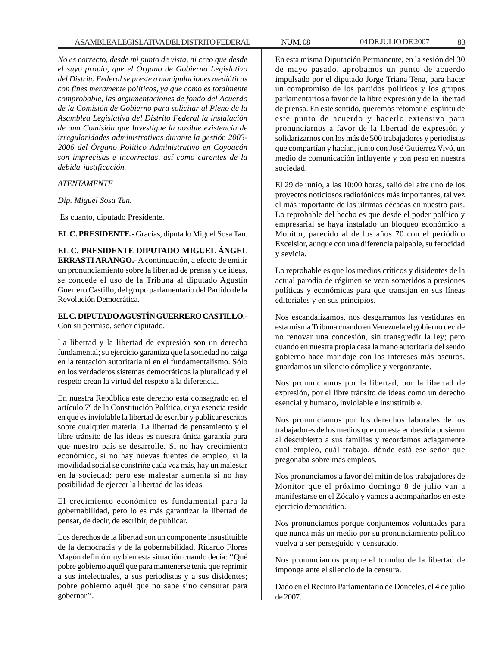*No es correcto, desde mi punto de vista, ni creo que desde el suyo propio, que el Órgano de Gobierno Legislativo del Distrito Federal se preste a manipulaciones mediáticas con fines meramente políticos, ya que como es totalmente comprobable, las argumentaciones de fondo del Acuerdo de la Comisión de Gobierno para solicitar al Pleno de la Asamblea Legislativa del Distrito Federal la instalación de una Comisión que Investigue la posible existencia de irregularidades administrativas durante la gestión 2003- 2006 del Órgano Político Administrativo en Coyoacán son imprecisas e incorrectas, así como carentes de la debida justificación.*

## *ATENTAMENTE*

*Dip. Miguel Sosa Tan.*

Es cuanto, diputado Presidente.

**EL C. PRESIDENTE.-** Gracias, diputado Miguel Sosa Tan.

**EL C. PRESIDENTE DIPUTADO MIGUEL ÁNGEL ERRASTI ARANGO.-** A continuación, a efecto de emitir un pronunciamiento sobre la libertad de prensa y de ideas, se concede el uso de la Tribuna al diputado Agustín Guerrero Castillo, del grupo parlamentario del Partido de la Revolución Democrática.

# **EL C. DIPUTADO AGUSTÍN GUERRERO CASTILLO.-**

Con su permiso, señor diputado.

La libertad y la libertad de expresión son un derecho fundamental; su ejercicio garantiza que la sociedad no caiga en la tentación autoritaria ni en el fundamentalismo. Sólo en los verdaderos sistemas democráticos la pluralidad y el respeto crean la virtud del respeto a la diferencia.

En nuestra República este derecho está consagrado en el artículo 7º de la Constitución Política, cuya esencia reside en que es inviolable la libertad de escribir y publicar escritos sobre cualquier materia. La libertad de pensamiento y el libre tránsito de las ideas es nuestra única garantía para que nuestro país se desarrolle. Si no hay crecimiento económico, si no hay nuevas fuentes de empleo, si la movilidad social se constriñe cada vez más, hay un malestar en la sociedad; pero ese malestar aumenta si no hay posibilidad de ejercer la libertad de las ideas.

El crecimiento económico es fundamental para la gobernabilidad, pero lo es más garantizar la libertad de pensar, de decir, de escribir, de publicar.

Los derechos de la libertad son un componente insustituible de la democracia y de la gobernabilidad. Ricardo Flores Magón definió muy bien esta situación cuando decía: ''Qué pobre gobierno aquél que para mantenerse tenía que reprimir a sus intelectuales, a sus periodistas y a sus disidentes; pobre gobierno aquél que no sabe sino censurar para gobernar''.

En esta misma Diputación Permanente, en la sesión del 30 de mayo pasado, aprobamos un punto de acuerdo impulsado por el diputado Jorge Triana Tena, para hacer un compromiso de los partidos políticos y los grupos parlamentarios a favor de la libre expresión y de la libertad de prensa. En este sentido, queremos retomar el espíritu de este punto de acuerdo y hacerlo extensivo para pronunciarnos a favor de la libertad de expresión y solidarizarnos con los más de 500 trabajadores y periodistas que compartían y hacían, junto con José Gutiérrez Vivó, un medio de comunicación influyente y con peso en nuestra sociedad.

El 29 de junio, a las 10:00 horas, salió del aire uno de los proyectos noticiosos radiofónicos más importantes, tal vez el más importante de las últimas décadas en nuestro país. Lo reprobable del hecho es que desde el poder político y empresarial se haya instalado un bloqueo económico a Monitor, parecido al de los años 70 con el periódico Excelsior, aunque con una diferencia palpable, su ferocidad y sevicia.

Lo reprobable es que los medios críticos y disidentes de la actual parodia de régimen se vean sometidos a presiones políticas y económicas para que transijan en sus líneas editoriales y en sus principios.

Nos escandalizamos, nos desgarramos las vestiduras en esta misma Tribuna cuando en Venezuela el gobierno decide no renovar una concesión, sin transgredir la ley; pero cuando en nuestra propia casa la mano autoritaria del seudo gobierno hace maridaje con los intereses más oscuros, guardamos un silencio cómplice y vergonzante.

Nos pronunciamos por la libertad, por la libertad de expresión, por el libre tránsito de ideas como un derecho esencial y humano, inviolable e insustituible.

Nos pronunciamos por los derechos laborales de los trabajadores de los medios que con esta embestida pusieron al descubierto a sus familias y recordamos aciagamente cuál empleo, cuál trabajo, dónde está ese señor que pregonaba sobre más empleos.

Nos pronunciamos a favor del mitin de los trabajadores de Monitor que el próximo domingo 8 de julio van a manifestarse en el Zócalo y vamos a acompañarlos en este ejercicio democrático.

Nos pronunciamos porque conjuntemos voluntades para que nunca más un medio por su pronunciamiento político vuelva a ser perseguido y censurado.

Nos pronunciamos porque el tumulto de la libertad de imponga ante el silencio de la censura.

Dado en el Recinto Parlamentario de Donceles, el 4 de julio de 2007.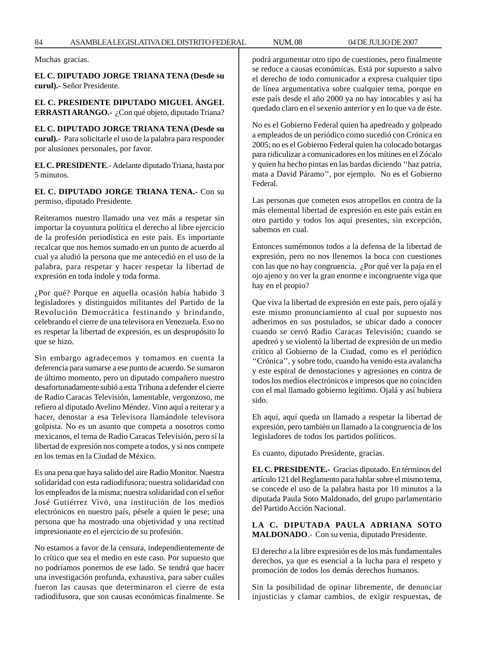Muchas gracias.

**EL C. DIPUTADO JORGE TRIANA TENA (Desde su curul).-** Señor Presidente.

**EL C. PRESIDENTE DIPUTADO MIGUEL ÁNGEL ERRASTI ARANGO.-** ¿Con qué objeto, diputado Triana?

**EL C. DIPUTADO JORGE TRIANA TENA (Desde su curul).-** Para solicitarle el uso de la palabra para responder por alusiones personales, por favor.

**EL C. PRESIDENTE**.- Adelante diputado Triana, hasta por 5 minutos.

**EL C. DIPUTADO JORGE TRIANA TENA.-** Con su permiso, diputado Presidente.

Reiteramos nuestro llamado una vez más a respetar sin importar la coyuntura política el derecho al libre ejercicio de la profesión periodística en este país. Es importante recalcar que nos hemos sumado en un punto de acuerdo al cual ya aludió la persona que me antecedió en el uso de la palabra, para respetar y hacer respetar la libertad de expresión en toda índole y toda forma.

¿Por qué? Porque en aquella ocasión había habido 3 legisladores y distinguidos militantes del Partido de la Revolución Democrática festinando y brindando, celebrando el cierre de una televisora en Venezuela. Eso no es respetar la libertad de expresión, es un despropósito lo que se hizo.

Sin embargo agradecemos y tomamos en cuenta la deferencia para sumarse a ese punto de acuerdo. Se sumaron de último momento, pero un diputado compañero nuestro desafortunadamente subió a esta Tribuna a defender el cierre de Radio Caracas Televisión, lamentable, vergonzoso, me refiero al diputado Avelino Méndez. Vino aquí a reiterar y a hacer, denostar a esa Televisora llamándole televisora golpista. No es un asunto que competa a nosotros como mexicanos, el tema de Radio Caracas Televisión, pero sí la libertad de expresión nos compete a todos, y sí nos compete en los temas en la Ciudad de México.

Es una pena que haya salido del aire Radio Monitor. Nuestra solidaridad con esta radiodifusora; nuestra solidaridad con los empleados de la misma; nuestra solidaridad con el señor José Gutiérrez Vivó, una institución de los medios electrónicos en nuestro país, pésele a quien le pese; una persona que ha mostrado una objetividad y una rectitud impresionante en el ejercicio de su profesión.

No estamos a favor de la censura, independientemente de lo crítico que sea el medio en este caso. Por supuesto que no podríamos ponernos de ese lado. Se tendrá que hacer una investigación profunda, exhaustiva, para saber cuáles fueron las causas que determinaron el cierre de esta radiodifusora, que son causas económicas finalmente. Se podrá argumentar otro tipo de cuestiones, pero finalmente se reduce a causas económicas. Está por supuesto a salvo el derecho de todo comunicador a expresa cualquier tipo de línea argumentativa sobre cualquier tema, porque en este país desde el año 2000 ya no hay intocables y así ha quedado claro en el sexenio anterior y en lo que va de éste.

No es el Gobierno Federal quien ha apedreado y golpeado a empleados de un periódico como sucedió con Crónica en 2005; no es el Gobierno Federal quien ha colocado botargas para ridiculizar a comunicadores en los mítines en el Zócalo y quien ha hecho pintas en las bardas diciendo ''haz patria, mata a David Páramo'', por ejemplo. No es el Gobierno Federal.

Las personas que cometen esos atropellos en contra de la más elemental libertad de expresión en este país están en otro partido y todos los aquí presentes, sin excepción, sabemos en cual.

Entonces sumémonos todos a la defensa de la libertad de expresión, pero no nos llenemos la boca con cuestiones con las que no hay congruencia. ¿Por qué ver la paja en el ojo ajeno y no ver la gran enorme e incongruente viga que hay en el propio?

Que viva la libertad de expresión en este país, pero ojalá y este mismo pronunciamiento al cual por supuesto nos adherimos en sus postulados, se ubicar dado a conocer cuando se cerró Radio Caracas Televisión; cuando se apedreó y se violentó la libertad de expresión de un medio crítico al Gobierno de la Ciudad, como es el periódico ''Crónica'', y sobre todo, cuando ha venido esta avalancha y este espiral de denostaciones y agresiones en contra de todos los medios electrónicos e impresos que no coinciden con el mal llamado gobierno legítimo. Ojalá y así hubiera sido.

Eh aquí, aquí queda un llamado a respetar la libertad de expresión, pero también un llamado a la congruencia de los legisladores de todos los partidos políticos.

Es cuanto, diputado Presidente, gracias.

**EL C. PRESIDENTE.-** Gracias diputado. En términos del artículo 121 del Reglamento para hablar sobre el mismo tema, se concede el uso de la palabra hasta por 10 minutos a la diputada Paula Soto Maldonado, del grupo parlamentario del Partido Acción Nacional.

**LA C. DIPUTADA PAULA ADRIANA SOTO MALDONADO**.- Con su venia, diputado Presidente.

El derecho a la libre expresión es de los más fundamentales derechos, ya que es esencial a la lucha para el respeto y promoción de todos los demás derechos humanos.

Sin la posibilidad de opinar libremente, de denunciar injusticias y clamar cambios, de exigir respuestas, de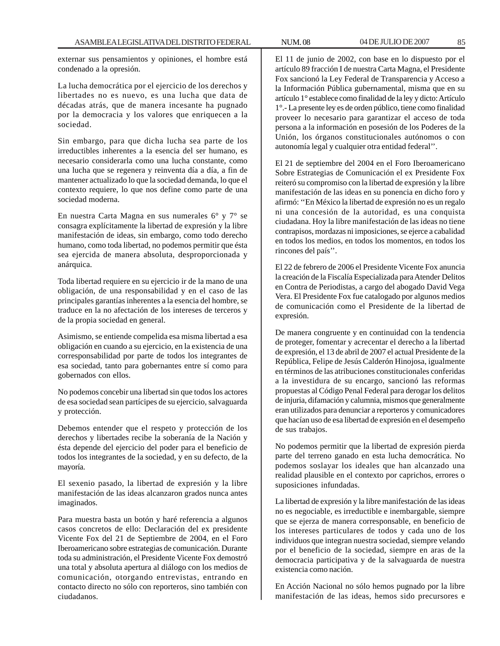externar sus pensamientos y opiniones, el hombre está condenado a la opresión.

La lucha democrática por el ejercicio de los derechos y libertades no es nuevo, es una lucha que data de décadas atrás, que de manera incesante ha pugnado por la democracia y los valores que enriquecen a la sociedad.

Sin embargo, para que dicha lucha sea parte de los irreductibles inherentes a la esencia del ser humano, es necesario considerarla como una lucha constante, como una lucha que se regenera y reinventa día a día, a fin de mantener actualizado lo que la sociedad demanda, lo que el contexto requiere, lo que nos define como parte de una sociedad moderna.

En nuestra Carta Magna en sus numerales 6° y 7° se consagra explícitamente la libertad de expresión y la libre manifestación de ideas, sin embargo, como todo derecho humano, como toda libertad, no podemos permitir que ésta sea ejercida de manera absoluta, desproporcionada y anárquica.

Toda libertad requiere en su ejercicio ir de la mano de una obligación, de una responsabilidad y en el caso de las principales garantías inherentes a la esencia del hombre, se traduce en la no afectación de los intereses de terceros y de la propia sociedad en general.

Asimismo, se entiende compelida esa misma libertad a esa obligación en cuando a su ejercicio, en la existencia de una corresponsabilidad por parte de todos los integrantes de esa sociedad, tanto para gobernantes entre sí como para gobernados con ellos.

No podemos concebir una libertad sin que todos los actores de esa sociedad sean partícipes de su ejercicio, salvaguarda y protección.

Debemos entender que el respeto y protección de los derechos y libertades recibe la soberanía de la Nación y ésta depende del ejercicio del poder para el beneficio de todos los integrantes de la sociedad, y en su defecto, de la mayoría.

El sexenio pasado, la libertad de expresión y la libre manifestación de las ideas alcanzaron grados nunca antes imaginados.

Para muestra basta un botón y haré referencia a algunos casos concretos de ello: Declaración del ex presidente Vicente Fox del 21 de Septiembre de 2004, en el Foro Iberoamericano sobre estrategias de comunicación. Durante toda su administración, el Presidente Vicente Fox demostró una total y absoluta apertura al diálogo con los medios de comunicación, otorgando entrevistas, entrando en contacto directo no sólo con reporteros, sino también con ciudadanos.

El 11 de junio de 2002, con base en lo dispuesto por el artículo 89 fracción I de nuestra Carta Magna, el Presidente Fox sancionó la Ley Federal de Transparencia y Acceso a la Información Pública gubernamental, misma que en su artículo 1° establece como finalidad de la ley y dicto: Artículo 1°.- La presente ley es de orden público, tiene como finalidad proveer lo necesario para garantizar el acceso de toda persona a la información en posesión de los Poderes de la Unión, los órganos constitucionales autónomos o con autonomía legal y cualquier otra entidad federal''.

El 21 de septiembre del 2004 en el Foro Iberoamericano Sobre Estrategias de Comunicación el ex Presidente Fox reiteró su compromiso con la libertad de expresión y la libre manifestación de las ideas en su ponencia en dicho foro y afirmó: ''En México la libertad de expresión no es un regalo ni una concesión de la autoridad, es una conquista ciudadana. Hoy la libre manifestación de las ideas no tiene contrapisos, mordazas ni imposiciones, se ejerce a cabalidad en todos los medios, en todos los momentos, en todos los rincones del país''.

El 22 de febrero de 2006 el Presidente Vicente Fox anuncia la creación de la Fiscalía Especializada para Atender Delitos en Contra de Periodistas, a cargo del abogado David Vega Vera. El Presidente Fox fue catalogado por algunos medios de comunicación como el Presidente de la libertad de expresión.

De manera congruente y en continuidad con la tendencia de proteger, fomentar y acrecentar el derecho a la libertad de expresión, el 13 de abril de 2007 el actual Presidente de la República, Felipe de Jesús Calderón Hinojosa, igualmente en términos de las atribuciones constitucionales conferidas a la investidura de su encargo, sancionó las reformas propuestas al Código Penal Federal para derogar los delitos de injuria, difamación y calumnia, mismos que generalmente eran utilizados para denunciar a reporteros y comunicadores que hacían uso de esa libertad de expresión en el desempeño de sus trabajos.

No podemos permitir que la libertad de expresión pierda parte del terreno ganado en esta lucha democrática. No podemos soslayar los ideales que han alcanzado una realidad plausible en el contexto por caprichos, errores o suposiciones infundadas.

La libertad de expresión y la libre manifestación de las ideas no es negociable, es irreductible e inembargable, siempre que se ejerza de manera corresponsable, en beneficio de los intereses particulares de todos y cada uno de los individuos que integran nuestra sociedad, siempre velando por el beneficio de la sociedad, siempre en aras de la democracia participativa y de la salvaguarda de nuestra existencia como nación.

En Acción Nacional no sólo hemos pugnado por la libre manifestación de las ideas, hemos sido precursores e